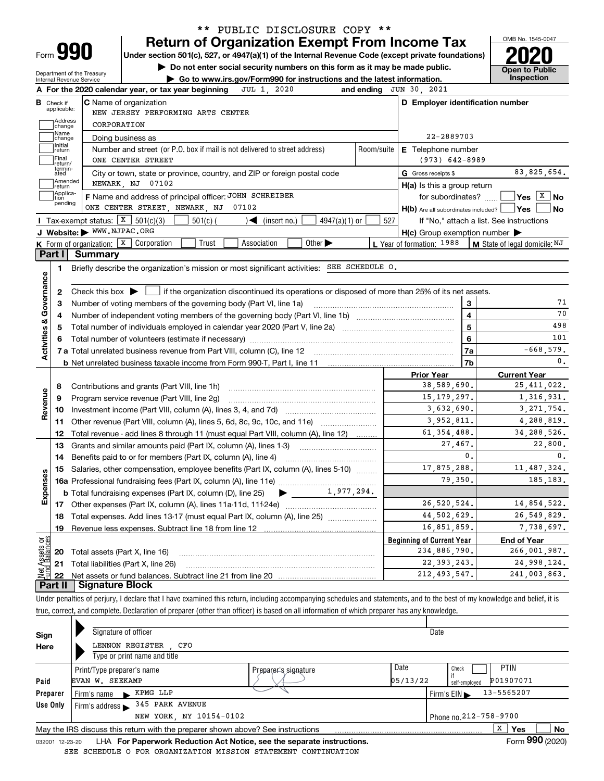| Form |  |
|------|--|

### **Return of Organization Exempt From Income Tax** \*\* PUBLIC DISCLOSURE COPY \*\*

**Under section 501(c), 527, or 4947(a)(1) of the Internal Revenue Code (except private foundations) 2020**

**| Do not enter social security numbers on this form as it may be made public.**

Department of the Treasury Internal Revenue Service

**| Go to www.irs.gov/Form990 for instructions and the latest information. Inspection**



|                                                                                                                                                                                         | Check if<br>applicable:    | <b>C</b> Name of organization                                                                                                                       |     | D Employer identification number                    |                |                                                                                                                                                                          |  |  |  |  |  |
|-----------------------------------------------------------------------------------------------------------------------------------------------------------------------------------------|----------------------------|-----------------------------------------------------------------------------------------------------------------------------------------------------|-----|-----------------------------------------------------|----------------|--------------------------------------------------------------------------------------------------------------------------------------------------------------------------|--|--|--|--|--|
|                                                                                                                                                                                         | Address                    | NEW JERSEY PERFORMING ARTS CENTER                                                                                                                   |     |                                                     |                |                                                                                                                                                                          |  |  |  |  |  |
|                                                                                                                                                                                         | change<br>Name             | CORPORATION                                                                                                                                         |     |                                                     |                |                                                                                                                                                                          |  |  |  |  |  |
| 22-2889703<br>Doing business as<br>change<br>Initial<br>Number and street (or P.O. box if mail is not delivered to street address)<br>Room/suite<br><b>E</b> Telephone number<br>return |                            |                                                                                                                                                     |     |                                                     |                |                                                                                                                                                                          |  |  |  |  |  |
|                                                                                                                                                                                         |                            |                                                                                                                                                     |     |                                                     |                |                                                                                                                                                                          |  |  |  |  |  |
|                                                                                                                                                                                         | termin-<br>ated<br>Amended | City or town, state or province, country, and ZIP or foreign postal code                                                                            |     | G Gross receipts \$                                 |                | 83, 825, 654.                                                                                                                                                            |  |  |  |  |  |
|                                                                                                                                                                                         | return<br>Applica-         | NEWARK, NJ 07102                                                                                                                                    |     | $H(a)$ is this a group return                       |                |                                                                                                                                                                          |  |  |  |  |  |
|                                                                                                                                                                                         | tion<br>pending            | F Name and address of principal officer: JOHN SCHREIBER<br>ONE CENTER STREET, NEWARK, NJ 07102                                                      |     | $H(b)$ Are all subordinates included? $\Box$ Yes    |                | for subordinates? $\frac{1}{2}$ Yes $\boxed{X}$ No<br>∣No                                                                                                                |  |  |  |  |  |
|                                                                                                                                                                                         |                            | <b>I</b> Tax-exempt status: $X \mid 501(c)(3)$<br>$501(c)$ (<br>$\sim$ (insert no.)<br>$4947(a)(1)$ or                                              | 527 |                                                     |                | If "No," attach a list. See instructions                                                                                                                                 |  |  |  |  |  |
|                                                                                                                                                                                         |                            | J Website: WWW.NJPAC.ORG                                                                                                                            |     | $H(c)$ Group exemption number $\blacktriangleright$ |                |                                                                                                                                                                          |  |  |  |  |  |
|                                                                                                                                                                                         |                            | <b>K</b> Form of organization: $\boxed{\textbf{X}}$ Corporation<br>Trust<br>Association<br>Other $\blacktriangleright$                              |     | L Year of formation: 1988                           |                | M State of legal domicile: NJ                                                                                                                                            |  |  |  |  |  |
|                                                                                                                                                                                         | Part I                     | Summary                                                                                                                                             |     |                                                     |                |                                                                                                                                                                          |  |  |  |  |  |
|                                                                                                                                                                                         | 1                          | Briefly describe the organization's mission or most significant activities: SEE SCHEDULE 0.                                                         |     |                                                     |                |                                                                                                                                                                          |  |  |  |  |  |
|                                                                                                                                                                                         |                            |                                                                                                                                                     |     |                                                     |                |                                                                                                                                                                          |  |  |  |  |  |
|                                                                                                                                                                                         | 2                          | Check this box $\blacktriangleright$ $\blacksquare$ if the organization discontinued its operations or disposed of more than 25% of its net assets. |     |                                                     |                |                                                                                                                                                                          |  |  |  |  |  |
| Activities & Governance                                                                                                                                                                 | 3                          | Number of voting members of the governing body (Part VI, line 1a)                                                                                   |     |                                                     | 3              | 71                                                                                                                                                                       |  |  |  |  |  |
|                                                                                                                                                                                         | 4                          |                                                                                                                                                     |     | $\overline{\mathbf{4}}$                             | 70             |                                                                                                                                                                          |  |  |  |  |  |
|                                                                                                                                                                                         | 5                          |                                                                                                                                                     |     | 5                                                   | 498            |                                                                                                                                                                          |  |  |  |  |  |
|                                                                                                                                                                                         |                            |                                                                                                                                                     |     | 6                                                   | 101            |                                                                                                                                                                          |  |  |  |  |  |
|                                                                                                                                                                                         |                            |                                                                                                                                                     |     |                                                     |                |                                                                                                                                                                          |  |  |  |  |  |
|                                                                                                                                                                                         |                            |                                                                                                                                                     |     |                                                     | 7a             | $-668,579.$                                                                                                                                                              |  |  |  |  |  |
|                                                                                                                                                                                         |                            |                                                                                                                                                     |     |                                                     | 7b             | $\mathbf{0}$ .                                                                                                                                                           |  |  |  |  |  |
|                                                                                                                                                                                         |                            |                                                                                                                                                     |     | <b>Prior Year</b>                                   |                | <b>Current Year</b>                                                                                                                                                      |  |  |  |  |  |
|                                                                                                                                                                                         | 8                          | Contributions and grants (Part VIII, line 1h)                                                                                                       |     | 38,589,690.                                         |                |                                                                                                                                                                          |  |  |  |  |  |
|                                                                                                                                                                                         | 9                          | Program service revenue (Part VIII, line 2g)                                                                                                        |     | 15, 179, 297.                                       |                |                                                                                                                                                                          |  |  |  |  |  |
|                                                                                                                                                                                         | 10                         |                                                                                                                                                     |     | 3,632,690.                                          |                |                                                                                                                                                                          |  |  |  |  |  |
|                                                                                                                                                                                         | 11                         | Other revenue (Part VIII, column (A), lines 5, 6d, 8c, 9c, 10c, and 11e)                                                                            |     | 3,952,811.                                          |                |                                                                                                                                                                          |  |  |  |  |  |
|                                                                                                                                                                                         | 12                         | Total revenue - add lines 8 through 11 (must equal Part VIII, column (A), line 12)                                                                  |     | 61, 354, 488.                                       |                |                                                                                                                                                                          |  |  |  |  |  |
|                                                                                                                                                                                         | 13                         | Grants and similar amounts paid (Part IX, column (A), lines 1-3)                                                                                    |     | 27,467.                                             |                | 22,800.                                                                                                                                                                  |  |  |  |  |  |
|                                                                                                                                                                                         | 14                         |                                                                                                                                                     |     |                                                     | $\mathbf{0}$ . |                                                                                                                                                                          |  |  |  |  |  |
|                                                                                                                                                                                         | 15                         | Salaries, other compensation, employee benefits (Part IX, column (A), lines 5-10)                                                                   |     | 17,875,288.                                         |                |                                                                                                                                                                          |  |  |  |  |  |
|                                                                                                                                                                                         |                            |                                                                                                                                                     |     | 79,350.                                             |                |                                                                                                                                                                          |  |  |  |  |  |
|                                                                                                                                                                                         |                            | 1,977,294.<br><b>b</b> Total fundraising expenses (Part IX, column (D), line 25)<br>$\blacktriangleright$ and $\blacktriangleright$                 |     |                                                     |                |                                                                                                                                                                          |  |  |  |  |  |
|                                                                                                                                                                                         |                            |                                                                                                                                                     |     | 26.520.524.                                         |                |                                                                                                                                                                          |  |  |  |  |  |
|                                                                                                                                                                                         | 18                         | Total expenses. Add lines 13-17 (must equal Part IX, column (A), line 25)                                                                           |     | 44,502,629.                                         |                |                                                                                                                                                                          |  |  |  |  |  |
|                                                                                                                                                                                         | 19                         |                                                                                                                                                     |     | 16,851,859.                                         |                |                                                                                                                                                                          |  |  |  |  |  |
|                                                                                                                                                                                         |                            |                                                                                                                                                     |     | <b>Beginning of Current Year</b>                    |                | <b>End of Year</b>                                                                                                                                                       |  |  |  |  |  |
| Revenue<br>Expenses<br>ಕ್ಷ<br>sets                                                                                                                                                      | 20                         | Total assets (Part X, line 16)                                                                                                                      |     | 234,886,790.                                        |                | 25, 411, 022.<br>1,316,931.<br>3, 271, 754.<br>4,288,819.<br>34, 288, 526.<br>0.<br>11,487,324.<br>185, 183.<br>14,854,522.<br>26,549,829.<br>7,738,697.<br>266,001,987. |  |  |  |  |  |
|                                                                                                                                                                                         | 21                         | Total liabilities (Part X, line 26)                                                                                                                 |     | 22, 393, 243.<br>212, 493, 547.                     |                | 24,998,124.<br>241,003,863.                                                                                                                                              |  |  |  |  |  |

Under penalties of perjury, I declare that I have examined this return, including accompanying schedules and statements, and to the best of my knowledge and belief, it is true, correct, and complete. Declaration of preparer (other than officer) is based on all information of which preparer has any knowledge.

| Sign     | Signature of officer                                                                                         |          | Date                                           |    |  |  |  |  |  |  |
|----------|--------------------------------------------------------------------------------------------------------------|----------|------------------------------------------------|----|--|--|--|--|--|--|
| Here     | LENNON REGISTER<br>CFO                                                                                       |          |                                                |    |  |  |  |  |  |  |
|          | Type or print name and title                                                                                 |          |                                                |    |  |  |  |  |  |  |
|          | Print/Type preparer's name<br>Preparer's signature                                                           | Date     | <b>PTIN</b><br>Check                           |    |  |  |  |  |  |  |
| Paid     | EVAN W. SEEKAMP                                                                                              | 05/13/22 | P01907071<br>self-emploved                     |    |  |  |  |  |  |  |
| Preparer | KPMG LLP<br>Firm's name                                                                                      |          | 13-5565207<br>Firm's $EIN \blacktriangleright$ |    |  |  |  |  |  |  |
| Use Only | 345 PARK AVENUE<br>Firm's address $\blacktriangleright$                                                      |          |                                                |    |  |  |  |  |  |  |
|          | NEW YORK, NY 10154-0102                                                                                      |          | Phone no. 212-758-9700                         |    |  |  |  |  |  |  |
|          | May the IRS discuss this return with the preparer shown above? See instructions                              |          | x<br>Yes                                       | No |  |  |  |  |  |  |
|          | Form 990 (2020)<br>LHA For Paperwork Reduction Act Notice, see the separate instructions.<br>032001 12-23-20 |          |                                                |    |  |  |  |  |  |  |

032001 12-23-20 LHA **For Paperwork Reduction Act Notice, see the separate instructions.**<br>EDIILE O FOR ORGANIZATION MISSION STATEMENT CONTINUATION SEE SCHEDULE O FOR ORGANIZATION MISSION STATEMENT CONTINUATION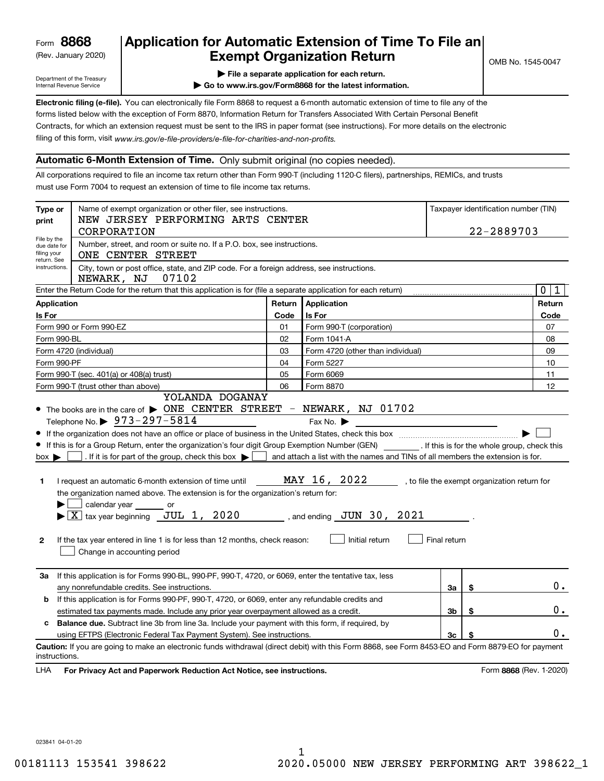(Rev. January 2020)

## **Application for Automatic Extension of Time To File an Exempt Organization Return**

Department of the Treasury Internal Revenue Service

**| File a separate application for each return.**

**| Go to www.irs.gov/Form8868 for the latest information.**

**Electronic filing (e-file).**  You can electronically file Form 8868 to request a 6-month automatic extension of time to file any of the filing of this form, visit www.irs.gov/e-file-providers/e-file-for-charities-and-non-profits. forms listed below with the exception of Form 8870, Information Return for Transfers Associated With Certain Personal Benefit Contracts, for which an extension request must be sent to the IRS in paper format (see instructions). For more details on the electronic

### **Automatic 6-Month Extension of Time.** Only submit original (no copies needed).

All corporations required to file an income tax return other than Form 990-T (including 1120-C filers), partnerships, REMICs, and trusts must use Form 7004 to request an extension of time to file income tax returns.

| Type or<br>print                               | Name of exempt organization or other filer, see instructions.<br>NEW JERSEY PERFORMING ARTS CENTER<br>CORPORATION                                                                                                                                                                                                                                                                                                                                                                                                                                                                                                                                                            |        |                                                               | Taxpayer identification number (TIN)<br>22-2889703 |    |                                              |  |  |  |
|------------------------------------------------|------------------------------------------------------------------------------------------------------------------------------------------------------------------------------------------------------------------------------------------------------------------------------------------------------------------------------------------------------------------------------------------------------------------------------------------------------------------------------------------------------------------------------------------------------------------------------------------------------------------------------------------------------------------------------|--------|---------------------------------------------------------------|----------------------------------------------------|----|----------------------------------------------|--|--|--|
| return. See                                    | File by the<br>Number, street, and room or suite no. If a P.O. box, see instructions.<br>due date for<br>filing your<br>ONE CENTER STREET                                                                                                                                                                                                                                                                                                                                                                                                                                                                                                                                    |        |                                                               |                                                    |    |                                              |  |  |  |
|                                                | instructions.<br>City, town or post office, state, and ZIP code. For a foreign address, see instructions.<br>NEWARK, NJ<br>07102                                                                                                                                                                                                                                                                                                                                                                                                                                                                                                                                             |        |                                                               |                                                    |    |                                              |  |  |  |
|                                                | Enter the Return Code for the return that this application is for (file a separate application for each return)                                                                                                                                                                                                                                                                                                                                                                                                                                                                                                                                                              |        |                                                               |                                                    |    | $\mathbf 0$<br>1                             |  |  |  |
| <b>Application</b>                             |                                                                                                                                                                                                                                                                                                                                                                                                                                                                                                                                                                                                                                                                              | Return | Application                                                   |                                                    |    | Return                                       |  |  |  |
| Is For                                         |                                                                                                                                                                                                                                                                                                                                                                                                                                                                                                                                                                                                                                                                              | Code   | Is For                                                        |                                                    |    | Code                                         |  |  |  |
|                                                | Form 990 or Form 990-EZ                                                                                                                                                                                                                                                                                                                                                                                                                                                                                                                                                                                                                                                      | 01     | Form 990-T (corporation)                                      |                                                    |    | 07                                           |  |  |  |
| Form 990-BL                                    |                                                                                                                                                                                                                                                                                                                                                                                                                                                                                                                                                                                                                                                                              | 02     | Form 1041-A                                                   |                                                    |    | 08                                           |  |  |  |
|                                                | Form 4720 (individual)                                                                                                                                                                                                                                                                                                                                                                                                                                                                                                                                                                                                                                                       | 03     | Form 4720 (other than individual)                             |                                                    |    | 09                                           |  |  |  |
| Form 990-PF                                    |                                                                                                                                                                                                                                                                                                                                                                                                                                                                                                                                                                                                                                                                              | 04     | Form 5227                                                     |                                                    |    | 10                                           |  |  |  |
|                                                | Form 990-T (sec. 401(a) or 408(a) trust)                                                                                                                                                                                                                                                                                                                                                                                                                                                                                                                                                                                                                                     | 05     | Form 6069                                                     |                                                    |    | 11                                           |  |  |  |
|                                                | Form 990-T (trust other than above)                                                                                                                                                                                                                                                                                                                                                                                                                                                                                                                                                                                                                                          | 06     | Form 8870                                                     |                                                    |    | 12                                           |  |  |  |
| $box \blacktriangleright$<br>1<br>$\mathbf{2}$ | If this is for a Group Return, enter the organization's four digit Group Exemption Number (GEN) [f this is for the whole group, check this<br>. If it is for part of the group, check this box $\blacktriangleright$   and attach a list with the names and TINs of all members the extension is for.<br>I request an automatic 6-month extension of time until<br>the organization named above. The extension is for the organization's return for:<br>calendar year _______ or<br>$\blacktriangleright$ $\lfloor$ X $\rfloor$ tax year beginning JUL 1, 2020<br>If the tax year entered in line 1 is for less than 12 months, check reason:<br>Change in accounting period |        | MAY 16, 2022<br>, and ending $JUN$ 30, 2021<br>Initial return | Final return                                       |    | , to file the exempt organization return for |  |  |  |
| За                                             | If this application is for Forms 990-BL, 990-PF, 990-T, 4720, or 6069, enter the tentative tax, less<br>any nonrefundable credits. See instructions.                                                                                                                                                                                                                                                                                                                                                                                                                                                                                                                         |        |                                                               | За                                                 | \$ | 0.                                           |  |  |  |
| b                                              | If this application is for Forms 990-PF, 990-T, 4720, or 6069, enter any refundable credits and                                                                                                                                                                                                                                                                                                                                                                                                                                                                                                                                                                              |        |                                                               |                                                    |    |                                              |  |  |  |
|                                                | \$<br>estimated tax payments made. Include any prior year overpayment allowed as a credit.<br>Зb                                                                                                                                                                                                                                                                                                                                                                                                                                                                                                                                                                             |        |                                                               |                                                    |    | 0.                                           |  |  |  |
| c.                                             | Balance due. Subtract line 3b from line 3a. Include your payment with this form, if required, by                                                                                                                                                                                                                                                                                                                                                                                                                                                                                                                                                                             |        |                                                               |                                                    |    |                                              |  |  |  |
|                                                | using EFTPS (Electronic Federal Tax Payment System). See instructions.<br>3c<br>\$                                                                                                                                                                                                                                                                                                                                                                                                                                                                                                                                                                                           |        |                                                               |                                                    |    | 0.                                           |  |  |  |
| instructions.<br>LHA                           | Caution: If you are going to make an electronic funds withdrawal (direct debit) with this Form 8868, see Form 8453-EO and Form 8879-EO for payment<br>For Privacy Act and Paperwork Reduction Act Notice, see instructions.                                                                                                                                                                                                                                                                                                                                                                                                                                                  |        |                                                               |                                                    |    | Form 8868 (Rev. 1-2020)                      |  |  |  |

023841 04-01-20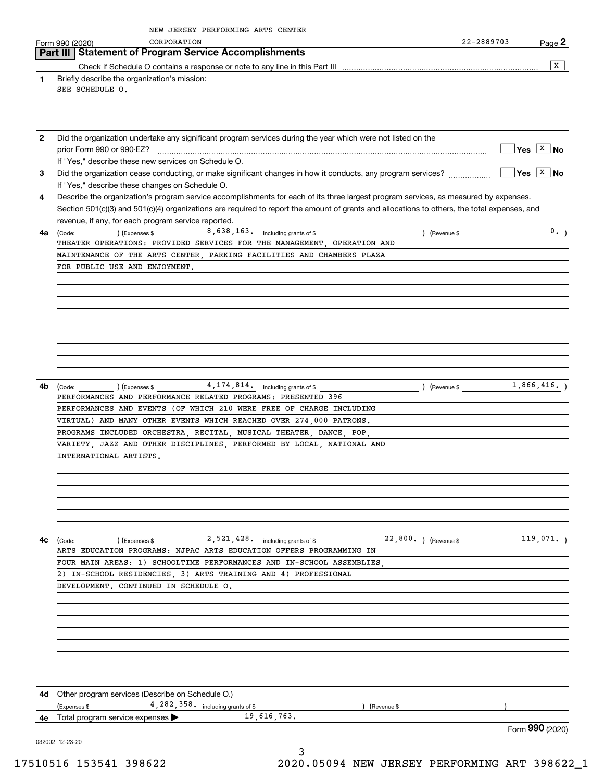|              | NEW JERSEY PERFORMING ARTS CENTER<br>CORPORATION<br>Form 990 (2020)                                                                                                                                                                                                                  | 22-2889703  | Page $2$                     |
|--------------|--------------------------------------------------------------------------------------------------------------------------------------------------------------------------------------------------------------------------------------------------------------------------------------|-------------|------------------------------|
|              | Part III   Statement of Program Service Accomplishments                                                                                                                                                                                                                              |             |                              |
|              |                                                                                                                                                                                                                                                                                      |             | x                            |
| 1            | Briefly describe the organization's mission:<br>SEE SCHEDULE O.                                                                                                                                                                                                                      |             |                              |
|              |                                                                                                                                                                                                                                                                                      |             |                              |
| $\mathbf{2}$ | Did the organization undertake any significant program services during the year which were not listed on the<br>prior Form 990 or 990-EZ?                                                                                                                                            |             | $\sqrt{Y}$ es $\boxed{X}$ No |
| 3            | If "Yes," describe these new services on Schedule O.<br>Did the organization cease conducting, or make significant changes in how it conducts, any program services?<br>If "Yes," describe these changes on Schedule O.                                                              |             | $\sqrt{}$ Yes $\sqrt{X}$ No  |
| 4            | Describe the organization's program service accomplishments for each of its three largest program services, as measured by expenses.<br>Section 501(c)(3) and 501(c)(4) organizations are required to report the amount of grants and allocations to others, the total expenses, and |             |                              |
|              | revenue, if any, for each program service reported.                                                                                                                                                                                                                                  |             |                              |
| 4a           | $\frac{1}{2}$ (Code: $\frac{1}{2}$ ) (Expenses \$ $\frac{8,638,163}{8}$ including grants of \$<br>) (Revenue \$<br>THEATER OPERATIONS: PROVIDED SERVICES FOR THE MANAGEMENT, OPERATION AND                                                                                           |             | 0.                           |
|              | MAINTENANCE OF THE ARTS CENTER, PARKING FACILITIES AND CHAMBERS PLAZA                                                                                                                                                                                                                |             |                              |
|              | FOR PUBLIC USE AND ENJOYMENT.                                                                                                                                                                                                                                                        |             |                              |
|              |                                                                                                                                                                                                                                                                                      |             |                              |
|              |                                                                                                                                                                                                                                                                                      |             |                              |
|              |                                                                                                                                                                                                                                                                                      |             |                              |
|              |                                                                                                                                                                                                                                                                                      |             |                              |
|              |                                                                                                                                                                                                                                                                                      |             |                              |
|              |                                                                                                                                                                                                                                                                                      |             |                              |
|              |                                                                                                                                                                                                                                                                                      |             |                              |
|              |                                                                                                                                                                                                                                                                                      |             |                              |
|              |                                                                                                                                                                                                                                                                                      |             |                              |
|              |                                                                                                                                                                                                                                                                                      |             |                              |
| 4b           | $(\text{Code:})$ $(\text{Expenses} \$ $4, 174, 814, \text{ including grants of }$                                                                                                                                                                                                    | (Revenue \$ | 1,866,416.                   |
|              | PERFORMANCES AND PERFORMANCE RELATED PROGRAMS: PRESENTED 396                                                                                                                                                                                                                         |             |                              |
|              | PERFORMANCES AND EVENTS (OF WHICH 210 WERE FREE OF CHARGE INCLUDING                                                                                                                                                                                                                  |             |                              |
|              | VIRTUAL) AND MANY OTHER EVENTS WHICH REACHED OVER 274,000 PATRONS.                                                                                                                                                                                                                   |             |                              |
|              | PROGRAMS INCLUDED ORCHESTRA, RECITAL, MUSICAL THEATER, DANCE, POP,                                                                                                                                                                                                                   |             |                              |
|              | VARIETY, JAZZ AND OTHER DISCIPLINES, PERFORMED BY LOCAL, NATIONAL AND                                                                                                                                                                                                                |             |                              |
|              | INTERNATIONAL ARTISTS.                                                                                                                                                                                                                                                               |             |                              |
|              |                                                                                                                                                                                                                                                                                      |             |                              |
|              |                                                                                                                                                                                                                                                                                      |             |                              |
|              |                                                                                                                                                                                                                                                                                      |             |                              |
|              |                                                                                                                                                                                                                                                                                      |             |                              |
|              |                                                                                                                                                                                                                                                                                      |             |                              |
|              |                                                                                                                                                                                                                                                                                      |             |                              |
| 4с           | (Code:                                                                                                                                                                                                                                                                               |             |                              |
|              | ARTS EDUCATION PROGRAMS: NJPAC ARTS EDUCATION OFFERS PROGRAMMING IN                                                                                                                                                                                                                  |             |                              |
|              | FOUR MAIN AREAS: 1) SCHOOLTIME PERFORMANCES AND IN-SCHOOL ASSEMBLIES,                                                                                                                                                                                                                |             |                              |
|              | 2) IN-SCHOOL RESIDENCIES, 3) ARTS TRAINING AND 4) PROFESSIONAL                                                                                                                                                                                                                       |             |                              |
|              | DEVELOPMENT. CONTINUED IN SCHEDULE O.                                                                                                                                                                                                                                                |             |                              |
|              |                                                                                                                                                                                                                                                                                      |             |                              |
|              |                                                                                                                                                                                                                                                                                      |             |                              |
|              |                                                                                                                                                                                                                                                                                      |             |                              |
|              |                                                                                                                                                                                                                                                                                      |             |                              |
|              |                                                                                                                                                                                                                                                                                      |             |                              |
|              |                                                                                                                                                                                                                                                                                      |             |                              |
|              |                                                                                                                                                                                                                                                                                      |             |                              |
|              |                                                                                                                                                                                                                                                                                      |             |                              |
|              | 4d Other program services (Describe on Schedule O.)                                                                                                                                                                                                                                  |             |                              |
|              | 4, 282, 358. including grants of \$<br>(Expenses \$<br>Revenue \$                                                                                                                                                                                                                    |             |                              |
| 4е           | 19,616,763.<br>Total program service expenses                                                                                                                                                                                                                                        |             |                              |
|              |                                                                                                                                                                                                                                                                                      |             | Form 990 (2020)              |
|              | 032002 12-23-20                                                                                                                                                                                                                                                                      |             |                              |
|              | 3                                                                                                                                                                                                                                                                                    |             |                              |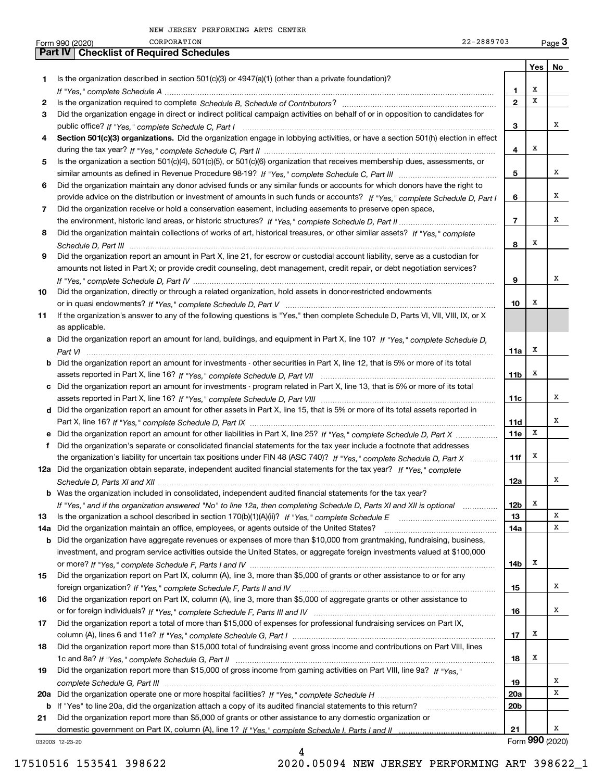|     | 22-2889703<br>CORPORATION<br>Form 990 (2020)                                                                                     |                 |            | Page $3$        |
|-----|----------------------------------------------------------------------------------------------------------------------------------|-----------------|------------|-----------------|
|     | <b>Checklist of Required Schedules</b><br><b>Part IV</b>                                                                         |                 |            |                 |
|     |                                                                                                                                  |                 | <b>Yes</b> | No              |
| 1   | Is the organization described in section $501(c)(3)$ or $4947(a)(1)$ (other than a private foundation)?                          |                 |            |                 |
|     |                                                                                                                                  | 1.              | x          |                 |
| 2   |                                                                                                                                  | $\overline{2}$  | X          |                 |
| 3   | Did the organization engage in direct or indirect political campaign activities on behalf of or in opposition to candidates for  |                 |            |                 |
|     |                                                                                                                                  | 3               |            | х               |
| 4   | Section 501(c)(3) organizations. Did the organization engage in lobbying activities, or have a section 501(h) election in effect |                 |            |                 |
|     |                                                                                                                                  | 4               | X          |                 |
| 5   | Is the organization a section 501(c)(4), 501(c)(5), or 501(c)(6) organization that receives membership dues, assessments, or     |                 |            |                 |
|     |                                                                                                                                  | 5               |            | х               |
| 6   | Did the organization maintain any donor advised funds or any similar funds or accounts for which donors have the right to        |                 |            |                 |
|     | provide advice on the distribution or investment of amounts in such funds or accounts? If "Yes," complete Schedule D, Part I     | 6               |            | х               |
|     |                                                                                                                                  |                 |            |                 |
| 7   | Did the organization receive or hold a conservation easement, including easements to preserve open space,                        | $\overline{7}$  |            | х               |
|     |                                                                                                                                  |                 |            |                 |
| 8   | Did the organization maintain collections of works of art, historical treasures, or other similar assets? If "Yes," complete     |                 |            |                 |
|     |                                                                                                                                  | 8               | х          |                 |
| 9   | Did the organization report an amount in Part X, line 21, for escrow or custodial account liability, serve as a custodian for    |                 |            |                 |
|     | amounts not listed in Part X; or provide credit counseling, debt management, credit repair, or debt negotiation services?        |                 |            |                 |
|     |                                                                                                                                  | 9               |            | х               |
| 10  | Did the organization, directly or through a related organization, hold assets in donor-restricted endowments                     |                 |            |                 |
|     |                                                                                                                                  | 10              | х          |                 |
| 11  | If the organization's answer to any of the following questions is "Yes," then complete Schedule D, Parts VI, VII, VIII, IX, or X |                 |            |                 |
|     | as applicable.                                                                                                                   |                 |            |                 |
|     | a Did the organization report an amount for land, buildings, and equipment in Part X, line 10? If "Yes," complete Schedule D,    |                 |            |                 |
|     |                                                                                                                                  | 11a             | х          |                 |
|     | b Did the organization report an amount for investments - other securities in Part X, line 12, that is 5% or more of its total   |                 |            |                 |
|     |                                                                                                                                  | 11 <sub>b</sub> | Х          |                 |
|     | c Did the organization report an amount for investments - program related in Part X, line 13, that is 5% or more of its total    |                 |            |                 |
|     |                                                                                                                                  | 11c             |            | х               |
|     | d Did the organization report an amount for other assets in Part X, line 15, that is 5% or more of its total assets reported in  |                 |            |                 |
|     |                                                                                                                                  | 11d             |            | х               |
|     | e Did the organization report an amount for other liabilities in Part X, line 25? If "Yes," complete Schedule D, Part X          | 11e             | X          |                 |
| f   | Did the organization's separate or consolidated financial statements for the tax year include a footnote that addresses          |                 |            |                 |
|     | the organization's liability for uncertain tax positions under FIN 48 (ASC 740)? If "Yes," complete Schedule D, Part X           | 11f             | х          |                 |
|     | 12a Did the organization obtain separate, independent audited financial statements for the tax year? If "Yes." complete          |                 |            |                 |
|     |                                                                                                                                  |                 |            | A               |
|     | <b>b</b> Was the organization included in consolidated, independent audited financial statements for the tax year?               | 12a             |            |                 |
|     |                                                                                                                                  | 12 <sub>b</sub> | х          |                 |
|     | If "Yes," and if the organization answered "No" to line 12a, then completing Schedule D, Parts XI and XII is optional            | 13              |            | X               |
| 13  |                                                                                                                                  |                 |            | X               |
| 14a | Did the organization maintain an office, employees, or agents outside of the United States?                                      | 14a             |            |                 |
| b   | Did the organization have aggregate revenues or expenses of more than \$10,000 from grantmaking, fundraising, business,          |                 |            |                 |
|     | investment, and program service activities outside the United States, or aggregate foreign investments valued at \$100,000       |                 |            |                 |
|     |                                                                                                                                  | 14b             | х          |                 |
| 15  | Did the organization report on Part IX, column (A), line 3, more than \$5,000 of grants or other assistance to or for any        |                 |            |                 |
|     |                                                                                                                                  | 15              |            | x               |
| 16  | Did the organization report on Part IX, column (A), line 3, more than \$5,000 of aggregate grants or other assistance to         |                 |            |                 |
|     |                                                                                                                                  | 16              |            | x               |
| 17  | Did the organization report a total of more than \$15,000 of expenses for professional fundraising services on Part IX,          |                 |            |                 |
|     |                                                                                                                                  | 17              | х          |                 |
| 18  | Did the organization report more than \$15,000 total of fundraising event gross income and contributions on Part VIII, lines     |                 |            |                 |
|     |                                                                                                                                  | 18              | х          |                 |
| 19  | Did the organization report more than \$15,000 of gross income from gaming activities on Part VIII, line 9a? If "Yes."           |                 |            |                 |
|     |                                                                                                                                  | 19              |            | x               |
|     |                                                                                                                                  | <b>20a</b>      |            | X               |
| b   | If "Yes" to line 20a, did the organization attach a copy of its audited financial statements to this return?                     | 20 <sub>b</sub> |            |                 |
| 21  | Did the organization report more than \$5,000 of grants or other assistance to any domestic organization or                      |                 |            |                 |
|     |                                                                                                                                  | 21              |            | x               |
|     | 032003 12-23-20                                                                                                                  |                 |            | Form 990 (2020) |

032003 12-23-20

4

17510516 153541 398622 2020.05094 NEW JERSEY PERFORMING ART 398622\_1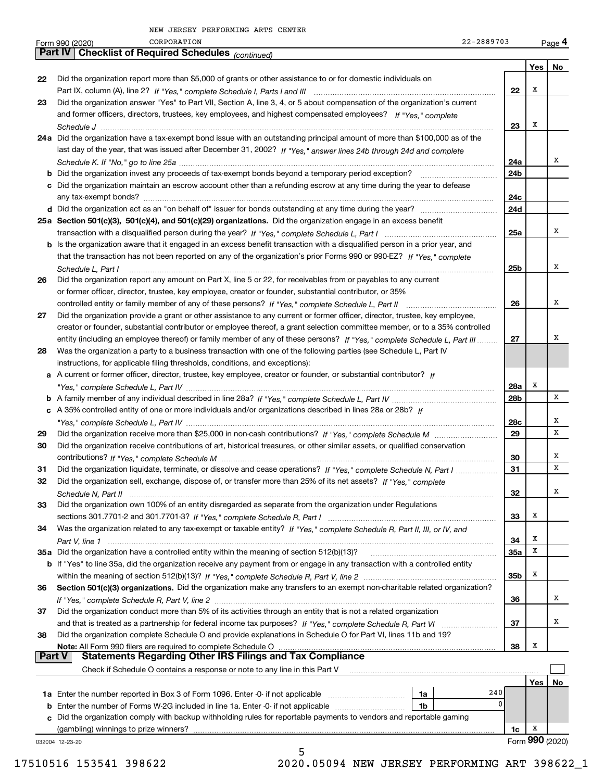| Part IV   Checklist of Required Schedules (continued)<br>22<br>Did the organization report more than \$5,000 of grants or other assistance to or for domestic individuals on<br>Did the organization answer "Yes" to Part VII, Section A, line 3, 4, or 5 about compensation of the organization's current<br>23<br>and former officers, directors, trustees, key employees, and highest compensated employees? If "Yes," complete<br>24a Did the organization have a tax-exempt bond issue with an outstanding principal amount of more than \$100,000 as of the<br>last day of the year, that was issued after December 31, 2002? If "Yes," answer lines 24b through 24d and complete<br>c Did the organization maintain an escrow account other than a refunding escrow at any time during the year to defease<br>25a Section 501(c)(3), 501(c)(4), and 501(c)(29) organizations. Did the organization engage in an excess benefit<br>b Is the organization aware that it engaged in an excess benefit transaction with a disqualified person in a prior year, and<br>that the transaction has not been reported on any of the organization's prior Forms 990 or 990-EZ? If "Yes," complete<br>Schedule L, Part I<br>Did the organization report any amount on Part X, line 5 or 22, for receivables from or payables to any current<br>26<br>or former officer, director, trustee, key employee, creator or founder, substantial contributor, or 35%<br>Did the organization provide a grant or other assistance to any current or former officer, director, trustee, key employee,<br>27<br>creator or founder, substantial contributor or employee thereof, a grant selection committee member, or to a 35% controlled<br>entity (including an employee thereof) or family member of any of these persons? If "Yes," complete Schedule L, Part III<br>Was the organization a party to a business transaction with one of the following parties (see Schedule L, Part IV<br>28<br>instructions, for applicable filing thresholds, conditions, and exceptions):<br>a A current or former officer, director, trustee, key employee, creator or founder, or substantial contributor? If<br>c A 35% controlled entity of one or more individuals and/or organizations described in lines 28a or 28b? If<br>29<br>Did the organization receive contributions of art, historical treasures, or other similar assets, or qualified conservation<br>30<br>Did the organization liquidate, terminate, or dissolve and cease operations? If "Yes," complete Schedule N, Part I<br>31<br>Did the organization sell, exchange, dispose of, or transfer more than 25% of its net assets? If "Yes," complete<br>32<br>Did the organization own 100% of an entity disregarded as separate from the organization under Regulations<br>33<br>Was the organization related to any tax-exempt or taxable entity? If "Yes," complete Schedule R, Part II, III, or IV, and<br>34<br>b If "Yes" to line 35a, did the organization receive any payment from or engage in any transaction with a controlled entity<br>Section 501(c)(3) organizations. Did the organization make any transfers to an exempt non-charitable related organization?<br>36<br>Did the organization conduct more than 5% of its activities through an entity that is not a related organization<br>37<br>Did the organization complete Schedule O and provide explanations in Schedule O for Part VI, lines 11b and 19?<br>38<br>Note: All Form 990 filers are required to complete Schedule O<br><b>Statements Regarding Other IRS Filings and Tax Compliance</b><br><b>Part V</b><br>Check if Schedule O contains a response or note to any line in this Part V<br>240<br>1a<br>$\mathbf 0$<br>1b<br>c Did the organization comply with backup withholding rules for reportable payments to vendors and reportable gaming<br>(gambling) winnings to prize winners?<br>032004 12-23-20 | CORPORATION<br>$22 - 2889703$<br>Form 990 (2020) |            |     | Page 4          |
|-------------------------------------------------------------------------------------------------------------------------------------------------------------------------------------------------------------------------------------------------------------------------------------------------------------------------------------------------------------------------------------------------------------------------------------------------------------------------------------------------------------------------------------------------------------------------------------------------------------------------------------------------------------------------------------------------------------------------------------------------------------------------------------------------------------------------------------------------------------------------------------------------------------------------------------------------------------------------------------------------------------------------------------------------------------------------------------------------------------------------------------------------------------------------------------------------------------------------------------------------------------------------------------------------------------------------------------------------------------------------------------------------------------------------------------------------------------------------------------------------------------------------------------------------------------------------------------------------------------------------------------------------------------------------------------------------------------------------------------------------------------------------------------------------------------------------------------------------------------------------------------------------------------------------------------------------------------------------------------------------------------------------------------------------------------------------------------------------------------------------------------------------------------------------------------------------------------------------------------------------------------------------------------------------------------------------------------------------------------------------------------------------------------------------------------------------------------------------------------------------------------------------------------------------------------------------------------------------------------------------------------------------------------------------------------------------------------------------------------------------------------------------------------------------------------------------------------------------------------------------------------------------------------------------------------------------------------------------------------------------------------------------------------------------------------------------------------------------------------------------------------------------------------------------------------------------------------------------------------------------------------------------------------------------------------------------------------------------------------------------------------------------------------------------------------------------------------------------------------------------------------------------------------------------------------------------------------------------------------------------------------------------------------------------------------------------------------------------------------------------------------------------------------------------------------------------------------------------------------------------------------------------------------------------------------------------|--------------------------------------------------|------------|-----|-----------------|
|                                                                                                                                                                                                                                                                                                                                                                                                                                                                                                                                                                                                                                                                                                                                                                                                                                                                                                                                                                                                                                                                                                                                                                                                                                                                                                                                                                                                                                                                                                                                                                                                                                                                                                                                                                                                                                                                                                                                                                                                                                                                                                                                                                                                                                                                                                                                                                                                                                                                                                                                                                                                                                                                                                                                                                                                                                                                                                                                                                                                                                                                                                                                                                                                                                                                                                                                                                                                                                                                                                                                                                                                                                                                                                                                                                                                                                                                                                                                                 |                                                  |            |     |                 |
|                                                                                                                                                                                                                                                                                                                                                                                                                                                                                                                                                                                                                                                                                                                                                                                                                                                                                                                                                                                                                                                                                                                                                                                                                                                                                                                                                                                                                                                                                                                                                                                                                                                                                                                                                                                                                                                                                                                                                                                                                                                                                                                                                                                                                                                                                                                                                                                                                                                                                                                                                                                                                                                                                                                                                                                                                                                                                                                                                                                                                                                                                                                                                                                                                                                                                                                                                                                                                                                                                                                                                                                                                                                                                                                                                                                                                                                                                                                                                 |                                                  |            | Yes | No              |
|                                                                                                                                                                                                                                                                                                                                                                                                                                                                                                                                                                                                                                                                                                                                                                                                                                                                                                                                                                                                                                                                                                                                                                                                                                                                                                                                                                                                                                                                                                                                                                                                                                                                                                                                                                                                                                                                                                                                                                                                                                                                                                                                                                                                                                                                                                                                                                                                                                                                                                                                                                                                                                                                                                                                                                                                                                                                                                                                                                                                                                                                                                                                                                                                                                                                                                                                                                                                                                                                                                                                                                                                                                                                                                                                                                                                                                                                                                                                                 |                                                  |            |     |                 |
|                                                                                                                                                                                                                                                                                                                                                                                                                                                                                                                                                                                                                                                                                                                                                                                                                                                                                                                                                                                                                                                                                                                                                                                                                                                                                                                                                                                                                                                                                                                                                                                                                                                                                                                                                                                                                                                                                                                                                                                                                                                                                                                                                                                                                                                                                                                                                                                                                                                                                                                                                                                                                                                                                                                                                                                                                                                                                                                                                                                                                                                                                                                                                                                                                                                                                                                                                                                                                                                                                                                                                                                                                                                                                                                                                                                                                                                                                                                                                 |                                                  | 22         | Х   |                 |
|                                                                                                                                                                                                                                                                                                                                                                                                                                                                                                                                                                                                                                                                                                                                                                                                                                                                                                                                                                                                                                                                                                                                                                                                                                                                                                                                                                                                                                                                                                                                                                                                                                                                                                                                                                                                                                                                                                                                                                                                                                                                                                                                                                                                                                                                                                                                                                                                                                                                                                                                                                                                                                                                                                                                                                                                                                                                                                                                                                                                                                                                                                                                                                                                                                                                                                                                                                                                                                                                                                                                                                                                                                                                                                                                                                                                                                                                                                                                                 |                                                  |            |     |                 |
|                                                                                                                                                                                                                                                                                                                                                                                                                                                                                                                                                                                                                                                                                                                                                                                                                                                                                                                                                                                                                                                                                                                                                                                                                                                                                                                                                                                                                                                                                                                                                                                                                                                                                                                                                                                                                                                                                                                                                                                                                                                                                                                                                                                                                                                                                                                                                                                                                                                                                                                                                                                                                                                                                                                                                                                                                                                                                                                                                                                                                                                                                                                                                                                                                                                                                                                                                                                                                                                                                                                                                                                                                                                                                                                                                                                                                                                                                                                                                 |                                                  |            |     |                 |
|                                                                                                                                                                                                                                                                                                                                                                                                                                                                                                                                                                                                                                                                                                                                                                                                                                                                                                                                                                                                                                                                                                                                                                                                                                                                                                                                                                                                                                                                                                                                                                                                                                                                                                                                                                                                                                                                                                                                                                                                                                                                                                                                                                                                                                                                                                                                                                                                                                                                                                                                                                                                                                                                                                                                                                                                                                                                                                                                                                                                                                                                                                                                                                                                                                                                                                                                                                                                                                                                                                                                                                                                                                                                                                                                                                                                                                                                                                                                                 |                                                  | 23         | X   |                 |
|                                                                                                                                                                                                                                                                                                                                                                                                                                                                                                                                                                                                                                                                                                                                                                                                                                                                                                                                                                                                                                                                                                                                                                                                                                                                                                                                                                                                                                                                                                                                                                                                                                                                                                                                                                                                                                                                                                                                                                                                                                                                                                                                                                                                                                                                                                                                                                                                                                                                                                                                                                                                                                                                                                                                                                                                                                                                                                                                                                                                                                                                                                                                                                                                                                                                                                                                                                                                                                                                                                                                                                                                                                                                                                                                                                                                                                                                                                                                                 |                                                  |            |     |                 |
|                                                                                                                                                                                                                                                                                                                                                                                                                                                                                                                                                                                                                                                                                                                                                                                                                                                                                                                                                                                                                                                                                                                                                                                                                                                                                                                                                                                                                                                                                                                                                                                                                                                                                                                                                                                                                                                                                                                                                                                                                                                                                                                                                                                                                                                                                                                                                                                                                                                                                                                                                                                                                                                                                                                                                                                                                                                                                                                                                                                                                                                                                                                                                                                                                                                                                                                                                                                                                                                                                                                                                                                                                                                                                                                                                                                                                                                                                                                                                 |                                                  |            |     |                 |
|                                                                                                                                                                                                                                                                                                                                                                                                                                                                                                                                                                                                                                                                                                                                                                                                                                                                                                                                                                                                                                                                                                                                                                                                                                                                                                                                                                                                                                                                                                                                                                                                                                                                                                                                                                                                                                                                                                                                                                                                                                                                                                                                                                                                                                                                                                                                                                                                                                                                                                                                                                                                                                                                                                                                                                                                                                                                                                                                                                                                                                                                                                                                                                                                                                                                                                                                                                                                                                                                                                                                                                                                                                                                                                                                                                                                                                                                                                                                                 |                                                  | 24a        |     | x               |
|                                                                                                                                                                                                                                                                                                                                                                                                                                                                                                                                                                                                                                                                                                                                                                                                                                                                                                                                                                                                                                                                                                                                                                                                                                                                                                                                                                                                                                                                                                                                                                                                                                                                                                                                                                                                                                                                                                                                                                                                                                                                                                                                                                                                                                                                                                                                                                                                                                                                                                                                                                                                                                                                                                                                                                                                                                                                                                                                                                                                                                                                                                                                                                                                                                                                                                                                                                                                                                                                                                                                                                                                                                                                                                                                                                                                                                                                                                                                                 |                                                  | 24b        |     |                 |
|                                                                                                                                                                                                                                                                                                                                                                                                                                                                                                                                                                                                                                                                                                                                                                                                                                                                                                                                                                                                                                                                                                                                                                                                                                                                                                                                                                                                                                                                                                                                                                                                                                                                                                                                                                                                                                                                                                                                                                                                                                                                                                                                                                                                                                                                                                                                                                                                                                                                                                                                                                                                                                                                                                                                                                                                                                                                                                                                                                                                                                                                                                                                                                                                                                                                                                                                                                                                                                                                                                                                                                                                                                                                                                                                                                                                                                                                                                                                                 |                                                  |            |     |                 |
|                                                                                                                                                                                                                                                                                                                                                                                                                                                                                                                                                                                                                                                                                                                                                                                                                                                                                                                                                                                                                                                                                                                                                                                                                                                                                                                                                                                                                                                                                                                                                                                                                                                                                                                                                                                                                                                                                                                                                                                                                                                                                                                                                                                                                                                                                                                                                                                                                                                                                                                                                                                                                                                                                                                                                                                                                                                                                                                                                                                                                                                                                                                                                                                                                                                                                                                                                                                                                                                                                                                                                                                                                                                                                                                                                                                                                                                                                                                                                 |                                                  | 24c        |     |                 |
|                                                                                                                                                                                                                                                                                                                                                                                                                                                                                                                                                                                                                                                                                                                                                                                                                                                                                                                                                                                                                                                                                                                                                                                                                                                                                                                                                                                                                                                                                                                                                                                                                                                                                                                                                                                                                                                                                                                                                                                                                                                                                                                                                                                                                                                                                                                                                                                                                                                                                                                                                                                                                                                                                                                                                                                                                                                                                                                                                                                                                                                                                                                                                                                                                                                                                                                                                                                                                                                                                                                                                                                                                                                                                                                                                                                                                                                                                                                                                 |                                                  | 24d        |     |                 |
|                                                                                                                                                                                                                                                                                                                                                                                                                                                                                                                                                                                                                                                                                                                                                                                                                                                                                                                                                                                                                                                                                                                                                                                                                                                                                                                                                                                                                                                                                                                                                                                                                                                                                                                                                                                                                                                                                                                                                                                                                                                                                                                                                                                                                                                                                                                                                                                                                                                                                                                                                                                                                                                                                                                                                                                                                                                                                                                                                                                                                                                                                                                                                                                                                                                                                                                                                                                                                                                                                                                                                                                                                                                                                                                                                                                                                                                                                                                                                 |                                                  |            |     |                 |
|                                                                                                                                                                                                                                                                                                                                                                                                                                                                                                                                                                                                                                                                                                                                                                                                                                                                                                                                                                                                                                                                                                                                                                                                                                                                                                                                                                                                                                                                                                                                                                                                                                                                                                                                                                                                                                                                                                                                                                                                                                                                                                                                                                                                                                                                                                                                                                                                                                                                                                                                                                                                                                                                                                                                                                                                                                                                                                                                                                                                                                                                                                                                                                                                                                                                                                                                                                                                                                                                                                                                                                                                                                                                                                                                                                                                                                                                                                                                                 |                                                  | 25a        |     | x               |
|                                                                                                                                                                                                                                                                                                                                                                                                                                                                                                                                                                                                                                                                                                                                                                                                                                                                                                                                                                                                                                                                                                                                                                                                                                                                                                                                                                                                                                                                                                                                                                                                                                                                                                                                                                                                                                                                                                                                                                                                                                                                                                                                                                                                                                                                                                                                                                                                                                                                                                                                                                                                                                                                                                                                                                                                                                                                                                                                                                                                                                                                                                                                                                                                                                                                                                                                                                                                                                                                                                                                                                                                                                                                                                                                                                                                                                                                                                                                                 |                                                  |            |     |                 |
|                                                                                                                                                                                                                                                                                                                                                                                                                                                                                                                                                                                                                                                                                                                                                                                                                                                                                                                                                                                                                                                                                                                                                                                                                                                                                                                                                                                                                                                                                                                                                                                                                                                                                                                                                                                                                                                                                                                                                                                                                                                                                                                                                                                                                                                                                                                                                                                                                                                                                                                                                                                                                                                                                                                                                                                                                                                                                                                                                                                                                                                                                                                                                                                                                                                                                                                                                                                                                                                                                                                                                                                                                                                                                                                                                                                                                                                                                                                                                 |                                                  |            |     |                 |
|                                                                                                                                                                                                                                                                                                                                                                                                                                                                                                                                                                                                                                                                                                                                                                                                                                                                                                                                                                                                                                                                                                                                                                                                                                                                                                                                                                                                                                                                                                                                                                                                                                                                                                                                                                                                                                                                                                                                                                                                                                                                                                                                                                                                                                                                                                                                                                                                                                                                                                                                                                                                                                                                                                                                                                                                                                                                                                                                                                                                                                                                                                                                                                                                                                                                                                                                                                                                                                                                                                                                                                                                                                                                                                                                                                                                                                                                                                                                                 |                                                  | 25b        |     | x               |
|                                                                                                                                                                                                                                                                                                                                                                                                                                                                                                                                                                                                                                                                                                                                                                                                                                                                                                                                                                                                                                                                                                                                                                                                                                                                                                                                                                                                                                                                                                                                                                                                                                                                                                                                                                                                                                                                                                                                                                                                                                                                                                                                                                                                                                                                                                                                                                                                                                                                                                                                                                                                                                                                                                                                                                                                                                                                                                                                                                                                                                                                                                                                                                                                                                                                                                                                                                                                                                                                                                                                                                                                                                                                                                                                                                                                                                                                                                                                                 |                                                  |            |     |                 |
|                                                                                                                                                                                                                                                                                                                                                                                                                                                                                                                                                                                                                                                                                                                                                                                                                                                                                                                                                                                                                                                                                                                                                                                                                                                                                                                                                                                                                                                                                                                                                                                                                                                                                                                                                                                                                                                                                                                                                                                                                                                                                                                                                                                                                                                                                                                                                                                                                                                                                                                                                                                                                                                                                                                                                                                                                                                                                                                                                                                                                                                                                                                                                                                                                                                                                                                                                                                                                                                                                                                                                                                                                                                                                                                                                                                                                                                                                                                                                 |                                                  |            |     |                 |
|                                                                                                                                                                                                                                                                                                                                                                                                                                                                                                                                                                                                                                                                                                                                                                                                                                                                                                                                                                                                                                                                                                                                                                                                                                                                                                                                                                                                                                                                                                                                                                                                                                                                                                                                                                                                                                                                                                                                                                                                                                                                                                                                                                                                                                                                                                                                                                                                                                                                                                                                                                                                                                                                                                                                                                                                                                                                                                                                                                                                                                                                                                                                                                                                                                                                                                                                                                                                                                                                                                                                                                                                                                                                                                                                                                                                                                                                                                                                                 |                                                  | 26         |     | x               |
|                                                                                                                                                                                                                                                                                                                                                                                                                                                                                                                                                                                                                                                                                                                                                                                                                                                                                                                                                                                                                                                                                                                                                                                                                                                                                                                                                                                                                                                                                                                                                                                                                                                                                                                                                                                                                                                                                                                                                                                                                                                                                                                                                                                                                                                                                                                                                                                                                                                                                                                                                                                                                                                                                                                                                                                                                                                                                                                                                                                                                                                                                                                                                                                                                                                                                                                                                                                                                                                                                                                                                                                                                                                                                                                                                                                                                                                                                                                                                 |                                                  |            |     |                 |
|                                                                                                                                                                                                                                                                                                                                                                                                                                                                                                                                                                                                                                                                                                                                                                                                                                                                                                                                                                                                                                                                                                                                                                                                                                                                                                                                                                                                                                                                                                                                                                                                                                                                                                                                                                                                                                                                                                                                                                                                                                                                                                                                                                                                                                                                                                                                                                                                                                                                                                                                                                                                                                                                                                                                                                                                                                                                                                                                                                                                                                                                                                                                                                                                                                                                                                                                                                                                                                                                                                                                                                                                                                                                                                                                                                                                                                                                                                                                                 |                                                  |            |     |                 |
|                                                                                                                                                                                                                                                                                                                                                                                                                                                                                                                                                                                                                                                                                                                                                                                                                                                                                                                                                                                                                                                                                                                                                                                                                                                                                                                                                                                                                                                                                                                                                                                                                                                                                                                                                                                                                                                                                                                                                                                                                                                                                                                                                                                                                                                                                                                                                                                                                                                                                                                                                                                                                                                                                                                                                                                                                                                                                                                                                                                                                                                                                                                                                                                                                                                                                                                                                                                                                                                                                                                                                                                                                                                                                                                                                                                                                                                                                                                                                 |                                                  | 27         |     | x               |
|                                                                                                                                                                                                                                                                                                                                                                                                                                                                                                                                                                                                                                                                                                                                                                                                                                                                                                                                                                                                                                                                                                                                                                                                                                                                                                                                                                                                                                                                                                                                                                                                                                                                                                                                                                                                                                                                                                                                                                                                                                                                                                                                                                                                                                                                                                                                                                                                                                                                                                                                                                                                                                                                                                                                                                                                                                                                                                                                                                                                                                                                                                                                                                                                                                                                                                                                                                                                                                                                                                                                                                                                                                                                                                                                                                                                                                                                                                                                                 |                                                  |            |     |                 |
|                                                                                                                                                                                                                                                                                                                                                                                                                                                                                                                                                                                                                                                                                                                                                                                                                                                                                                                                                                                                                                                                                                                                                                                                                                                                                                                                                                                                                                                                                                                                                                                                                                                                                                                                                                                                                                                                                                                                                                                                                                                                                                                                                                                                                                                                                                                                                                                                                                                                                                                                                                                                                                                                                                                                                                                                                                                                                                                                                                                                                                                                                                                                                                                                                                                                                                                                                                                                                                                                                                                                                                                                                                                                                                                                                                                                                                                                                                                                                 |                                                  |            |     |                 |
|                                                                                                                                                                                                                                                                                                                                                                                                                                                                                                                                                                                                                                                                                                                                                                                                                                                                                                                                                                                                                                                                                                                                                                                                                                                                                                                                                                                                                                                                                                                                                                                                                                                                                                                                                                                                                                                                                                                                                                                                                                                                                                                                                                                                                                                                                                                                                                                                                                                                                                                                                                                                                                                                                                                                                                                                                                                                                                                                                                                                                                                                                                                                                                                                                                                                                                                                                                                                                                                                                                                                                                                                                                                                                                                                                                                                                                                                                                                                                 |                                                  |            |     |                 |
|                                                                                                                                                                                                                                                                                                                                                                                                                                                                                                                                                                                                                                                                                                                                                                                                                                                                                                                                                                                                                                                                                                                                                                                                                                                                                                                                                                                                                                                                                                                                                                                                                                                                                                                                                                                                                                                                                                                                                                                                                                                                                                                                                                                                                                                                                                                                                                                                                                                                                                                                                                                                                                                                                                                                                                                                                                                                                                                                                                                                                                                                                                                                                                                                                                                                                                                                                                                                                                                                                                                                                                                                                                                                                                                                                                                                                                                                                                                                                 |                                                  | 28a        | X   |                 |
|                                                                                                                                                                                                                                                                                                                                                                                                                                                                                                                                                                                                                                                                                                                                                                                                                                                                                                                                                                                                                                                                                                                                                                                                                                                                                                                                                                                                                                                                                                                                                                                                                                                                                                                                                                                                                                                                                                                                                                                                                                                                                                                                                                                                                                                                                                                                                                                                                                                                                                                                                                                                                                                                                                                                                                                                                                                                                                                                                                                                                                                                                                                                                                                                                                                                                                                                                                                                                                                                                                                                                                                                                                                                                                                                                                                                                                                                                                                                                 |                                                  | 28b        |     | х               |
|                                                                                                                                                                                                                                                                                                                                                                                                                                                                                                                                                                                                                                                                                                                                                                                                                                                                                                                                                                                                                                                                                                                                                                                                                                                                                                                                                                                                                                                                                                                                                                                                                                                                                                                                                                                                                                                                                                                                                                                                                                                                                                                                                                                                                                                                                                                                                                                                                                                                                                                                                                                                                                                                                                                                                                                                                                                                                                                                                                                                                                                                                                                                                                                                                                                                                                                                                                                                                                                                                                                                                                                                                                                                                                                                                                                                                                                                                                                                                 |                                                  |            |     |                 |
|                                                                                                                                                                                                                                                                                                                                                                                                                                                                                                                                                                                                                                                                                                                                                                                                                                                                                                                                                                                                                                                                                                                                                                                                                                                                                                                                                                                                                                                                                                                                                                                                                                                                                                                                                                                                                                                                                                                                                                                                                                                                                                                                                                                                                                                                                                                                                                                                                                                                                                                                                                                                                                                                                                                                                                                                                                                                                                                                                                                                                                                                                                                                                                                                                                                                                                                                                                                                                                                                                                                                                                                                                                                                                                                                                                                                                                                                                                                                                 |                                                  | 28c        |     | х               |
|                                                                                                                                                                                                                                                                                                                                                                                                                                                                                                                                                                                                                                                                                                                                                                                                                                                                                                                                                                                                                                                                                                                                                                                                                                                                                                                                                                                                                                                                                                                                                                                                                                                                                                                                                                                                                                                                                                                                                                                                                                                                                                                                                                                                                                                                                                                                                                                                                                                                                                                                                                                                                                                                                                                                                                                                                                                                                                                                                                                                                                                                                                                                                                                                                                                                                                                                                                                                                                                                                                                                                                                                                                                                                                                                                                                                                                                                                                                                                 |                                                  | 29         |     | х               |
|                                                                                                                                                                                                                                                                                                                                                                                                                                                                                                                                                                                                                                                                                                                                                                                                                                                                                                                                                                                                                                                                                                                                                                                                                                                                                                                                                                                                                                                                                                                                                                                                                                                                                                                                                                                                                                                                                                                                                                                                                                                                                                                                                                                                                                                                                                                                                                                                                                                                                                                                                                                                                                                                                                                                                                                                                                                                                                                                                                                                                                                                                                                                                                                                                                                                                                                                                                                                                                                                                                                                                                                                                                                                                                                                                                                                                                                                                                                                                 |                                                  |            |     |                 |
|                                                                                                                                                                                                                                                                                                                                                                                                                                                                                                                                                                                                                                                                                                                                                                                                                                                                                                                                                                                                                                                                                                                                                                                                                                                                                                                                                                                                                                                                                                                                                                                                                                                                                                                                                                                                                                                                                                                                                                                                                                                                                                                                                                                                                                                                                                                                                                                                                                                                                                                                                                                                                                                                                                                                                                                                                                                                                                                                                                                                                                                                                                                                                                                                                                                                                                                                                                                                                                                                                                                                                                                                                                                                                                                                                                                                                                                                                                                                                 |                                                  | 30         |     | х               |
|                                                                                                                                                                                                                                                                                                                                                                                                                                                                                                                                                                                                                                                                                                                                                                                                                                                                                                                                                                                                                                                                                                                                                                                                                                                                                                                                                                                                                                                                                                                                                                                                                                                                                                                                                                                                                                                                                                                                                                                                                                                                                                                                                                                                                                                                                                                                                                                                                                                                                                                                                                                                                                                                                                                                                                                                                                                                                                                                                                                                                                                                                                                                                                                                                                                                                                                                                                                                                                                                                                                                                                                                                                                                                                                                                                                                                                                                                                                                                 |                                                  | 31         |     | х               |
|                                                                                                                                                                                                                                                                                                                                                                                                                                                                                                                                                                                                                                                                                                                                                                                                                                                                                                                                                                                                                                                                                                                                                                                                                                                                                                                                                                                                                                                                                                                                                                                                                                                                                                                                                                                                                                                                                                                                                                                                                                                                                                                                                                                                                                                                                                                                                                                                                                                                                                                                                                                                                                                                                                                                                                                                                                                                                                                                                                                                                                                                                                                                                                                                                                                                                                                                                                                                                                                                                                                                                                                                                                                                                                                                                                                                                                                                                                                                                 |                                                  |            |     |                 |
|                                                                                                                                                                                                                                                                                                                                                                                                                                                                                                                                                                                                                                                                                                                                                                                                                                                                                                                                                                                                                                                                                                                                                                                                                                                                                                                                                                                                                                                                                                                                                                                                                                                                                                                                                                                                                                                                                                                                                                                                                                                                                                                                                                                                                                                                                                                                                                                                                                                                                                                                                                                                                                                                                                                                                                                                                                                                                                                                                                                                                                                                                                                                                                                                                                                                                                                                                                                                                                                                                                                                                                                                                                                                                                                                                                                                                                                                                                                                                 |                                                  | 32         |     | х               |
|                                                                                                                                                                                                                                                                                                                                                                                                                                                                                                                                                                                                                                                                                                                                                                                                                                                                                                                                                                                                                                                                                                                                                                                                                                                                                                                                                                                                                                                                                                                                                                                                                                                                                                                                                                                                                                                                                                                                                                                                                                                                                                                                                                                                                                                                                                                                                                                                                                                                                                                                                                                                                                                                                                                                                                                                                                                                                                                                                                                                                                                                                                                                                                                                                                                                                                                                                                                                                                                                                                                                                                                                                                                                                                                                                                                                                                                                                                                                                 |                                                  |            |     |                 |
|                                                                                                                                                                                                                                                                                                                                                                                                                                                                                                                                                                                                                                                                                                                                                                                                                                                                                                                                                                                                                                                                                                                                                                                                                                                                                                                                                                                                                                                                                                                                                                                                                                                                                                                                                                                                                                                                                                                                                                                                                                                                                                                                                                                                                                                                                                                                                                                                                                                                                                                                                                                                                                                                                                                                                                                                                                                                                                                                                                                                                                                                                                                                                                                                                                                                                                                                                                                                                                                                                                                                                                                                                                                                                                                                                                                                                                                                                                                                                 |                                                  | 33         | Х   |                 |
|                                                                                                                                                                                                                                                                                                                                                                                                                                                                                                                                                                                                                                                                                                                                                                                                                                                                                                                                                                                                                                                                                                                                                                                                                                                                                                                                                                                                                                                                                                                                                                                                                                                                                                                                                                                                                                                                                                                                                                                                                                                                                                                                                                                                                                                                                                                                                                                                                                                                                                                                                                                                                                                                                                                                                                                                                                                                                                                                                                                                                                                                                                                                                                                                                                                                                                                                                                                                                                                                                                                                                                                                                                                                                                                                                                                                                                                                                                                                                 |                                                  |            |     |                 |
|                                                                                                                                                                                                                                                                                                                                                                                                                                                                                                                                                                                                                                                                                                                                                                                                                                                                                                                                                                                                                                                                                                                                                                                                                                                                                                                                                                                                                                                                                                                                                                                                                                                                                                                                                                                                                                                                                                                                                                                                                                                                                                                                                                                                                                                                                                                                                                                                                                                                                                                                                                                                                                                                                                                                                                                                                                                                                                                                                                                                                                                                                                                                                                                                                                                                                                                                                                                                                                                                                                                                                                                                                                                                                                                                                                                                                                                                                                                                                 |                                                  | 34         | X   |                 |
|                                                                                                                                                                                                                                                                                                                                                                                                                                                                                                                                                                                                                                                                                                                                                                                                                                                                                                                                                                                                                                                                                                                                                                                                                                                                                                                                                                                                                                                                                                                                                                                                                                                                                                                                                                                                                                                                                                                                                                                                                                                                                                                                                                                                                                                                                                                                                                                                                                                                                                                                                                                                                                                                                                                                                                                                                                                                                                                                                                                                                                                                                                                                                                                                                                                                                                                                                                                                                                                                                                                                                                                                                                                                                                                                                                                                                                                                                                                                                 |                                                  | <b>35a</b> | X   |                 |
|                                                                                                                                                                                                                                                                                                                                                                                                                                                                                                                                                                                                                                                                                                                                                                                                                                                                                                                                                                                                                                                                                                                                                                                                                                                                                                                                                                                                                                                                                                                                                                                                                                                                                                                                                                                                                                                                                                                                                                                                                                                                                                                                                                                                                                                                                                                                                                                                                                                                                                                                                                                                                                                                                                                                                                                                                                                                                                                                                                                                                                                                                                                                                                                                                                                                                                                                                                                                                                                                                                                                                                                                                                                                                                                                                                                                                                                                                                                                                 |                                                  |            |     |                 |
|                                                                                                                                                                                                                                                                                                                                                                                                                                                                                                                                                                                                                                                                                                                                                                                                                                                                                                                                                                                                                                                                                                                                                                                                                                                                                                                                                                                                                                                                                                                                                                                                                                                                                                                                                                                                                                                                                                                                                                                                                                                                                                                                                                                                                                                                                                                                                                                                                                                                                                                                                                                                                                                                                                                                                                                                                                                                                                                                                                                                                                                                                                                                                                                                                                                                                                                                                                                                                                                                                                                                                                                                                                                                                                                                                                                                                                                                                                                                                 |                                                  | 35b        | х   |                 |
|                                                                                                                                                                                                                                                                                                                                                                                                                                                                                                                                                                                                                                                                                                                                                                                                                                                                                                                                                                                                                                                                                                                                                                                                                                                                                                                                                                                                                                                                                                                                                                                                                                                                                                                                                                                                                                                                                                                                                                                                                                                                                                                                                                                                                                                                                                                                                                                                                                                                                                                                                                                                                                                                                                                                                                                                                                                                                                                                                                                                                                                                                                                                                                                                                                                                                                                                                                                                                                                                                                                                                                                                                                                                                                                                                                                                                                                                                                                                                 |                                                  |            |     |                 |
|                                                                                                                                                                                                                                                                                                                                                                                                                                                                                                                                                                                                                                                                                                                                                                                                                                                                                                                                                                                                                                                                                                                                                                                                                                                                                                                                                                                                                                                                                                                                                                                                                                                                                                                                                                                                                                                                                                                                                                                                                                                                                                                                                                                                                                                                                                                                                                                                                                                                                                                                                                                                                                                                                                                                                                                                                                                                                                                                                                                                                                                                                                                                                                                                                                                                                                                                                                                                                                                                                                                                                                                                                                                                                                                                                                                                                                                                                                                                                 |                                                  | 36         |     | x               |
|                                                                                                                                                                                                                                                                                                                                                                                                                                                                                                                                                                                                                                                                                                                                                                                                                                                                                                                                                                                                                                                                                                                                                                                                                                                                                                                                                                                                                                                                                                                                                                                                                                                                                                                                                                                                                                                                                                                                                                                                                                                                                                                                                                                                                                                                                                                                                                                                                                                                                                                                                                                                                                                                                                                                                                                                                                                                                                                                                                                                                                                                                                                                                                                                                                                                                                                                                                                                                                                                                                                                                                                                                                                                                                                                                                                                                                                                                                                                                 |                                                  |            |     |                 |
|                                                                                                                                                                                                                                                                                                                                                                                                                                                                                                                                                                                                                                                                                                                                                                                                                                                                                                                                                                                                                                                                                                                                                                                                                                                                                                                                                                                                                                                                                                                                                                                                                                                                                                                                                                                                                                                                                                                                                                                                                                                                                                                                                                                                                                                                                                                                                                                                                                                                                                                                                                                                                                                                                                                                                                                                                                                                                                                                                                                                                                                                                                                                                                                                                                                                                                                                                                                                                                                                                                                                                                                                                                                                                                                                                                                                                                                                                                                                                 |                                                  | 37         |     | x               |
|                                                                                                                                                                                                                                                                                                                                                                                                                                                                                                                                                                                                                                                                                                                                                                                                                                                                                                                                                                                                                                                                                                                                                                                                                                                                                                                                                                                                                                                                                                                                                                                                                                                                                                                                                                                                                                                                                                                                                                                                                                                                                                                                                                                                                                                                                                                                                                                                                                                                                                                                                                                                                                                                                                                                                                                                                                                                                                                                                                                                                                                                                                                                                                                                                                                                                                                                                                                                                                                                                                                                                                                                                                                                                                                                                                                                                                                                                                                                                 |                                                  |            |     |                 |
|                                                                                                                                                                                                                                                                                                                                                                                                                                                                                                                                                                                                                                                                                                                                                                                                                                                                                                                                                                                                                                                                                                                                                                                                                                                                                                                                                                                                                                                                                                                                                                                                                                                                                                                                                                                                                                                                                                                                                                                                                                                                                                                                                                                                                                                                                                                                                                                                                                                                                                                                                                                                                                                                                                                                                                                                                                                                                                                                                                                                                                                                                                                                                                                                                                                                                                                                                                                                                                                                                                                                                                                                                                                                                                                                                                                                                                                                                                                                                 |                                                  | 38         | Х   |                 |
|                                                                                                                                                                                                                                                                                                                                                                                                                                                                                                                                                                                                                                                                                                                                                                                                                                                                                                                                                                                                                                                                                                                                                                                                                                                                                                                                                                                                                                                                                                                                                                                                                                                                                                                                                                                                                                                                                                                                                                                                                                                                                                                                                                                                                                                                                                                                                                                                                                                                                                                                                                                                                                                                                                                                                                                                                                                                                                                                                                                                                                                                                                                                                                                                                                                                                                                                                                                                                                                                                                                                                                                                                                                                                                                                                                                                                                                                                                                                                 |                                                  |            |     |                 |
|                                                                                                                                                                                                                                                                                                                                                                                                                                                                                                                                                                                                                                                                                                                                                                                                                                                                                                                                                                                                                                                                                                                                                                                                                                                                                                                                                                                                                                                                                                                                                                                                                                                                                                                                                                                                                                                                                                                                                                                                                                                                                                                                                                                                                                                                                                                                                                                                                                                                                                                                                                                                                                                                                                                                                                                                                                                                                                                                                                                                                                                                                                                                                                                                                                                                                                                                                                                                                                                                                                                                                                                                                                                                                                                                                                                                                                                                                                                                                 |                                                  |            |     |                 |
|                                                                                                                                                                                                                                                                                                                                                                                                                                                                                                                                                                                                                                                                                                                                                                                                                                                                                                                                                                                                                                                                                                                                                                                                                                                                                                                                                                                                                                                                                                                                                                                                                                                                                                                                                                                                                                                                                                                                                                                                                                                                                                                                                                                                                                                                                                                                                                                                                                                                                                                                                                                                                                                                                                                                                                                                                                                                                                                                                                                                                                                                                                                                                                                                                                                                                                                                                                                                                                                                                                                                                                                                                                                                                                                                                                                                                                                                                                                                                 |                                                  |            | Yes | No              |
|                                                                                                                                                                                                                                                                                                                                                                                                                                                                                                                                                                                                                                                                                                                                                                                                                                                                                                                                                                                                                                                                                                                                                                                                                                                                                                                                                                                                                                                                                                                                                                                                                                                                                                                                                                                                                                                                                                                                                                                                                                                                                                                                                                                                                                                                                                                                                                                                                                                                                                                                                                                                                                                                                                                                                                                                                                                                                                                                                                                                                                                                                                                                                                                                                                                                                                                                                                                                                                                                                                                                                                                                                                                                                                                                                                                                                                                                                                                                                 |                                                  |            |     |                 |
|                                                                                                                                                                                                                                                                                                                                                                                                                                                                                                                                                                                                                                                                                                                                                                                                                                                                                                                                                                                                                                                                                                                                                                                                                                                                                                                                                                                                                                                                                                                                                                                                                                                                                                                                                                                                                                                                                                                                                                                                                                                                                                                                                                                                                                                                                                                                                                                                                                                                                                                                                                                                                                                                                                                                                                                                                                                                                                                                                                                                                                                                                                                                                                                                                                                                                                                                                                                                                                                                                                                                                                                                                                                                                                                                                                                                                                                                                                                                                 |                                                  |            |     |                 |
|                                                                                                                                                                                                                                                                                                                                                                                                                                                                                                                                                                                                                                                                                                                                                                                                                                                                                                                                                                                                                                                                                                                                                                                                                                                                                                                                                                                                                                                                                                                                                                                                                                                                                                                                                                                                                                                                                                                                                                                                                                                                                                                                                                                                                                                                                                                                                                                                                                                                                                                                                                                                                                                                                                                                                                                                                                                                                                                                                                                                                                                                                                                                                                                                                                                                                                                                                                                                                                                                                                                                                                                                                                                                                                                                                                                                                                                                                                                                                 |                                                  |            |     |                 |
|                                                                                                                                                                                                                                                                                                                                                                                                                                                                                                                                                                                                                                                                                                                                                                                                                                                                                                                                                                                                                                                                                                                                                                                                                                                                                                                                                                                                                                                                                                                                                                                                                                                                                                                                                                                                                                                                                                                                                                                                                                                                                                                                                                                                                                                                                                                                                                                                                                                                                                                                                                                                                                                                                                                                                                                                                                                                                                                                                                                                                                                                                                                                                                                                                                                                                                                                                                                                                                                                                                                                                                                                                                                                                                                                                                                                                                                                                                                                                 |                                                  | 1c         | X   | Form 990 (2020) |
|                                                                                                                                                                                                                                                                                                                                                                                                                                                                                                                                                                                                                                                                                                                                                                                                                                                                                                                                                                                                                                                                                                                                                                                                                                                                                                                                                                                                                                                                                                                                                                                                                                                                                                                                                                                                                                                                                                                                                                                                                                                                                                                                                                                                                                                                                                                                                                                                                                                                                                                                                                                                                                                                                                                                                                                                                                                                                                                                                                                                                                                                                                                                                                                                                                                                                                                                                                                                                                                                                                                                                                                                                                                                                                                                                                                                                                                                                                                                                 | 5                                                |            |     |                 |

17510516 153541 398622 2020.05094 NEW JERSEY PERFORMING ART 398622\_1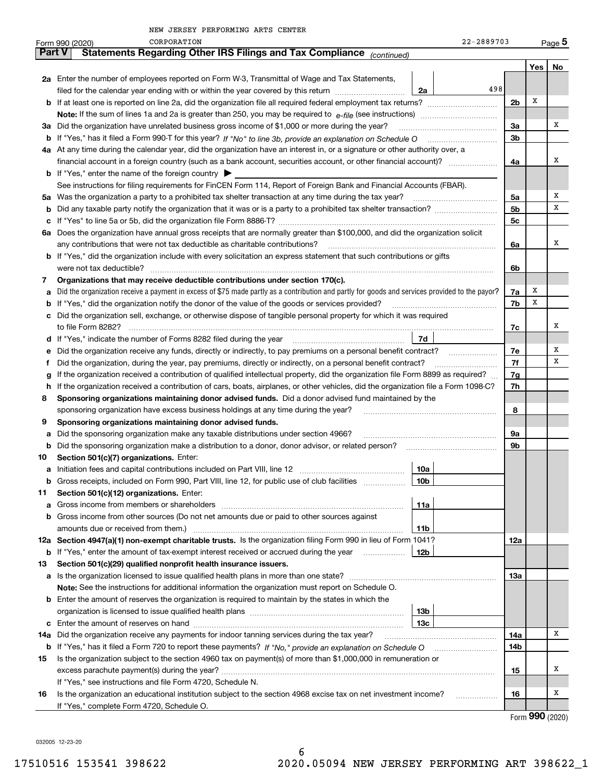|               | CORPORATION<br>22-2889703<br>Form 990 (2020)                                                                                                                 |                |     | $Page$ <sup>5</sup> |  |  |  |
|---------------|--------------------------------------------------------------------------------------------------------------------------------------------------------------|----------------|-----|---------------------|--|--|--|
| <b>Part V</b> | Statements Regarding Other IRS Filings and Tax Compliance (continued)                                                                                        |                |     |                     |  |  |  |
|               |                                                                                                                                                              |                | Yes | No                  |  |  |  |
|               | 2a Enter the number of employees reported on Form W-3, Transmittal of Wage and Tax Statements,                                                               |                |     |                     |  |  |  |
|               | 498<br>filed for the calendar year ending with or within the year covered by this return<br>2a                                                               |                |     |                     |  |  |  |
|               | <b>b</b> If at least one is reported on line 2a, did the organization file all required federal employment tax returns?                                      | 2 <sub>b</sub> | Х   |                     |  |  |  |
|               |                                                                                                                                                              |                |     |                     |  |  |  |
| За            | Did the organization have unrelated business gross income of \$1,000 or more during the year?                                                                | 3a             |     | х                   |  |  |  |
| b             |                                                                                                                                                              | 3 <sub>b</sub> |     |                     |  |  |  |
|               | 4a At any time during the calendar year, did the organization have an interest in, or a signature or other authority over, a                                 |                |     |                     |  |  |  |
|               |                                                                                                                                                              | 4a             |     | х                   |  |  |  |
|               | <b>b</b> If "Yes," enter the name of the foreign country $\blacktriangleright$                                                                               |                |     |                     |  |  |  |
|               | See instructions for filing requirements for FinCEN Form 114, Report of Foreign Bank and Financial Accounts (FBAR).                                          |                |     |                     |  |  |  |
| 5a            | Was the organization a party to a prohibited tax shelter transaction at any time during the tax year?                                                        | 5a             |     | Χ                   |  |  |  |
| b             |                                                                                                                                                              | 5b             |     | х                   |  |  |  |
| c             |                                                                                                                                                              | 5c             |     |                     |  |  |  |
| 6а            | Does the organization have annual gross receipts that are normally greater than \$100,000, and did the organization solicit                                  |                |     |                     |  |  |  |
|               | any contributions that were not tax deductible as charitable contributions?                                                                                  | 6a             |     | х                   |  |  |  |
|               | <b>b</b> If "Yes," did the organization include with every solicitation an express statement that such contributions or gifts                                |                |     |                     |  |  |  |
|               |                                                                                                                                                              | 6b             |     |                     |  |  |  |
| 7             | Organizations that may receive deductible contributions under section 170(c).                                                                                |                |     |                     |  |  |  |
| а             | Did the organization receive a payment in excess of \$75 made partly as a contribution and partly for goods and services provided to the payor?              | 7a             | X   |                     |  |  |  |
| b             | If "Yes," did the organization notify the donor of the value of the goods or services provided?                                                              | 7b             | X   |                     |  |  |  |
| c             | Did the organization sell, exchange, or otherwise dispose of tangible personal property for which it was required                                            |                |     |                     |  |  |  |
|               |                                                                                                                                                              | 7с             |     | х                   |  |  |  |
|               | 7d                                                                                                                                                           |                |     |                     |  |  |  |
| е             | Did the organization receive any funds, directly or indirectly, to pay premiums on a personal benefit contract?                                              | 7e<br>7f       |     | х<br>х              |  |  |  |
| Ť.            | Did the organization, during the year, pay premiums, directly or indirectly, on a personal benefit contract?                                                 |                |     |                     |  |  |  |
| g             | If the organization received a contribution of qualified intellectual property, did the organization file Form 8899 as required?                             |                |     |                     |  |  |  |
| h             | If the organization received a contribution of cars, boats, airplanes, or other vehicles, did the organization file a Form 1098-C?                           |                |     |                     |  |  |  |
| 8             | Sponsoring organizations maintaining donor advised funds. Did a donor advised fund maintained by the                                                         |                |     |                     |  |  |  |
|               | sponsoring organization have excess business holdings at any time during the year?                                                                           | 8              |     |                     |  |  |  |
| 9             | Sponsoring organizations maintaining donor advised funds.                                                                                                    |                |     |                     |  |  |  |
| а             | Did the sponsoring organization make any taxable distributions under section 4966?                                                                           | 9a             |     |                     |  |  |  |
| b             | Did the sponsoring organization make a distribution to a donor, donor advisor, or related person?                                                            | 9b             |     |                     |  |  |  |
| 10            | Section 501(c)(7) organizations. Enter:                                                                                                                      |                |     |                     |  |  |  |
| а             | 10a                                                                                                                                                          |                |     |                     |  |  |  |
| b             | Gross receipts, included on Form 990, Part VIII, line 12, for public use of club facilities<br>10 <sub>b</sub>                                               |                |     |                     |  |  |  |
| 11            | Section 501(c)(12) organizations. Enter:                                                                                                                     |                |     |                     |  |  |  |
| а             | 11a<br>Gross income from members or shareholders                                                                                                             |                |     |                     |  |  |  |
| b             | Gross income from other sources (Do not net amounts due or paid to other sources against                                                                     |                |     |                     |  |  |  |
|               | amounts due or received from them.)<br>11b<br>12a Section 4947(a)(1) non-exempt charitable trusts. Is the organization filing Form 990 in lieu of Form 1041? |                |     |                     |  |  |  |
|               | 12b<br>If "Yes," enter the amount of tax-exempt interest received or accrued during the year                                                                 | 12a            |     |                     |  |  |  |
| b             | Section 501(c)(29) qualified nonprofit health insurance issuers.                                                                                             |                |     |                     |  |  |  |
| 13            | Is the organization licensed to issue qualified health plans in more than one state?                                                                         | 13а            |     |                     |  |  |  |
| а             | Note: See the instructions for additional information the organization must report on Schedule O.                                                            |                |     |                     |  |  |  |
|               | <b>b</b> Enter the amount of reserves the organization is required to maintain by the states in which the                                                    |                |     |                     |  |  |  |
|               | 13b                                                                                                                                                          |                |     |                     |  |  |  |
|               | 13c                                                                                                                                                          |                |     |                     |  |  |  |
| c<br>14a      | Did the organization receive any payments for indoor tanning services during the tax year?                                                                   | 14a            |     | x                   |  |  |  |
|               | <b>b</b> If "Yes," has it filed a Form 720 to report these payments? If "No," provide an explanation on Schedule O                                           | 14b            |     |                     |  |  |  |
| 15            | Is the organization subject to the section 4960 tax on payment(s) of more than \$1,000,000 in remuneration or                                                |                |     |                     |  |  |  |
|               |                                                                                                                                                              | 15             |     | х                   |  |  |  |
|               | If "Yes," see instructions and file Form 4720, Schedule N.                                                                                                   |                |     |                     |  |  |  |
| 16            | Is the organization an educational institution subject to the section 4968 excise tax on net investment income?                                              | 16             |     | x                   |  |  |  |
|               | If "Yes," complete Form 4720, Schedule O.                                                                                                                    |                |     |                     |  |  |  |
|               |                                                                                                                                                              |                |     |                     |  |  |  |

6

Form (2020) **990**

032005 12-23-20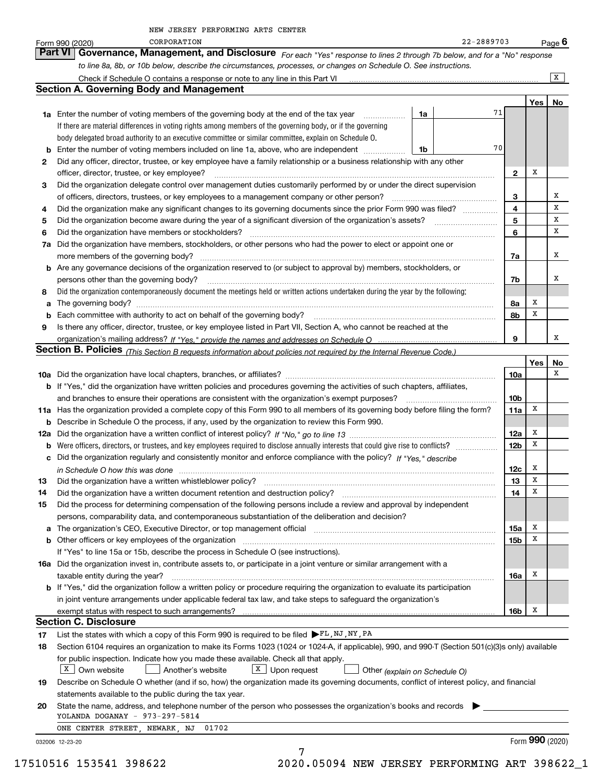|  |  | NEW JERSEY PERFORMING ARTS CENTER |  |  |  |
|--|--|-----------------------------------|--|--|--|
|--|--|-----------------------------------|--|--|--|

|    | CORPORATION<br>Form 990 (2020)                                                                                                                                                                                                     |    | 22-2889703 |                        |     | <u>Pag</u> e 6  |
|----|------------------------------------------------------------------------------------------------------------------------------------------------------------------------------------------------------------------------------------|----|------------|------------------------|-----|-----------------|
|    | Governance, Management, and Disclosure For each "Yes" response to lines 2 through 7b below, and for a "No" response<br>Part VI                                                                                                     |    |            |                        |     |                 |
|    | to line 8a, 8b, or 10b below, describe the circumstances, processes, or changes on Schedule O. See instructions.                                                                                                                   |    |            |                        |     |                 |
|    |                                                                                                                                                                                                                                    |    |            |                        |     | x               |
|    | <b>Section A. Governing Body and Management</b>                                                                                                                                                                                    |    |            |                        |     |                 |
|    |                                                                                                                                                                                                                                    |    |            |                        | Yes | No.             |
|    | <b>1a</b> Enter the number of voting members of the governing body at the end of the tax year<br>$\overline{\phantom{a}}$                                                                                                          | 1a | 71         |                        |     |                 |
|    | If there are material differences in voting rights among members of the governing body, or if the governing                                                                                                                        |    |            |                        |     |                 |
|    | body delegated broad authority to an executive committee or similar committee, explain on Schedule O.                                                                                                                              |    |            |                        |     |                 |
| b  | Enter the number of voting members included on line 1a, above, who are independent                                                                                                                                                 | 1b | 70         |                        |     |                 |
| 2  | Did any officer, director, trustee, or key employee have a family relationship or a business relationship with any other                                                                                                           |    |            |                        |     |                 |
|    | officer, director, trustee, or key employee?                                                                                                                                                                                       |    |            | $\mathbf{2}$           | х   |                 |
| 3  | Did the organization delegate control over management duties customarily performed by or under the direct supervision                                                                                                              |    |            | 3                      |     | Х               |
| 4  | of officers, directors, trustees, or key employees to a management company or other person?<br>Did the organization make any significant changes to its governing documents since the prior Form 990 was filed?                    |    |            | 4                      |     | х               |
| 5  | Did the organization become aware during the year of a significant diversion of the organization's assets?                                                                                                                         |    |            | 5                      |     | х               |
| 6  | Did the organization have members or stockholders?                                                                                                                                                                                 |    |            | 6                      |     | х               |
| 7a | Did the organization have members, stockholders, or other persons who had the power to elect or appoint one or                                                                                                                     |    |            |                        |     |                 |
|    | more members of the governing body?                                                                                                                                                                                                |    |            | 7a                     |     | х               |
|    | b Are any governance decisions of the organization reserved to (or subject to approval by) members, stockholders, or                                                                                                               |    |            |                        |     |                 |
|    | persons other than the governing body?                                                                                                                                                                                             |    |            | 7b                     |     | х               |
| 8  | Did the organization contemporaneously document the meetings held or written actions undertaken during the year by the following:                                                                                                  |    |            |                        |     |                 |
| a  |                                                                                                                                                                                                                                    |    |            | 8a                     | X   |                 |
| b  | Each committee with authority to act on behalf of the governing body?                                                                                                                                                              |    |            | 8b                     | x   |                 |
| 9  | Is there any officer, director, trustee, or key employee listed in Part VII, Section A, who cannot be reached at the                                                                                                               |    |            |                        |     |                 |
|    |                                                                                                                                                                                                                                    |    |            | 9                      |     | х               |
|    | Section B. Policies (This Section B requests information about policies not required by the Internal Revenue Code.)                                                                                                                |    |            |                        |     |                 |
|    |                                                                                                                                                                                                                                    |    |            |                        | Yes | No              |
|    |                                                                                                                                                                                                                                    |    |            | 10a                    |     | x               |
|    | <b>b</b> If "Yes," did the organization have written policies and procedures governing the activities of such chapters, affiliates,                                                                                                |    |            |                        |     |                 |
|    | and branches to ensure their operations are consistent with the organization's exempt purposes?<br>11a Has the organization provided a complete copy of this Form 990 to all members of its governing body before filing the form? |    |            | 10 <sub>b</sub><br>11a | х   |                 |
|    | <b>b</b> Describe in Schedule O the process, if any, used by the organization to review this Form 990.                                                                                                                             |    |            |                        |     |                 |
|    |                                                                                                                                                                                                                                    |    |            | 12a                    | X   |                 |
|    |                                                                                                                                                                                                                                    |    |            | 12 <sub>b</sub>        | X   |                 |
|    | c Did the organization regularly and consistently monitor and enforce compliance with the policy? If "Yes," describe                                                                                                               |    |            |                        |     |                 |
|    | in Schedule O how this was done manufactured and contain an according to the state of the state of the state o                                                                                                                     |    |            | 12c                    | х   |                 |
| 13 | Did the organization have a written whistleblower policy?                                                                                                                                                                          |    |            | 13                     | x   |                 |
| 14 | Did the organization have a written document retention and destruction policy?                                                                                                                                                     |    |            | 14                     | X   |                 |
| 15 | Did the process for determining compensation of the following persons include a review and approval by independent                                                                                                                 |    |            |                        |     |                 |
|    | persons, comparability data, and contemporaneous substantiation of the deliberation and decision?                                                                                                                                  |    |            |                        |     |                 |
| а  | The organization's CEO, Executive Director, or top management official [111] [11] manument material manument of ficial [11] manument material manument of the organization's CEO, Executive Director, or top management offici     |    |            | 15a                    | x   |                 |
|    | <b>b</b> Other officers or key employees of the organization                                                                                                                                                                       |    |            | 15b                    | X   |                 |
|    | If "Yes" to line 15a or 15b, describe the process in Schedule O (see instructions).                                                                                                                                                |    |            |                        |     |                 |
|    | 16a Did the organization invest in, contribute assets to, or participate in a joint venture or similar arrangement with a                                                                                                          |    |            |                        | Х   |                 |
|    | taxable entity during the year?<br><b>b</b> If "Yes," did the organization follow a written policy or procedure requiring the organization to evaluate its participation                                                           |    |            | 16a                    |     |                 |
|    | in joint venture arrangements under applicable federal tax law, and take steps to safeguard the organization's                                                                                                                     |    |            |                        |     |                 |
|    |                                                                                                                                                                                                                                    |    |            | 16b                    | x   |                 |
|    | <b>Section C. Disclosure</b>                                                                                                                                                                                                       |    |            |                        |     |                 |
| 17 | List the states with which a copy of this Form 990 is required to be filed FL, NJ, NY, PA                                                                                                                                          |    |            |                        |     |                 |
| 18 | Section 6104 requires an organization to make its Forms 1023 (1024 or 1024-A, if applicable), 990, and 990-T (Section 501(c)(3)s only) available                                                                                   |    |            |                        |     |                 |
|    | for public inspection. Indicate how you made these available. Check all that apply.                                                                                                                                                |    |            |                        |     |                 |
|    | $X$ Own website<br>$X$ Upon request<br>Another's website<br>Other (explain on Schedule O)                                                                                                                                          |    |            |                        |     |                 |
| 19 | Describe on Schedule O whether (and if so, how) the organization made its governing documents, conflict of interest policy, and financial                                                                                          |    |            |                        |     |                 |
|    | statements available to the public during the tax year.                                                                                                                                                                            |    |            |                        |     |                 |
| 20 | State the name, address, and telephone number of the person who possesses the organization's books and records                                                                                                                     |    |            |                        |     |                 |
|    | YOLANDA DOGANAY - 973-297-5814                                                                                                                                                                                                     |    |            |                        |     |                 |
|    | ONE CENTER STREET, NEWARK, NJ<br>01702                                                                                                                                                                                             |    |            |                        |     | Form 990 (2020) |
|    | 032006 12-23-20<br>7                                                                                                                                                                                                               |    |            |                        |     |                 |
|    |                                                                                                                                                                                                                                    |    |            |                        |     |                 |

17510516 153541 398622 2020.05094 NEW JERSEY PERFORMING ART 398622\_1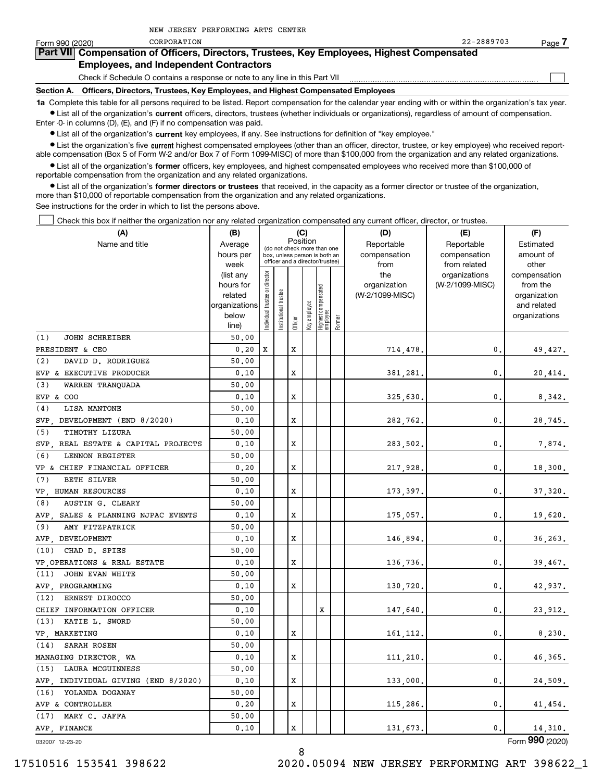| Form 990 (2020)                                                                            | CORPORATION                                                                                                                                                | 22-2889703 | Page |  |  |  |  |  |  |
|--------------------------------------------------------------------------------------------|------------------------------------------------------------------------------------------------------------------------------------------------------------|------------|------|--|--|--|--|--|--|
| Part VII Compensation of Officers, Directors, Trustees, Key Employees, Highest Compensated |                                                                                                                                                            |            |      |  |  |  |  |  |  |
|                                                                                            | <b>Employees, and Independent Contractors</b>                                                                                                              |            |      |  |  |  |  |  |  |
|                                                                                            | Check if Schedule O contains a response or note to any line in this Part VII                                                                               |            |      |  |  |  |  |  |  |
|                                                                                            | Section A. Officers, Directors, Trustees, Key Employees, and Highest Compensated Employees                                                                 |            |      |  |  |  |  |  |  |
|                                                                                            | 1a Complete this table for all persons required to be listed. Report compensation for the calendar year ending with or within the organization's tax year. |            |      |  |  |  |  |  |  |

**•** List all of the organization's current officers, directors, trustees (whether individuals or organizations), regardless of amount of compensation. Enter -0- in columns (D), (E), and (F) if no compensation was paid.

 $\bullet$  List all of the organization's  $\,$ current key employees, if any. See instructions for definition of "key employee."

NEW JERSEY PERFORMING ARTS CENTER

**•** List the organization's five current highest compensated employees (other than an officer, director, trustee, or key employee) who received reportable compensation (Box 5 of Form W-2 and/or Box 7 of Form 1099-MISC) of more than \$100,000 from the organization and any related organizations.

**•** List all of the organization's former officers, key employees, and highest compensated employees who received more than \$100,000 of reportable compensation from the organization and any related organizations.

**former directors or trustees**  ¥ List all of the organization's that received, in the capacity as a former director or trustee of the organization, more than \$10,000 of reportable compensation from the organization and any related organizations.

See instructions for the order in which to list the persons above.

Check this box if neither the organization nor any related organization compensated any current officer, director, or trustee.  $\mathcal{L}^{\text{max}}$ 

| (A)                                    | (B)                    |                               |                                         |         | (C)          |                                                                  |        | (D)                 | (E)                           | (F)                      |
|----------------------------------------|------------------------|-------------------------------|-----------------------------------------|---------|--------------|------------------------------------------------------------------|--------|---------------------|-------------------------------|--------------------------|
| Name and title                         | Average                |                               | Position<br>(do not check more than one |         |              |                                                                  |        | Reportable          | Reportable                    | Estimated                |
|                                        | hours per              |                               |                                         |         |              | box, unless person is both an<br>officer and a director/trustee) |        | compensation        | compensation                  | amount of                |
|                                        | week                   |                               |                                         |         |              |                                                                  |        | from                | from related<br>organizations | other                    |
|                                        | (list any<br>hours for |                               |                                         |         |              |                                                                  |        | the<br>organization | (W-2/1099-MISC)               | compensation<br>from the |
|                                        | related                |                               |                                         |         |              |                                                                  |        | (W-2/1099-MISC)     |                               | organization             |
|                                        | organizations          |                               |                                         |         |              |                                                                  |        |                     |                               | and related              |
|                                        | below                  | ndividual trustee or director | nstitutional trustee                    |         | Key employee | Highest compensated<br> employee                                 |        |                     |                               | organizations            |
|                                        | line)                  |                               |                                         | Officer |              |                                                                  | Former |                     |                               |                          |
| (1)<br><b>JOHN SCHREIBER</b>           | 50.00                  |                               |                                         |         |              |                                                                  |        |                     |                               |                          |
| PRESIDENT & CEO                        | 0.20                   | x                             |                                         | X       |              |                                                                  |        | 714,478.            | $\mathbf{0}$ .                | 49,427.                  |
| (2)<br>DAVID D. RODRIGUEZ              | 50.00                  |                               |                                         |         |              |                                                                  |        |                     |                               |                          |
| EVP & EXECUTIVE PRODUCER               | 0.10                   |                               |                                         | X       |              |                                                                  |        | 381,281.            | 0.                            | 20,414.                  |
| (3)<br>WARREN TRANQUADA                | 50.00                  |                               |                                         |         |              |                                                                  |        |                     |                               |                          |
| EVP & COO                              | 0.10                   |                               |                                         | X       |              |                                                                  |        | 325,630.            | 0.                            | 8,342.                   |
| (4)<br>LISA MANTONE                    | 50.00                  |                               |                                         |         |              |                                                                  |        |                     |                               |                          |
| SVP DEVELOPMENT (END 8/2020)           | 0.10                   |                               |                                         | X       |              |                                                                  |        | 282,762.            | $\mathbf{0}$ .                | 28,745.                  |
| TIMOTHY LIZURA<br>(5)                  | 50.00                  |                               |                                         |         |              |                                                                  |        |                     |                               |                          |
| SVP.<br>REAL ESTATE & CAPITAL PROJECTS | 0.10                   |                               |                                         | X       |              |                                                                  |        | 283,502.            | $\mathbf{0}$ .                | 7,874.                   |
| (6)<br>LENNON REGISTER                 | 50.00                  |                               |                                         |         |              |                                                                  |        |                     |                               |                          |
| VP & CHIEF FINANCIAL OFFICER           | 0.20                   |                               |                                         | X       |              |                                                                  |        | 217,928.            | $\mathbf{0}$ .                | 18,300.                  |
| (7)<br><b>BETH SILVER</b>              | 50.00                  |                               |                                         |         |              |                                                                  |        |                     |                               |                          |
| VP HUMAN RESOURCES                     | 0.10                   |                               |                                         | X       |              |                                                                  |        | 173,397.            | $\mathbf{0}$ .                | 37,320.                  |
| (8)<br>AUSTIN G. CLEARY                | 50.00                  |                               |                                         |         |              |                                                                  |        |                     |                               |                          |
| AVP SALES & PLANNING NJPAC EVENTS      | 0.10                   |                               |                                         | X       |              |                                                                  |        | 175,057.            | $\mathbf{0}$ .                | 19,620.                  |
| (9)<br>AMY FITZPATRICK                 | 50.00                  |                               |                                         |         |              |                                                                  |        |                     |                               |                          |
| AVP DEVELOPMENT                        | 0.10                   |                               |                                         | X       |              |                                                                  |        | 146,894.            | $\mathbf{0}$ .                | 36, 263.                 |
| (10)<br>CHAD D. SPIES                  | 50.00                  |                               |                                         |         |              |                                                                  |        |                     |                               |                          |
| VP OPERATIONS & REAL ESTATE            | 0.10                   |                               |                                         | X       |              |                                                                  |        | 136,736.            | $\mathbf{0}$ .                | 39,467.                  |
| JOHN EVAN WHITE<br>(11)                | 50.00                  |                               |                                         |         |              |                                                                  |        |                     |                               |                          |
| AVP PROGRAMMING                        | 0.10                   |                               |                                         | X       |              |                                                                  |        | 130,720.            | 0.                            | 42,937.                  |
| ERNEST DIROCCO<br>(12)                 | 50.00                  |                               |                                         |         |              |                                                                  |        |                     |                               |                          |
| CHIEF INFORMATION OFFICER              | 0.10                   |                               |                                         |         |              | X                                                                |        | 147,640.            | $\mathbf{0}$ .                | 23,912.                  |
| (13)<br>KATIE L. SWORD                 | 50.00                  |                               |                                         |         |              |                                                                  |        |                     |                               |                          |
| VP MARKETING                           | 0.10                   |                               |                                         | X       |              |                                                                  |        | 161,112.            | 0.                            | 8,230.                   |
| SARAH ROSEN<br>(14)                    | 50.00                  |                               |                                         |         |              |                                                                  |        |                     |                               |                          |
| MANAGING DIRECTOR, WA                  | 0.10                   |                               |                                         | х       |              |                                                                  |        | 111,210.            | $\mathbf{0}$ .                | 46,365.                  |
| LAURA MCGUINNESS<br>(15)               | 50.00                  |                               |                                         |         |              |                                                                  |        |                     |                               |                          |
| AVP.<br>INDIVIDUAL GIVING (END 8/2020) | 0.10                   |                               |                                         | x       |              |                                                                  |        | 133,000,            | $\mathbf{0}$ .                | 24,509.                  |
| YOLANDA DOGANAY<br>(16)                | 50.00                  |                               |                                         |         |              |                                                                  |        |                     |                               |                          |
| AVP & CONTROLLER                       | 0.20                   |                               |                                         | X       |              |                                                                  |        | 115,286.            | 0.                            | 41,454.                  |
| MARY C. JAFFA<br>(17)                  | 50.00                  |                               |                                         |         |              |                                                                  |        |                     |                               |                          |
| AVP FINANCE                            | 0.10                   |                               |                                         | X       |              |                                                                  |        | 131,673.            | $\mathbf{0}$ .                | 14,310.                  |
|                                        |                        |                               |                                         |         |              |                                                                  |        |                     |                               |                          |

032007 12-23-20

Form (2020) **990**

8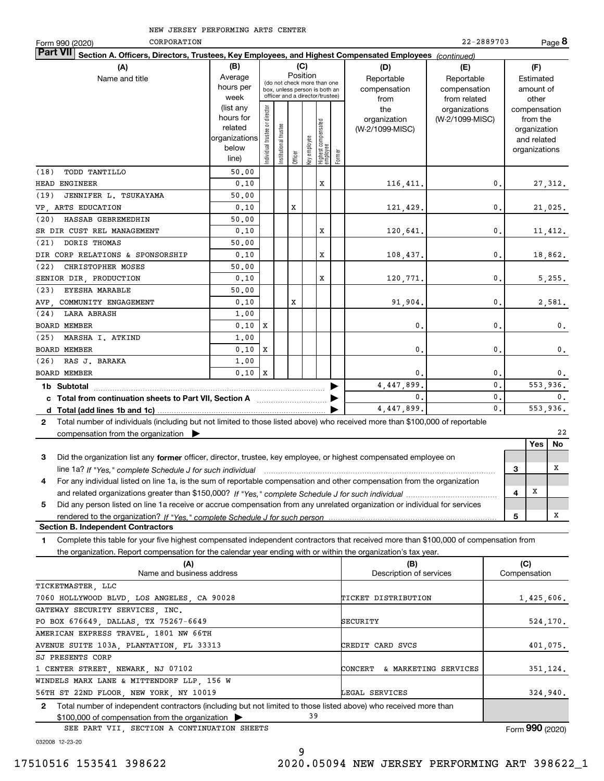| NEW JERSEY PERFORMING ARTS CENTER |  |
|-----------------------------------|--|
|-----------------------------------|--|

| CORPORATION<br>Form 990 (2020)                                                                                                                  |                        |                               |                      |         |              |                                                                  |        |                                 | 22-2889703      |   |                          | Page 8         |
|-------------------------------------------------------------------------------------------------------------------------------------------------|------------------------|-------------------------------|----------------------|---------|--------------|------------------------------------------------------------------|--------|---------------------------------|-----------------|---|--------------------------|----------------|
| <b>Part VII</b><br>Section A. Officers, Directors, Trustees, Key Employees, and Highest Compensated Employees (continued)                       |                        |                               |                      |         |              |                                                                  |        |                                 |                 |   |                          |                |
| (A)                                                                                                                                             | (B)                    |                               |                      |         | (C)          |                                                                  |        | (D)                             | (E)             |   | (F)                      |                |
| Name and title                                                                                                                                  | Average                |                               |                      |         | Position     | (do not check more than one                                      |        | Reportable                      | Reportable      |   | Estimated                |                |
|                                                                                                                                                 | hours per              |                               |                      |         |              | box, unless person is both an<br>officer and a director/trustee) |        | compensation                    | compensation    |   | amount of                |                |
|                                                                                                                                                 | week                   |                               |                      |         |              |                                                                  |        | from                            | from related    |   | other                    |                |
|                                                                                                                                                 | (list any<br>hours for |                               |                      |         |              |                                                                  |        | the                             | organizations   |   | compensation             |                |
|                                                                                                                                                 | related                |                               |                      |         |              |                                                                  |        | organization<br>(W-2/1099-MISC) | (W-2/1099-MISC) |   | from the<br>organization |                |
|                                                                                                                                                 | organizations          |                               |                      |         |              |                                                                  |        |                                 |                 |   | and related              |                |
|                                                                                                                                                 | below                  | ndividual trustee or director | nstitutional trustee |         | key employee |                                                                  |        |                                 |                 |   | organizations            |                |
|                                                                                                                                                 | line)                  |                               |                      | Officer |              | Highest compensated<br>  employee                                | Former |                                 |                 |   |                          |                |
| TODD TANTILLO<br>(18)                                                                                                                           | 50.00                  |                               |                      |         |              |                                                                  |        |                                 |                 |   |                          |                |
| HEAD ENGINEER                                                                                                                                   | 0.10                   |                               |                      |         |              | X                                                                |        | 116,411.                        | 0               |   |                          | 27,312.        |
| (19)<br>JENNIFER L. TSUKAYAMA                                                                                                                   | 50.00                  |                               |                      |         |              |                                                                  |        |                                 |                 |   |                          |                |
| VP, ARTS EDUCATION                                                                                                                              | 0.10                   |                               |                      | X       |              |                                                                  |        | 121,429.                        | $\mathbf{0}$    |   |                          | 21,025.        |
| HASSAB GEBREMEDHIN<br>(20)                                                                                                                      | 50.00                  |                               |                      |         |              |                                                                  |        |                                 |                 |   |                          |                |
| SR DIR CUST REL MANAGEMENT                                                                                                                      | 0.10                   |                               |                      |         |              | X                                                                |        | 120,641.                        | $\mathbf{0}$    |   |                          | 11,412.        |
| DORIS THOMAS<br>(21)                                                                                                                            | 50.00                  |                               |                      |         |              |                                                                  |        |                                 |                 |   |                          |                |
| DIR CORP RELATIONS & SPONSORSHIP                                                                                                                | 0.10                   |                               |                      |         |              | X                                                                |        | 108,437.                        | $\mathbf{0}$    |   |                          | 18,862.        |
| (22)<br>CHRISTOPHER MOSES                                                                                                                       | 50.00                  |                               |                      |         |              |                                                                  |        |                                 |                 |   |                          |                |
| SENIOR DIR, PRODUCTION                                                                                                                          | 0.10                   |                               |                      |         |              | X                                                                |        | 120,771.                        | $\mathbf{0}$    |   |                          | 5,255.         |
| (23)<br>EYESHA MARABLE                                                                                                                          | 50.00                  |                               |                      |         |              |                                                                  |        |                                 |                 |   |                          |                |
| COMMUNITY ENGAGEMENT<br>AVP.                                                                                                                    | 0.10                   |                               |                      | x       |              |                                                                  |        | 91,904.                         | 0               |   |                          | 2,581.         |
| <b>LARA ABRASH</b><br>(24)                                                                                                                      | 1.00                   |                               |                      |         |              |                                                                  |        |                                 |                 |   |                          |                |
| <b>BOARD MEMBER</b>                                                                                                                             | 0.10                   | x                             |                      |         |              |                                                                  |        | 0.                              | $\mathbf 0$     |   |                          | 0.             |
| (25)<br>MARSHA I. ATKIND                                                                                                                        | 1.00                   |                               |                      |         |              |                                                                  |        |                                 |                 |   |                          |                |
| <b>BOARD MEMBER</b>                                                                                                                             | 0.10                   | x                             |                      |         |              |                                                                  |        | 0.                              | $\mathbf{0}$    |   |                          | $\mathbf{0}$ . |
| (26)<br>RAS J. BARAKA                                                                                                                           | 1,00                   |                               |                      |         |              |                                                                  |        |                                 |                 |   |                          |                |
| <b>BOARD MEMBER</b>                                                                                                                             | 0.10                   | X                             |                      |         |              |                                                                  |        | $\mathbf{0}$                    | $\mathbf 0$     |   |                          | $\mathbf{0}$ . |
| 1b Subtotal                                                                                                                                     |                        |                               |                      |         |              |                                                                  |        | 4,447,899                       | $\mathbf{0}$    |   | 553.936.                 |                |
| c Total from continuation sheets to Part VII, Section A <b>manual</b> Total Trum                                                                |                        |                               |                      |         |              |                                                                  |        | 0.                              | 0.              |   |                          | $\mathbf{0}$ . |
|                                                                                                                                                 |                        |                               |                      |         |              |                                                                  |        | 4,447,899.                      | $\mathbf{0}$ .  |   | 553,936.                 |                |
| Total number of individuals (including but not limited to those listed above) who received more than \$100,000 of reportable<br>$\mathbf{2}$    |                        |                               |                      |         |              |                                                                  |        |                                 |                 |   |                          |                |
| compensation from the organization $\triangleright$                                                                                             |                        |                               |                      |         |              |                                                                  |        |                                 |                 |   |                          | 22             |
|                                                                                                                                                 |                        |                               |                      |         |              |                                                                  |        |                                 |                 |   | Yes                      | No             |
| Did the organization list any former officer, director, trustee, key employee, or highest compensated employee on<br>3                          |                        |                               |                      |         |              |                                                                  |        |                                 |                 |   |                          |                |
| line 1a? If "Yes," complete Schedule J for such individual manufactured contained and the 1a? If "Yes," complete Schedule J for such individual |                        |                               |                      |         |              |                                                                  |        |                                 |                 | 3 |                          | Х              |
| For any individual listed on line 1a, is the sum of reportable compensation and other compensation from the organization<br>4                   |                        |                               |                      |         |              |                                                                  |        |                                 |                 |   |                          |                |
|                                                                                                                                                 |                        |                               |                      |         |              |                                                                  |        |                                 |                 | 4 | X                        |                |
| Did any person listed on line 1a receive or accrue compensation from any unrelated organization or individual for services<br>5                 |                        |                               |                      |         |              |                                                                  |        |                                 |                 |   |                          |                |
|                                                                                                                                                 |                        |                               |                      |         |              |                                                                  |        |                                 |                 | 5 |                          | x              |
| <b>Section B. Independent Contractors</b>                                                                                                       |                        |                               |                      |         |              |                                                                  |        |                                 |                 |   |                          |                |

**1**Complete this table for your five highest compensated independent contractors that received more than \$100,000 of compensation from the organization. Report compensation for the calendar year ending with or within the organization's tax year.

| (A)                                                                                                                   | (B)                             | (C)             |
|-----------------------------------------------------------------------------------------------------------------------|---------------------------------|-----------------|
| Name and business address                                                                                             | Description of services         | Compensation    |
| TICKETMASTER LLC                                                                                                      |                                 |                 |
| 7060 HOLLYWOOD BLVD, LOS ANGELES, CA 90028                                                                            | TICKET DISTRIBUTION             | 1,425,606.      |
| GATEWAY SECURITY SERVICES INC.                                                                                        |                                 |                 |
| PO BOX 676649, DALLAS, TX 75267-6649                                                                                  | SECURITY                        | 524,170.        |
| AMERICAN EXPRESS TRAVEL, 1801 NW 66TH                                                                                 |                                 |                 |
| AVENUE SUITE 103A, PLANTATION, FL 33313                                                                               | CREDIT CARD SVCS                | 401,075.        |
| SJ PRESENTS CORP                                                                                                      |                                 |                 |
| 1 CENTER STREET, NEWARK, NJ 07102                                                                                     | CONCERT<br>& MARKETING SERVICES | 351,124.        |
| WINDELS MARX LANE & MITTENDORF LLP, 156 W                                                                             |                                 |                 |
| 56TH ST 22ND FLOOR, NEW YORK, NY 10019                                                                                | LEGAL SERVICES                  | 324,940.        |
| Total number of independent contractors (including but not limited to those listed above) who received more than<br>2 |                                 |                 |
| 39<br>$$100,000$ of compensation from the organization $\triangleright$                                               |                                 |                 |
| SEE PART VII, SECTION A CONTINUATION SHEETS                                                                           |                                 | Form 990 (2020) |

032008 12-23-20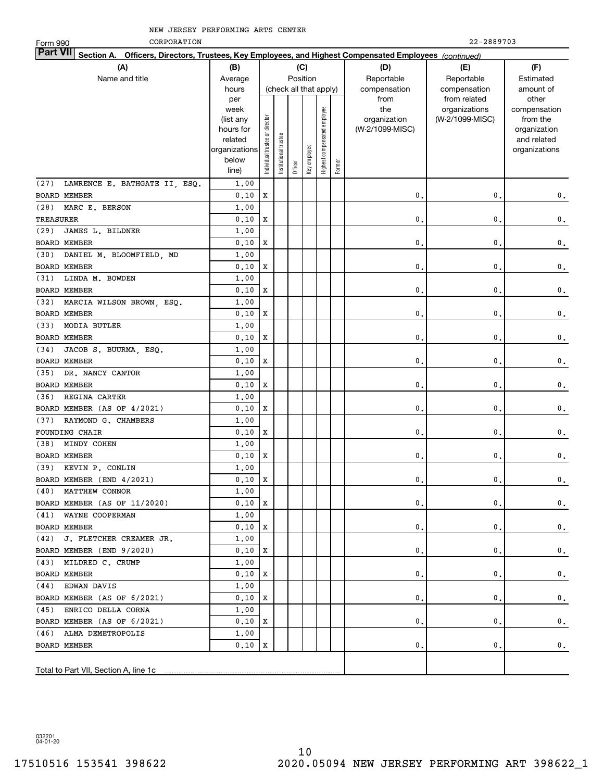| CORPORATION<br>Form 990                                                                                                                                      |                |                                |                       |         |                        |                              |        |                 | 22-2889703      |                 |  |  |  |
|--------------------------------------------------------------------------------------------------------------------------------------------------------------|----------------|--------------------------------|-----------------------|---------|------------------------|------------------------------|--------|-----------------|-----------------|-----------------|--|--|--|
| <b>Part VII</b>                                                                                                                                              |                |                                |                       |         |                        |                              |        |                 |                 |                 |  |  |  |
| Section A. Officers, Directors, Trustees, Key Employees, and Highest Compensated Employees (continued)<br>(B)<br>(C)<br>(D)<br>(F)<br>(A)<br>(E)<br>Position |                |                                |                       |         |                        |                              |        |                 |                 |                 |  |  |  |
| Name and title                                                                                                                                               | Average        |                                |                       |         |                        |                              |        | Reportable      | Reportable      | Estimated       |  |  |  |
|                                                                                                                                                              | hours          |                                |                       |         | (check all that apply) |                              |        | compensation    | compensation    | amount of       |  |  |  |
|                                                                                                                                                              | per            |                                |                       |         |                        |                              |        | from            | from related    | other           |  |  |  |
|                                                                                                                                                              | week           |                                |                       |         |                        |                              |        | the             | organizations   | compensation    |  |  |  |
|                                                                                                                                                              | (list any      |                                |                       |         |                        |                              |        | organization    | (W-2/1099-MISC) | from the        |  |  |  |
|                                                                                                                                                              | hours for      |                                |                       |         |                        |                              |        | (W-2/1099-MISC) |                 | organization    |  |  |  |
|                                                                                                                                                              | related        |                                |                       |         |                        |                              |        |                 |                 | and related     |  |  |  |
|                                                                                                                                                              | organizations  |                                |                       |         |                        |                              |        |                 |                 | organizations   |  |  |  |
|                                                                                                                                                              | below<br>line) | Individual trustee or director | Institutional trustee | Officer | Key employee           | Highest compensated employee | Former |                 |                 |                 |  |  |  |
|                                                                                                                                                              |                |                                |                       |         |                        |                              |        |                 |                 |                 |  |  |  |
| LAWRENCE E. BATHGATE II, ESQ.<br>(27)                                                                                                                        | 1,00           | $\mathbf X$                    |                       |         |                        |                              |        |                 |                 |                 |  |  |  |
| <b>BOARD MEMBER</b>                                                                                                                                          | 0.10           |                                |                       |         |                        |                              |        | 0.              | 0.              | 0.              |  |  |  |
| (28)<br>MARC E. BERSON                                                                                                                                       | 1,00           |                                |                       |         |                        |                              |        |                 |                 |                 |  |  |  |
| TREASURER                                                                                                                                                    | 0.10           | X                              |                       |         |                        |                              |        | 0.              | 0.              | $\mathbf 0$ .   |  |  |  |
| JAMES L. BILDNER<br>(29)                                                                                                                                     | 1,00           |                                |                       |         |                        |                              |        |                 |                 |                 |  |  |  |
| <b>BOARD MEMBER</b>                                                                                                                                          | 0.10           | X                              |                       |         |                        |                              |        | 0.              | 0.              | $\mathbf 0$ .   |  |  |  |
| (30)<br>DANIEL M. BLOOMFIELD, MD                                                                                                                             | 1,00           |                                |                       |         |                        |                              |        |                 |                 |                 |  |  |  |
| <b>BOARD MEMBER</b>                                                                                                                                          | 0.10           | X                              |                       |         |                        |                              |        | 0.              | 0.              | $\mathfrak o$ . |  |  |  |
| LINDA M. BOWDEN<br>(31)                                                                                                                                      | 1,00           |                                |                       |         |                        |                              |        |                 |                 |                 |  |  |  |
| <b>BOARD MEMBER</b>                                                                                                                                          | 0.10           | $\mathbf X$                    |                       |         |                        |                              |        | 0.              | 0.              | $\mathfrak o$ . |  |  |  |
| MARCIA WILSON BROWN, ESQ.<br>(32)                                                                                                                            | 1,00           |                                |                       |         |                        |                              |        |                 |                 |                 |  |  |  |
| <b>BOARD MEMBER</b>                                                                                                                                          | 0.10           | X                              |                       |         |                        |                              |        | 0.              | 0.              | $\mathbf 0$ .   |  |  |  |
| <b>MODIA BUTLER</b><br>(33)                                                                                                                                  | 1,00           |                                |                       |         |                        |                              |        |                 |                 |                 |  |  |  |
| <b>BOARD MEMBER</b>                                                                                                                                          | 0.10           | X                              |                       |         |                        |                              |        | 0.              | 0.              | $\mathbf 0$ .   |  |  |  |
| JACOB S. BUURMA, ESQ.<br>(34)                                                                                                                                | 1,00           |                                |                       |         |                        |                              |        |                 |                 |                 |  |  |  |
| <b>BOARD MEMBER</b>                                                                                                                                          | 0.10           | X                              |                       |         |                        |                              |        | 0.              | 0.              | $\mathbf 0$ .   |  |  |  |
| DR. NANCY CANTOR<br>(35)                                                                                                                                     | 1,00           |                                |                       |         |                        |                              |        |                 |                 |                 |  |  |  |
| <b>BOARD MEMBER</b>                                                                                                                                          | 0.10           | X                              |                       |         |                        |                              |        | 0.              | 0.              | 0.              |  |  |  |
| (36)<br>REGINA CARTER                                                                                                                                        | 1,00           |                                |                       |         |                        |                              |        |                 |                 |                 |  |  |  |
| BOARD MEMBER (AS OF 4/2021)                                                                                                                                  | 0.10           | X                              |                       |         |                        |                              |        | 0.              | 0.              | 0.              |  |  |  |
| (37)<br>RAYMOND G. CHAMBERS                                                                                                                                  | 1,00           |                                |                       |         |                        |                              |        |                 |                 |                 |  |  |  |
| <b>FOUNDING CHAIR</b>                                                                                                                                        | 0.10           | X                              |                       |         |                        |                              |        | 0.              | 0.              | $\mathbf 0$ .   |  |  |  |
| (38)<br>MINDY COHEN                                                                                                                                          | 1,00           |                                |                       |         |                        |                              |        |                 |                 |                 |  |  |  |
| <b>BOARD MEMBER</b>                                                                                                                                          | 0.10           | X                              |                       |         |                        |                              |        | 0.              | $\mathbf{0}$ .  | $\mathbf 0$ .   |  |  |  |
| (39) KEVIN P. CONLIN                                                                                                                                         | 1,00           |                                |                       |         |                        |                              |        |                 |                 |                 |  |  |  |
| BOARD MEMBER (END 4/2021)                                                                                                                                    | $0.10$ X       |                                |                       |         |                        |                              |        | $\mathfrak o$ . | $\mathbf 0$ .   | $\mathbf 0$ .   |  |  |  |
| (40) MATTHEW CONNOR                                                                                                                                          | 1,00           |                                |                       |         |                        |                              |        |                 |                 |                 |  |  |  |
| BOARD MEMBER (AS OF 11/2020)                                                                                                                                 | $0.10$   X     |                                |                       |         |                        |                              |        | 0.              | 0.              | 0.              |  |  |  |
| (41) WAYNE COOPERMAN                                                                                                                                         | 1,00           |                                |                       |         |                        |                              |        |                 |                 |                 |  |  |  |
| <b>BOARD MEMBER</b>                                                                                                                                          | $0.10$   X     |                                |                       |         |                        |                              |        | 0.              | 0.              | 0.              |  |  |  |
| (42) J. FLETCHER CREAMER JR.                                                                                                                                 | 1,00           |                                |                       |         |                        |                              |        |                 |                 |                 |  |  |  |
| BOARD MEMBER (END 9/2020)                                                                                                                                    | $0.10$ X       |                                |                       |         |                        |                              |        | 0.              | 0.              | 0.              |  |  |  |
| (43) MILDRED C. CRUMP                                                                                                                                        | 1,00           |                                |                       |         |                        |                              |        |                 |                 |                 |  |  |  |
| BOARD MEMBER                                                                                                                                                 | 0,10           | X                              |                       |         |                        |                              |        | 0.              | 0.              | 0.              |  |  |  |
| (44) EDWAN DAVIS                                                                                                                                             | 1,00           |                                |                       |         |                        |                              |        |                 |                 |                 |  |  |  |
| BOARD MEMBER (AS OF 6/2021)                                                                                                                                  | 0,10           | X                              |                       |         |                        |                              |        | 0.              | 0.              | 0.              |  |  |  |
| (45) ENRICO DELLA CORNA                                                                                                                                      | 1,00           |                                |                       |         |                        |                              |        |                 |                 |                 |  |  |  |
| BOARD MEMBER (AS OF 6/2021)                                                                                                                                  | 0,10           | X                              |                       |         |                        |                              |        | 0.              | 0.              | 0.              |  |  |  |
| (46) ALMA DEMETROPOLIS                                                                                                                                       | 1,00           |                                |                       |         |                        |                              |        |                 |                 |                 |  |  |  |
| BOARD MEMBER                                                                                                                                                 | 0.10           | x                              |                       |         |                        |                              |        | 0.              | 0.              | 0.              |  |  |  |
|                                                                                                                                                              |                |                                |                       |         |                        |                              |        |                 |                 |                 |  |  |  |
| Total to Part VII, Section A, line 1c                                                                                                                        |                |                                |                       |         |                        |                              |        |                 |                 |                 |  |  |  |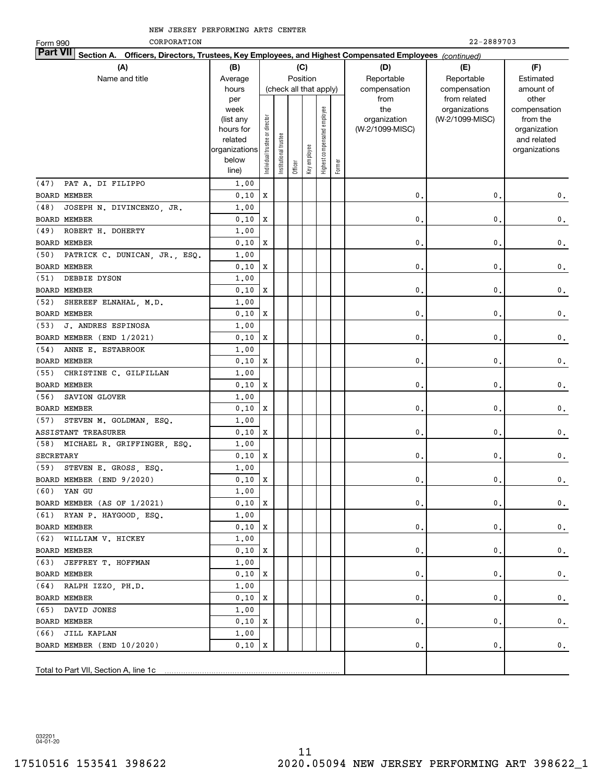| CORPORATION<br>Form 990                                                                                                   |               |                                |                 |         |                        |                              |        |                 | 22-2889703      |               |
|---------------------------------------------------------------------------------------------------------------------------|---------------|--------------------------------|-----------------|---------|------------------------|------------------------------|--------|-----------------|-----------------|---------------|
| <b>Part VII</b><br>Section A. Officers, Directors, Trustees, Key Employees, and Highest Compensated Employees (continued) |               |                                |                 |         |                        |                              |        |                 |                 |               |
| (A)                                                                                                                       | (B)           |                                |                 |         | (C)                    |                              |        | (D)             | (E)             | (F)           |
| Name and title                                                                                                            | Average       |                                |                 |         | Position               |                              |        | Reportable      | Reportable      | Estimated     |
|                                                                                                                           | hours         |                                |                 |         | (check all that apply) |                              |        | compensation    | compensation    | amount of     |
|                                                                                                                           | per           |                                |                 |         |                        |                              |        | from            | from related    | other         |
|                                                                                                                           | week          |                                |                 |         |                        |                              |        | the             | organizations   | compensation  |
|                                                                                                                           | (list any     |                                |                 |         |                        |                              |        | organization    | (W-2/1099-MISC) | from the      |
|                                                                                                                           | hours for     |                                |                 |         |                        |                              |        | (W-2/1099-MISC) |                 | organization  |
|                                                                                                                           | related       |                                | trustee         |         |                        |                              |        |                 |                 | and related   |
|                                                                                                                           | organizations |                                |                 |         |                        |                              |        |                 |                 | organizations |
|                                                                                                                           | below         | Individual trustee or director | Institutional t | Officer | Key employee           | Highest compensated employee | Former |                 |                 |               |
|                                                                                                                           | line)         |                                |                 |         |                        |                              |        |                 |                 |               |
| PAT A. DI FILIPPO<br>(47)                                                                                                 | 1,00          |                                |                 |         |                        |                              |        |                 |                 |               |
| <b>BOARD MEMBER</b>                                                                                                       | 0,10          | $\mathbf X$                    |                 |         |                        |                              |        | 0.              | 0.              | 0.            |
| JOSEPH N. DIVINCENZO, JR.<br>(48)                                                                                         | 1,00          |                                |                 |         |                        |                              |        |                 |                 |               |
| <b>BOARD MEMBER</b>                                                                                                       | 0.10          | X                              |                 |         |                        |                              |        | 0.              | $\mathbf{0}$ .  | $\mathbf 0$ . |
| (49)<br>ROBERT H. DOHERTY                                                                                                 | 1.00          |                                |                 |         |                        |                              |        |                 |                 |               |
| BOARD MEMBER                                                                                                              | 0.10          | X                              |                 |         |                        |                              |        | 0.              | $\mathbf{0}$ .  | $\mathbf 0$ . |
| PATRICK C. DUNICAN, JR., ESQ.<br>(50)                                                                                     | 1.00          |                                |                 |         |                        |                              |        |                 |                 |               |
| <b>BOARD MEMBER</b>                                                                                                       | 0.10          | X                              |                 |         |                        |                              |        | 0.              | $\mathbf{0}$ .  | $\mathbf 0$ . |
| (51)<br>DEBBIE DYSON                                                                                                      | 1.00          |                                |                 |         |                        |                              |        |                 |                 |               |
| <b>BOARD MEMBER</b>                                                                                                       | 0.10          | X                              |                 |         |                        |                              |        | 0.              | $\mathbf{0}$ .  | $\mathbf 0$ . |
| (52)<br>SHEREEF ELNAHAL, M.D.                                                                                             | 1,00          |                                |                 |         |                        |                              |        |                 |                 |               |
| <b>BOARD MEMBER</b>                                                                                                       | 0.10          | X                              |                 |         |                        |                              |        | 0.              | $\mathbf{0}$ .  | $\mathbf 0$ . |
| (53)<br>J. ANDRES ESPINOSA                                                                                                | 1,00          |                                |                 |         |                        |                              |        |                 |                 |               |
| BOARD MEMBER (END 1/2021)                                                                                                 | 0.10          | X                              |                 |         |                        |                              |        | 0.              | $\mathbf{0}$ .  | $\mathbf 0$ . |
| ANNE E. ESTABROOK<br>(54)                                                                                                 | 1.00          |                                |                 |         |                        |                              |        |                 |                 |               |
| <b>BOARD MEMBER</b>                                                                                                       | 0.10          | X                              |                 |         |                        |                              |        | 0.              | $\mathbf{0}$ .  | $\mathbf 0$ . |
| (55)<br>CHRISTINE C. GILFILLAN                                                                                            | 1.00          |                                |                 |         |                        |                              |        |                 |                 |               |
| <b>BOARD MEMBER</b>                                                                                                       | 0.10          | X                              |                 |         |                        |                              |        | 0.              | $\mathbf{0}$ .  | $\mathbf 0$ . |
| (56)<br>SAVION GLOVER                                                                                                     | 1.00          |                                |                 |         |                        |                              |        |                 |                 |               |
| <b>BOARD MEMBER</b>                                                                                                       | 0.10          | X                              |                 |         |                        |                              |        | 0.              | $\mathbf{0}$ .  | $\mathbf 0$ . |
| (57)<br>STEVEN M. GOLDMAN, ESQ.                                                                                           | 1,00          |                                |                 |         |                        |                              |        |                 |                 |               |
| ASSISTANT TREASURER                                                                                                       | 0.10          | X                              |                 |         |                        |                              |        | 0.              | 0.              | $\mathbf 0$ . |
| (58) MICHAEL R. GRIFFINGER, ESQ.                                                                                          | 1,00          |                                |                 |         |                        |                              |        |                 |                 |               |
| <b>SECRETARY</b>                                                                                                          | 0.10          | X                              |                 |         |                        |                              |        | 0.              | 0.              | $\mathbf 0$ . |
| (59) STEVEN E. GROSS, ESQ.                                                                                                | 1,00          |                                |                 |         |                        |                              |        |                 |                 |               |
| BOARD MEMBER (END 9/2020)                                                                                                 | $0.10$ X      |                                |                 |         |                        |                              |        | $\mathbf 0$ .   | $\mathbf 0$ .   | $\mathbf 0$ . |
| (60) YAN GU                                                                                                               | 1,00          |                                |                 |         |                        |                              |        |                 |                 |               |
| BOARD MEMBER (AS OF 1/2021)                                                                                               | 0.10          | x                              |                 |         |                        |                              |        | 0.              | 0.              | 0.            |
| (61) RYAN P. HAYGOOD, ESQ.                                                                                                | 1,00          |                                |                 |         |                        |                              |        |                 |                 |               |
| BOARD MEMBER                                                                                                              | 0.10          | х                              |                 |         |                        |                              |        | 0.              | 0.              | 0.            |
| (62) WILLIAM V. HICKEY                                                                                                    | 1,00          |                                |                 |         |                        |                              |        |                 |                 |               |
| BOARD MEMBER                                                                                                              | 0,10          | х                              |                 |         |                        |                              |        | 0.              | 0.              | 0.            |
| (63) JEFFREY T. HOFFMAN                                                                                                   | 1,00          |                                |                 |         |                        |                              |        |                 |                 |               |
| BOARD MEMBER                                                                                                              | 0,10          | х                              |                 |         |                        |                              |        | 0.              | 0.              | 0.            |
| (64) RALPH IZZO, PH.D.                                                                                                    | 1,00          |                                |                 |         |                        |                              |        |                 |                 |               |
| <b>BOARD MEMBER</b>                                                                                                       | 0,10          | х                              |                 |         |                        |                              |        | 0.              | 0.              | 0.            |
| (65) DAVID JONES                                                                                                          | 1,00          |                                |                 |         |                        |                              |        |                 |                 |               |
| BOARD MEMBER                                                                                                              | 0,10          | х                              |                 |         |                        |                              |        | 0.              | 0.              | 0.            |
| (66) JILL KAPLAN                                                                                                          | 1,00          |                                |                 |         |                        |                              |        |                 |                 |               |
| BOARD MEMBER (END 10/2020)                                                                                                | 0.10          | х                              |                 |         |                        |                              |        | 0.              | 0.              | 0.            |
|                                                                                                                           |               |                                |                 |         |                        |                              |        |                 |                 |               |
|                                                                                                                           |               |                                |                 |         |                        |                              |        |                 |                 |               |
| Total to Part VII, Section A, line 1c                                                                                     |               |                                |                 |         |                        |                              |        |                 |                 |               |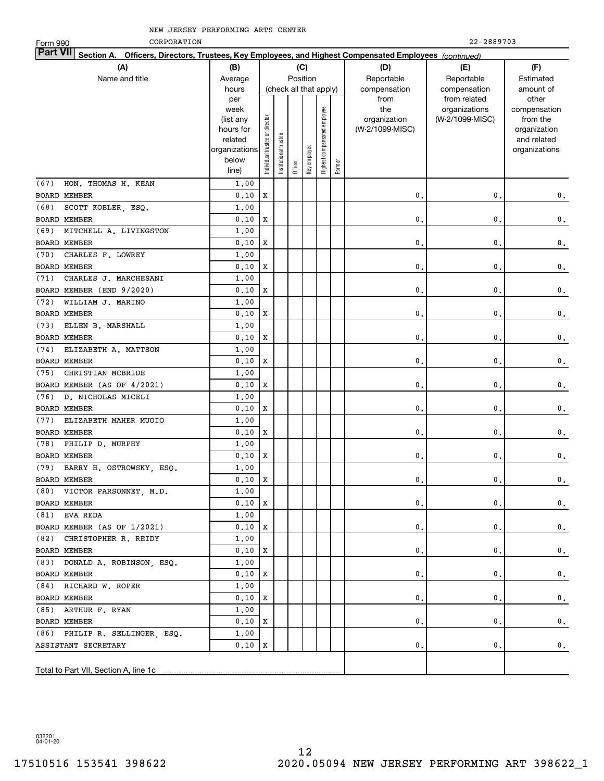| CORPORATION<br>Form 990                                                                                            |                    |                                |                       |                        |              |                              |        |                     | 22-2889703                       |                          |
|--------------------------------------------------------------------------------------------------------------------|--------------------|--------------------------------|-----------------------|------------------------|--------------|------------------------------|--------|---------------------|----------------------------------|--------------------------|
| Part VII<br>Section A. Officers, Directors, Trustees, Key Employees, and Highest Compensated Employees (continued) |                    |                                |                       |                        |              |                              |        |                     |                                  |                          |
| (A)                                                                                                                | (B)                |                                |                       | (C)                    |              |                              |        | (D)                 | (E)                              | (F)                      |
| Name and title                                                                                                     | Average            |                                |                       | Position               |              |                              |        | Reportable          | Reportable                       | Estimated                |
|                                                                                                                    | hours              |                                |                       | (check all that apply) |              |                              |        | compensation        | compensation                     | amount of                |
|                                                                                                                    | per                |                                |                       |                        |              |                              |        | from                | from related                     | other                    |
|                                                                                                                    | week<br>(list any  |                                |                       |                        |              | Highest compensated employee |        | the<br>organization | organizations<br>(W-2/1099-MISC) | compensation<br>from the |
|                                                                                                                    | hours for          |                                |                       |                        |              |                              |        | (W-2/1099-MISC)     |                                  | organization             |
|                                                                                                                    | related            |                                |                       |                        |              |                              |        |                     |                                  | and related              |
|                                                                                                                    | organizations      |                                |                       |                        |              |                              |        |                     |                                  | organizations            |
|                                                                                                                    | below              | Individual trustee or director | Institutional trustee |                        | key employee |                              | Former |                     |                                  |                          |
|                                                                                                                    | line)              |                                |                       | Officer                |              |                              |        |                     |                                  |                          |
| HON. THOMAS H. KEAN<br>(67)                                                                                        | 1,00               |                                |                       |                        |              |                              |        |                     |                                  |                          |
| <b>BOARD MEMBER</b>                                                                                                | 0.10               | X                              |                       |                        |              |                              |        | 0                   | 0.                               | 0.                       |
| (68)<br>SCOTT KOBLER, ESQ.                                                                                         | 1,00               |                                |                       |                        |              |                              |        |                     |                                  |                          |
| <b>BOARD MEMBER</b>                                                                                                | 0.10               | X                              |                       |                        |              |                              |        | $\mathbf 0$         | 0,                               | 0.                       |
| (69)<br>MITCHELL A. LIVINGSTON                                                                                     | 1,00               |                                |                       |                        |              |                              |        |                     |                                  |                          |
| <b>BOARD MEMBER</b>                                                                                                | 0.10               | X                              |                       |                        |              |                              |        | $\mathbf 0$         | 0.                               | 0.                       |
| (70)<br>CHARLES F. LOWREY                                                                                          | 1,00               |                                |                       |                        |              |                              |        |                     |                                  |                          |
| <b>BOARD MEMBER</b>                                                                                                | 0.10               | X                              |                       |                        |              |                              |        | $\mathbf 0$         | 0.                               | 0.                       |
| (71)<br>CHARLES J. MARCHESANI                                                                                      | 1,00               |                                |                       |                        |              |                              |        |                     |                                  |                          |
| BOARD MEMBER (END 9/2020)                                                                                          | 0.10               | X                              |                       |                        |              |                              |        | $\mathbf 0$         | 0.                               | 0.                       |
| (72)<br>WILLIAM J. MARINO                                                                                          | 1,00               |                                |                       |                        |              |                              |        |                     |                                  |                          |
| <b>BOARD MEMBER</b>                                                                                                | 0.10               | X                              |                       |                        |              |                              |        | $\mathbf 0$         | 0.                               | 0.                       |
| (73)<br>ELLEN B. MARSHALL                                                                                          | 1,00               |                                |                       |                        |              |                              |        |                     |                                  |                          |
| <b>BOARD MEMBER</b>                                                                                                | 0.10               | X                              |                       |                        |              |                              |        | $\mathbf 0$         | 0.                               | 0.                       |
| (74)<br>ELIZABETH A. MATTSON                                                                                       | 1,00               |                                |                       |                        |              |                              |        |                     |                                  |                          |
| <b>BOARD MEMBER</b>                                                                                                | 0.10               | Х                              |                       |                        |              |                              |        | $\mathbf 0$         | 0.                               | 0.                       |
| (75)<br>CHRISTIAN MCBRIDE                                                                                          | 1,00               |                                |                       |                        |              |                              |        |                     |                                  |                          |
| BOARD MEMBER (AS OF 4/2021)                                                                                        | 0.10               | X                              |                       |                        |              |                              |        | $\mathbf 0$         | 0.                               | 0.                       |
| (76)<br>D. NICHOLAS MICELI<br><b>BOARD MEMBER</b>                                                                  | 1,00               | X                              |                       |                        |              |                              |        | $\mathbf 0$         |                                  |                          |
| ELIZABETH MAHER MUOIO<br>(77)                                                                                      | 0.10<br>1,00       |                                |                       |                        |              |                              |        |                     | 0.                               | 0.                       |
| <b>BOARD MEMBER</b>                                                                                                | 0.10               | X                              |                       |                        |              |                              |        | $\mathbf 0$         | 0.                               |                          |
| (78)<br>PHILIP D. MURPHY                                                                                           | 1,00               |                                |                       |                        |              |                              |        |                     |                                  | 0.                       |
| <b>BOARD MEMBER</b>                                                                                                | 0.10               | Х                              |                       |                        |              |                              |        | 0                   | 0.                               | 0.                       |
| (79) BARRY H. OSTROWSKY, ESQ.                                                                                      | 1,00               |                                |                       |                        |              |                              |        |                     |                                  |                          |
| BOARD MEMBER                                                                                                       | $0.10$ X           |                                |                       |                        |              |                              |        | 0.                  | 0.                               | $\mathbf 0$ .            |
| (80) VICTOR PARSONNET, M.D.                                                                                        | 1,00               |                                |                       |                        |              |                              |        |                     |                                  |                          |
| BOARD MEMBER                                                                                                       | $0.10 \, \text{X}$ |                                |                       |                        |              |                              |        | 0.                  | 0.                               | 0.                       |
| $(81)$ EVA REDA                                                                                                    | 1,00               |                                |                       |                        |              |                              |        |                     |                                  |                          |
| BOARD MEMBER (AS OF 1/2021)                                                                                        | 0,10               | x                              |                       |                        |              |                              |        | 0.                  | 0.                               | 0.                       |
| (82) CHRISTOPHER R. REIDY                                                                                          | 1,00               |                                |                       |                        |              |                              |        |                     |                                  |                          |
| BOARD MEMBER                                                                                                       | 0,10               | x                              |                       |                        |              |                              |        | 0.                  | 0.                               | 0.                       |
| (83) DONALD A. ROBINSON, ESQ.                                                                                      | 1,00               |                                |                       |                        |              |                              |        |                     |                                  |                          |
| BOARD MEMBER                                                                                                       | 0.10               | x                              |                       |                        |              |                              |        | 0.                  | 0.                               | 0.                       |
| (84) RICHARD W. ROPER                                                                                              | 1,00               |                                |                       |                        |              |                              |        |                     |                                  |                          |
| BOARD MEMBER                                                                                                       | 0.10               | x                              |                       |                        |              |                              |        | 0.                  | 0.                               | 0.                       |
| (85) ARTHUR F. RYAN                                                                                                | 1,00               |                                |                       |                        |              |                              |        |                     |                                  |                          |
| BOARD MEMBER                                                                                                       | 0.10               | x                              |                       |                        |              |                              |        | 0.                  | 0.                               | 0.                       |
| (86) PHILIP R. SELLINGER, ESQ.                                                                                     | 1,00               |                                |                       |                        |              |                              |        |                     |                                  |                          |
| ASSISTANT SECRETARY                                                                                                | 0.10               | Х                              |                       |                        |              |                              |        | 0.                  | 0.                               | 0.                       |
|                                                                                                                    |                    |                                |                       |                        |              |                              |        |                     |                                  |                          |
| Total to Part VII, Section A, line 1c                                                                              |                    |                                |                       |                        |              |                              |        |                     |                                  |                          |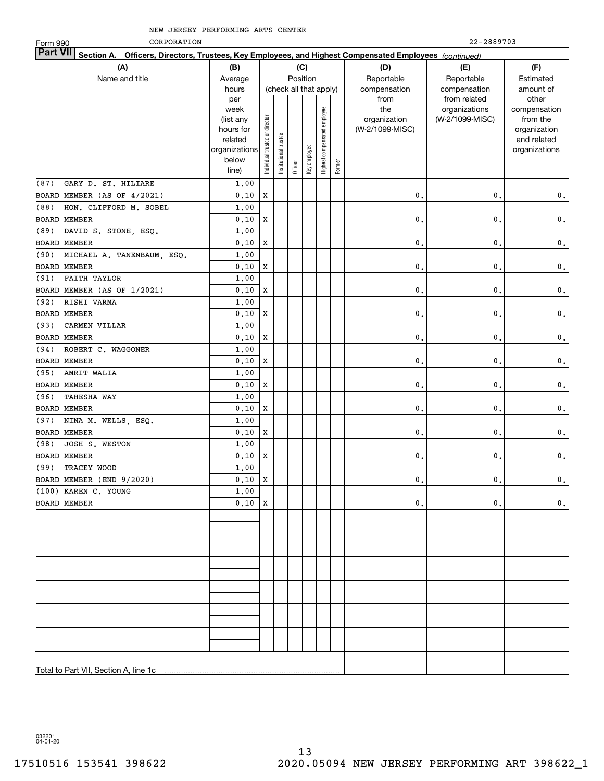| CORPORATION<br>Form 990                                                                                                   |                      |                                |                       |         |                        |                              |        |                 | 22-2889703      |                             |
|---------------------------------------------------------------------------------------------------------------------------|----------------------|--------------------------------|-----------------------|---------|------------------------|------------------------------|--------|-----------------|-----------------|-----------------------------|
| <b>Part VII</b><br>Section A. Officers, Directors, Trustees, Key Employees, and Highest Compensated Employees (continued) |                      |                                |                       |         |                        |                              |        |                 |                 |                             |
| (A)                                                                                                                       | (B)                  |                                |                       |         | (C)                    |                              |        | (D)             | (E)             | (F)                         |
| Name and title                                                                                                            | Average              |                                |                       |         | Position               |                              |        | Reportable      | Reportable      | Estimated                   |
|                                                                                                                           | hours                |                                |                       |         | (check all that apply) |                              |        | compensation    | compensation    | amount of                   |
|                                                                                                                           | per                  |                                |                       |         |                        |                              |        | from            | from related    | other                       |
|                                                                                                                           | week                 |                                |                       |         |                        |                              |        | the             | organizations   | compensation                |
|                                                                                                                           | (list any            |                                |                       |         |                        |                              |        | organization    | (W-2/1099-MISC) | from the                    |
|                                                                                                                           | hours for<br>related |                                |                       |         |                        |                              |        | (W-2/1099-MISC) |                 | organization<br>and related |
|                                                                                                                           | organizations        |                                |                       |         |                        |                              |        |                 |                 | organizations               |
|                                                                                                                           | below                | Individual trustee or director | Institutional trustee |         | Key employee           | Highest compensated employee |        |                 |                 |                             |
|                                                                                                                           | line)                |                                |                       | Officer |                        |                              | Former |                 |                 |                             |
| (87)<br>GARY D. ST. HILIARE                                                                                               | 1,00                 |                                |                       |         |                        |                              |        |                 |                 |                             |
| BOARD MEMBER (AS OF 4/2021)                                                                                               | 0.10                 | $\mathbf x$                    |                       |         |                        |                              |        | 0.              | $\mathbf{0}$ .  | $\mathbf 0$ .               |
| (88)<br>HON. CLIFFORD M. SOBEL                                                                                            | 1,00                 |                                |                       |         |                        |                              |        |                 |                 |                             |
| BOARD MEMBER                                                                                                              | 0.10                 | $\mathbf x$                    |                       |         |                        |                              |        | $\mathbf{0}$ .  | $\mathbf 0$ .   | $\mathbf 0$ .               |
| (89)<br>DAVID S. STONE, ESQ.                                                                                              | 1.00                 |                                |                       |         |                        |                              |        |                 |                 |                             |
| BOARD MEMBER                                                                                                              | 0.10                 | $\mathbf x$                    |                       |         |                        |                              |        | $\mathbf{0}$ .  | $\mathbf 0$ .   | $\mathbf 0$ .               |
| MICHAEL A. TANENBAUM, ESQ.<br>(90)                                                                                        | 1.00                 |                                |                       |         |                        |                              |        |                 |                 |                             |
| BOARD MEMBER                                                                                                              | 0.10                 | $\mathbf x$                    |                       |         |                        |                              |        | 0.              | $\mathbf 0$ .   | $\mathbf 0$ .               |
| <b>FAITH TAYLOR</b><br>(91)                                                                                               | 1.00                 |                                |                       |         |                        |                              |        |                 |                 |                             |
| BOARD MEMBER (AS OF 1/2021)                                                                                               | 0.10                 | $\mathbf x$                    |                       |         |                        |                              |        | 0.              | $\mathbf{0}$ .  | $\mathbf 0$ .               |
| RISHI VARMA<br>(92)                                                                                                       | 1,00                 |                                |                       |         |                        |                              |        |                 |                 |                             |
| <b>BOARD MEMBER</b>                                                                                                       | 0.10                 | X                              |                       |         |                        |                              |        | 0.              | $\mathbf{0}$ .  | $\mathbf 0$ .               |
| CARMEN VILLAR<br>(93)                                                                                                     | 1,00                 |                                |                       |         |                        |                              |        |                 |                 |                             |
| <b>BOARD MEMBER</b>                                                                                                       | 0.10                 | X                              |                       |         |                        |                              |        | 0.              | $\mathbf{0}$ .  | $\mathbf 0$ .               |
| (94)<br>ROBERT C. WAGGONER                                                                                                | 1,00                 |                                |                       |         |                        |                              |        |                 |                 |                             |
| <b>BOARD MEMBER</b>                                                                                                       | 0.10                 | X                              |                       |         |                        |                              |        | 0.              | $\mathbf{0}$ .  | $\mathbf 0$ .               |
| AMRIT WALIA<br>(95)                                                                                                       | 1,00                 |                                |                       |         |                        |                              |        |                 |                 |                             |
| BOARD MEMBER                                                                                                              | 0.10                 | $\mathbf x$                    |                       |         |                        |                              |        | 0.              | $\mathbf{0}$ .  | $\mathbf 0$ .               |
| (96)<br><b>TAHESHA WAY</b>                                                                                                | 1.00                 |                                |                       |         |                        |                              |        |                 |                 |                             |
| <b>BOARD MEMBER</b>                                                                                                       | 0.10                 | $\mathbf x$                    |                       |         |                        |                              |        | 0.              | $\mathbf{0}$ .  | $\mathbf 0$ .               |
| (97)<br>NINA M. WELLS, ESQ.                                                                                               | 1.00                 |                                |                       |         |                        |                              |        |                 |                 |                             |
| BOARD MEMBER                                                                                                              | 0.10                 | $\mathbf x$                    |                       |         |                        |                              |        | 0.              | $\mathbf{0}$ .  | $\mathbf 0$ .               |
| JOSH S. WESTON<br>(98)                                                                                                    | 1,00                 |                                |                       |         |                        |                              |        |                 |                 |                             |
| BOARD MEMBER                                                                                                              | 0.10                 | $\mathbf x$                    |                       |         |                        |                              |        | 0.              | $\mathbf{0}$ .  | $\mathbf 0$ .               |
| TRACEY WOOD<br>(99)                                                                                                       | 1,00                 |                                |                       |         |                        |                              |        |                 |                 |                             |
| BOARD MEMBER (END 9/2020)                                                                                                 | $0.10 \mid X$        |                                |                       |         |                        |                              |        | 0               | 0               | 0.                          |
| (100) KAREN C. YOUNG                                                                                                      | 1,00                 |                                |                       |         |                        |                              |        |                 |                 |                             |
| <b>BOARD MEMBER</b>                                                                                                       | 0, 10                | Х                              |                       |         |                        |                              |        | 0.              | $\mathbf{0}$ .  | 0.                          |
|                                                                                                                           |                      |                                |                       |         |                        |                              |        |                 |                 |                             |
|                                                                                                                           |                      |                                |                       |         |                        |                              |        |                 |                 |                             |
|                                                                                                                           |                      |                                |                       |         |                        |                              |        |                 |                 |                             |
|                                                                                                                           |                      |                                |                       |         |                        |                              |        |                 |                 |                             |
|                                                                                                                           |                      |                                |                       |         |                        |                              |        |                 |                 |                             |
|                                                                                                                           |                      |                                |                       |         |                        |                              |        |                 |                 |                             |
|                                                                                                                           |                      |                                |                       |         |                        |                              |        |                 |                 |                             |
|                                                                                                                           |                      |                                |                       |         |                        |                              |        |                 |                 |                             |
|                                                                                                                           |                      |                                |                       |         |                        |                              |        |                 |                 |                             |
|                                                                                                                           |                      |                                |                       |         |                        |                              |        |                 |                 |                             |
|                                                                                                                           |                      |                                |                       |         |                        |                              |        |                 |                 |                             |
|                                                                                                                           |                      |                                |                       |         |                        |                              |        |                 |                 |                             |
|                                                                                                                           |                      |                                |                       |         |                        |                              |        |                 |                 |                             |
| Total to Part VII, Section A, line 1c                                                                                     |                      |                                |                       |         |                        |                              |        |                 |                 |                             |
|                                                                                                                           |                      |                                |                       |         |                        |                              |        |                 |                 |                             |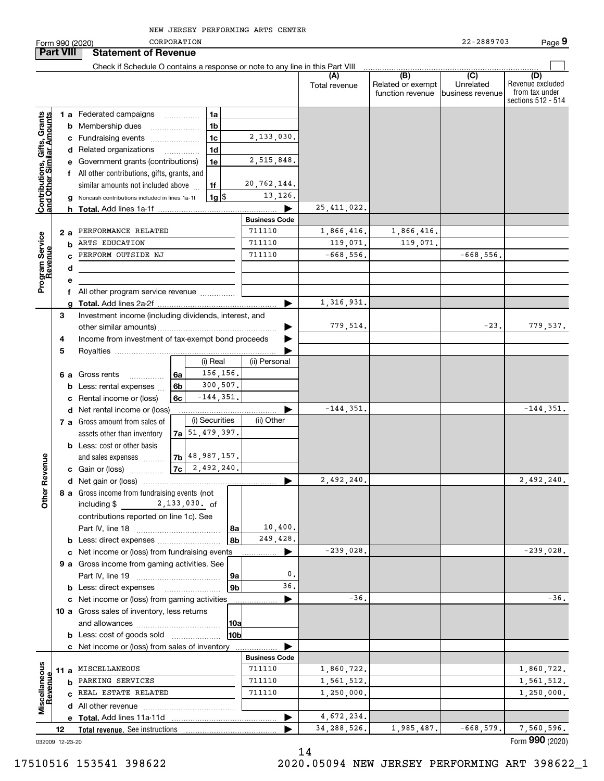Form 990 (2020) CORPORATION 22-2889703 Page **Part VIII Statement of Revenue**  $\mathcal{L}^{\text{max}}$ Check if Schedule O contains a response or note to any line in this Part VIII **(A)** $\overline{(D)}$  **(B) (C) (D)** Revenue excluded Total revenue  $\vert$  Related or exempt Unrelatedfunction revenue business revenue from tax under sections 512 - 514 **Contributions, Gifts, Grants**<br>and Other Similar Amounts **1 a** Federated campaigns **Contributions, Gifts, Grants and Other Similar Amounts** ~~~~~**1ab** Membership dues \_\_\_\_\_\_\_\_\_\_\_\_\_\_\_ **1b**2,133,030. **c**Fundraising events ~~~~~~~ **1cd** Related organizations …………… **1d**2,515,848. **e** Government grants (contributions) **1ef** All other contributions, gifts, grants, and similar amounts not included above 20,762,144. **1f**13,126. **1**\$**g** Noncash contributions included in lines 1a-1f 1g 25,411,022. **h Total.**  Add lines 1a-1f | **Business Code** 1,866,416. Program Service<br>Revenue **2 a** PERFORMANCE RELATED  $\begin{bmatrix} 711110 & | & 1,866,416. \end{bmatrix}$  1,866,416. **Program Service** ARTS EDUCATION 711110 119,071, 119,071, 119,071 119,071. **bRevenue** PERFORM OUTSIDE NJ  $711110$  -668,556. -668,556. **cdef** All other program service revenue .............. 1,316,931. **gTotal.**  Add lines 2a-2f | Investment income (including dividends, interest, and **3** $779,514.$   $-23.$   $779,537.$ …… ▶ other similar amounts) ~~~~~~~~~~~~~~~~~Income from investment of tax-exempt bond proceeds **4** $\blacksquare$ **5**Royalties | (i) Real (ii) Personal 156,156. **6 a** Gross rents **6a**~~~~~300,507. **6bb** Less: rental expenses  $\ldots$  $-144,351.$ **6cc** Rental income or (loss)  $-144,351.$   $-144,351.$  $\blacktriangleright$ **d** Net rental income or (loss) (i) Securities (ii) Other **7 a** Gross amount from sales of 51,479,397. assets other than inventory **7ab** Less: cost or other basis 48,987,157. **Other Revenue Other Revenue** and sales expenses **7b7c**2,492,240. **c** Gain or (loss) …………… 2,492,240. 2,492,240. **d**Net gain or (loss) | **8 a** Gross income from fundraising events (not including \$ 2 , 133 , 030 . <sub>Of</sub> contributions reported on line 1c). See Part IV, line 18 ~~~~~~~~~~~~ 10,400. **8a**249,428. **8bb** Less: direct expenses  $^{(1)}$  $-239,028$ ,  $-239,028$ , **c** Net income or (loss) from fundraising events **............... 9 a** Gross income from gaming activities. See 0.Part IV, line 19 ~~~~~~~~~~~~ **9a**36.**9bb** Less: direct expenses \_\_\_\_\_\_\_\_\_\_\_\_\_\_\_\_\_\_ -36. $\blacktriangleright$  -36. **c** Net income or (loss) from gaming activities . . . . . . . . . . . . . . . . . . **10 a** Gross sales of inventory, less returns and allowances ~~~~~~~~~~~~ **10a10bb** Less: cost of goods sold  $^{[1]}$  .....................  $\blacksquare$ **c** Net income or (loss) from sales of inventory . . . . . . . . . . . . . . . . . . **Business Code** Miscellaneous **Miscellaneous** 711110 1,860,722. 1,860,722. **11 a** MISCELLANEOUSRevenue **Revenue** 1,561,512. **b** PARKING SERVICES  $\begin{bmatrix} 711110 & | & 1,561,512 \\ | & 711110 & | & 1,561,512 \\ \end{bmatrix}$ 1,250,000. **c**REAL ESTATE RELATED 711110 1,250,000. **d** All other revenue  $\ldots$   $\ldots$   $\ldots$   $\ldots$   $\ldots$   $\ldots$   $\ldots$   $\ldots$ 4,672,234. **Total.**  Add lines 11a-11d | **e** $34,288,526.$  1,985,487. -668,579. 7,560,596. …… ▶ **12Total revenue.**  See instructions 

14

032009 12-23-20

Form (2020) **990**

**CORPORATION**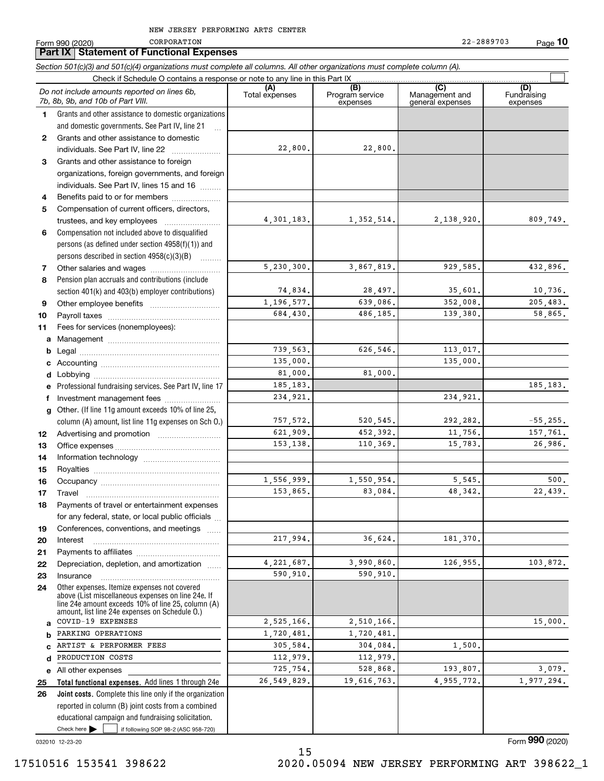**Part IX Statement of Functional Expenses CORPORATION** 

Form 990 (2020) CORPORATION 22-2889703 Page **10** 22-2889703

Check here  $\bullet$  if following SOP 98-2 (ASC 958-720) **Total functional expenses.**  Add lines 1 through 24e **Joint costs.** Complete this line only if the organization **(A)**<br>Total expenses **(B) (C) (D) 1234567891011abcdefg12131415161718192021222324abcde2526***Section 501(c)(3) and 501(c)(4) organizations must complete all columns. All other organizations must complete column (A).* Grants and other assistance to domestic organizations and domestic governments. See Part IV, line 21 Compensation not included above to disqualified persons (as defined under section 4958(f)(1)) and persons described in section 4958(c)(3)(B) Pension plan accruals and contributions (include section 401(k) and 403(b) employer contributions) Professional fundraising services. See Part IV, line 17 Other. (If line 11g amount exceeds 10% of line 25, column (A) amount, list line 11g expenses on Sch O.) Other expenses. Itemize expenses not covered above (List miscellaneous expenses on line 24e. If line 24e amount exceeds 10% of line 25, column (A) amount, list line 24e expenses on Schedule O.) reported in column (B) joint costs from a combined educational campaign and fundraising solicitation. Check if Schedule O contains a response or note to any line in this Part IX (C) (C) (C) (C) (C) (C) Program service expensesManagement and general expenses Fundraising expensesGrants and other assistance to domestic individuals. See Part IV, line 22 ..................... Grants and other assistance to foreign organizations, foreign governments, and foreign individuals. See Part IV, lines 15 and 16  $\ldots$ Benefits paid to or for members .................... Compensation of current officers, directors, trustees, and key employees  $\ldots$   $\ldots$   $\ldots$   $\ldots$   $\ldots$ Other salaries and wages ~~~~~~~~~~ Other employee benefits ~~~~~~~~~~ Payroll taxes ~~~~~~~~~~~~~~~~ Fees for services (nonemployees): Management ~~~~~~~~~~~~~~~~ Legal ~~~~~~~~~~~~~~~~~~~~Accounting ~~~~~~~~~~~~~~~~~ Lobbying ~~~~~~~~~~~~~~~~~~ lnvestment management fees ....................... Advertising and promotion www.communication Office expenses ~~~~~~~~~~~~~~~ Information technology ~~~~~~~~~~~ Royalties ~~~~~~~~~~~~~~~~~~ Occupancy ~~~~~~~~~~~~~~~~~ Travel ……………………………………………… Payments of travel or entertainment expenses for any federal, state, or local public officials ... Conferences, conventions, and meetings InterestPayments to affiliates ~~~~~~~~~~~~ ~~~~~~~~~~~~~~~~~~Depreciation, depletion, and amortization  $\,\,\ldots\,\,$ Insurance~~~~~~~~~~~~~~~~~All other expenses Check here  $\blacktriangleright$ *Do not include amounts reported on lines 6b, 7b, 8b, 9b, and 10b of Part VIII.*  $\mathcal{L}^{\text{max}}$ 22,800. 4,301,183. 5,230,300. 74,834. 1,196,577. 684,430. 739,563. 135,000. 81,000. 185,183. 757,572. 621,909. 153,138. 1,556,999. 153,865. 217,994. 4,221,687. 590,910. 2,525,166. 1,720,481. 305,584. 112,979. 725,754. 26,549,829. 234,921. 22,800. 1,352,514. 2,138,920. 809,749. 3,867,819. 929,585. 432,896. 28,497. 35,601. 10,736. 639,086. 352,008. 205,483. 486,185. 139,380. 58,865. 626,546. 113,017. 135,000. 81,000. 185,183. 234,921.  $520,545.$  292, 282.  $-55,255.$ 452,392. 11,756. 157,761. 110,369. 15,783. 26,986. 1,550,954. 5,545. 500. 83,084. 48,342. 22,439. 36,624. 181,370. 3,990,860. 126,955. 103,872. 590,910. 2,510,166. 1,720,481. 304,084. 1,500. 112,979. 528,868. 193,807. 3,079. 19,616,763. 4,955,772. 1,977,294. COVID-19 EXPENSES PARKING OPERATIONS ARTIST & PERFORMER FEES PRODUCTION COSTS

032010 12-23-20

15 17510516 153541 398622 2020.05094 NEW JERSEY PERFORMING ART 398622\_1

Form (2020) **990**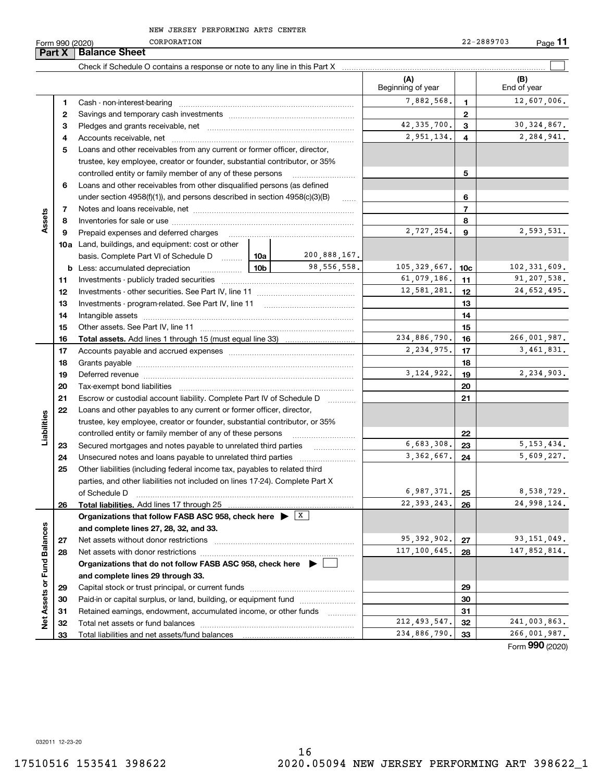CORPORATION

22-2889703

**11**

|                             | Part X | <b>Balance Sheet</b>                                                                                                                                                                                                           |                 |              |                          |                 |                    |
|-----------------------------|--------|--------------------------------------------------------------------------------------------------------------------------------------------------------------------------------------------------------------------------------|-----------------|--------------|--------------------------|-----------------|--------------------|
|                             |        |                                                                                                                                                                                                                                |                 |              |                          |                 |                    |
|                             |        |                                                                                                                                                                                                                                |                 |              | (A)<br>Beginning of year |                 | (B)<br>End of year |
|                             | 1      |                                                                                                                                                                                                                                |                 |              | 7,882,568.               | 1.              | 12,607,006.        |
|                             | 2      |                                                                                                                                                                                                                                |                 |              |                          | $\mathbf{2}$    |                    |
|                             | з      |                                                                                                                                                                                                                                |                 |              | 42, 335, 700.            | 3               | 30, 324, 867.      |
|                             | 4      |                                                                                                                                                                                                                                |                 |              | 2,951,134.               | 4               | 2,284,941.         |
|                             | 5      | Loans and other receivables from any current or former officer, director,                                                                                                                                                      |                 |              |                          |                 |                    |
|                             |        | trustee, key employee, creator or founder, substantial contributor, or 35%                                                                                                                                                     |                 |              |                          |                 |                    |
|                             |        | controlled entity or family member of any of these persons                                                                                                                                                                     |                 |              |                          | 5               |                    |
|                             | 6      | Loans and other receivables from other disqualified persons (as defined                                                                                                                                                        |                 |              |                          |                 |                    |
|                             |        | under section $4958(f)(1)$ , and persons described in section $4958(c)(3)(B)$                                                                                                                                                  |                 | 1.1.1.1      |                          | 6               |                    |
|                             | 7      |                                                                                                                                                                                                                                |                 |              |                          | $\overline{7}$  |                    |
| Assets                      | 8      |                                                                                                                                                                                                                                |                 |              |                          | 8               |                    |
|                             | 9      | Prepaid expenses and deferred charges                                                                                                                                                                                          | 2,727,254.      | 9            | 2,593,531.               |                 |                    |
|                             |        | <b>10a</b> Land, buildings, and equipment: cost or other                                                                                                                                                                       |                 |              |                          |                 |                    |
|                             |        | basis. Complete Part VI of Schedule D  10a                                                                                                                                                                                     |                 | 200,888,167. |                          |                 |                    |
|                             | b      | Less: accumulated depreciation<br>.                                                                                                                                                                                            | 10 <sub>b</sub> | 98,556,558.  | 105, 329, 667.           | 10 <sub>c</sub> | 102, 331, 609.     |
|                             | 11     |                                                                                                                                                                                                                                |                 |              | 61,079,186.              | 11              | 91, 207, 538.      |
|                             | 12     |                                                                                                                                                                                                                                | 12,581,281.     | 12           | 24,652,495.              |                 |                    |
|                             | 13     | Investments - program-related. See Part IV, line 11                                                                                                                                                                            |                 |              |                          | 13              |                    |
|                             | 14     |                                                                                                                                                                                                                                |                 |              |                          | 14              |                    |
|                             | 15     |                                                                                                                                                                                                                                |                 |              |                          | 15              |                    |
|                             | 16     |                                                                                                                                                                                                                                |                 |              | 234,886,790.             | 16              | 266,001,987.       |
|                             | 17     |                                                                                                                                                                                                                                | 2,234,975.      | 17           | 3,461,831.               |                 |                    |
|                             | 18     |                                                                                                                                                                                                                                |                 | 18           |                          |                 |                    |
|                             | 19     | Deferred revenue manual contracts and contracts are all the manual contracts and contracts are all the manual contracts are all the manual contracts are contracted and contract are contracted and contract are contracted an |                 | 3, 124, 922. | 19                       | 2,234,903.      |                    |
|                             | 20     |                                                                                                                                                                                                                                |                 |              |                          | 20              |                    |
|                             | 21     | Escrow or custodial account liability. Complete Part IV of Schedule D                                                                                                                                                          |                 | $\cdots$     |                          | 21              |                    |
|                             | 22     | Loans and other payables to any current or former officer, director,                                                                                                                                                           |                 |              |                          |                 |                    |
| Liabilities                 |        | trustee, key employee, creator or founder, substantial contributor, or 35%                                                                                                                                                     |                 |              |                          |                 |                    |
|                             |        | controlled entity or family member of any of these persons                                                                                                                                                                     |                 |              |                          | 22              |                    |
|                             | 23     | Secured mortgages and notes payable to unrelated third parties                                                                                                                                                                 |                 |              | 6,683,308.               | 23              | 5, 153, 434.       |
|                             | 24     |                                                                                                                                                                                                                                |                 |              | 3, 362, 667.             | 24              | 5,609,227.         |
|                             | 25     | Other liabilities (including federal income tax, payables to related third                                                                                                                                                     |                 |              |                          |                 |                    |
|                             |        | parties, and other liabilities not included on lines 17-24). Complete Part X                                                                                                                                                   |                 |              |                          |                 |                    |
|                             |        | of Schedule D                                                                                                                                                                                                                  |                 |              | 6,987,371.               | 25              | 8,538,729.         |
|                             | 26     | Total liabilities. Add lines 17 through 25                                                                                                                                                                                     |                 |              | 22, 393, 243.            | 26              | 24,998,124.        |
|                             |        | Organizations that follow FASB ASC 958, check here $\blacktriangleright$ $\boxed{\text{X}}$                                                                                                                                    |                 |              |                          |                 |                    |
|                             |        | and complete lines 27, 28, 32, and 33.                                                                                                                                                                                         |                 |              |                          |                 |                    |
|                             | 27     | Net assets without donor restrictions                                                                                                                                                                                          |                 |              | 95, 392, 902.            | 27              | 93, 151, 049.      |
|                             | 28     |                                                                                                                                                                                                                                |                 |              | 117,100,645.             | 28              | 147,852,814.       |
|                             |        | Organizations that do not follow FASB ASC 958, check here $\blacktriangleright$                                                                                                                                                |                 |              |                          |                 |                    |
|                             |        | and complete lines 29 through 33.                                                                                                                                                                                              |                 |              |                          |                 |                    |
|                             | 29     |                                                                                                                                                                                                                                |                 |              |                          | 29              |                    |
| Net Assets or Fund Balances | 30     | Paid-in or capital surplus, or land, building, or equipment fund                                                                                                                                                               |                 |              |                          | 30              |                    |
|                             | 31     | Retained earnings, endowment, accumulated income, or other funds                                                                                                                                                               |                 | .            |                          | 31              |                    |
|                             | 32     |                                                                                                                                                                                                                                |                 |              | 212, 493, 547.           | 32              | 241,003,863.       |

Form (2020) **990**

032011 12-23-20

**33**

**33**

234,886,790. 33 266,001,987.

Total liabilities and net assets/fund balances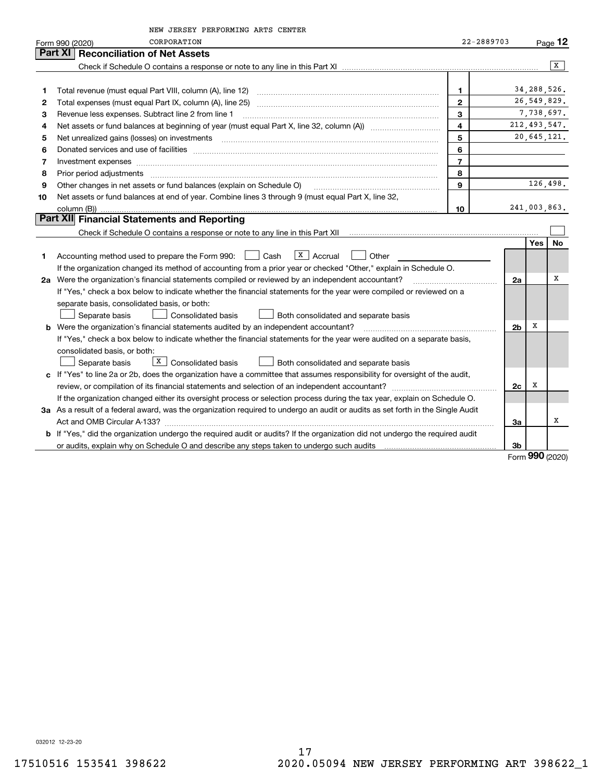|    | NEW JERSEY PERFORMING ARTS CENTER                                                                                                                                                     |                         |                |                |                     |
|----|---------------------------------------------------------------------------------------------------------------------------------------------------------------------------------------|-------------------------|----------------|----------------|---------------------|
|    | CORPORATION<br>Form 990 (2020)                                                                                                                                                        | 22-2889703              |                |                | $P_{\text{aqe}}$ 12 |
|    | Part XI   Reconciliation of Net Assets                                                                                                                                                |                         |                |                |                     |
|    |                                                                                                                                                                                       |                         |                |                | x                   |
|    |                                                                                                                                                                                       |                         |                |                |                     |
| 1  |                                                                                                                                                                                       | $\mathbf{1}$            |                | 34, 288, 526.  |                     |
| 2  |                                                                                                                                                                                       | $\overline{2}$          |                | 26,549,829.    |                     |
| з  | Revenue less expenses. Subtract line 2 from line 1                                                                                                                                    | 3                       |                | 7,738,697.     |                     |
| 4  | Net assets or fund balances at beginning of year (must equal Part X, line 32, column (A)) <i></i>                                                                                     | $\overline{\mathbf{4}}$ |                | 212, 493, 547. |                     |
| 5  |                                                                                                                                                                                       | 5                       |                | 20,645,121.    |                     |
| 6  |                                                                                                                                                                                       | 6                       |                |                |                     |
| 7  | Investment expenses                                                                                                                                                                   | $\overline{7}$          |                |                |                     |
| 8  | Prior period adjustments www.communication.communication.communication.com/                                                                                                           | 8                       |                |                |                     |
| 9  | Other changes in net assets or fund balances (explain on Schedule O)                                                                                                                  | 9                       |                | 126,498.       |                     |
| 10 | Net assets or fund balances at end of year. Combine lines 3 through 9 (must equal Part X, line 32,                                                                                    |                         |                |                |                     |
|    | column (B))                                                                                                                                                                           | 10                      |                | 241,003,863.   |                     |
|    | Part XII Financial Statements and Reporting                                                                                                                                           |                         |                |                |                     |
|    |                                                                                                                                                                                       |                         |                |                |                     |
|    |                                                                                                                                                                                       |                         |                | Yes            | No                  |
| 1  | $\lfloor x \rfloor$ Accrual<br>Accounting method used to prepare the Form 990: <u>June</u> Cash<br>Other                                                                              |                         |                |                |                     |
|    | If the organization changed its method of accounting from a prior year or checked "Other," explain in Schedule O.                                                                     |                         |                |                |                     |
|    | 2a Were the organization's financial statements compiled or reviewed by an independent accountant?                                                                                    |                         | 2a             |                | х                   |
|    | If "Yes," check a box below to indicate whether the financial statements for the year were compiled or reviewed on a                                                                  |                         |                |                |                     |
|    | separate basis, consolidated basis, or both:                                                                                                                                          |                         |                |                |                     |
|    | <b>Consolidated basis</b><br>Separate basis<br>Both consolidated and separate basis                                                                                                   |                         |                |                |                     |
|    | b Were the organization's financial statements audited by an independent accountant?                                                                                                  |                         | 2 <sub>b</sub> | х              |                     |
|    | If "Yes," check a box below to indicate whether the financial statements for the year were audited on a separate basis,                                                               |                         |                |                |                     |
|    | consolidated basis, or both:                                                                                                                                                          |                         |                |                |                     |
|    | $\boxed{\text{X}}$ Consolidated basis<br>Separate basis<br>Both consolidated and separate basis                                                                                       |                         |                |                |                     |
|    | c If "Yes" to line 2a or 2b, does the organization have a committee that assumes responsibility for oversight of the audit,                                                           |                         |                |                |                     |
|    |                                                                                                                                                                                       |                         | 2c             | х              |                     |
|    | If the organization changed either its oversight process or selection process during the tax year, explain on Schedule O.                                                             |                         |                |                |                     |
|    | 3a As a result of a federal award, was the organization required to undergo an audit or audits as set forth in the Single Audit                                                       |                         |                |                |                     |
|    |                                                                                                                                                                                       |                         | За             |                | х                   |
|    | b If "Yes," did the organization undergo the required audit or audits? If the organization did not undergo the required audit                                                         |                         |                |                |                     |
|    | or audits, explain why on Schedule O and describe any steps taken to undergo such audits [11] our manuscription why on Schedule O and describe any steps taken to undergo such audits |                         | 3b             | ההח            |                     |

Form (2020) **990**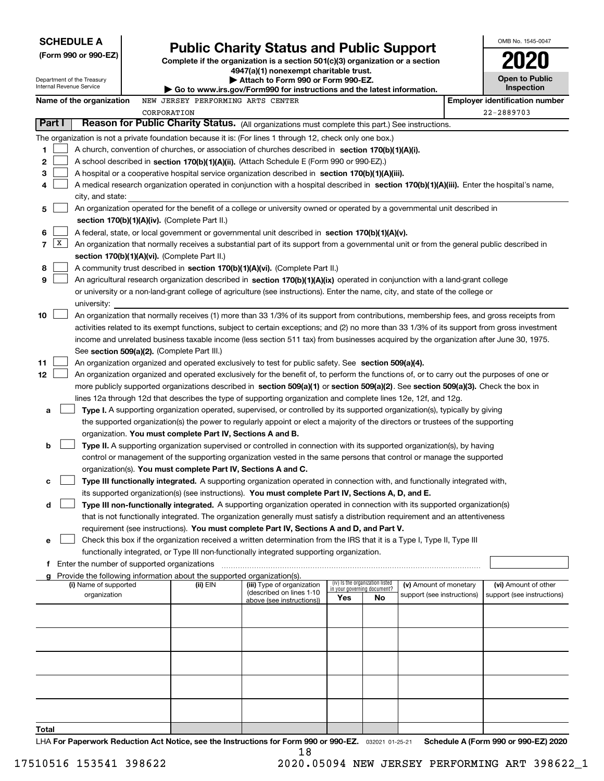| <b>SCHEDULE A</b>                                                                                                                                                                                                                                                                  |                                                                                                                                               |                                                                                                                                                                                                                                                                                  |                                                                                                                                                                            |                             |                                 |                                                      |                                       | OMB No. 1545-0047                                  |  |  |  |  |  |
|------------------------------------------------------------------------------------------------------------------------------------------------------------------------------------------------------------------------------------------------------------------------------------|-----------------------------------------------------------------------------------------------------------------------------------------------|----------------------------------------------------------------------------------------------------------------------------------------------------------------------------------------------------------------------------------------------------------------------------------|----------------------------------------------------------------------------------------------------------------------------------------------------------------------------|-----------------------------|---------------------------------|------------------------------------------------------|---------------------------------------|----------------------------------------------------|--|--|--|--|--|
| (Form 990 or 990-EZ)                                                                                                                                                                                                                                                               |                                                                                                                                               |                                                                                                                                                                                                                                                                                  | <b>Public Charity Status and Public Support</b><br>Complete if the organization is a section 501(c)(3) organization or a section<br>4947(a)(1) nonexempt charitable trust. |                             |                                 |                                                      |                                       |                                                    |  |  |  |  |  |
| Department of the Treasury<br>▶ Attach to Form 990 or Form 990-EZ.<br>Internal Revenue Service<br>Go to www.irs.gov/Form990 for instructions and the latest information.                                                                                                           |                                                                                                                                               |                                                                                                                                                                                                                                                                                  |                                                                                                                                                                            |                             |                                 |                                                      |                                       |                                                    |  |  |  |  |  |
|                                                                                                                                                                                                                                                                                    |                                                                                                                                               |                                                                                                                                                                                                                                                                                  |                                                                                                                                                                            |                             |                                 |                                                      |                                       | Open to Public<br>Inspection                       |  |  |  |  |  |
| Name of the organization                                                                                                                                                                                                                                                           |                                                                                                                                               | NEW JERSEY PERFORMING ARTS CENTER                                                                                                                                                                                                                                                |                                                                                                                                                                            |                             |                                 |                                                      | <b>Employer identification number</b> |                                                    |  |  |  |  |  |
|                                                                                                                                                                                                                                                                                    |                                                                                                                                               | CORPORATION                                                                                                                                                                                                                                                                      |                                                                                                                                                                            |                             |                                 |                                                      | 22-2889703                            |                                                    |  |  |  |  |  |
| Part I                                                                                                                                                                                                                                                                             |                                                                                                                                               | Reason for Public Charity Status. (All organizations must complete this part.) See instructions.                                                                                                                                                                                 |                                                                                                                                                                            |                             |                                 |                                                      |                                       |                                                    |  |  |  |  |  |
|                                                                                                                                                                                                                                                                                    |                                                                                                                                               | The organization is not a private foundation because it is: (For lines 1 through 12, check only one box.)                                                                                                                                                                        |                                                                                                                                                                            |                             |                                 |                                                      |                                       |                                                    |  |  |  |  |  |
| 1                                                                                                                                                                                                                                                                                  |                                                                                                                                               | A church, convention of churches, or association of churches described in section 170(b)(1)(A)(i).                                                                                                                                                                               |                                                                                                                                                                            |                             |                                 |                                                      |                                       |                                                    |  |  |  |  |  |
| 2                                                                                                                                                                                                                                                                                  |                                                                                                                                               | A school described in section 170(b)(1)(A)(ii). (Attach Schedule E (Form 990 or 990-EZ).)                                                                                                                                                                                        |                                                                                                                                                                            |                             |                                 |                                                      |                                       |                                                    |  |  |  |  |  |
| з                                                                                                                                                                                                                                                                                  |                                                                                                                                               | A hospital or a cooperative hospital service organization described in section 170(b)(1)(A)(iii).                                                                                                                                                                                |                                                                                                                                                                            |                             |                                 |                                                      |                                       |                                                    |  |  |  |  |  |
| 4                                                                                                                                                                                                                                                                                  |                                                                                                                                               | A medical research organization operated in conjunction with a hospital described in section 170(b)(1)(A)(iii). Enter the hospital's name,                                                                                                                                       |                                                                                                                                                                            |                             |                                 |                                                      |                                       |                                                    |  |  |  |  |  |
|                                                                                                                                                                                                                                                                                    | city, and state:<br>An organization operated for the benefit of a college or university owned or operated by a governmental unit described in |                                                                                                                                                                                                                                                                                  |                                                                                                                                                                            |                             |                                 |                                                      |                                       |                                                    |  |  |  |  |  |
| 5                                                                                                                                                                                                                                                                                  |                                                                                                                                               |                                                                                                                                                                                                                                                                                  |                                                                                                                                                                            |                             |                                 |                                                      |                                       |                                                    |  |  |  |  |  |
|                                                                                                                                                                                                                                                                                    | section 170(b)(1)(A)(iv). (Complete Part II.)<br>6                                                                                            |                                                                                                                                                                                                                                                                                  |                                                                                                                                                                            |                             |                                 |                                                      |                                       |                                                    |  |  |  |  |  |
| A federal, state, or local government or governmental unit described in section $170(b)(1)(A)(v)$ .<br>$\mathbf{X}$<br>$\overline{7}$<br>An organization that normally receives a substantial part of its support from a governmental unit or from the general public described in |                                                                                                                                               |                                                                                                                                                                                                                                                                                  |                                                                                                                                                                            |                             |                                 |                                                      |                                       |                                                    |  |  |  |  |  |
|                                                                                                                                                                                                                                                                                    |                                                                                                                                               | section 170(b)(1)(A)(vi). (Complete Part II.)                                                                                                                                                                                                                                    |                                                                                                                                                                            |                             |                                 |                                                      |                                       |                                                    |  |  |  |  |  |
| 8                                                                                                                                                                                                                                                                                  |                                                                                                                                               | A community trust described in section 170(b)(1)(A)(vi). (Complete Part II.)                                                                                                                                                                                                     |                                                                                                                                                                            |                             |                                 |                                                      |                                       |                                                    |  |  |  |  |  |
| 9                                                                                                                                                                                                                                                                                  |                                                                                                                                               | An agricultural research organization described in section 170(b)(1)(A)(ix) operated in conjunction with a land-grant college                                                                                                                                                    |                                                                                                                                                                            |                             |                                 |                                                      |                                       |                                                    |  |  |  |  |  |
|                                                                                                                                                                                                                                                                                    |                                                                                                                                               | or university or a non-land-grant college of agriculture (see instructions). Enter the name, city, and state of the college or                                                                                                                                                   |                                                                                                                                                                            |                             |                                 |                                                      |                                       |                                                    |  |  |  |  |  |
|                                                                                                                                                                                                                                                                                    | university:                                                                                                                                   |                                                                                                                                                                                                                                                                                  |                                                                                                                                                                            |                             |                                 |                                                      |                                       |                                                    |  |  |  |  |  |
| 10                                                                                                                                                                                                                                                                                 |                                                                                                                                               | An organization that normally receives (1) more than 33 1/3% of its support from contributions, membership fees, and gross receipts from                                                                                                                                         |                                                                                                                                                                            |                             |                                 |                                                      |                                       |                                                    |  |  |  |  |  |
|                                                                                                                                                                                                                                                                                    |                                                                                                                                               | activities related to its exempt functions, subject to certain exceptions; and (2) no more than 33 1/3% of its support from gross investment                                                                                                                                     |                                                                                                                                                                            |                             |                                 |                                                      |                                       |                                                    |  |  |  |  |  |
|                                                                                                                                                                                                                                                                                    |                                                                                                                                               | income and unrelated business taxable income (less section 511 tax) from businesses acquired by the organization after June 30, 1975.                                                                                                                                            |                                                                                                                                                                            |                             |                                 |                                                      |                                       |                                                    |  |  |  |  |  |
|                                                                                                                                                                                                                                                                                    |                                                                                                                                               | See section 509(a)(2). (Complete Part III.)                                                                                                                                                                                                                                      |                                                                                                                                                                            |                             |                                 |                                                      |                                       |                                                    |  |  |  |  |  |
| 11                                                                                                                                                                                                                                                                                 |                                                                                                                                               | An organization organized and operated exclusively to test for public safety. See section 509(a)(4).                                                                                                                                                                             |                                                                                                                                                                            |                             |                                 |                                                      |                                       |                                                    |  |  |  |  |  |
| 12                                                                                                                                                                                                                                                                                 |                                                                                                                                               | An organization organized and operated exclusively for the benefit of, to perform the functions of, or to carry out the purposes of one or<br>more publicly supported organizations described in section 509(a)(1) or section 509(a)(2). See section 509(a)(3). Check the box in |                                                                                                                                                                            |                             |                                 |                                                      |                                       |                                                    |  |  |  |  |  |
|                                                                                                                                                                                                                                                                                    |                                                                                                                                               | lines 12a through 12d that describes the type of supporting organization and complete lines 12e, 12f, and 12g.                                                                                                                                                                   |                                                                                                                                                                            |                             |                                 |                                                      |                                       |                                                    |  |  |  |  |  |
| a                                                                                                                                                                                                                                                                                  |                                                                                                                                               | Type I. A supporting organization operated, supervised, or controlled by its supported organization(s), typically by giving                                                                                                                                                      |                                                                                                                                                                            |                             |                                 |                                                      |                                       |                                                    |  |  |  |  |  |
|                                                                                                                                                                                                                                                                                    |                                                                                                                                               | the supported organization(s) the power to regularly appoint or elect a majority of the directors or trustees of the supporting                                                                                                                                                  |                                                                                                                                                                            |                             |                                 |                                                      |                                       |                                                    |  |  |  |  |  |
|                                                                                                                                                                                                                                                                                    |                                                                                                                                               | organization. You must complete Part IV, Sections A and B.                                                                                                                                                                                                                       |                                                                                                                                                                            |                             |                                 |                                                      |                                       |                                                    |  |  |  |  |  |
| b                                                                                                                                                                                                                                                                                  |                                                                                                                                               | Type II. A supporting organization supervised or controlled in connection with its supported organization(s), by having                                                                                                                                                          |                                                                                                                                                                            |                             |                                 |                                                      |                                       |                                                    |  |  |  |  |  |
|                                                                                                                                                                                                                                                                                    |                                                                                                                                               | control or management of the supporting organization vested in the same persons that control or manage the supported                                                                                                                                                             |                                                                                                                                                                            |                             |                                 |                                                      |                                       |                                                    |  |  |  |  |  |
|                                                                                                                                                                                                                                                                                    |                                                                                                                                               | organization(s). You must complete Part IV, Sections A and C.                                                                                                                                                                                                                    |                                                                                                                                                                            |                             |                                 |                                                      |                                       |                                                    |  |  |  |  |  |
| с                                                                                                                                                                                                                                                                                  |                                                                                                                                               | Type III functionally integrated. A supporting organization operated in connection with, and functionally integrated with,                                                                                                                                                       |                                                                                                                                                                            |                             |                                 |                                                      |                                       |                                                    |  |  |  |  |  |
|                                                                                                                                                                                                                                                                                    |                                                                                                                                               | its supported organization(s) (see instructions). You must complete Part IV, Sections A, D, and E.                                                                                                                                                                               |                                                                                                                                                                            |                             |                                 |                                                      |                                       |                                                    |  |  |  |  |  |
| d                                                                                                                                                                                                                                                                                  |                                                                                                                                               | Type III non-functionally integrated. A supporting organization operated in connection with its supported organization(s)<br>that is not functionally integrated. The organization generally must satisfy a distribution requirement and an attentiveness                        |                                                                                                                                                                            |                             |                                 |                                                      |                                       |                                                    |  |  |  |  |  |
|                                                                                                                                                                                                                                                                                    |                                                                                                                                               | requirement (see instructions). You must complete Part IV, Sections A and D, and Part V.                                                                                                                                                                                         |                                                                                                                                                                            |                             |                                 |                                                      |                                       |                                                    |  |  |  |  |  |
| е                                                                                                                                                                                                                                                                                  |                                                                                                                                               | Check this box if the organization received a written determination from the IRS that it is a Type I, Type II, Type III                                                                                                                                                          |                                                                                                                                                                            |                             |                                 |                                                      |                                       |                                                    |  |  |  |  |  |
|                                                                                                                                                                                                                                                                                    |                                                                                                                                               | functionally integrated, or Type III non-functionally integrated supporting organization.                                                                                                                                                                                        |                                                                                                                                                                            |                             |                                 |                                                      |                                       |                                                    |  |  |  |  |  |
|                                                                                                                                                                                                                                                                                    |                                                                                                                                               | f Enter the number of supported organizations                                                                                                                                                                                                                                    |                                                                                                                                                                            |                             |                                 |                                                      |                                       |                                                    |  |  |  |  |  |
| g                                                                                                                                                                                                                                                                                  |                                                                                                                                               | Provide the following information about the supported organization(s).                                                                                                                                                                                                           |                                                                                                                                                                            |                             |                                 |                                                      |                                       |                                                    |  |  |  |  |  |
|                                                                                                                                                                                                                                                                                    | (i) Name of supported<br>organization                                                                                                         | (ii) EIN                                                                                                                                                                                                                                                                         | (iii) Type of organization<br>(described on lines 1-10                                                                                                                     | in your governing document? | (iv) Is the organization listed | (v) Amount of monetary<br>support (see instructions) |                                       | (vi) Amount of other<br>support (see instructions) |  |  |  |  |  |
|                                                                                                                                                                                                                                                                                    |                                                                                                                                               |                                                                                                                                                                                                                                                                                  | above (see instructions))                                                                                                                                                  | Yes                         | No                              |                                                      |                                       |                                                    |  |  |  |  |  |
|                                                                                                                                                                                                                                                                                    |                                                                                                                                               |                                                                                                                                                                                                                                                                                  |                                                                                                                                                                            |                             |                                 |                                                      |                                       |                                                    |  |  |  |  |  |
|                                                                                                                                                                                                                                                                                    |                                                                                                                                               |                                                                                                                                                                                                                                                                                  |                                                                                                                                                                            |                             |                                 |                                                      |                                       |                                                    |  |  |  |  |  |
|                                                                                                                                                                                                                                                                                    |                                                                                                                                               |                                                                                                                                                                                                                                                                                  |                                                                                                                                                                            |                             |                                 |                                                      |                                       |                                                    |  |  |  |  |  |
|                                                                                                                                                                                                                                                                                    |                                                                                                                                               |                                                                                                                                                                                                                                                                                  |                                                                                                                                                                            |                             |                                 |                                                      |                                       |                                                    |  |  |  |  |  |
|                                                                                                                                                                                                                                                                                    |                                                                                                                                               |                                                                                                                                                                                                                                                                                  |                                                                                                                                                                            |                             |                                 |                                                      |                                       |                                                    |  |  |  |  |  |
|                                                                                                                                                                                                                                                                                    |                                                                                                                                               |                                                                                                                                                                                                                                                                                  |                                                                                                                                                                            |                             |                                 |                                                      |                                       |                                                    |  |  |  |  |  |
|                                                                                                                                                                                                                                                                                    |                                                                                                                                               |                                                                                                                                                                                                                                                                                  |                                                                                                                                                                            |                             |                                 |                                                      |                                       |                                                    |  |  |  |  |  |
|                                                                                                                                                                                                                                                                                    |                                                                                                                                               |                                                                                                                                                                                                                                                                                  |                                                                                                                                                                            |                             |                                 |                                                      |                                       |                                                    |  |  |  |  |  |
|                                                                                                                                                                                                                                                                                    |                                                                                                                                               |                                                                                                                                                                                                                                                                                  |                                                                                                                                                                            |                             |                                 |                                                      |                                       |                                                    |  |  |  |  |  |
| Total                                                                                                                                                                                                                                                                              |                                                                                                                                               |                                                                                                                                                                                                                                                                                  |                                                                                                                                                                            |                             |                                 |                                                      |                                       |                                                    |  |  |  |  |  |

LHA For Paperwork Reduction Act Notice, see the Instructions for Form 990 or 990-EZ. 032021 01-25-21 Schedule A (Form 990 or 990-EZ) 2020

17510516 153541 398622 2020.05094 NEW JERSEY PERFORMING ART 398622\_1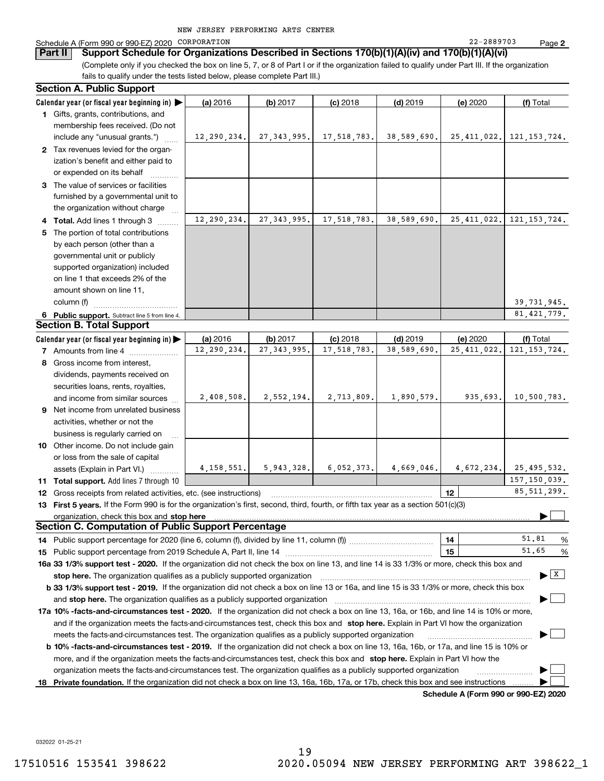### Schedule A (Form 990 or 990-EZ) 2020 CORPORATION 22-2889703 Page

**Part II Support Schedule for Organizations Described in Sections 170(b)(1)(A)(iv) and 170(b)(1)(A)(vi)**

(Complete only if you checked the box on line 5, 7, or 8 of Part I or if the organization failed to qualify under Part III. If the organization fails to qualify under the tests listed below, please complete Part III.)

| <b>Section A. Public Support</b>                                                                                                               |              |                               |             |             |               |                                          |
|------------------------------------------------------------------------------------------------------------------------------------------------|--------------|-------------------------------|-------------|-------------|---------------|------------------------------------------|
| Calendar year (or fiscal year beginning in)                                                                                                    | (a) 2016     | (b) 2017                      | $(c)$ 2018  | $(d)$ 2019  | (e) 2020      | (f) Total                                |
| 1 Gifts, grants, contributions, and                                                                                                            |              |                               |             |             |               |                                          |
| membership fees received. (Do not                                                                                                              |              |                               |             |             |               |                                          |
| include any "unusual grants.")                                                                                                                 |              | $12, 290, 234.$ 27, 343, 995. | 17,518,783. | 38,589,690. | 25,411,022.   | 121, 153, 724.                           |
| 2 Tax revenues levied for the organ-                                                                                                           |              |                               |             |             |               |                                          |
| ization's benefit and either paid to                                                                                                           |              |                               |             |             |               |                                          |
| or expended on its behalf                                                                                                                      |              |                               |             |             |               |                                          |
| 3 The value of services or facilities                                                                                                          |              |                               |             |             |               |                                          |
| furnished by a governmental unit to                                                                                                            |              |                               |             |             |               |                                          |
| the organization without charge                                                                                                                |              |                               |             |             |               |                                          |
| 4 Total. Add lines 1 through 3                                                                                                                 | 12,290,234.  | 27, 343, 995.                 | 17,518,783. | 38,589,690. | 25, 411, 022. | 121, 153, 724.                           |
| 5 The portion of total contributions                                                                                                           |              |                               |             |             |               |                                          |
| by each person (other than a                                                                                                                   |              |                               |             |             |               |                                          |
| governmental unit or publicly                                                                                                                  |              |                               |             |             |               |                                          |
| supported organization) included                                                                                                               |              |                               |             |             |               |                                          |
| on line 1 that exceeds 2% of the                                                                                                               |              |                               |             |             |               |                                          |
| amount shown on line 11,                                                                                                                       |              |                               |             |             |               |                                          |
| column (f)                                                                                                                                     |              |                               |             |             |               | 39, 731, 945.                            |
| 6 Public support. Subtract line 5 from line 4.                                                                                                 |              |                               |             |             |               | 81, 421, 779.                            |
| <b>Section B. Total Support</b>                                                                                                                |              |                               |             |             |               |                                          |
| Calendar year (or fiscal year beginning in) $\blacktriangleright$                                                                              | (a) 2016     | (b) 2017                      | $(c)$ 2018  | $(d)$ 2019  | (e) 2020      | (f) Total                                |
| <b>7</b> Amounts from line 4                                                                                                                   | 12,290,234.  | 27, 343, 995.                 | 17,518,783. | 38,589,690. | 25, 411, 022. | 121.153.724.                             |
| 8 Gross income from interest,                                                                                                                  |              |                               |             |             |               |                                          |
| dividends, payments received on                                                                                                                |              |                               |             |             |               |                                          |
| securities loans, rents, royalties,                                                                                                            |              |                               |             |             |               |                                          |
| and income from similar sources                                                                                                                | 2,408,508.   | 2,552,194.                    | 2,713,809.  | 1,890,579.  | 935,693.      | 10,500,783.                              |
| 9 Net income from unrelated business                                                                                                           |              |                               |             |             |               |                                          |
| activities, whether or not the                                                                                                                 |              |                               |             |             |               |                                          |
| business is regularly carried on                                                                                                               |              |                               |             |             |               |                                          |
| 10 Other income. Do not include gain                                                                                                           |              |                               |             |             |               |                                          |
| or loss from the sale of capital                                                                                                               |              |                               |             |             |               |                                          |
| assets (Explain in Part VI.)                                                                                                                   | 4, 158, 551. | 5,943,328.                    | 6,052,373.  | 4,669,046.  |               | $4,672,234.$ 25,495,532.                 |
|                                                                                                                                                |              |                               |             |             |               | 157, 150, 039.                           |
| 11 Total support. Add lines 7 through 10                                                                                                       |              |                               |             |             | 12            | 85, 511, 299.                            |
| 12 Gross receipts from related activities, etc. (see instructions)                                                                             |              |                               |             |             |               |                                          |
| 13 First 5 years. If the Form 990 is for the organization's first, second, third, fourth, or fifth tax year as a section 501(c)(3)             |              |                               |             |             |               |                                          |
| organization, check this box and stop here<br><b>Section C. Computation of Public Support Percentage</b>                                       |              |                               |             |             |               |                                          |
|                                                                                                                                                |              |                               |             |             |               | 51.81                                    |
|                                                                                                                                                |              |                               |             |             | 14            | %<br>51.65                               |
|                                                                                                                                                |              |                               |             |             | 15            | %                                        |
| 16a 33 1/3% support test - 2020. If the organization did not check the box on line 13, and line 14 is 33 1/3% or more, check this box and      |              |                               |             |             |               | $\blacktriangleright$ $\boxed{\text{X}}$ |
| stop here. The organization qualifies as a publicly supported organization                                                                     |              |                               |             |             |               |                                          |
| b 33 1/3% support test - 2019. If the organization did not check a box on line 13 or 16a, and line 15 is 33 1/3% or more, check this box       |              |                               |             |             |               |                                          |
| and stop here. The organization qualifies as a publicly supported organization                                                                 |              |                               |             |             |               |                                          |
| 17a 10% -facts-and-circumstances test - 2020. If the organization did not check a box on line 13, 16a, or 16b, and line 14 is 10% or more,     |              |                               |             |             |               |                                          |
| and if the organization meets the facts and circumstances test, check this box and stop here. Explain in Part VI how the organization          |              |                               |             |             |               |                                          |
| meets the facts-and-circumstances test. The organization qualifies as a publicly supported organization                                        |              |                               |             |             |               |                                          |
| <b>b 10% -facts-and-circumstances test - 2019.</b> If the organization did not check a box on line 13, 16a, 16b, or 17a, and line 15 is 10% or |              |                               |             |             |               |                                          |
| more, and if the organization meets the facts-and-circumstances test, check this box and stop here. Explain in Part VI how the                 |              |                               |             |             |               |                                          |
| organization meets the facts-and-circumstances test. The organization qualifies as a publicly supported organization                           |              |                               |             |             |               |                                          |
| 18 Private foundation. If the organization did not check a box on line 13, 16a, 16b, 17a, or 17b, check this box and see instructions          |              |                               |             |             |               |                                          |

**Schedule A (Form 990 or 990-EZ) 2020**

032022 01-25-21

**2**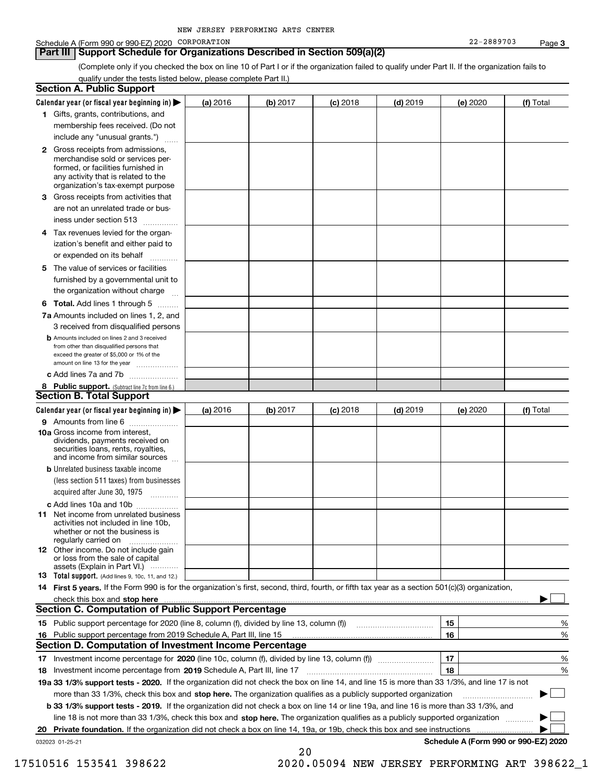### Schedule A (Form 990 or 990-EZ) 2020 CORPORATION 22-2889703 Page

### **Part III Support Schedule for Organizations Described in Section 509(a)(2)**

(Complete only if you checked the box on line 10 of Part I or if the organization failed to qualify under Part II. If the organization fails to qualify under the tests listed below, please complete Part II.)

|    | <b>Section A. Public Support</b>                                                                                                                                                                                               |          |          |            |            |          |                                      |
|----|--------------------------------------------------------------------------------------------------------------------------------------------------------------------------------------------------------------------------------|----------|----------|------------|------------|----------|--------------------------------------|
|    | Calendar year (or fiscal year beginning in) $\blacktriangleright$                                                                                                                                                              | (a) 2016 | (b) 2017 | $(c)$ 2018 | $(d)$ 2019 | (e) 2020 | (f) Total                            |
|    | 1 Gifts, grants, contributions, and                                                                                                                                                                                            |          |          |            |            |          |                                      |
|    | membership fees received. (Do not                                                                                                                                                                                              |          |          |            |            |          |                                      |
|    | include any "unusual grants.")                                                                                                                                                                                                 |          |          |            |            |          |                                      |
|    | <b>2</b> Gross receipts from admissions,<br>merchandise sold or services per-<br>formed, or facilities furnished in<br>any activity that is related to the<br>organization's tax-exempt purpose                                |          |          |            |            |          |                                      |
|    | 3 Gross receipts from activities that<br>are not an unrelated trade or bus-                                                                                                                                                    |          |          |            |            |          |                                      |
|    | iness under section 513                                                                                                                                                                                                        |          |          |            |            |          |                                      |
|    | 4 Tax revenues levied for the organ-<br>ization's benefit and either paid to                                                                                                                                                   |          |          |            |            |          |                                      |
|    | or expended on its behalf<br>.                                                                                                                                                                                                 |          |          |            |            |          |                                      |
|    | 5 The value of services or facilities<br>furnished by a governmental unit to<br>the organization without charge                                                                                                                |          |          |            |            |          |                                      |
|    |                                                                                                                                                                                                                                |          |          |            |            |          |                                      |
|    | <b>6 Total.</b> Add lines 1 through 5<br>7a Amounts included on lines 1, 2, and<br>3 received from disqualified persons                                                                                                        |          |          |            |            |          |                                      |
|    | <b>b</b> Amounts included on lines 2 and 3 received<br>from other than disqualified persons that<br>exceed the greater of \$5,000 or 1% of the<br>amount on line 13 for the year                                               |          |          |            |            |          |                                      |
|    | c Add lines 7a and 7b                                                                                                                                                                                                          |          |          |            |            |          |                                      |
|    | 8 Public support. (Subtract line 7c from line 6.)<br><b>Section B. Total Support</b>                                                                                                                                           |          |          |            |            |          |                                      |
|    |                                                                                                                                                                                                                                |          |          |            |            |          |                                      |
|    | Calendar year (or fiscal year beginning in)                                                                                                                                                                                    | (a) 2016 | (b) 2017 | $(c)$ 2018 | $(d)$ 2019 | (e) 2020 | (f) Total                            |
|    | 9 Amounts from line 6<br>10a Gross income from interest,<br>dividends, payments received on<br>securities loans, rents, royalties,<br>and income from similar sources                                                          |          |          |            |            |          |                                      |
|    | <b>b</b> Unrelated business taxable income<br>(less section 511 taxes) from businesses<br>acquired after June 30, 1975                                                                                                         |          |          |            |            |          |                                      |
|    | c Add lines 10a and 10b                                                                                                                                                                                                        |          |          |            |            |          |                                      |
|    | 11 Net income from unrelated business<br>activities not included in line 10b,<br>whether or not the business is<br>regularly carried on                                                                                        |          |          |            |            |          |                                      |
|    | <b>12</b> Other income. Do not include gain<br>or loss from the sale of capital<br>assets (Explain in Part VI.)                                                                                                                |          |          |            |            |          |                                      |
|    | <b>13</b> Total support. (Add lines 9, 10c, 11, and 12.)                                                                                                                                                                       |          |          |            |            |          |                                      |
|    | 14 First 5 years. If the Form 990 is for the organization's first, second, third, fourth, or fifth tax year as a section 501(c)(3) organization,                                                                               |          |          |            |            |          |                                      |
|    | check this box and stop here measurements and contain the state of the state of the state of the state of the state of the state of the state of the state of the state of the state of the state of the state of the state of |          |          |            |            |          |                                      |
|    | Section C. Computation of Public Support Percentage                                                                                                                                                                            |          |          |            |            |          |                                      |
|    |                                                                                                                                                                                                                                |          |          |            |            | 15       | %                                    |
|    | 16 Public support percentage from 2019 Schedule A, Part III, line 15                                                                                                                                                           |          |          |            |            | 16       | %                                    |
|    | <b>Section D. Computation of Investment Income Percentage</b>                                                                                                                                                                  |          |          |            |            |          |                                      |
|    | 17 Investment income percentage for 2020 (line 10c, column (f), divided by line 13, column (f))<br><b>18</b> Investment income percentage from <b>2019</b> Schedule A, Part III, line 17                                       |          |          |            |            | 17<br>18 | %<br>%                               |
|    | 19a 33 1/3% support tests - 2020. If the organization did not check the box on line 14, and line 15 is more than 33 1/3%, and line 17 is not                                                                                   |          |          |            |            |          |                                      |
|    | more than 33 1/3%, check this box and stop here. The organization qualifies as a publicly supported organization                                                                                                               |          |          |            |            |          | $\sim$ 1                             |
|    | <b>b 33 1/3% support tests - 2019.</b> If the organization did not check a box on line 14 or line 19a, and line 16 is more than 33 1/3%, and                                                                                   |          |          |            |            |          |                                      |
|    | line 18 is not more than 33 1/3%, check this box and stop here. The organization qualifies as a publicly supported organization                                                                                                |          |          |            |            |          |                                      |
| 20 | <b>Private foundation.</b> If the organization did not check a box on line 14, 19a, or 19b, check this box and see instructions                                                                                                |          |          |            |            |          |                                      |
|    | 032023 01-25-21                                                                                                                                                                                                                |          |          |            |            |          | Schedule A (Form 990 or 990-EZ) 2020 |
|    |                                                                                                                                                                                                                                |          | 20       |            |            |          |                                      |

 <sup>17510516 153541 398622 2020.05094</sup> NEW JERSEY PERFORMING ART 398622\_1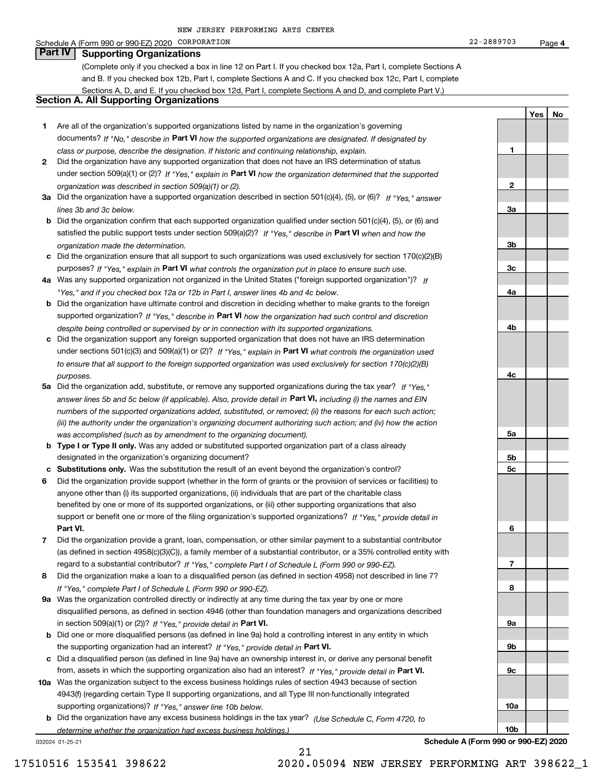#### Schedule A (Form 990 or 990-EZ) 2020 CORPORATION 22-2889703 Page

(Complete only if you checked a box in line 12 on Part I. If you checked box 12a, Part I, complete Sections A and B. If you checked box 12b, Part I, complete Sections A and C. If you checked box 12c, Part I, complete Sections A, D, and E. If you checked box 12d, Part I, complete Sections A and D, and complete Part V.)

### **Section A. All Supporting Organizations**

- **1** Are all of the organization's supported organizations listed by name in the organization's governing documents? If "No," describe in **Part VI** how the supported organizations are designated. If designated by *class or purpose, describe the designation. If historic and continuing relationship, explain.*
- **2** Did the organization have any supported organization that does not have an IRS determination of status under section 509(a)(1) or (2)? If "Yes," explain in Part VI how the organization determined that the supported *organization was described in section 509(a)(1) or (2).*
- **3a** Did the organization have a supported organization described in section 501(c)(4), (5), or (6)? If "Yes," answer *lines 3b and 3c below.*
- **b** Did the organization confirm that each supported organization qualified under section 501(c)(4), (5), or (6) and satisfied the public support tests under section 509(a)(2)? If "Yes," describe in **Part VI** when and how the *organization made the determination.*
- **c**Did the organization ensure that all support to such organizations was used exclusively for section 170(c)(2)(B) purposes? If "Yes," explain in **Part VI** what controls the organization put in place to ensure such use.
- **4a***If* Was any supported organization not organized in the United States ("foreign supported organization")? *"Yes," and if you checked box 12a or 12b in Part I, answer lines 4b and 4c below.*
- **b** Did the organization have ultimate control and discretion in deciding whether to make grants to the foreign supported organization? If "Yes," describe in **Part VI** how the organization had such control and discretion *despite being controlled or supervised by or in connection with its supported organizations.*
- **c** Did the organization support any foreign supported organization that does not have an IRS determination under sections 501(c)(3) and 509(a)(1) or (2)? If "Yes," explain in **Part VI** what controls the organization used *to ensure that all support to the foreign supported organization was used exclusively for section 170(c)(2)(B) purposes.*
- **5a** Did the organization add, substitute, or remove any supported organizations during the tax year? If "Yes," answer lines 5b and 5c below (if applicable). Also, provide detail in **Part VI,** including (i) the names and EIN *numbers of the supported organizations added, substituted, or removed; (ii) the reasons for each such action; (iii) the authority under the organization's organizing document authorizing such action; and (iv) how the action was accomplished (such as by amendment to the organizing document).*
- **b** Type I or Type II only. Was any added or substituted supported organization part of a class already designated in the organization's organizing document?
- **cSubstitutions only.**  Was the substitution the result of an event beyond the organization's control?
- **6** Did the organization provide support (whether in the form of grants or the provision of services or facilities) to **Part VI.** *If "Yes," provide detail in* support or benefit one or more of the filing organization's supported organizations? anyone other than (i) its supported organizations, (ii) individuals that are part of the charitable class benefited by one or more of its supported organizations, or (iii) other supporting organizations that also
- **7**Did the organization provide a grant, loan, compensation, or other similar payment to a substantial contributor *If "Yes," complete Part I of Schedule L (Form 990 or 990-EZ).* regard to a substantial contributor? (as defined in section 4958(c)(3)(C)), a family member of a substantial contributor, or a 35% controlled entity with
- **8** Did the organization make a loan to a disqualified person (as defined in section 4958) not described in line 7? *If "Yes," complete Part I of Schedule L (Form 990 or 990-EZ).*
- **9a** Was the organization controlled directly or indirectly at any time during the tax year by one or more in section 509(a)(1) or (2))? If "Yes," *provide detail in* <code>Part VI.</code> disqualified persons, as defined in section 4946 (other than foundation managers and organizations described
- **b**the supporting organization had an interest? If "Yes," provide detail in P**art VI**. Did one or more disqualified persons (as defined in line 9a) hold a controlling interest in any entity in which
- **c**Did a disqualified person (as defined in line 9a) have an ownership interest in, or derive any personal benefit from, assets in which the supporting organization also had an interest? If "Yes," provide detail in P**art VI.**
- **10a** Was the organization subject to the excess business holdings rules of section 4943 because of section supporting organizations)? If "Yes," answer line 10b below. 4943(f) (regarding certain Type II supporting organizations, and all Type III non-functionally integrated
- **b** Did the organization have any excess business holdings in the tax year? (Use Schedule C, Form 4720, to *determine whether the organization had excess business holdings.)*

21

032024 01-25-21

**5a 5b5c6789a 9b9c10a10b**

**4**

**YesNo**

**1**

22-2889703

**2**

**3a**

**3b**

**3c**

**4a**

**4b**

**4c**

**Schedule A (Form 990 or 990-EZ) 2020**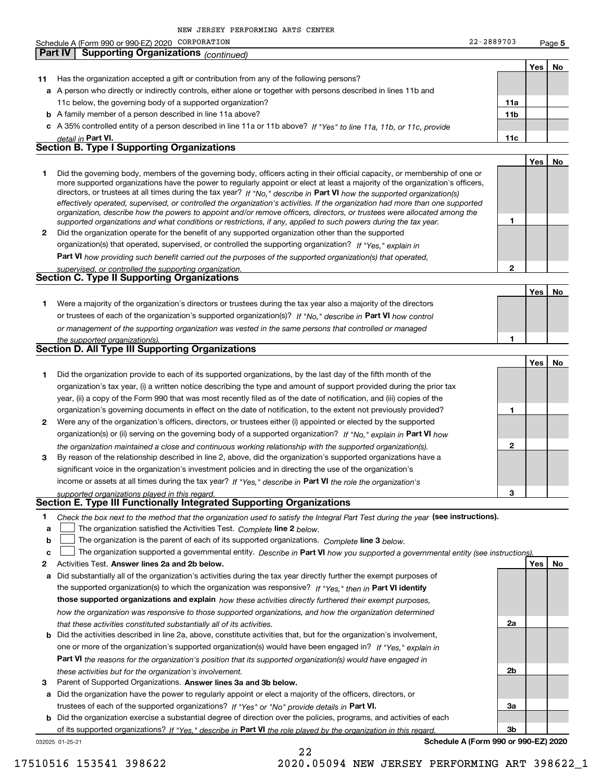|              | NEW JERSEY PERFORMING ARTS CENTER                                                                                                                                                                                                                           |                 |            |           |
|--------------|-------------------------------------------------------------------------------------------------------------------------------------------------------------------------------------------------------------------------------------------------------------|-----------------|------------|-----------|
|              | Schedule A (Form 990 or 990-EZ) 2020 CORPORATION                                                                                                                                                                                                            | 22-2889703      |            | Page 5    |
|              | <b>Part IV</b><br><b>Supporting Organizations (continued)</b>                                                                                                                                                                                               |                 |            |           |
|              |                                                                                                                                                                                                                                                             |                 | <b>Yes</b> | <b>No</b> |
| 11           | Has the organization accepted a gift or contribution from any of the following persons?                                                                                                                                                                     |                 |            |           |
|              | a A person who directly or indirectly controls, either alone or together with persons described in lines 11b and                                                                                                                                            |                 |            |           |
|              | 11c below, the governing body of a supported organization?                                                                                                                                                                                                  | 11a             |            |           |
|              | <b>b</b> A family member of a person described in line 11a above?                                                                                                                                                                                           | 11 <sub>b</sub> |            |           |
|              | c A 35% controlled entity of a person described in line 11a or 11b above? If "Yes" to line 11a, 11b, or 11c, provide                                                                                                                                        |                 |            |           |
|              | detail in Part VI.                                                                                                                                                                                                                                          | 11c             |            |           |
|              | <b>Section B. Type I Supporting Organizations</b>                                                                                                                                                                                                           |                 |            |           |
|              |                                                                                                                                                                                                                                                             |                 | Yes        | No        |
| 1            | Did the governing body, members of the governing body, officers acting in their official capacity, or membership of one or<br>more supported organizations have the power to regularly appoint or elect at least a majority of the organization's officers, |                 |            |           |
|              | directors, or trustees at all times during the tax year? If "No." describe in Part VI how the supported organization(s)                                                                                                                                     |                 |            |           |
|              | effectively operated, supervised, or controlled the organization's activities. If the organization had more than one supported                                                                                                                              |                 |            |           |
|              | organization, describe how the powers to appoint and/or remove officers, directors, or trustees were allocated among the                                                                                                                                    | 1               |            |           |
| $\mathbf{2}$ | supported organizations and what conditions or restrictions, if any, applied to such powers during the tax year.<br>Did the organization operate for the benefit of any supported organization other than the supported                                     |                 |            |           |
|              | organization(s) that operated, supervised, or controlled the supporting organization? If "Yes," explain in                                                                                                                                                  |                 |            |           |
|              |                                                                                                                                                                                                                                                             |                 |            |           |
|              | Part VI how providing such benefit carried out the purposes of the supported organization(s) that operated,                                                                                                                                                 | $\mathbf{2}$    |            |           |
|              | supervised, or controlled the supporting organization.<br><b>Section C. Type II Supporting Organizations</b>                                                                                                                                                |                 |            |           |
|              |                                                                                                                                                                                                                                                             |                 | Yes        | No        |
| 1            | Were a majority of the organization's directors or trustees during the tax year also a majority of the directors                                                                                                                                            |                 |            |           |
|              | or trustees of each of the organization's supported organization(s)? If "No." describe in Part VI how control                                                                                                                                               |                 |            |           |
|              | or management of the supporting organization was vested in the same persons that controlled or managed                                                                                                                                                      |                 |            |           |
|              | the supported organization(s).                                                                                                                                                                                                                              | 1.              |            |           |
|              | Section D. All Type III Supporting Organizations                                                                                                                                                                                                            |                 |            |           |
|              |                                                                                                                                                                                                                                                             |                 | Yes        | No        |
| 1            | Did the organization provide to each of its supported organizations, by the last day of the fifth month of the                                                                                                                                              |                 |            |           |
|              | organization's tax year, (i) a written notice describing the type and amount of support provided during the prior tax                                                                                                                                       |                 |            |           |
|              | year, (ii) a copy of the Form 990 that was most recently filed as of the date of notification, and (iii) copies of the                                                                                                                                      |                 |            |           |
|              | organization's governing documents in effect on the date of notification, to the extent not previously provided?                                                                                                                                            | 1               |            |           |
|              |                                                                                                                                                                                                                                                             |                 |            |           |

- **2** Were any of the organization's officers, directors, or trustees either (i) appointed or elected by the supported organization(s) or (ii) serving on the governing body of a supported organization? If "No," explain in **Part VI** how *the organization maintained a close and continuous working relationship with the supported organization(s).*
- **3**income or assets at all times during the tax year? If "Yes," describe in **Part VI** the role the organization's By reason of the relationship described in line 2, above, did the organization's supported organizations have a significant voice in the organization's investment policies and in directing the use of the organization's

*supported organizations played in this regard.* **Section E. Type III Functionally Integrated Supporting Organizations**

- **1**Check the box next to the method that the organization used to satisfy the Integral Part Test during the year (see instructions).
- **a**
	- **linupy** The organization satisfied the Activities Test. Complete line 2 below.
- **b**The organization is the parent of each of its supported organizations. *Complete* line 3 *below.*  $\mathcal{L}^{\text{max}}$

|  |  | The organization supported a governmental entity. Describe in Part VI how you supported a governmental entity (see instructions). |
|--|--|-----------------------------------------------------------------------------------------------------------------------------------|
|--|--|-----------------------------------------------------------------------------------------------------------------------------------|

22

- **2Answer lines 2a and 2b below. Yes No** Activities Test. **a** Did substantially all of the organization's activities during the tax year directly further the exempt purposes of **b** Did the activities described in line 2a, above, constitute activities that, but for the organization's involvement, the supported organization(s) to which the organization was responsive? If "Yes," then in **Part VI identify those supported organizations and explain**  *how these activities directly furthered their exempt purposes,* **Part VI**  *the reasons for the organization's position that its supported organization(s) would have engaged in how the organization was responsive to those supported organizations, and how the organization determined that these activities constituted substantially all of its activities.* one or more of the organization's supported organization(s) would have been engaged in? If "Yes," e*xplain in* 
	- *these activities but for the organization's involvement.*
- **3** Parent of Supported Organizations. Answer lines 3a and 3b below.

**a** Did the organization have the power to regularly appoint or elect a majority of the officers, directors, or trustees of each of the supported organizations? If "Yes" or "No" provide details in **Part VI.** 

**b** Did the organization exercise a substantial degree of direction over the policies, programs, and activities of each of its supported organizations? If "Yes," describe in Part VI the role played by the organization in this regard.

032025 01-25-21

**Schedule A (Form 990 or 990-EZ) 2020**

**2**

**3**

**2a**

**2b**

**3a**

**3b**

17510516 153541 398622 2020.05094 NEW JERSEY PERFORMING ART 398622\_1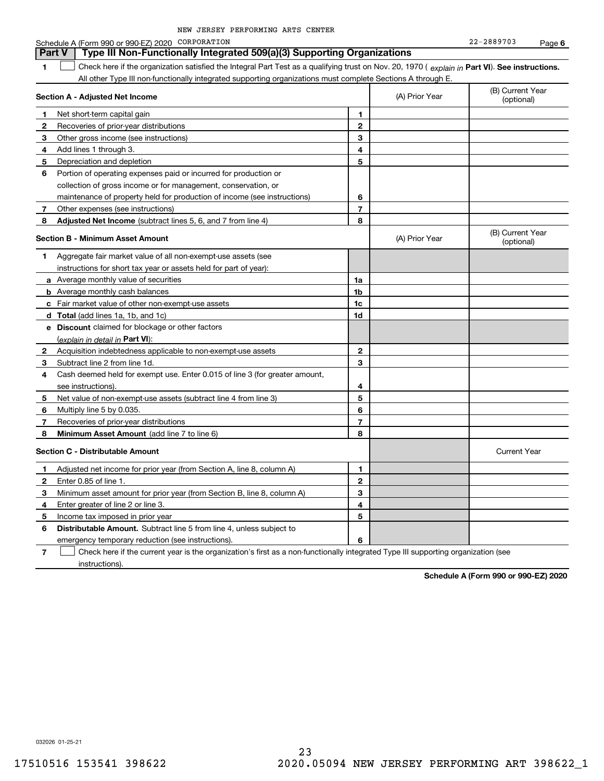|              | Schedule A (Form 990 or 990-EZ) 2020 CORPORATION                                                                                               |                |                | 22-2889703<br>Page 6           |  |
|--------------|------------------------------------------------------------------------------------------------------------------------------------------------|----------------|----------------|--------------------------------|--|
|              | <b>Part V</b><br>Type III Non-Functionally Integrated 509(a)(3) Supporting Organizations                                                       |                |                |                                |  |
| 1            | Check here if the organization satisfied the Integral Part Test as a qualifying trust on Nov. 20, 1970 (explain in Part VI). See instructions. |                |                |                                |  |
|              | All other Type III non-functionally integrated supporting organizations must complete Sections A through E.                                    |                |                |                                |  |
|              | Section A - Adjusted Net Income                                                                                                                |                | (A) Prior Year | (B) Current Year<br>(optional) |  |
| 1            | Net short-term capital gain                                                                                                                    | 1              |                |                                |  |
| $\mathbf{2}$ | Recoveries of prior-year distributions                                                                                                         | $\overline{2}$ |                |                                |  |
| 3            | Other gross income (see instructions)                                                                                                          | 3              |                |                                |  |
| 4            | Add lines 1 through 3.                                                                                                                         | 4              |                |                                |  |
| 5            | Depreciation and depletion                                                                                                                     | 5              |                |                                |  |
| 6            | Portion of operating expenses paid or incurred for production or                                                                               |                |                |                                |  |
|              | collection of gross income or for management, conservation, or                                                                                 |                |                |                                |  |
|              | maintenance of property held for production of income (see instructions)                                                                       | 6              |                |                                |  |
| 7            | Other expenses (see instructions)                                                                                                              | $\overline{7}$ |                |                                |  |
| 8            | <b>Adjusted Net Income</b> (subtract lines 5, 6, and 7 from line 4)                                                                            | 8              |                |                                |  |
|              | <b>Section B - Minimum Asset Amount</b>                                                                                                        |                | (A) Prior Year | (B) Current Year<br>(optional) |  |
| 1.           | Aggregate fair market value of all non-exempt-use assets (see                                                                                  |                |                |                                |  |
|              | instructions for short tax year or assets held for part of year):                                                                              |                |                |                                |  |
|              | <b>a</b> Average monthly value of securities                                                                                                   | 1a             |                |                                |  |
|              | <b>b</b> Average monthly cash balances                                                                                                         | 1b             |                |                                |  |
|              | <b>c</b> Fair market value of other non-exempt-use assets                                                                                      | 1c             |                |                                |  |
|              | d Total (add lines 1a, 1b, and 1c)                                                                                                             | 1d             |                |                                |  |
|              | <b>e</b> Discount claimed for blockage or other factors                                                                                        |                |                |                                |  |
|              | (explain in detail in Part VI):                                                                                                                |                |                |                                |  |
| 2            | Acquisition indebtedness applicable to non-exempt-use assets                                                                                   | $\mathbf{2}$   |                |                                |  |
| 3            | Subtract line 2 from line 1d.                                                                                                                  | 3              |                |                                |  |
| 4            | Cash deemed held for exempt use. Enter 0.015 of line 3 (for greater amount,                                                                    |                |                |                                |  |
|              | see instructions).                                                                                                                             | 4              |                |                                |  |
| 5            | Net value of non-exempt-use assets (subtract line 4 from line 3)                                                                               | 5              |                |                                |  |
| 6            | Multiply line 5 by 0.035.                                                                                                                      | 6              |                |                                |  |
| 7            | Recoveries of prior-year distributions                                                                                                         | $\overline{7}$ |                |                                |  |
| 8            | Minimum Asset Amount (add line 7 to line 6)                                                                                                    | 8              |                |                                |  |
|              | <b>Section C - Distributable Amount</b>                                                                                                        |                |                | <b>Current Year</b>            |  |
| 1            | Adjusted net income for prior year (from Section A, line 8, column A)                                                                          | 1              |                |                                |  |
| $\mathbf{2}$ | Enter 0.85 of line 1.                                                                                                                          | $\overline{2}$ |                |                                |  |
| 3            | Minimum asset amount for prior year (from Section B, line 8, column A)                                                                         | 3              |                |                                |  |
| 4            | Enter greater of line 2 or line 3.                                                                                                             | 4              |                |                                |  |
| 5            | Income tax imposed in prior year                                                                                                               | 5              |                |                                |  |
| 6            | <b>Distributable Amount.</b> Subtract line 5 from line 4, unless subject to                                                                    |                |                |                                |  |
|              | emergency temporary reduction (see instructions).                                                                                              | 6              |                |                                |  |

**7**Check here if the current year is the organization's first as a non-functionally integrated Type III supporting organization (see instructions).

**Schedule A (Form 990 or 990-EZ) 2020**

032026 01-25-21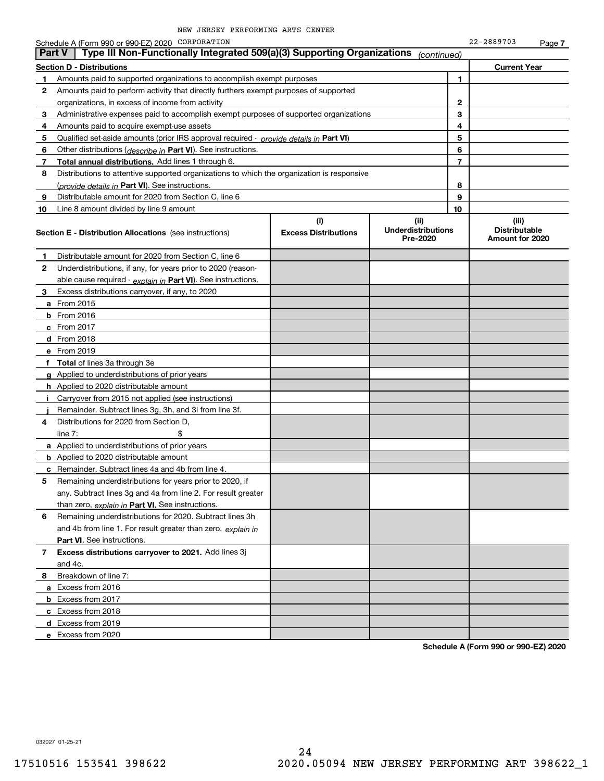|    | Schedule A (Form 990 or 990-EZ) 2020 CORPORATION                                                                                                      |  |             |              | 22-2889703                                       | Page 7 |
|----|-------------------------------------------------------------------------------------------------------------------------------------------------------|--|-------------|--------------|--------------------------------------------------|--------|
|    | Type III Non-Functionally Integrated 509(a)(3) Supporting Organizations<br><b>Part V</b>                                                              |  | (continued) |              |                                                  |        |
|    | <b>Section D - Distributions</b>                                                                                                                      |  |             |              | <b>Current Year</b>                              |        |
|    | Amounts paid to supported organizations to accomplish exempt purposes                                                                                 |  |             | 1            |                                                  |        |
| 2  | Amounts paid to perform activity that directly furthers exempt purposes of supported                                                                  |  |             |              |                                                  |        |
|    | organizations, in excess of income from activity                                                                                                      |  |             | $\mathbf{2}$ |                                                  |        |
| 3  | Administrative expenses paid to accomplish exempt purposes of supported organizations                                                                 |  |             | 3            |                                                  |        |
| 4  | Amounts paid to acquire exempt-use assets                                                                                                             |  |             | 4            |                                                  |        |
| 5  | Qualified set-aside amounts (prior IRS approval required - provide details in Part VI)                                                                |  |             | 5            |                                                  |        |
| 6  | Other distributions ( <i>describe in</i> Part VI). See instructions.                                                                                  |  |             | 6            |                                                  |        |
| 7  | <b>Total annual distributions.</b> Add lines 1 through 6.                                                                                             |  |             | 7            |                                                  |        |
| 8  | Distributions to attentive supported organizations to which the organization is responsive                                                            |  |             |              |                                                  |        |
|    | (provide details in Part VI). See instructions.                                                                                                       |  |             | 8            |                                                  |        |
| 9  | Distributable amount for 2020 from Section C, line 6                                                                                                  |  |             | 9            |                                                  |        |
| 10 | Line 8 amount divided by line 9 amount                                                                                                                |  |             | 10           |                                                  |        |
|    | (i)<br>(ii)<br><b>Underdistributions</b><br><b>Excess Distributions</b><br><b>Section E - Distribution Allocations</b> (see instructions)<br>Pre-2020 |  |             |              | (iii)<br><b>Distributable</b><br>Amount for 2020 |        |
| 1  | Distributable amount for 2020 from Section C, line 6                                                                                                  |  |             |              |                                                  |        |
| 2  | Underdistributions, if any, for years prior to 2020 (reason-                                                                                          |  |             |              |                                                  |        |
|    | able cause required - explain in Part VI). See instructions.                                                                                          |  |             |              |                                                  |        |
| 3  | Excess distributions carryover, if any, to 2020                                                                                                       |  |             |              |                                                  |        |
|    | a From 2015                                                                                                                                           |  |             |              |                                                  |        |
|    | <b>b</b> From 2016                                                                                                                                    |  |             |              |                                                  |        |
|    | c From 2017                                                                                                                                           |  |             |              |                                                  |        |
|    | d From 2018                                                                                                                                           |  |             |              |                                                  |        |
|    | e From 2019                                                                                                                                           |  |             |              |                                                  |        |
|    | <b>Total</b> of lines 3a through 3e                                                                                                                   |  |             |              |                                                  |        |
|    | g Applied to underdistributions of prior years                                                                                                        |  |             |              |                                                  |        |
|    | <b>h</b> Applied to 2020 distributable amount                                                                                                         |  |             |              |                                                  |        |
| ÷. | Carryover from 2015 not applied (see instructions)                                                                                                    |  |             |              |                                                  |        |
|    | Remainder. Subtract lines 3g, 3h, and 3i from line 3f.                                                                                                |  |             |              |                                                  |        |
| 4  | Distributions for 2020 from Section D,                                                                                                                |  |             |              |                                                  |        |
|    | line $7:$                                                                                                                                             |  |             |              |                                                  |        |
|    | a Applied to underdistributions of prior years                                                                                                        |  |             |              |                                                  |        |
|    | <b>b</b> Applied to 2020 distributable amount                                                                                                         |  |             |              |                                                  |        |
|    | <b>c</b> Remainder. Subtract lines 4a and 4b from line 4.                                                                                             |  |             |              |                                                  |        |
| 5  | Remaining underdistributions for years prior to 2020, if                                                                                              |  |             |              |                                                  |        |
|    | any. Subtract lines 3g and 4a from line 2. For result greater                                                                                         |  |             |              |                                                  |        |
|    | than zero, explain in Part VI. See instructions.                                                                                                      |  |             |              |                                                  |        |
| 6  | Remaining underdistributions for 2020. Subtract lines 3h                                                                                              |  |             |              |                                                  |        |
|    | and 4b from line 1. For result greater than zero, explain in                                                                                          |  |             |              |                                                  |        |
|    | Part VI. See instructions.                                                                                                                            |  |             |              |                                                  |        |
| 7  | Excess distributions carryover to 2021. Add lines 3j                                                                                                  |  |             |              |                                                  |        |
|    | and 4c.                                                                                                                                               |  |             |              |                                                  |        |
| 8  | Breakdown of line 7:                                                                                                                                  |  |             |              |                                                  |        |
|    | a Excess from 2016                                                                                                                                    |  |             |              |                                                  |        |
|    | <b>b</b> Excess from 2017                                                                                                                             |  |             |              |                                                  |        |
|    | c Excess from 2018                                                                                                                                    |  |             |              |                                                  |        |
|    | d Excess from 2019                                                                                                                                    |  |             |              |                                                  |        |
|    | e Excess from 2020                                                                                                                                    |  |             |              |                                                  |        |

**Schedule A (Form 990 or 990-EZ) 2020**

032027 01-25-21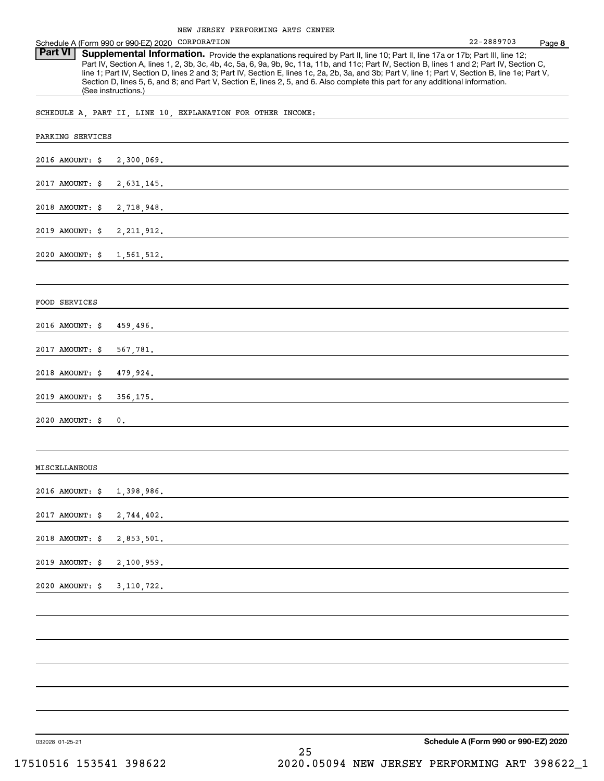| Schedule A (Form 990 or 990-EZ) 2020 CORPORATION                                                                                                                                                                                                                                                                                                                                                                                                                                                                                                                                | 22-2889703 | Page 8 |
|---------------------------------------------------------------------------------------------------------------------------------------------------------------------------------------------------------------------------------------------------------------------------------------------------------------------------------------------------------------------------------------------------------------------------------------------------------------------------------------------------------------------------------------------------------------------------------|------------|--------|
| Part VI<br>Supplemental Information. Provide the explanations required by Part II, line 10; Part II, line 17a or 17b; Part III, line 12;<br>Part IV, Section A, lines 1, 2, 3b, 3c, 4b, 4c, 5a, 6, 9a, 9b, 9c, 11a, 11b, and 11c; Part IV, Section B, lines 1 and 2; Part IV, Section C,<br>line 1; Part IV, Section D, lines 2 and 3; Part IV, Section E, lines 1c, 2a, 2b, 3a, and 3b; Part V, line 1; Part V, Section B, line 1e; Part V,<br>Section D, lines 5, 6, and 8; and Part V, Section E, lines 2, 5, and 6. Also complete this part for any additional information. |            |        |
| (See instructions.)                                                                                                                                                                                                                                                                                                                                                                                                                                                                                                                                                             |            |        |
| SCHEDULE A, PART II, LINE 10, EXPLANATION FOR OTHER INCOME:                                                                                                                                                                                                                                                                                                                                                                                                                                                                                                                     |            |        |
| PARKING SERVICES                                                                                                                                                                                                                                                                                                                                                                                                                                                                                                                                                                |            |        |
| 2016 AMOUNT: \$<br>2,300,069.                                                                                                                                                                                                                                                                                                                                                                                                                                                                                                                                                   |            |        |
| 2017 AMOUNT: \$<br>2,631,145.                                                                                                                                                                                                                                                                                                                                                                                                                                                                                                                                                   |            |        |
| 2018 AMOUNT: \$<br>2,718,948.                                                                                                                                                                                                                                                                                                                                                                                                                                                                                                                                                   |            |        |
| 2019 AMOUNT: \$                                                                                                                                                                                                                                                                                                                                                                                                                                                                                                                                                                 |            |        |
| $2020$ AMOUNT: $\sharp$<br>1,561,512.                                                                                                                                                                                                                                                                                                                                                                                                                                                                                                                                           |            |        |
|                                                                                                                                                                                                                                                                                                                                                                                                                                                                                                                                                                                 |            |        |
| FOOD SERVICES                                                                                                                                                                                                                                                                                                                                                                                                                                                                                                                                                                   |            |        |
| 459,496.<br>2016 AMOUNT: \$                                                                                                                                                                                                                                                                                                                                                                                                                                                                                                                                                     |            |        |
| 2017 AMOUNT: \$<br>567,781.                                                                                                                                                                                                                                                                                                                                                                                                                                                                                                                                                     |            |        |
| 2018 AMOUNT: \$                                                                                                                                                                                                                                                                                                                                                                                                                                                                                                                                                                 |            |        |
| 2019 AMOUNT: \$<br>356, 175.                                                                                                                                                                                                                                                                                                                                                                                                                                                                                                                                                    |            |        |
| $2020$ AMOUNT: $\sharp$<br>0.                                                                                                                                                                                                                                                                                                                                                                                                                                                                                                                                                   |            |        |
|                                                                                                                                                                                                                                                                                                                                                                                                                                                                                                                                                                                 |            |        |
| MISCELLANEOUS                                                                                                                                                                                                                                                                                                                                                                                                                                                                                                                                                                   |            |        |
| 2016 AMOUNT: \$<br>1,398,986.                                                                                                                                                                                                                                                                                                                                                                                                                                                                                                                                                   |            |        |
| 2017 AMOUNT: \$<br>2,744,402.                                                                                                                                                                                                                                                                                                                                                                                                                                                                                                                                                   |            |        |
| 2018 AMOUNT: \$<br>2,853,501.                                                                                                                                                                                                                                                                                                                                                                                                                                                                                                                                                   |            |        |
| 2019 AMOUNT: \$<br>2,100,959.                                                                                                                                                                                                                                                                                                                                                                                                                                                                                                                                                   |            |        |
| 2020 AMOUNT: \$<br>3, 110, 722.                                                                                                                                                                                                                                                                                                                                                                                                                                                                                                                                                 |            |        |
|                                                                                                                                                                                                                                                                                                                                                                                                                                                                                                                                                                                 |            |        |
|                                                                                                                                                                                                                                                                                                                                                                                                                                                                                                                                                                                 |            |        |
|                                                                                                                                                                                                                                                                                                                                                                                                                                                                                                                                                                                 |            |        |
|                                                                                                                                                                                                                                                                                                                                                                                                                                                                                                                                                                                 |            |        |
|                                                                                                                                                                                                                                                                                                                                                                                                                                                                                                                                                                                 |            |        |

032028 01-25-21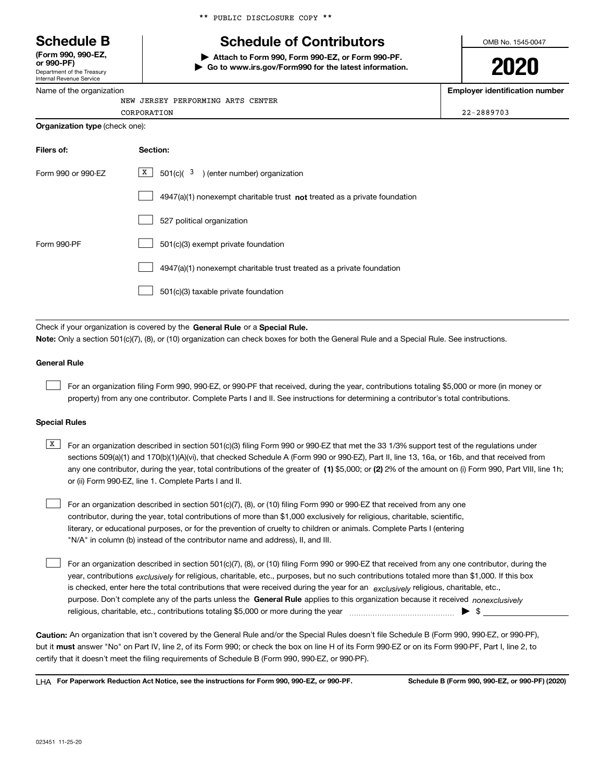Department of the Treasury **(Form 990, 990-EZ, or 990-PF)**

Internal Revenue Service Name of the organization \*\* PUBLIC DISCLOSURE COPY \*\*

# **Schedule B Schedule of Contributors**

**| Attach to Form 990, Form 990-EZ, or Form 990-PF. | Go to www.irs.gov/Form990 for the latest information.** OMB No. 1545-0047

**2020**

**Employer identification number**

| JERSEY PERFORMING ARTS CENTER<br>NEW |            |
|--------------------------------------|------------|
| CORPORATION                          | 22-2889703 |
| Organization type (check one):       |            |

| Filers of:         | Section:                                                                    |
|--------------------|-----------------------------------------------------------------------------|
| Form 990 or 990-EZ | X<br>$501(c)$ $3$ ) (enter number) organization                             |
|                    | $4947(a)(1)$ nonexempt charitable trust not treated as a private foundation |
|                    | 527 political organization                                                  |
| Form 990-PF        | 501(c)(3) exempt private foundation                                         |
|                    | 4947(a)(1) nonexempt charitable trust treated as a private foundation       |
|                    | 501(c)(3) taxable private foundation                                        |

Check if your organization is covered by the **General Rule** or a **Special Rule. Note:**  Only a section 501(c)(7), (8), or (10) organization can check boxes for both the General Rule and a Special Rule. See instructions.

### **General Rule**

 $\mathcal{L}^{\text{max}}$ 

For an organization filing Form 990, 990-EZ, or 990-PF that received, during the year, contributions totaling \$5,000 or more (in money or property) from any one contributor. Complete Parts I and II. See instructions for determining a contributor's total contributions.

### **Special Rules**

| X   For an organization described in section 501(c)(3) filing Form 990 or 990-EZ that met the 33 1/3% support test of the regulations under           |
|-------------------------------------------------------------------------------------------------------------------------------------------------------|
| sections 509(a)(1) and 170(b)(1)(A)(vi), that checked Schedule A (Form 990 or 990-EZ), Part II, line 13, 16a, or 16b, and that received from          |
| any one contributor, during the year, total contributions of the greater of (1) \$5,000; or (2) 2% of the amount on (i) Form 990, Part VIII, line 1h; |
| or (ii) Form 990-EZ, line 1. Complete Parts I and II.                                                                                                 |

For an organization described in section 501(c)(7), (8), or (10) filing Form 990 or 990-EZ that received from any one contributor, during the year, total contributions of more than \$1,000 exclusively for religious, charitable, scientific, literary, or educational purposes, or for the prevention of cruelty to children or animals. Complete Parts I (entering "N/A" in column (b) instead of the contributor name and address), II, and III.  $\mathcal{L}^{\text{max}}$ 

purpose. Don't complete any of the parts unless the **General Rule** applies to this organization because it received *nonexclusively* year, contributions <sub>exclusively</sub> for religious, charitable, etc., purposes, but no such contributions totaled more than \$1,000. If this box is checked, enter here the total contributions that were received during the year for an  $\;$ exclusively religious, charitable, etc., For an organization described in section 501(c)(7), (8), or (10) filing Form 990 or 990-EZ that received from any one contributor, during the religious, charitable, etc., contributions totaling \$5,000 or more during the year  $\Box$ — $\Box$   $\Box$  $\mathcal{L}^{\text{max}}$ 

**Caution:**  An organization that isn't covered by the General Rule and/or the Special Rules doesn't file Schedule B (Form 990, 990-EZ, or 990-PF),  **must** but it answer "No" on Part IV, line 2, of its Form 990; or check the box on line H of its Form 990-EZ or on its Form 990-PF, Part I, line 2, to certify that it doesn't meet the filing requirements of Schedule B (Form 990, 990-EZ, or 990-PF).

**For Paperwork Reduction Act Notice, see the instructions for Form 990, 990-EZ, or 990-PF. Schedule B (Form 990, 990-EZ, or 990-PF) (2020)** LHA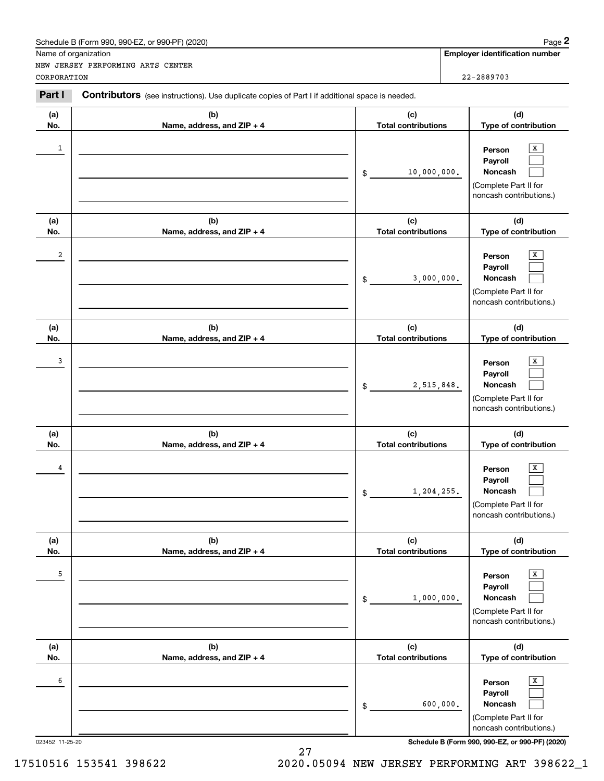|                 | Schedule B (Form 990, 990-EZ, or 990-PF) (2020)                                                |                                   | Page 2                                                                                                   |
|-----------------|------------------------------------------------------------------------------------------------|-----------------------------------|----------------------------------------------------------------------------------------------------------|
|                 | Name of organization<br>NEW JERSEY PERFORMING ARTS CENTER                                      |                                   | <b>Employer identification number</b>                                                                    |
| CORPORATION     |                                                                                                |                                   | 22-2889703                                                                                               |
| Part I          | Contributors (see instructions). Use duplicate copies of Part I if additional space is needed. |                                   |                                                                                                          |
| (a)<br>No.      | (b)<br>Name, address, and ZIP + 4                                                              | (c)<br><b>Total contributions</b> | (d)<br>Type of contribution                                                                              |
| 1               |                                                                                                | 10,000,000.<br>\$                 | х<br>Person<br>Payroll<br>Noncash<br>(Complete Part II for<br>noncash contributions.)                    |
| (a)<br>No.      | (b)<br>Name, address, and ZIP + 4                                                              | (c)<br><b>Total contributions</b> | (d)<br>Type of contribution                                                                              |
| 2               |                                                                                                | 3,000,000.<br>\$                  | x<br>Person<br>Payroll<br>Noncash<br>(Complete Part II for<br>noncash contributions.)                    |
| (a)             | (b)                                                                                            | (c)                               | (d)                                                                                                      |
| No.             | Name, address, and ZIP + 4                                                                     | <b>Total contributions</b>        | Type of contribution                                                                                     |
| 3               |                                                                                                | 2,515,848.<br>\$                  | х<br>Person<br>Payroll<br>Noncash<br>(Complete Part II for<br>noncash contributions.)                    |
| (a)<br>No.      | (b)<br>Name, address, and ZIP + 4                                                              | (c)<br><b>Total contributions</b> | (d)<br>Type of contribution                                                                              |
| 4               |                                                                                                | 1,204,255.<br>\$                  | X<br>Person<br>Payroll<br><b>Noncash</b><br>(Complete Part II for<br>noncash contributions.)             |
| (a)<br>No.      | (b)<br>Name, address, and ZIP + 4                                                              | (c)<br><b>Total contributions</b> | (d)<br>Type of contribution                                                                              |
| 5               |                                                                                                | 1,000,000.<br>\$                  | x<br>Person<br>Payroll<br><b>Noncash</b><br>(Complete Part II for<br>noncash contributions.)             |
| (a)<br>No.      | (b)<br>Name, address, and ZIP + 4                                                              | (c)<br><b>Total contributions</b> | (d)<br>Type of contribution                                                                              |
| 6               |                                                                                                | \$                                | x<br>Person<br>Payroll<br><b>Noncash</b><br>600,000.<br>(Complete Part II for<br>noncash contributions.) |
| 023452 11-25-20 |                                                                                                |                                   | Schedule B (Form 990, 990-EZ, or 990-PF) (2020)                                                          |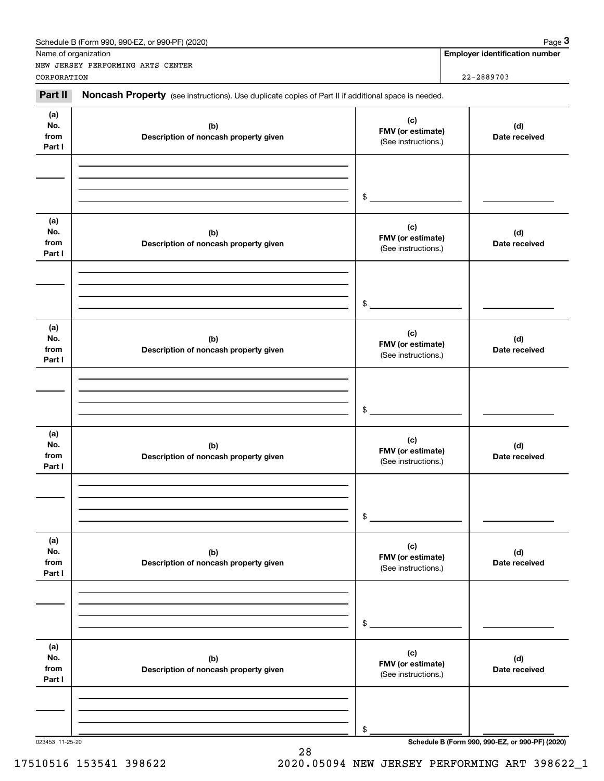|                              | Name of organization<br>NEW JERSEY PERFORMING ARTS CENTER                                           |                                                 | <b>Employer identification number</b> |
|------------------------------|-----------------------------------------------------------------------------------------------------|-------------------------------------------------|---------------------------------------|
| CORPORATION                  |                                                                                                     |                                                 | 22-2889703                            |
| Part II                      | Noncash Property (see instructions). Use duplicate copies of Part II if additional space is needed. |                                                 |                                       |
| (a)<br>No.<br>from<br>Part I | (b)<br>Description of noncash property given                                                        | (c)<br>FMV (or estimate)<br>(See instructions.) | (d)<br>Date received                  |
|                              |                                                                                                     | $\$$                                            |                                       |
| (a)<br>No.<br>from<br>Part I | (b)<br>Description of noncash property given                                                        | (c)<br>FMV (or estimate)<br>(See instructions.) | (d)<br>Date received                  |
|                              |                                                                                                     | \$                                              |                                       |
| (a)<br>No.<br>from<br>Part I | (b)<br>Description of noncash property given                                                        | (c)<br>FMV (or estimate)<br>(See instructions.) | (d)<br>Date received                  |
|                              |                                                                                                     | \$                                              |                                       |
| (a)<br>No.<br>from<br>Part I | (b)<br>Description of noncash property given                                                        | (c)<br>FMV (or estimate)<br>(See instructions.) | (d)<br>Date received                  |
|                              |                                                                                                     | $$\mathbb{S}$$                                  |                                       |
| (a)<br>No.<br>from<br>Part I | (b)<br>Description of noncash property given                                                        | (c)<br>FMV (or estimate)<br>(See instructions.) | (d)<br>Date received                  |
|                              |                                                                                                     | \$                                              |                                       |
| (a)<br>No.<br>from<br>Part I | (b)<br>Description of noncash property given                                                        | (c)<br>FMV (or estimate)<br>(See instructions.) | (d)<br>Date received                  |
|                              |                                                                                                     |                                                 |                                       |
|                              |                                                                                                     | \$                                              |                                       |

28

023453 11-25-20 **Schedule B (Form 990, 990-EZ, or 990-PF) (2020)**

## 17510516 153541 398622 2020.05094 NEW JERSEY PERFORMING ART 398622\_1

Schedule B (Form 990, 990-EZ, or 990-PF) (2020) Page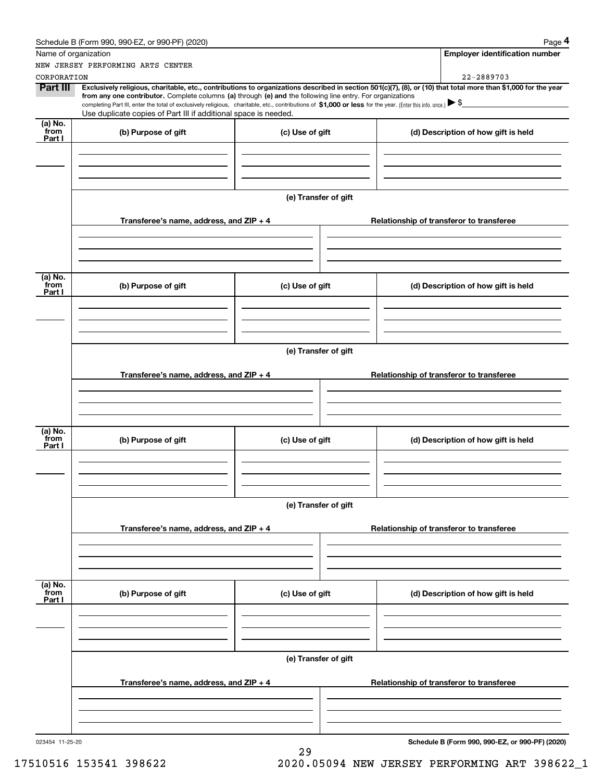|                           | Schedule B (Form 990, 990-EZ, or 990-PF) (2020)                                                                                                                                   |                      |                                          | Page 4                                                                                                                                                         |  |
|---------------------------|-----------------------------------------------------------------------------------------------------------------------------------------------------------------------------------|----------------------|------------------------------------------|----------------------------------------------------------------------------------------------------------------------------------------------------------------|--|
| Name of organization      |                                                                                                                                                                                   |                      |                                          | <b>Employer identification number</b>                                                                                                                          |  |
|                           | NEW JERSEY PERFORMING ARTS CENTER                                                                                                                                                 |                      |                                          |                                                                                                                                                                |  |
| CORPORATION               |                                                                                                                                                                                   |                      |                                          | 22-2889703                                                                                                                                                     |  |
| <b>Part III</b>           | from any one contributor. Complete columns (a) through (e) and the following line entry. For organizations                                                                        |                      |                                          | Exclusively religious, charitable, etc., contributions to organizations described in section 501(c)(7), (8), or (10) that total more than \$1,000 for the year |  |
|                           | completing Part III, enter the total of exclusively religious, charitable, etc., contributions of \$1,000 or less for the year. (Enter this info. once.) $\blacktriangleright$ \$ |                      |                                          |                                                                                                                                                                |  |
|                           | Use duplicate copies of Part III if additional space is needed.                                                                                                                   |                      |                                          |                                                                                                                                                                |  |
| (a) No.<br>from           | (b) Purpose of gift                                                                                                                                                               | (c) Use of gift      |                                          | (d) Description of how gift is held                                                                                                                            |  |
| Part I                    |                                                                                                                                                                                   |                      |                                          |                                                                                                                                                                |  |
|                           |                                                                                                                                                                                   |                      |                                          |                                                                                                                                                                |  |
|                           |                                                                                                                                                                                   |                      |                                          |                                                                                                                                                                |  |
|                           |                                                                                                                                                                                   |                      |                                          |                                                                                                                                                                |  |
|                           |                                                                                                                                                                                   | (e) Transfer of gift |                                          |                                                                                                                                                                |  |
|                           |                                                                                                                                                                                   |                      |                                          |                                                                                                                                                                |  |
|                           | Transferee's name, address, and $ZIP + 4$                                                                                                                                         |                      | Relationship of transferor to transferee |                                                                                                                                                                |  |
|                           |                                                                                                                                                                                   |                      |                                          |                                                                                                                                                                |  |
|                           |                                                                                                                                                                                   |                      |                                          |                                                                                                                                                                |  |
|                           |                                                                                                                                                                                   |                      |                                          |                                                                                                                                                                |  |
|                           |                                                                                                                                                                                   |                      |                                          |                                                                                                                                                                |  |
| (a) No.<br>from           | (b) Purpose of gift                                                                                                                                                               | (c) Use of gift      |                                          | (d) Description of how gift is held                                                                                                                            |  |
| Part I                    |                                                                                                                                                                                   |                      |                                          |                                                                                                                                                                |  |
|                           |                                                                                                                                                                                   |                      |                                          |                                                                                                                                                                |  |
|                           |                                                                                                                                                                                   |                      |                                          |                                                                                                                                                                |  |
|                           |                                                                                                                                                                                   |                      |                                          |                                                                                                                                                                |  |
|                           |                                                                                                                                                                                   | (e) Transfer of gift |                                          |                                                                                                                                                                |  |
|                           |                                                                                                                                                                                   |                      |                                          |                                                                                                                                                                |  |
|                           | Transferee's name, address, and $ZIP + 4$                                                                                                                                         |                      | Relationship of transferor to transferee |                                                                                                                                                                |  |
|                           |                                                                                                                                                                                   |                      |                                          |                                                                                                                                                                |  |
|                           |                                                                                                                                                                                   |                      |                                          |                                                                                                                                                                |  |
|                           |                                                                                                                                                                                   |                      |                                          |                                                                                                                                                                |  |
| (a) No.                   |                                                                                                                                                                                   |                      |                                          |                                                                                                                                                                |  |
| from                      | (b) Purpose of gift                                                                                                                                                               | (c) Use of gift      |                                          | (d) Description of how gift is held                                                                                                                            |  |
| Part I                    |                                                                                                                                                                                   |                      |                                          |                                                                                                                                                                |  |
|                           |                                                                                                                                                                                   |                      |                                          |                                                                                                                                                                |  |
|                           |                                                                                                                                                                                   |                      |                                          |                                                                                                                                                                |  |
|                           |                                                                                                                                                                                   |                      |                                          |                                                                                                                                                                |  |
|                           |                                                                                                                                                                                   | (e) Transfer of gift |                                          |                                                                                                                                                                |  |
|                           |                                                                                                                                                                                   |                      |                                          |                                                                                                                                                                |  |
|                           | Transferee's name, address, and ZIP + 4                                                                                                                                           |                      |                                          | Relationship of transferor to transferee                                                                                                                       |  |
|                           |                                                                                                                                                                                   |                      |                                          |                                                                                                                                                                |  |
|                           |                                                                                                                                                                                   |                      |                                          |                                                                                                                                                                |  |
|                           |                                                                                                                                                                                   |                      |                                          |                                                                                                                                                                |  |
|                           |                                                                                                                                                                                   |                      |                                          |                                                                                                                                                                |  |
| (a) No.<br>from<br>Part I | (b) Purpose of gift                                                                                                                                                               | (c) Use of gift      |                                          | (d) Description of how gift is held                                                                                                                            |  |
|                           |                                                                                                                                                                                   |                      |                                          |                                                                                                                                                                |  |
|                           |                                                                                                                                                                                   |                      |                                          |                                                                                                                                                                |  |
|                           |                                                                                                                                                                                   |                      |                                          |                                                                                                                                                                |  |
|                           |                                                                                                                                                                                   |                      |                                          |                                                                                                                                                                |  |
|                           |                                                                                                                                                                                   | (e) Transfer of gift |                                          |                                                                                                                                                                |  |
|                           |                                                                                                                                                                                   |                      |                                          |                                                                                                                                                                |  |
|                           | Transferee's name, address, and ZIP + 4                                                                                                                                           |                      |                                          | Relationship of transferor to transferee                                                                                                                       |  |
|                           |                                                                                                                                                                                   |                      |                                          |                                                                                                                                                                |  |
|                           |                                                                                                                                                                                   |                      |                                          |                                                                                                                                                                |  |
|                           |                                                                                                                                                                                   |                      |                                          |                                                                                                                                                                |  |
| 023454 11-25-20           |                                                                                                                                                                                   |                      |                                          | Schedule B (Form 990, 990-EZ, or 990-PF) (2020)                                                                                                                |  |
|                           |                                                                                                                                                                                   | 29                   |                                          |                                                                                                                                                                |  |

17510516 153541 398622 2020.05094 NEW JERSEY PERFORMING ART 398622\_1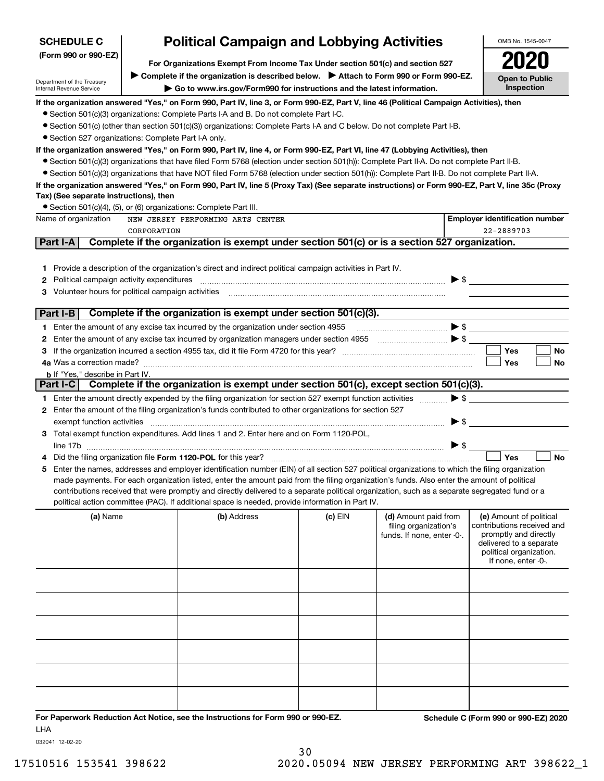| <b>Political Campaign and Lobbying Activities</b><br><b>SCHEDULE C</b>                                |             |                                                                                                                                                   |         |                                                                             | OMB No. 1545-0047        |                                                                                                                                                             |
|-------------------------------------------------------------------------------------------------------|-------------|---------------------------------------------------------------------------------------------------------------------------------------------------|---------|-----------------------------------------------------------------------------|--------------------------|-------------------------------------------------------------------------------------------------------------------------------------------------------------|
| (Form 990 or 990-EZ)<br>For Organizations Exempt From Income Tax Under section 501(c) and section 527 |             |                                                                                                                                                   |         |                                                                             |                          |                                                                                                                                                             |
| ▶ Complete if the organization is described below. ▶ Attach to Form 990 or Form 990-EZ.               |             |                                                                                                                                                   |         |                                                                             |                          |                                                                                                                                                             |
| Department of the Treasury<br>Internal Revenue Service                                                |             | Go to www.irs.gov/Form990 for instructions and the latest information.                                                                            |         |                                                                             |                          | <b>Open to Public</b><br>Inspection                                                                                                                         |
|                                                                                                       |             | If the organization answered "Yes," on Form 990, Part IV, line 3, or Form 990-EZ, Part V, line 46 (Political Campaign Activities), then           |         |                                                                             |                          |                                                                                                                                                             |
|                                                                                                       |             | • Section 501(c)(3) organizations: Complete Parts I-A and B. Do not complete Part I-C.                                                            |         |                                                                             |                          |                                                                                                                                                             |
|                                                                                                       |             | • Section 501(c) (other than section 501(c)(3)) organizations: Complete Parts I-A and C below. Do not complete Part I-B.                          |         |                                                                             |                          |                                                                                                                                                             |
| • Section 527 organizations: Complete Part I-A only.                                                  |             |                                                                                                                                                   |         |                                                                             |                          |                                                                                                                                                             |
|                                                                                                       |             | If the organization answered "Yes," on Form 990, Part IV, line 4, or Form 990-EZ, Part VI, line 47 (Lobbying Activities), then                    |         |                                                                             |                          |                                                                                                                                                             |
|                                                                                                       |             | • Section 501(c)(3) organizations that have filed Form 5768 (election under section 501(h)): Complete Part II-A. Do not complete Part II-B.       |         |                                                                             |                          |                                                                                                                                                             |
|                                                                                                       |             | • Section 501(c)(3) organizations that have NOT filed Form 5768 (election under section 501(h)): Complete Part II-B. Do not complete Part II-A.   |         |                                                                             |                          |                                                                                                                                                             |
| Tax) (See separate instructions), then                                                                |             | If the organization answered "Yes," on Form 990, Part IV, line 5 (Proxy Tax) (See separate instructions) or Form 990-EZ, Part V, line 35c (Proxy  |         |                                                                             |                          |                                                                                                                                                             |
|                                                                                                       |             | • Section 501(c)(4), (5), or (6) organizations: Complete Part III.                                                                                |         |                                                                             |                          |                                                                                                                                                             |
| Name of organization                                                                                  |             | NEW JERSEY PERFORMING ARTS CENTER                                                                                                                 |         |                                                                             |                          | <b>Employer identification number</b>                                                                                                                       |
|                                                                                                       | CORPORATION |                                                                                                                                                   |         |                                                                             |                          | 22-2889703                                                                                                                                                  |
| Part I-A                                                                                              |             | Complete if the organization is exempt under section 501(c) or is a section 527 organization.                                                     |         |                                                                             |                          |                                                                                                                                                             |
|                                                                                                       |             |                                                                                                                                                   |         |                                                                             |                          |                                                                                                                                                             |
|                                                                                                       |             | 1 Provide a description of the organization's direct and indirect political campaign activities in Part IV.                                       |         |                                                                             |                          |                                                                                                                                                             |
| <b>2</b> Political campaign activity expenditures                                                     |             |                                                                                                                                                   |         |                                                                             |                          | $\blacktriangleright$ \$                                                                                                                                    |
| <b>3</b> Volunteer hours for political campaign activities                                            |             |                                                                                                                                                   |         |                                                                             |                          |                                                                                                                                                             |
|                                                                                                       |             |                                                                                                                                                   |         |                                                                             |                          |                                                                                                                                                             |
| Part I-B                                                                                              |             | Complete if the organization is exempt under section 501(c)(3).                                                                                   |         |                                                                             |                          |                                                                                                                                                             |
|                                                                                                       |             | 1 Enter the amount of any excise tax incurred by the organization under section 4955                                                              |         |                                                                             |                          | $\bullet \mathsf{s} \_\_$                                                                                                                                   |
|                                                                                                       |             |                                                                                                                                                   |         |                                                                             |                          |                                                                                                                                                             |
|                                                                                                       |             |                                                                                                                                                   |         |                                                                             |                          | <b>Yes</b><br>No                                                                                                                                            |
|                                                                                                       |             |                                                                                                                                                   |         |                                                                             |                          | Yes<br>No                                                                                                                                                   |
| <b>b</b> If "Yes," describe in Part IV.                                                               |             | Part I-C Complete if the organization is exempt under section 501(c), except section 501(c)(3).                                                   |         |                                                                             |                          |                                                                                                                                                             |
|                                                                                                       |             |                                                                                                                                                   |         |                                                                             |                          |                                                                                                                                                             |
|                                                                                                       |             | 1 Enter the amount directly expended by the filing organization for section 527 exempt function activities                                        |         |                                                                             | $\blacktriangleright$ \$ |                                                                                                                                                             |
|                                                                                                       |             | 2 Enter the amount of the filing organization's funds contributed to other organizations for section 527                                          |         |                                                                             | $\blacktriangleright$ \$ |                                                                                                                                                             |
| exempt function activities                                                                            |             | 3 Total exempt function expenditures. Add lines 1 and 2. Enter here and on Form 1120-POL,                                                         |         |                                                                             |                          |                                                                                                                                                             |
|                                                                                                       |             |                                                                                                                                                   |         |                                                                             | $\triangleright$ \$      |                                                                                                                                                             |
|                                                                                                       |             | Did the filing organization file Form 1120-POL for this year?                                                                                     |         |                                                                             |                          | Yes<br><b>No</b>                                                                                                                                            |
|                                                                                                       |             | 5 Enter the names, addresses and employer identification number (EIN) of all section 527 political organizations to which the filing organization |         |                                                                             |                          |                                                                                                                                                             |
|                                                                                                       |             | made payments. For each organization listed, enter the amount paid from the filing organization's funds. Also enter the amount of political       |         |                                                                             |                          |                                                                                                                                                             |
|                                                                                                       |             | contributions received that were promptly and directly delivered to a separate political organization, such as a separate segregated fund or a    |         |                                                                             |                          |                                                                                                                                                             |
|                                                                                                       |             | political action committee (PAC). If additional space is needed, provide information in Part IV.                                                  |         |                                                                             |                          |                                                                                                                                                             |
| (a) Name                                                                                              |             | (b) Address                                                                                                                                       | (c) EIN | (d) Amount paid from<br>filing organization's<br>funds. If none, enter -0-. |                          | (e) Amount of political<br>contributions received and<br>promptly and directly<br>delivered to a separate<br>political organization.<br>If none, enter -0-. |
|                                                                                                       |             |                                                                                                                                                   |         |                                                                             |                          |                                                                                                                                                             |
|                                                                                                       |             |                                                                                                                                                   |         |                                                                             |                          |                                                                                                                                                             |
|                                                                                                       |             |                                                                                                                                                   |         |                                                                             |                          |                                                                                                                                                             |
|                                                                                                       |             |                                                                                                                                                   |         |                                                                             |                          |                                                                                                                                                             |
|                                                                                                       |             |                                                                                                                                                   |         |                                                                             |                          |                                                                                                                                                             |
|                                                                                                       |             |                                                                                                                                                   |         |                                                                             |                          |                                                                                                                                                             |
|                                                                                                       |             |                                                                                                                                                   |         |                                                                             |                          |                                                                                                                                                             |
|                                                                                                       |             |                                                                                                                                                   |         |                                                                             |                          |                                                                                                                                                             |
|                                                                                                       |             |                                                                                                                                                   |         |                                                                             |                          |                                                                                                                                                             |
|                                                                                                       |             |                                                                                                                                                   |         |                                                                             |                          |                                                                                                                                                             |
|                                                                                                       |             |                                                                                                                                                   |         |                                                                             |                          |                                                                                                                                                             |
|                                                                                                       |             |                                                                                                                                                   |         |                                                                             |                          |                                                                                                                                                             |

**For Paperwork Reduction Act Notice, see the Instructions for Form 990 or 990-EZ. Schedule C (Form 990 or 990-EZ) 2020** LHA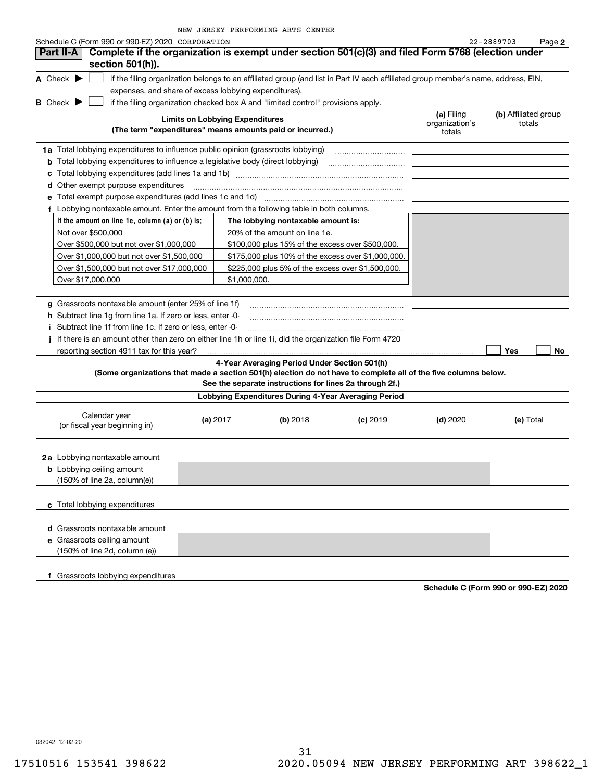| NEW JERSEY PERFORMING ARTS CENTER |  |  |  |  |  |  |
|-----------------------------------|--|--|--|--|--|--|
|-----------------------------------|--|--|--|--|--|--|

| Schedule C (Form 990 or 990-EZ) 2020 CORPORATION                                                                |                                        |                                                                                                                                   |            |                                        | 22-2889703<br>Page 2           |
|-----------------------------------------------------------------------------------------------------------------|----------------------------------------|-----------------------------------------------------------------------------------------------------------------------------------|------------|----------------------------------------|--------------------------------|
| Complete if the organization is exempt under section 501(c)(3) and filed Form 5768 (election under<br>Part II-A |                                        |                                                                                                                                   |            |                                        |                                |
| section 501(h)).                                                                                                |                                        |                                                                                                                                   |            |                                        |                                |
| A Check $\blacktriangleright$                                                                                   |                                        | if the filing organization belongs to an affiliated group (and list in Part IV each affiliated group member's name, address, EIN, |            |                                        |                                |
| expenses, and share of excess lobbying expenditures).                                                           |                                        |                                                                                                                                   |            |                                        |                                |
| <b>B</b> Check $\blacktriangleright$                                                                            |                                        | if the filing organization checked box A and "limited control" provisions apply.                                                  |            |                                        |                                |
|                                                                                                                 | <b>Limits on Lobbying Expenditures</b> | (The term "expenditures" means amounts paid or incurred.)                                                                         |            | (a) Filing<br>organization's<br>totals | (b) Affiliated group<br>totals |
| 1a Total lobbying expenditures to influence public opinion (grassroots lobbying)                                |                                        |                                                                                                                                   |            |                                        |                                |
| <b>b</b> Total lobbying expenditures to influence a legislative body (direct lobbying)                          |                                        |                                                                                                                                   |            |                                        |                                |
| с                                                                                                               |                                        |                                                                                                                                   |            |                                        |                                |
| <b>d</b> Other exempt purpose expenditures                                                                      |                                        |                                                                                                                                   |            |                                        |                                |
| e Total exempt purpose expenditures (add lines 1c and 1d)                                                       |                                        |                                                                                                                                   |            |                                        |                                |
| f Lobbying nontaxable amount. Enter the amount from the following table in both columns.                        |                                        |                                                                                                                                   |            |                                        |                                |
| If the amount on line 1e, column (a) or (b) is:                                                                 |                                        | The lobbying nontaxable amount is:                                                                                                |            |                                        |                                |
| Not over \$500,000                                                                                              |                                        | 20% of the amount on line 1e.                                                                                                     |            |                                        |                                |
| Over \$500,000 but not over \$1,000,000                                                                         |                                        | \$100,000 plus 15% of the excess over \$500,000.                                                                                  |            |                                        |                                |
| Over \$1,000,000 but not over \$1,500,000                                                                       |                                        | \$175,000 plus 10% of the excess over \$1,000,000.                                                                                |            |                                        |                                |
| Over \$1,500,000 but not over \$17,000,000                                                                      |                                        | \$225,000 plus 5% of the excess over \$1,500,000.                                                                                 |            |                                        |                                |
| Over \$17,000,000                                                                                               |                                        | \$1,000,000.                                                                                                                      |            |                                        |                                |
|                                                                                                                 |                                        |                                                                                                                                   |            |                                        |                                |
| g Grassroots nontaxable amount (enter 25% of line 1f)                                                           |                                        |                                                                                                                                   |            |                                        |                                |
| h Subtract line 1q from line 1a. If zero or less, enter -0-                                                     |                                        |                                                                                                                                   |            |                                        |                                |
| Subtract line 1f from line 1c. If zero or less, enter -0-                                                       |                                        |                                                                                                                                   |            |                                        |                                |
| If there is an amount other than zero on either line 1h or line 1i, did the organization file Form 4720         |                                        |                                                                                                                                   |            |                                        |                                |
| reporting section 4911 tax for this year?                                                                       |                                        |                                                                                                                                   |            |                                        | Yes<br>No                      |
|                                                                                                                 |                                        | 4-Year Averaging Period Under Section 501(h)                                                                                      |            |                                        |                                |
| (Some organizations that made a section 501(h) election do not have to complete all of the five columns below.  |                                        |                                                                                                                                   |            |                                        |                                |
|                                                                                                                 |                                        | See the separate instructions for lines 2a through 2f.)                                                                           |            |                                        |                                |
|                                                                                                                 |                                        | Lobbying Expenditures During 4-Year Averaging Period                                                                              |            |                                        |                                |
| Calendar year<br>(or fiscal year beginning in)                                                                  | (a) $2017$                             | (b) 2018                                                                                                                          | $(c)$ 2019 | $(d)$ 2020                             | (e) Total                      |
| 2a Lobbying nontaxable amount                                                                                   |                                        |                                                                                                                                   |            |                                        |                                |
| <b>b</b> Lobbying ceiling amount                                                                                |                                        |                                                                                                                                   |            |                                        |                                |
| (150% of line 2a, column(e))                                                                                    |                                        |                                                                                                                                   |            |                                        |                                |
|                                                                                                                 |                                        |                                                                                                                                   |            |                                        |                                |
| c Total lobbying expenditures                                                                                   |                                        |                                                                                                                                   |            |                                        |                                |
|                                                                                                                 |                                        |                                                                                                                                   |            |                                        |                                |
| d Grassroots nontaxable amount                                                                                  |                                        |                                                                                                                                   |            |                                        |                                |
| e Grassroots ceiling amount                                                                                     |                                        |                                                                                                                                   |            |                                        |                                |
| (150% of line 2d, column (e))                                                                                   |                                        |                                                                                                                                   |            |                                        |                                |
|                                                                                                                 |                                        |                                                                                                                                   |            |                                        |                                |
| f Grassroots lobbying expenditures                                                                              |                                        |                                                                                                                                   |            |                                        |                                |

**Schedule C (Form 990 or 990-EZ) 2020**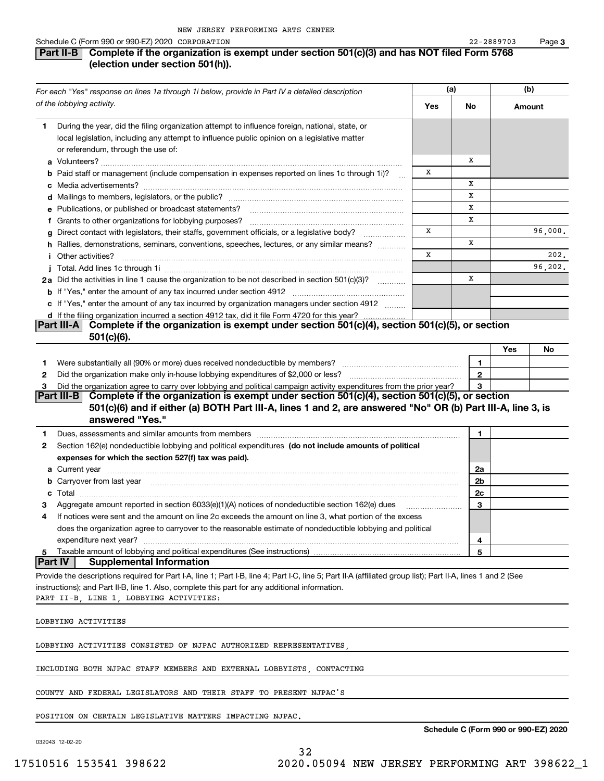### **Part II-B** Complete if the organization is exempt under section 501(c)(3) and has NOT filed Form 5768 **(election under section 501(h)).**

|                | For each "Yes" response on lines 1a through 1i below, provide in Part IV a detailed description                                                                                                                                           |     | (a) |                | (b) |         |
|----------------|-------------------------------------------------------------------------------------------------------------------------------------------------------------------------------------------------------------------------------------------|-----|-----|----------------|-----|---------|
|                | of the lobbying activity.                                                                                                                                                                                                                 | Yes |     | No             |     | Amount  |
| 1.             | During the year, did the filing organization attempt to influence foreign, national, state, or<br>local legislation, including any attempt to influence public opinion on a legislative matter                                            |     |     |                |     |         |
|                | or referendum, through the use of:                                                                                                                                                                                                        |     |     |                |     |         |
|                |                                                                                                                                                                                                                                           |     |     | х              |     |         |
|                | b Paid staff or management (include compensation in expenses reported on lines 1c through 1i)?                                                                                                                                            | х   |     | X              |     |         |
|                |                                                                                                                                                                                                                                           |     |     | x              |     |         |
|                | e Publications, or published or broadcast statements?                                                                                                                                                                                     |     |     | X              |     |         |
|                | f Grants to other organizations for lobbying purposes?                                                                                                                                                                                    |     |     | x              |     |         |
|                | g Direct contact with legislators, their staffs, government officials, or a legislative body?<br>.                                                                                                                                        | x   |     |                |     | 96,000. |
|                | h Rallies, demonstrations, seminars, conventions, speeches, lectures, or any similar means?                                                                                                                                               |     |     | x              |     |         |
|                | <i>i</i> Other activities?                                                                                                                                                                                                                | X   |     |                |     | 202.    |
|                |                                                                                                                                                                                                                                           |     |     |                |     | 96,202. |
|                | 2a Did the activities in line 1 cause the organization to be not described in section 501(c)(3)?                                                                                                                                          |     |     | x              |     |         |
|                |                                                                                                                                                                                                                                           |     |     |                |     |         |
|                | c If "Yes," enter the amount of any tax incurred by organization managers under section 4912                                                                                                                                              |     |     |                |     |         |
|                | d If the filing organization incurred a section 4912 tax, did it file Form 4720 for this year?                                                                                                                                            |     |     |                |     |         |
|                | Complete if the organization is exempt under section 501(c)(4), section 501(c)(5), or section<br>Part III-A                                                                                                                               |     |     |                |     |         |
|                | $501(c)(6)$ .                                                                                                                                                                                                                             |     |     |                |     |         |
|                | Were substantially all (90% or more) dues received nondeductible by members?                                                                                                                                                              |     |     | 1              | Yes | No      |
| 1              |                                                                                                                                                                                                                                           |     |     | $\overline{2}$ |     |         |
| 2<br>з         | Did the organization agree to carry over lobbying and political campaign activity expenditures from the prior year?                                                                                                                       |     |     | 3              |     |         |
|                | Part III-B Complete if the organization is exempt under section 501(c)(4), section 501(c)(5), or section<br>501(c)(6) and if either (a) BOTH Part III-A, lines 1 and 2, are answered "No" OR (b) Part III-A, line 3, is                   |     |     |                |     |         |
|                | answered "Yes."                                                                                                                                                                                                                           |     |     |                |     |         |
| 1              |                                                                                                                                                                                                                                           |     |     | 1              |     |         |
| 2              | Section 162(e) nondeductible lobbying and political expenditures (do not include amounts of political                                                                                                                                     |     |     |                |     |         |
|                | expenses for which the section 527(f) tax was paid).                                                                                                                                                                                      |     |     |                |     |         |
|                |                                                                                                                                                                                                                                           |     |     | 2a             |     |         |
|                | <b>b</b> Carryover from last year <i>maching machine content content in the content of the content of the content of the content of the content of the content of the content of the content of the content of the content of the con</i> |     |     | 2b             |     |         |
|                |                                                                                                                                                                                                                                           |     |     | 2c             |     |         |
| З              | Aggregate amount reported in section 6033(e)(1)(A) notices of nondeductible section 162(e) dues                                                                                                                                           |     |     | 3              |     |         |
| 4              | If notices were sent and the amount on line 2c exceeds the amount on line 3, what portion of the excess                                                                                                                                   |     |     |                |     |         |
|                | does the organization agree to carryover to the reasonable estimate of nondeductible lobbying and political                                                                                                                               |     |     |                |     |         |
|                | expenditure next year?                                                                                                                                                                                                                    |     |     | 4              |     |         |
| 5              | Taxable amount of lobbying and political expenditures (See instructions)                                                                                                                                                                  |     |     | 5              |     |         |
| <b>Part IV</b> | <b>Supplemental Information</b>                                                                                                                                                                                                           |     |     |                |     |         |
|                | Provide the descriptions required for Part I-A, line 1; Part I-B, line 4; Part I-C, line 5; Part II-A (affiliated group list); Part II-A, lines 1 and 2 (See                                                                              |     |     |                |     |         |
|                | instructions); and Part II-B, line 1. Also, complete this part for any additional information.                                                                                                                                            |     |     |                |     |         |
|                | PART II-B, LINE 1, LOBBYING ACTIVITIES:                                                                                                                                                                                                   |     |     |                |     |         |
|                | LOBBYING ACTIVITIES                                                                                                                                                                                                                       |     |     |                |     |         |
|                | LOBBYING ACTIVITIES CONSISTED OF NJPAC AUTHORIZED REPRESENTATIVES,                                                                                                                                                                        |     |     |                |     |         |
|                | INCLUDING BOTH NJPAC STAFF MEMBERS AND EXTERNAL LOBBYISTS, CONTACTING                                                                                                                                                                     |     |     |                |     |         |
|                | COUNTY AND FEDERAL LEGISLATORS AND THEIR STAFF TO PRESENT NJPAC'S                                                                                                                                                                         |     |     |                |     |         |
|                |                                                                                                                                                                                                                                           |     |     |                |     |         |

POSITION ON CERTAIN LEGISLATIVE MATTERS IMPACTING NJPAC.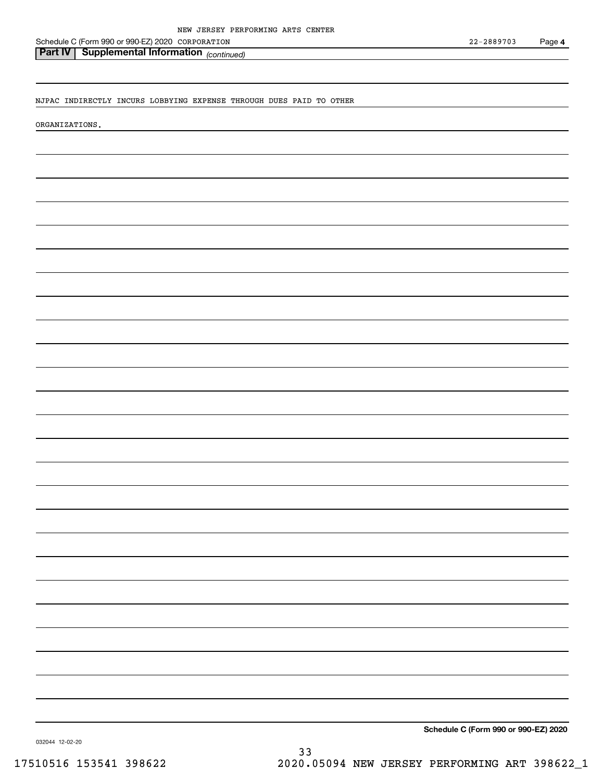Schedule C (Form 990 or 990-EZ) 2020 Page CORPORATION

### *(continued)* **Part IV Supplemental Information**

NJPAC INDIRECTLY INCURS LOBBYING EXPENSE THROUGH DUES PAID TO OTHER

ORGANIZATIONS.

**Schedule C (Form 990 or 990-EZ) 2020**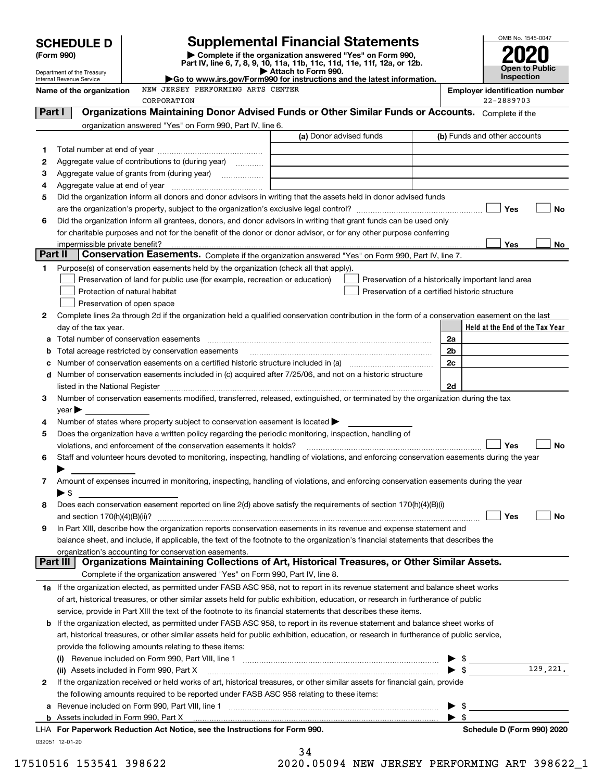|         |                                                               |                                                                                                   |                                                                                                                                                                                                                                      | OMB No. 1545-0047                                  |
|---------|---------------------------------------------------------------|---------------------------------------------------------------------------------------------------|--------------------------------------------------------------------------------------------------------------------------------------------------------------------------------------------------------------------------------------|----------------------------------------------------|
|         | <b>SCHEDULE D</b>                                             |                                                                                                   | <b>Supplemental Financial Statements</b>                                                                                                                                                                                             |                                                    |
|         | (Form 990)                                                    |                                                                                                   | Complete if the organization answered "Yes" on Form 990,<br>Part IV, line 6, 7, 8, 9, 10, 11a, 11b, 11c, 11d, 11e, 11f, 12a, or 12b.                                                                                                 |                                                    |
|         | Department of the Treasury<br><b>Internal Revenue Service</b> |                                                                                                   | Attach to Form 990.<br>Go to www.irs.gov/Form990 for instructions and the latest information.                                                                                                                                        | <b>Open to Public</b><br>Inspection                |
|         | Name of the organization                                      | NEW JERSEY PERFORMING ARTS CENTER                                                                 |                                                                                                                                                                                                                                      | <b>Employer identification number</b>              |
|         |                                                               | CORPORATION                                                                                       |                                                                                                                                                                                                                                      | 22-2889703                                         |
| Part I  |                                                               |                                                                                                   | Organizations Maintaining Donor Advised Funds or Other Similar Funds or Accounts. Complete if the                                                                                                                                    |                                                    |
|         |                                                               | organization answered "Yes" on Form 990, Part IV, line 6.                                         |                                                                                                                                                                                                                                      |                                                    |
|         |                                                               |                                                                                                   | (a) Donor advised funds                                                                                                                                                                                                              | (b) Funds and other accounts                       |
| 1       |                                                               |                                                                                                   |                                                                                                                                                                                                                                      |                                                    |
| 2       |                                                               | Aggregate value of contributions to (during year) <i>mimimizion</i>                               |                                                                                                                                                                                                                                      |                                                    |
| 3       |                                                               |                                                                                                   |                                                                                                                                                                                                                                      |                                                    |
| 4<br>5  |                                                               |                                                                                                   | Did the organization inform all donors and donor advisors in writing that the assets held in donor advised funds                                                                                                                     |                                                    |
|         |                                                               |                                                                                                   |                                                                                                                                                                                                                                      | Yes<br>No                                          |
| 6       |                                                               |                                                                                                   | Did the organization inform all grantees, donors, and donor advisors in writing that grant funds can be used only                                                                                                                    |                                                    |
|         |                                                               |                                                                                                   | for charitable purposes and not for the benefit of the donor or donor advisor, or for any other purpose conferring                                                                                                                   |                                                    |
|         |                                                               |                                                                                                   |                                                                                                                                                                                                                                      | Yes<br>No                                          |
| Part II |                                                               |                                                                                                   | Conservation Easements. Complete if the organization answered "Yes" on Form 990, Part IV, line 7.                                                                                                                                    |                                                    |
| 1       |                                                               | Purpose(s) of conservation easements held by the organization (check all that apply).             |                                                                                                                                                                                                                                      |                                                    |
|         |                                                               | Preservation of land for public use (for example, recreation or education)                        |                                                                                                                                                                                                                                      | Preservation of a historically important land area |
|         |                                                               | Protection of natural habitat                                                                     | Preservation of a certified historic structure                                                                                                                                                                                       |                                                    |
|         |                                                               | Preservation of open space                                                                        |                                                                                                                                                                                                                                      |                                                    |
| 2       |                                                               |                                                                                                   | Complete lines 2a through 2d if the organization held a qualified conservation contribution in the form of a conservation easement on the last                                                                                       |                                                    |
|         | day of the tax year.                                          |                                                                                                   |                                                                                                                                                                                                                                      | Held at the End of the Tax Year                    |
|         |                                                               | a Total number of conservation easements                                                          |                                                                                                                                                                                                                                      | 2a                                                 |
| b       |                                                               |                                                                                                   |                                                                                                                                                                                                                                      | 2 <sub>b</sub>                                     |
| c       |                                                               |                                                                                                   | Number of conservation easements on a certified historic structure included in (a) manufacture included in (a)                                                                                                                       | 2c                                                 |
|         |                                                               |                                                                                                   | d Number of conservation easements included in (c) acquired after 7/25/06, and not on a historic structure                                                                                                                           |                                                    |
|         |                                                               |                                                                                                   | listed in the National Register [[11][11][12] intervention contracts in the National Register [11] intervention                                                                                                                      | 2d                                                 |
| 3       |                                                               |                                                                                                   | Number of conservation easements modified, transferred, released, extinguished, or terminated by the organization during the tax                                                                                                     |                                                    |
|         | $year \blacktriangleright$                                    |                                                                                                   |                                                                                                                                                                                                                                      |                                                    |
| 4       |                                                               | Number of states where property subject to conservation easement is located $\blacktriangleright$ |                                                                                                                                                                                                                                      |                                                    |
| 5       |                                                               |                                                                                                   | Does the organization have a written policy regarding the periodic monitoring, inspection, handling of                                                                                                                               |                                                    |
|         |                                                               | violations, and enforcement of the conservation easements it holds?                               |                                                                                                                                                                                                                                      | Yes<br>No                                          |
|         |                                                               |                                                                                                   | Staff and volunteer hours devoted to monitoring, inspecting, handling of violations, and enforcing conservation easements during the year                                                                                            |                                                    |
|         |                                                               |                                                                                                   |                                                                                                                                                                                                                                      |                                                    |
| 7       | ▶ \$                                                          |                                                                                                   | Amount of expenses incurred in monitoring, inspecting, handling of violations, and enforcing conservation easements during the year                                                                                                  |                                                    |
| 8       |                                                               |                                                                                                   | Does each conservation easement reported on line 2(d) above satisfy the requirements of section 170(h)(4)(B)(i)                                                                                                                      |                                                    |
|         | and section 170(h)(4)(B)(ii)?                                 |                                                                                                   |                                                                                                                                                                                                                                      | Yes<br>No                                          |
| 9       |                                                               |                                                                                                   | In Part XIII, describe how the organization reports conservation easements in its revenue and expense statement and                                                                                                                  |                                                    |
|         |                                                               |                                                                                                   | balance sheet, and include, if applicable, the text of the footnote to the organization's financial statements that describes the                                                                                                    |                                                    |
|         |                                                               | organization's accounting for conservation easements.                                             |                                                                                                                                                                                                                                      |                                                    |
|         | Part III                                                      |                                                                                                   | Organizations Maintaining Collections of Art, Historical Treasures, or Other Similar Assets.                                                                                                                                         |                                                    |
|         |                                                               | Complete if the organization answered "Yes" on Form 990, Part IV, line 8.                         |                                                                                                                                                                                                                                      |                                                    |
|         |                                                               |                                                                                                   | 1a If the organization elected, as permitted under FASB ASC 958, not to report in its revenue statement and balance sheet works                                                                                                      |                                                    |
|         |                                                               |                                                                                                   | of art, historical treasures, or other similar assets held for public exhibition, education, or research in furtherance of public                                                                                                    |                                                    |
|         |                                                               |                                                                                                   | service, provide in Part XIII the text of the footnote to its financial statements that describes these items.                                                                                                                       |                                                    |
|         |                                                               |                                                                                                   | <b>b</b> If the organization elected, as permitted under FASB ASC 958, to report in its revenue statement and balance sheet works of                                                                                                 |                                                    |
|         |                                                               |                                                                                                   | art, historical treasures, or other similar assets held for public exhibition, education, or research in furtherance of public service,                                                                                              |                                                    |
|         |                                                               | provide the following amounts relating to these items:                                            |                                                                                                                                                                                                                                      |                                                    |
|         |                                                               |                                                                                                   | (i) Revenue included on Form 990, Part VIII, line 1 <i>manual content of the content of the sevenue content of the sevenue of the sevenue of the sevenue of the sevenue of the sevenue of the sevenue of the sevenue of the seve</i> | - \$                                               |
|         |                                                               | (ii) Assets included in Form 990, Part X                                                          |                                                                                                                                                                                                                                      | 129,221.<br>▶ \$                                   |
| 2       |                                                               |                                                                                                   | If the organization received or held works of art, historical treasures, or other similar assets for financial gain, provide                                                                                                         |                                                    |
|         |                                                               | the following amounts required to be reported under FASB ASC 958 relating to these items:         |                                                                                                                                                                                                                                      |                                                    |
|         |                                                               |                                                                                                   |                                                                                                                                                                                                                                      | \$                                                 |
|         |                                                               |                                                                                                   |                                                                                                                                                                                                                                      | - \$                                               |
|         |                                                               | LHA For Paperwork Reduction Act Notice, see the Instructions for Form 990.                        |                                                                                                                                                                                                                                      | Schedule D (Form 990) 2020                         |

032051 12-01-20

|   | . .<br>→ | Δ |  |  |  |
|---|----------|---|--|--|--|
| ٠ |          |   |  |  |  |

17510516 153541 398622 2020.05094 NEW JERSEY PERFORMING ART 398622\_1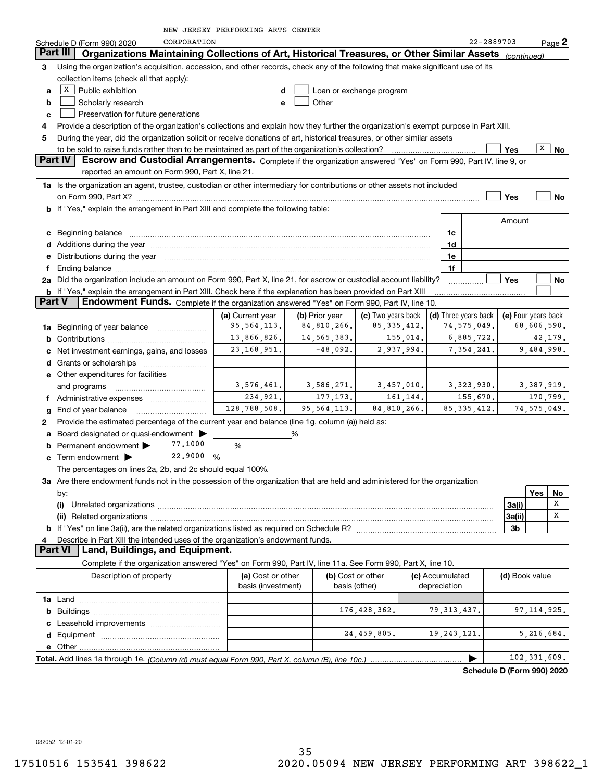|  |  | NEW JERSEY PERFORMING ARTS CENTER |  |  |  |
|--|--|-----------------------------------|--|--|--|
|--|--|-----------------------------------|--|--|--|

|               | CORPORATION<br>Schedule D (Form 990) 2020                                                                                                                                                                                     |                                         |                |                          |                                 | 22-2889703    |                | Page 2              |
|---------------|-------------------------------------------------------------------------------------------------------------------------------------------------------------------------------------------------------------------------------|-----------------------------------------|----------------|--------------------------|---------------------------------|---------------|----------------|---------------------|
|               | Part III  <br>Organizations Maintaining Collections of Art, Historical Treasures, or Other Similar Assets (continued)                                                                                                         |                                         |                |                          |                                 |               |                |                     |
| З.            | Using the organization's acquisition, accession, and other records, check any of the following that make significant use of its                                                                                               |                                         |                |                          |                                 |               |                |                     |
|               | collection items (check all that apply):                                                                                                                                                                                      |                                         |                |                          |                                 |               |                |                     |
| a             | $X$ Public exhibition                                                                                                                                                                                                         | d                                       |                | Loan or exchange program |                                 |               |                |                     |
| b             | Scholarly research                                                                                                                                                                                                            | e                                       | Other          |                          |                                 |               |                |                     |
| c             | Preservation for future generations                                                                                                                                                                                           |                                         |                |                          |                                 |               |                |                     |
| 4             | Provide a description of the organization's collections and explain how they further the organization's exempt purpose in Part XIII.                                                                                          |                                         |                |                          |                                 |               |                |                     |
| 5             | During the year, did the organization solicit or receive donations of art, historical treasures, or other similar assets                                                                                                      |                                         |                |                          |                                 |               |                |                     |
|               |                                                                                                                                                                                                                               |                                         |                |                          |                                 |               | Yes            | х<br>No             |
|               | <b>Part IV</b><br>Escrow and Custodial Arrangements. Complete if the organization answered "Yes" on Form 990, Part IV, line 9, or                                                                                             |                                         |                |                          |                                 |               |                |                     |
|               | reported an amount on Form 990, Part X, line 21.                                                                                                                                                                              |                                         |                |                          |                                 |               |                |                     |
|               | 1a Is the organization an agent, trustee, custodian or other intermediary for contributions or other assets not included                                                                                                      |                                         |                |                          |                                 |               |                |                     |
|               |                                                                                                                                                                                                                               |                                         |                |                          |                                 |               | Yes            | No                  |
|               | <b>b</b> If "Yes," explain the arrangement in Part XIII and complete the following table:                                                                                                                                     |                                         |                |                          |                                 |               |                |                     |
|               |                                                                                                                                                                                                                               |                                         |                |                          |                                 |               | Amount         |                     |
|               | c Beginning balance                                                                                                                                                                                                           |                                         |                |                          | 1c                              |               |                |                     |
|               |                                                                                                                                                                                                                               |                                         |                |                          | 1d                              |               |                |                     |
|               | e Distributions during the year manufactured and a control of the year manufactured and the year manufactured and the year manufactured and the year manufactured and the year manufactured and the year manufactured and the |                                         |                |                          | 1e                              |               |                |                     |
|               |                                                                                                                                                                                                                               |                                         |                |                          | 1f                              |               |                |                     |
|               | 2a Did the organization include an amount on Form 990, Part X, line 21, for escrow or custodial account liability?                                                                                                            |                                         |                |                          |                                 |               | Yes            | No                  |
| <b>Part V</b> | b If "Yes," explain the arrangement in Part XIII. Check here if the explanation has been provided on Part XIII<br>Endowment Funds. Complete if the organization answered "Yes" on Form 990, Part IV, line 10.                 |                                         |                |                          |                                 |               |                |                     |
|               |                                                                                                                                                                                                                               | (a) Current year                        | (b) Prior year | (c) Two years back       | (d) Three years back            |               |                | (e) Four years back |
|               | <b>1a</b> Beginning of year balance <i>manumum</i>                                                                                                                                                                            | 95, 564, 113.                           | 84,810,266.    | 85, 335, 412.            |                                 | 74,575,049.   |                | 68,606,590.         |
|               |                                                                                                                                                                                                                               | 13,866,826.                             | 14,565,383.    | 155,014.                 |                                 | 6,885,722.    |                | 42,179.             |
|               | c Net investment earnings, gains, and losses                                                                                                                                                                                  | 23, 168, 951.                           | $-48,092.$     | 2,937,994.               |                                 | 7, 354, 241.  |                | 9,484,998.          |
|               |                                                                                                                                                                                                                               |                                         |                |                          |                                 |               |                |                     |
|               | <b>e</b> Other expenditures for facilities                                                                                                                                                                                    |                                         |                |                          |                                 |               |                |                     |
|               | and programs                                                                                                                                                                                                                  | 3,576,461.                              | 3,586,271.     | 3,457,010.               |                                 | 3,323,930.    |                | 3,387,919.          |
|               | f Administrative expenses                                                                                                                                                                                                     | 234,921.                                | 177, 173.      | 161,144.                 |                                 | 155,670.      |                | 170,799.            |
|               | g End of year balance                                                                                                                                                                                                         | 128,788,508.                            | 95, 564, 113.  | 84,810,266.              |                                 | 85, 335, 412. |                | 74, 575, 049.       |
| 2             | Provide the estimated percentage of the current year end balance (line 1g, column (a)) held as:                                                                                                                               |                                         |                |                          |                                 |               |                |                     |
|               | a Board designated or quasi-endowment >                                                                                                                                                                                       |                                         | %              |                          |                                 |               |                |                     |
| b             | 77.1000<br>Permanent endowment >                                                                                                                                                                                              | %                                       |                |                          |                                 |               |                |                     |
| c             | Term endowment $\blacktriangleright$ 22.9000 %                                                                                                                                                                                |                                         |                |                          |                                 |               |                |                     |
|               | The percentages on lines 2a, 2b, and 2c should equal 100%.                                                                                                                                                                    |                                         |                |                          |                                 |               |                |                     |
|               | 3a Are there endowment funds not in the possession of the organization that are held and administered for the organization                                                                                                    |                                         |                |                          |                                 |               |                |                     |
|               | by:                                                                                                                                                                                                                           |                                         |                |                          |                                 |               |                | Yes<br>No           |
|               | (i)                                                                                                                                                                                                                           |                                         |                |                          |                                 |               | 3a(i)          | x                   |
|               |                                                                                                                                                                                                                               |                                         |                |                          |                                 |               | 3a(ii)         | х                   |
|               |                                                                                                                                                                                                                               |                                         |                |                          |                                 |               | 3b             |                     |
|               | Describe in Part XIII the intended uses of the organization's endowment funds.                                                                                                                                                |                                         |                |                          |                                 |               |                |                     |
|               | Land, Buildings, and Equipment.<br><b>Part VI</b>                                                                                                                                                                             |                                         |                |                          |                                 |               |                |                     |
|               | Complete if the organization answered "Yes" on Form 990, Part IV, line 11a. See Form 990, Part X, line 10.                                                                                                                    |                                         |                |                          |                                 |               |                |                     |
|               | Description of property                                                                                                                                                                                                       | (a) Cost or other<br>basis (investment) | basis (other)  | (b) Cost or other        | (c) Accumulated<br>depreciation |               | (d) Book value |                     |
|               |                                                                                                                                                                                                                               |                                         |                |                          |                                 |               |                |                     |
|               |                                                                                                                                                                                                                               |                                         |                | 176, 428, 362.           | 79, 313, 437.                   |               |                | 97, 114, 925.       |
|               |                                                                                                                                                                                                                               |                                         |                |                          |                                 |               |                |                     |
|               |                                                                                                                                                                                                                               |                                         |                | 24,459,805.              | 19, 243, 121.                   |               |                | 5,216,684.          |
|               |                                                                                                                                                                                                                               |                                         |                |                          |                                 |               |                |                     |
|               | Total. Add lines 1a through 1e. (Column (d) must equal Form 990. Part X, column (B), line 10c.)                                                                                                                               |                                         |                |                          |                                 | ▶             |                | 102,331,609.        |

**Schedule D (Form 990) 2020**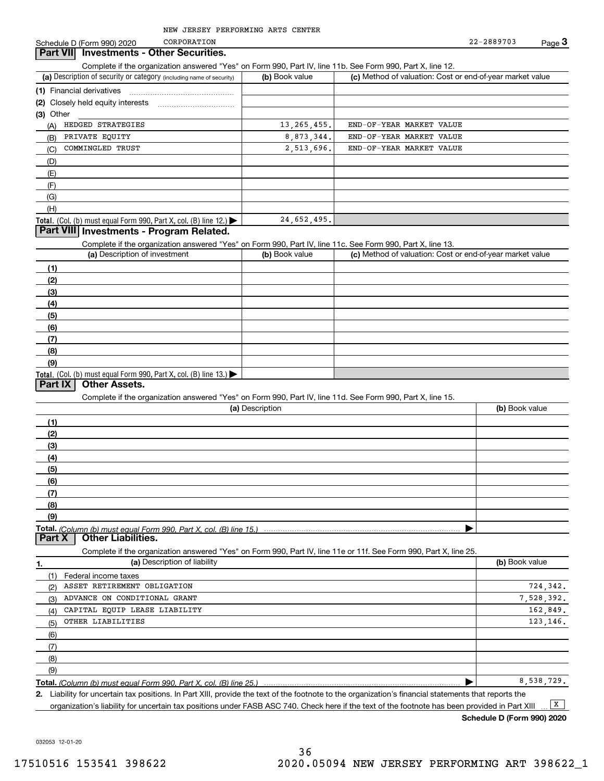CORPORATION

**Part VII Investments - Other Securities.** 

### Complete if the organization answered "Yes" on Form 990, Part IV, line 11b. See Form 990, Part X, line 12.

| OUTINIUS II GIU ORGANIZACIONI ANUNCIO UNI TUDI UNI TUDO CI I GILI VI, MIU I I IDI OUU I UNII UUU, I ANEZI, MIU |                |                                                           |
|----------------------------------------------------------------------------------------------------------------|----------------|-----------------------------------------------------------|
| (a) Description of security or category (including name of security)                                           | (b) Book value | (c) Method of valuation: Cost or end-of-year market value |
| (1) Financial derivatives                                                                                      |                |                                                           |
| (2) Closely held equity interests                                                                              |                |                                                           |
| $(3)$ Other                                                                                                    |                |                                                           |
| HEDGED STRATEGIES<br>(A)                                                                                       | 13, 265, 455.  | END-OF-YEAR MARKET VALUE                                  |
| PRIVATE EOUITY<br>(B)                                                                                          | 8,873,344.     | END-OF-YEAR MARKET VALUE                                  |
| COMMINGLED TRUST<br>(C)                                                                                        | 2,513,696.     | END-OF-YEAR MARKET VALUE                                  |
| (D)                                                                                                            |                |                                                           |
| (E)                                                                                                            |                |                                                           |
| (F)                                                                                                            |                |                                                           |
| (G)                                                                                                            |                |                                                           |
| (H)                                                                                                            |                |                                                           |
| <b>Total.</b> (Col. (b) must equal Form 990, Part X, col. (B) line $12$ .)                                     | 24,652,495.    |                                                           |

### **Part VIII Investments - Program Related.**

Complete if the organization answered "Yes" on Form 990, Part IV, line 11c. See Form 990, Part X, line 13.

| (a) Description of investment                                                                 | (b) Book value | (c) Method of valuation: Cost or end-of-year market value |
|-----------------------------------------------------------------------------------------------|----------------|-----------------------------------------------------------|
| (1)                                                                                           |                |                                                           |
| (2)                                                                                           |                |                                                           |
| (3)                                                                                           |                |                                                           |
| (4)                                                                                           |                |                                                           |
| $\left(5\right)$                                                                              |                |                                                           |
| (6)                                                                                           |                |                                                           |
| (7)                                                                                           |                |                                                           |
| (8)                                                                                           |                |                                                           |
| (9)                                                                                           |                |                                                           |
| <b>Total.</b> (Col. (b) must equal Form 990, Part X, col. (B) line 13.) $\blacktriangleright$ |                |                                                           |

### **Part IX Other Assets.**

Complete if the organization answered "Yes" on Form 990, Part IV, line 11d. See Form 990, Part X, line 15.

| (a) Description                                                                                                                       | (b) Book value |
|---------------------------------------------------------------------------------------------------------------------------------------|----------------|
| (1)                                                                                                                                   |                |
| (2)                                                                                                                                   |                |
| (3)                                                                                                                                   |                |
| (4)                                                                                                                                   |                |
| (5)                                                                                                                                   |                |
| (6)                                                                                                                                   |                |
|                                                                                                                                       |                |
| (8)                                                                                                                                   |                |
| (9)                                                                                                                                   |                |
|                                                                                                                                       |                |
| Total. (Column (b) must equal Form 990, Part X, col. (B) line 15.) ………………………………………………………………………………………<br>  Part X   Other Liabilities. |                |

Complete if the organization answered "Yes" on Form 990, Part IV, line 11e or 11f. See Form 990, Part X, line 25.

|     | (a) Description of liability  | (b) Book value |
|-----|-------------------------------|----------------|
| (1) | Federal income taxes          |                |
| (2) | ASSET RETIREMENT OBLIGATION   | 724,342.       |
| (3) | ADVANCE ON CONDITIONAL GRANT  | 7,528,392.     |
| (4) | CAPITAL EQUIP LEASE LIABILITY | 162,849.       |
| (5) | OTHER LIABILITIES             | 123, 146.      |
| (6) |                               |                |
| (7) |                               |                |
| (8) |                               |                |
| (9) |                               |                |
|     |                               | 8,538,729.     |

**2.**Liability for uncertain tax positions. In Part XIII, provide the text of the footnote to the organization's financial statements that reports the

organization's liability for uncertain tax positions under FASB ASC 740. Check here if the text of the footnote has been provided in Part XIII

**Schedule D (Form 990) 2020**

 $\boxed{\mathbf{X}}$ 

032053 12-01-20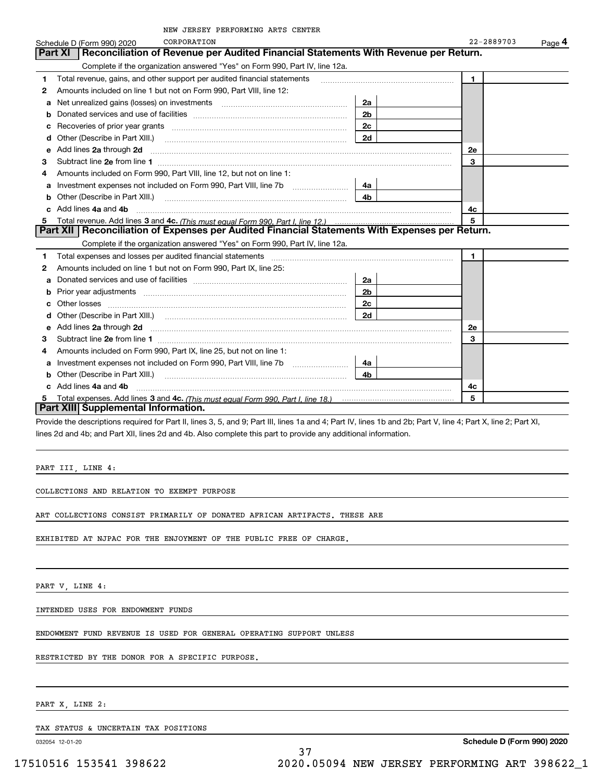|  |  | NEW JERSEY PERFORMING ARTS CENTER |  |  |
|--|--|-----------------------------------|--|--|
|--|--|-----------------------------------|--|--|

|   | NEW JERSEY PERFORMING ARTS CENTER                                                                                                                                                                                                   |                |              |                     |
|---|-------------------------------------------------------------------------------------------------------------------------------------------------------------------------------------------------------------------------------------|----------------|--------------|---------------------|
|   | CORPORATION<br>Schedule D (Form 990) 2020                                                                                                                                                                                           |                | 22-2889703   | $Page$ <sup>4</sup> |
|   | Reconciliation of Revenue per Audited Financial Statements With Revenue per Return.<br>Part XI                                                                                                                                      |                |              |                     |
|   | Complete if the organization answered "Yes" on Form 990, Part IV, line 12a.                                                                                                                                                         |                |              |                     |
| 1 | Total revenue, gains, and other support per audited financial statements                                                                                                                                                            |                | 1            |                     |
| 2 | Amounts included on line 1 but not on Form 990, Part VIII, line 12:                                                                                                                                                                 |                |              |                     |
| a |                                                                                                                                                                                                                                     | 2a             |              |                     |
| b |                                                                                                                                                                                                                                     | 2b             |              |                     |
|   |                                                                                                                                                                                                                                     | 2c             |              |                     |
|   | Other (Describe in Part XIII.) <b>COLOGIST:</b> (2010)                                                                                                                                                                              | 2d             |              |                     |
| e | Add lines 2a through 2d                                                                                                                                                                                                             |                | 2e           |                     |
| з | Subtract line 2e from line 1 <b>manufacture and contract line 2e</b> from line 1                                                                                                                                                    |                | 3            |                     |
| 4 | Amounts included on Form 990, Part VIII, line 12, but not on line 1:                                                                                                                                                                |                |              |                     |
| а |                                                                                                                                                                                                                                     | 4a             |              |                     |
| b | Other (Describe in Part XIII.)                                                                                                                                                                                                      | 4b.            |              |                     |
| C | Add lines 4a and 4b                                                                                                                                                                                                                 |                | 4c           |                     |
| 5 |                                                                                                                                                                                                                                     |                | 5            |                     |
|   | Part XII   Reconciliation of Expenses per Audited Financial Statements With Expenses per Return.                                                                                                                                    |                |              |                     |
|   | Complete if the organization answered "Yes" on Form 990, Part IV, line 12a.                                                                                                                                                         |                |              |                     |
| 1 | Total expenses and losses per audited financial statements                                                                                                                                                                          |                | $\mathbf{1}$ |                     |
| 2 | Amounts included on line 1 but not on Form 990, Part IX, line 25:                                                                                                                                                                   |                |              |                     |
| a |                                                                                                                                                                                                                                     | 2a             |              |                     |
| b |                                                                                                                                                                                                                                     | 2 <sub>b</sub> |              |                     |
|   | Other losses                                                                                                                                                                                                                        | 2c             |              |                     |
|   |                                                                                                                                                                                                                                     | 2d             |              |                     |
| е | Add lines 2a through 2d <b>contained a contained a contained a contained a</b> contained a contained a contained a contained a contained a contained a contained a contained a contained a contained a contained a contained a cont |                | 2e           |                     |
| з | Subtract line 2e from line 1                                                                                                                                                                                                        |                | 3            |                     |
| 4 | Amounts included on Form 990, Part IX, line 25, but not on line 1:                                                                                                                                                                  |                |              |                     |
| a |                                                                                                                                                                                                                                     | 4a             |              |                     |
|   | Other (Describe in Part XIII.) <b>COLOGIST:</b> (2001)                                                                                                                                                                              | 4b.            |              |                     |
|   | Add lines 4a and 4b                                                                                                                                                                                                                 |                | 4c           |                     |
|   |                                                                                                                                                                                                                                     |                | 5            |                     |
|   | Part XIII Supplemental Information.                                                                                                                                                                                                 |                |              |                     |

Provide the descriptions required for Part II, lines 3, 5, and 9; Part III, lines 1a and 4; Part IV, lines 1b and 2b; Part V, line 4; Part X, line 2; Part XI, lines 2d and 4b; and Part XII, lines 2d and 4b. Also complete this part to provide any additional information.

37

PART III, LINE 4:

COLLECTIONS AND RELATION TO EXEMPT PURPOSE

ART COLLECTIONS CONSIST PRIMARILY OF DONATED AFRICAN ARTIFACTS. THESE ARE

EXHIBITED AT NJPAC FOR THE ENJOYMENT OF THE PUBLIC FREE OF CHARGE.

PART V, LINE 4:

INTENDED USES FOR ENDOWMENT FUNDS

ENDOWMENT FUND REVENUE IS USED FOR GENERAL OPERATING SUPPORT UNLESS

RESTRICTED BY THE DONOR FOR A SPECIFIC PURPOSE.

PART X, LINE 2:

TAX STATUS & UNCERTAIN TAX POSITIONS

032054 12-01-20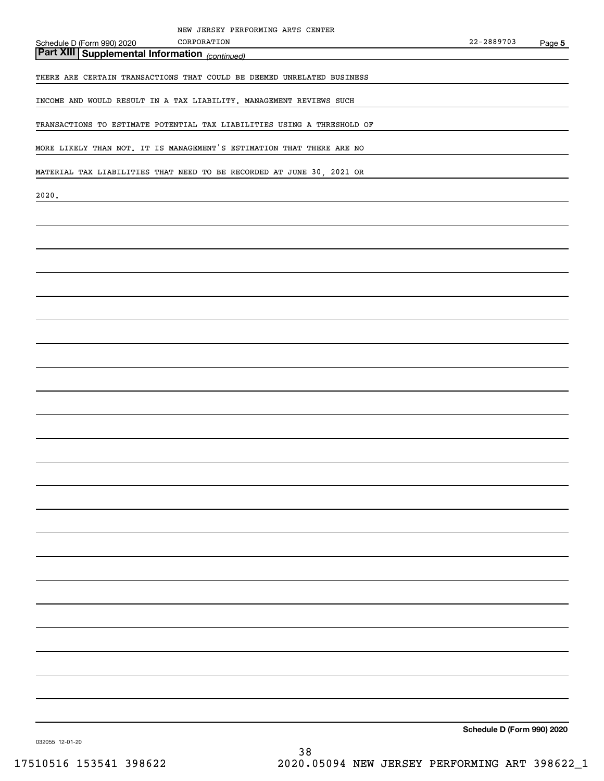### Schedule D (Form 990) 2020

# *(continued)* **Part XIII Supplemental Information**

THERE ARE CERTAIN TRANSACTIONS THAT COULD BE DEEMED UNRELATED BUSINESS

CORPORATION

INCOME AND WOULD RESULT IN A TAX LIABILITY. MANAGEMENT REVIEWS SUCH

TRANSACTIONS TO ESTIMATE POTENTIAL TAX LIABILITIES USING A THRESHOLD OF

MORE LIKELY THAN NOT. IT IS MANAGEMENT'S ESTIMATION THAT THERE ARE NO

MATERIAL TAX LIABILITIES THAT NEED TO BE RECORDED AT JUNE 30, 2021 OR

2020.

**Schedule D (Form 990) 2020**

032055 12-01-20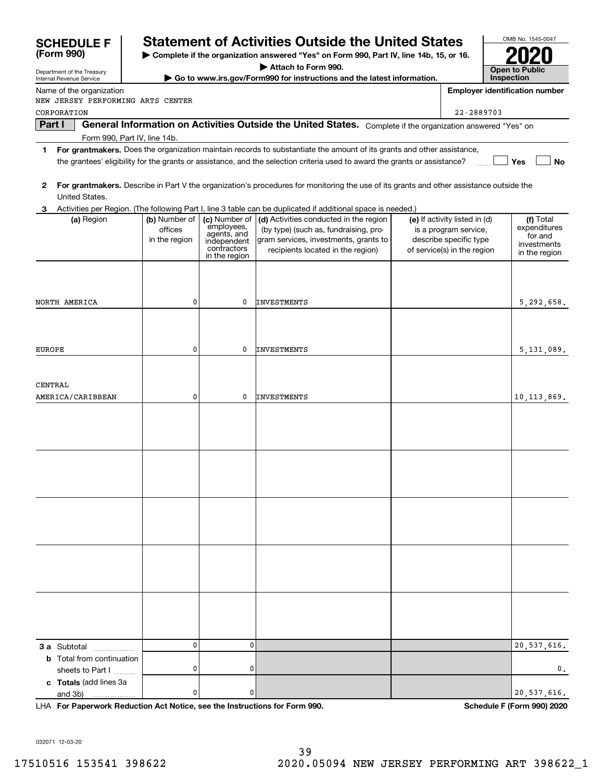| <b>SCHEDULE F</b>                                | <b>Statement of Activities Outside the United States</b>                               |                              | OMB No. 1545-0047                                                                                                                                      |                               |            |                                       |
|--------------------------------------------------|----------------------------------------------------------------------------------------|------------------------------|--------------------------------------------------------------------------------------------------------------------------------------------------------|-------------------------------|------------|---------------------------------------|
| (Form 990)                                       | Complete if the organization answered "Yes" on Form 990, Part IV, line 14b, 15, or 16. |                              |                                                                                                                                                        |                               |            |                                       |
| Department of the Treasury                       |                                                                                        |                              | <b>Open to Public</b>                                                                                                                                  |                               |            |                                       |
| Internal Revenue Service                         |                                                                                        |                              | Go to www.irs.gov/Form990 for instructions and the latest information.                                                                                 |                               | Inspection |                                       |
| Name of the organization                         |                                                                                        |                              |                                                                                                                                                        |                               |            | <b>Employer identification number</b> |
| NEW JERSEY PERFORMING ARTS CENTER<br>CORPORATION |                                                                                        |                              |                                                                                                                                                        | 22-2889703                    |            |                                       |
| Part I                                           |                                                                                        |                              | General Information on Activities Outside the United States. Complete if the organization answered "Yes" on                                            |                               |            |                                       |
| Form 990, Part IV, line 14b.                     |                                                                                        |                              |                                                                                                                                                        |                               |            |                                       |
| 1.                                               |                                                                                        |                              | For grantmakers. Does the organization maintain records to substantiate the amount of its grants and other assistance,                                 |                               |            |                                       |
|                                                  |                                                                                        |                              | the grantees' eligibility for the grants or assistance, and the selection criteria used to award the grants or assistance?                             |                               |            | Yes<br>No                             |
|                                                  |                                                                                        |                              |                                                                                                                                                        |                               |            |                                       |
| 2                                                |                                                                                        |                              | For grantmakers. Describe in Part V the organization's procedures for monitoring the use of its grants and other assistance outside the                |                               |            |                                       |
| United States.                                   |                                                                                        |                              |                                                                                                                                                        |                               |            |                                       |
| (a) Region                                       | (b) Number of                                                                          | (c) Number of                | Activities per Region. (The following Part I, line 3 table can be duplicated if additional space is needed.)<br>(d) Activities conducted in the region | (e) If activity listed in (d) |            | (f) Total                             |
|                                                  | offices                                                                                | employees,<br>agents, and    | (by type) (such as, fundraising, pro-                                                                                                                  | is a program service,         |            | expenditures                          |
|                                                  | in the region                                                                          | independent                  | gram services, investments, grants to                                                                                                                  | describe specific type        |            | for and<br>investments                |
|                                                  |                                                                                        | contractors<br>in the region | recipients located in the region)                                                                                                                      | of service(s) in the region   |            | in the region                         |
|                                                  |                                                                                        |                              |                                                                                                                                                        |                               |            |                                       |
|                                                  |                                                                                        |                              |                                                                                                                                                        |                               |            |                                       |
|                                                  |                                                                                        |                              |                                                                                                                                                        |                               |            |                                       |
| NORTH AMERICA                                    | 0                                                                                      | 0                            | <b>INVESTMENTS</b>                                                                                                                                     |                               |            | 5,292,658.                            |
|                                                  |                                                                                        |                              |                                                                                                                                                        |                               |            |                                       |
|                                                  |                                                                                        |                              |                                                                                                                                                        |                               |            |                                       |
| EUROPE                                           | 0                                                                                      | 0                            | <b>INVESTMENTS</b>                                                                                                                                     |                               |            | 5,131,089.                            |
|                                                  |                                                                                        |                              |                                                                                                                                                        |                               |            |                                       |
|                                                  |                                                                                        |                              |                                                                                                                                                        |                               |            |                                       |
| CENTRAL                                          |                                                                                        |                              |                                                                                                                                                        |                               |            |                                       |
| AMERICA/CARIBBEAN                                | 0                                                                                      | 0                            | <b>INVESTMENTS</b>                                                                                                                                     |                               |            | 10, 113, 869.                         |
|                                                  |                                                                                        |                              |                                                                                                                                                        |                               |            |                                       |
|                                                  |                                                                                        |                              |                                                                                                                                                        |                               |            |                                       |
|                                                  |                                                                                        |                              |                                                                                                                                                        |                               |            |                                       |
|                                                  |                                                                                        |                              |                                                                                                                                                        |                               |            |                                       |
|                                                  |                                                                                        |                              |                                                                                                                                                        |                               |            |                                       |
|                                                  |                                                                                        |                              |                                                                                                                                                        |                               |            |                                       |
|                                                  |                                                                                        |                              |                                                                                                                                                        |                               |            |                                       |
|                                                  |                                                                                        |                              |                                                                                                                                                        |                               |            |                                       |
|                                                  |                                                                                        |                              |                                                                                                                                                        |                               |            |                                       |
|                                                  |                                                                                        |                              |                                                                                                                                                        |                               |            |                                       |
|                                                  |                                                                                        |                              |                                                                                                                                                        |                               |            |                                       |
|                                                  |                                                                                        |                              |                                                                                                                                                        |                               |            |                                       |
|                                                  |                                                                                        |                              |                                                                                                                                                        |                               |            |                                       |
|                                                  |                                                                                        |                              |                                                                                                                                                        |                               |            |                                       |
|                                                  |                                                                                        |                              |                                                                                                                                                        |                               |            |                                       |
|                                                  |                                                                                        |                              |                                                                                                                                                        |                               |            |                                       |
|                                                  |                                                                                        |                              |                                                                                                                                                        |                               |            |                                       |
| <b>3 a</b> Subtotal                              | 0                                                                                      | $\mathbf 0$                  |                                                                                                                                                        |                               |            | 20,537,616.                           |
| <b>b</b> Total from continuation                 |                                                                                        |                              |                                                                                                                                                        |                               |            |                                       |
| sheets to Part I                                 | 0                                                                                      | 0                            |                                                                                                                                                        |                               |            | 0.                                    |
| c Totals (add lines 3a                           |                                                                                        |                              |                                                                                                                                                        |                               |            |                                       |
| and 3b)                                          | 0                                                                                      | 0                            |                                                                                                                                                        |                               |            | 20,537,616.                           |

**For Paperwork Reduction Act Notice, see the Instructions for Form 990. Schedule F (Form 990) 2020** LHA

032071 12-03-20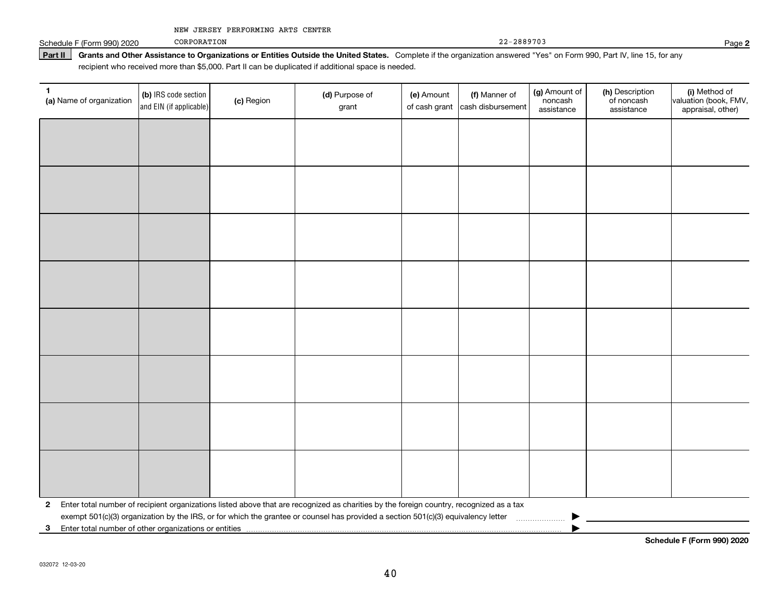|  |  | NEW JERSEY PERFORMING ARTS CENTER |  |  |  |
|--|--|-----------------------------------|--|--|--|
|--|--|-----------------------------------|--|--|--|

Schedule F (Form 990) 2020

CORPORATION

22-2889703

#### Part II | Grants and Other Assistance to Organizations or Entities Outside the United States. Complete if the organization answered "Yes" on Form 990, Part IV, line 15, for any recipient who received more than \$5,000. Part II can be duplicated if additional space is needed.

| 1.<br>(a) Name of organization                             | (b) IRS code section<br>and EIN (if applicable) | (c) Region | (d) Purpose of<br>grant                                                                                                                 | (e) Amount<br>of cash grant | (f) Manner of<br>cash disbursement | (g) Amount of<br>noncash<br>assistance | (h) Description<br>of noncash<br>assistance | (i) Method of<br>valuation (book, FMV,<br>appraisal, other) |
|------------------------------------------------------------|-------------------------------------------------|------------|-----------------------------------------------------------------------------------------------------------------------------------------|-----------------------------|------------------------------------|----------------------------------------|---------------------------------------------|-------------------------------------------------------------|
|                                                            |                                                 |            |                                                                                                                                         |                             |                                    |                                        |                                             |                                                             |
|                                                            |                                                 |            |                                                                                                                                         |                             |                                    |                                        |                                             |                                                             |
|                                                            |                                                 |            |                                                                                                                                         |                             |                                    |                                        |                                             |                                                             |
|                                                            |                                                 |            |                                                                                                                                         |                             |                                    |                                        |                                             |                                                             |
|                                                            |                                                 |            |                                                                                                                                         |                             |                                    |                                        |                                             |                                                             |
|                                                            |                                                 |            |                                                                                                                                         |                             |                                    |                                        |                                             |                                                             |
|                                                            |                                                 |            |                                                                                                                                         |                             |                                    |                                        |                                             |                                                             |
|                                                            |                                                 |            |                                                                                                                                         |                             |                                    |                                        |                                             |                                                             |
|                                                            |                                                 |            |                                                                                                                                         |                             |                                    |                                        |                                             |                                                             |
|                                                            |                                                 |            |                                                                                                                                         |                             |                                    |                                        |                                             |                                                             |
|                                                            |                                                 |            |                                                                                                                                         |                             |                                    |                                        |                                             |                                                             |
|                                                            |                                                 |            |                                                                                                                                         |                             |                                    |                                        |                                             |                                                             |
|                                                            |                                                 |            |                                                                                                                                         |                             |                                    |                                        |                                             |                                                             |
|                                                            |                                                 |            |                                                                                                                                         |                             |                                    |                                        |                                             |                                                             |
|                                                            |                                                 |            |                                                                                                                                         |                             |                                    |                                        |                                             |                                                             |
|                                                            |                                                 |            |                                                                                                                                         |                             |                                    |                                        |                                             |                                                             |
| $\mathbf{2}$                                               |                                                 |            | Enter total number of recipient organizations listed above that are recognized as charities by the foreign country, recognized as a tax |                             |                                    |                                        |                                             |                                                             |
|                                                            |                                                 |            | exempt 501(c)(3) organization by the IRS, or for which the grantee or counsel has provided a section 501(c)(3) equivalency letter       |                             |                                    |                                        |                                             |                                                             |
| Enter total number of other organizations or entities<br>3 |                                                 |            |                                                                                                                                         |                             |                                    |                                        |                                             |                                                             |

**2**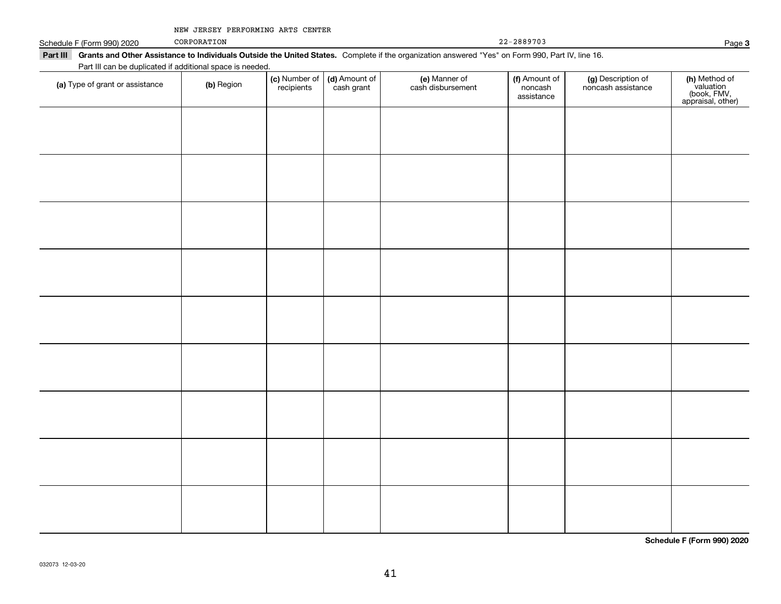|  |  | NEW JERSEY PERFORMING ARTS CENTER |  |  |  |
|--|--|-----------------------------------|--|--|--|
|--|--|-----------------------------------|--|--|--|

Schedule F (Form 990) 2020

CORPORATION

| ЮC | 22-2889703 |
|----|------------|
|----|------------|

Part III Grants and Other Assistance to Individuals Outside the United States. Complete if the organization answered "Yes" on Form 990, Part IV, line 16. Part III can be duplicated if additional space is needed.

| r art in car be daplicated in additional space is riceded<br>(a) Type of grant or assistance | (b) Region | (c) Number of<br>recipients | (d) Amount of<br>cash grant | (e) Manner of<br>cash disbursement | (f) Amount of<br>noncash<br>assistance | (g) Description of<br>noncash assistance | (h) Method of<br>valuation<br>(book, FMV,<br>appraisal, other) |
|----------------------------------------------------------------------------------------------|------------|-----------------------------|-----------------------------|------------------------------------|----------------------------------------|------------------------------------------|----------------------------------------------------------------|
|                                                                                              |            |                             |                             |                                    |                                        |                                          |                                                                |
|                                                                                              |            |                             |                             |                                    |                                        |                                          |                                                                |
|                                                                                              |            |                             |                             |                                    |                                        |                                          |                                                                |
|                                                                                              |            |                             |                             |                                    |                                        |                                          |                                                                |
|                                                                                              |            |                             |                             |                                    |                                        |                                          |                                                                |
|                                                                                              |            |                             |                             |                                    |                                        |                                          |                                                                |
|                                                                                              |            |                             |                             |                                    |                                        |                                          |                                                                |
|                                                                                              |            |                             |                             |                                    |                                        |                                          |                                                                |
|                                                                                              |            |                             |                             |                                    |                                        |                                          |                                                                |
|                                                                                              |            |                             |                             |                                    |                                        |                                          |                                                                |
|                                                                                              |            |                             |                             |                                    |                                        |                                          |                                                                |

**Schedule F (Form 990) 2020**

**3**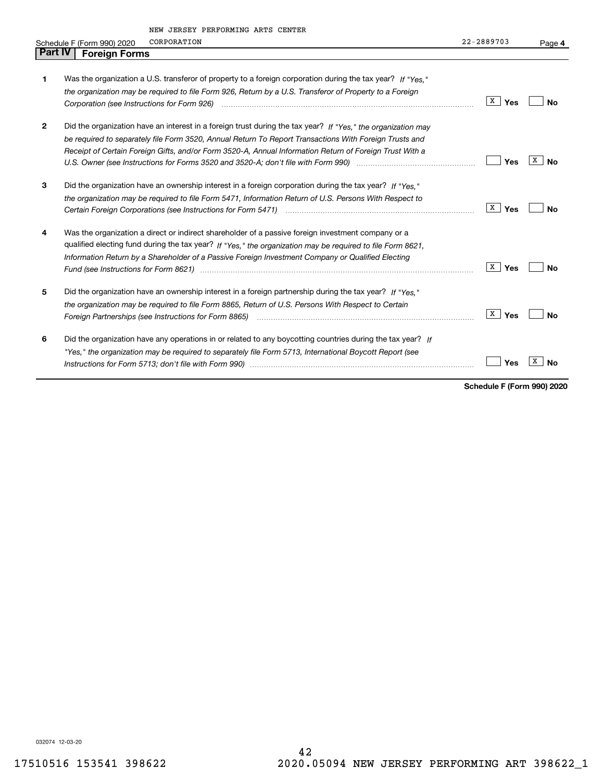|         | NEW JERSEY PERFORMING ARTS CENTER                                                                                                                                                                                              |                |         |
|---------|--------------------------------------------------------------------------------------------------------------------------------------------------------------------------------------------------------------------------------|----------------|---------|
|         | CORPORATION<br>Schedule F (Form 990) 2020                                                                                                                                                                                      | $22 - 2889703$ | Page 4  |
| Part IV | <b>Foreign Forms</b>                                                                                                                                                                                                           |                |         |
|         |                                                                                                                                                                                                                                |                |         |
| 1       | Was the organization a U.S. transferor of property to a foreign corporation during the tax year? If "Yes."                                                                                                                     |                |         |
|         | the organization may be required to file Form 926, Return by a U.S. Transferor of Property to a Foreign                                                                                                                        |                |         |
|         |                                                                                                                                                                                                                                | X<br>Yes       | Nο      |
|         |                                                                                                                                                                                                                                |                |         |
| 2       | Did the organization have an interest in a foreign trust during the tax year? If "Yes." the organization may                                                                                                                   |                |         |
|         | be required to separately file Form 3520, Annual Return To Report Transactions With Foreign Trusts and                                                                                                                         |                |         |
|         | Receipt of Certain Foreign Gifts, and/or Form 3520-A, Annual Information Return of Foreign Trust With a                                                                                                                        |                |         |
|         |                                                                                                                                                                                                                                | Yes            | x<br>No |
|         |                                                                                                                                                                                                                                |                |         |
| 3       | Did the organization have an ownership interest in a foreign corporation during the tax year? If "Yes."                                                                                                                        |                |         |
|         | the organization may be required to file Form 5471, Information Return of U.S. Persons With Respect to                                                                                                                         |                |         |
|         |                                                                                                                                                                                                                                | X  <br>Yes     | Nο      |
| 4       | Was the organization a direct or indirect shareholder of a passive foreign investment company or a                                                                                                                             |                |         |
|         | qualified electing fund during the tax year? If "Yes," the organization may be required to file Form 8621,                                                                                                                     |                |         |
|         | Information Return by a Shareholder of a Passive Foreign Investment Company or Qualified Electing                                                                                                                              |                |         |
|         | Fund (see Instructions for Form 8621) manufactured control to the form of the state of the control of the state of the state of the state of the state of the state of the state of the state of the state of the state of the | x  <br>Yes     | No      |
|         |                                                                                                                                                                                                                                |                |         |
| 5       | Did the organization have an ownership interest in a foreign partnership during the tax year? If "Yes."                                                                                                                        |                |         |
|         | the organization may be required to file Form 8865, Return of U.S. Persons With Respect to Certain                                                                                                                             |                |         |
|         |                                                                                                                                                                                                                                | X  <br>Yes     | No      |
| 6       | Did the organization have any operations in or related to any boycotting countries during the tax year? If                                                                                                                     |                |         |
|         | "Yes," the organization may be required to separately file Form 5713, International Boycott Report (see                                                                                                                        |                |         |
|         |                                                                                                                                                                                                                                | Yes            | No      |
|         |                                                                                                                                                                                                                                |                |         |

**Schedule F (Form 990) 2020**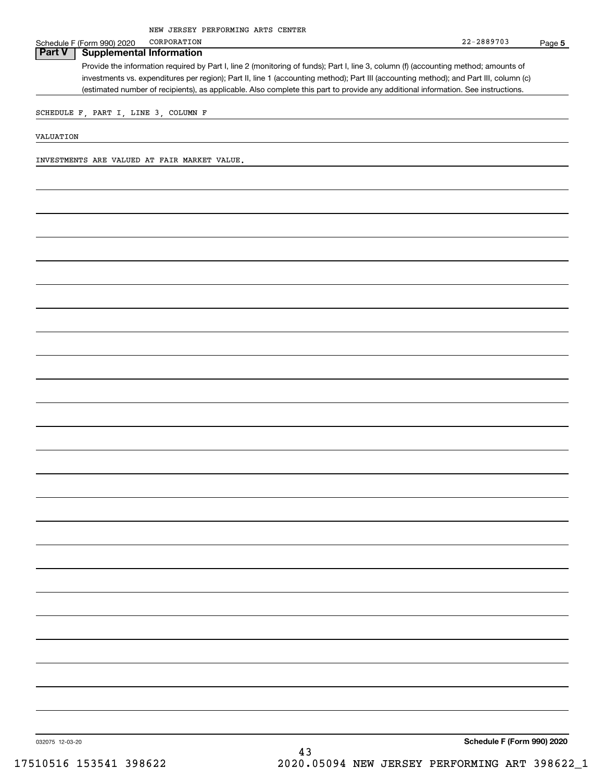#### Schedule F (Form 990) 2020 **Part V Supplemental Information** CORPORATION

Provide the information required by Part I, line 2 (monitoring of funds); Part I, line 3, column (f) (accounting method; amounts of investments vs. expenditures per region); Part II, line 1 (accounting method); Part III (accounting method); and Part III, column (c) (estimated number of recipients), as applicable. Also complete this part to provide any additional information. See instructions.

SCHEDULE F, PART I, LINE 3, COLUMN F

VALUATION

INVESTMENTS ARE VALUED AT FAIR MARKET VALUE.

**Schedule F (Form 990) 2020**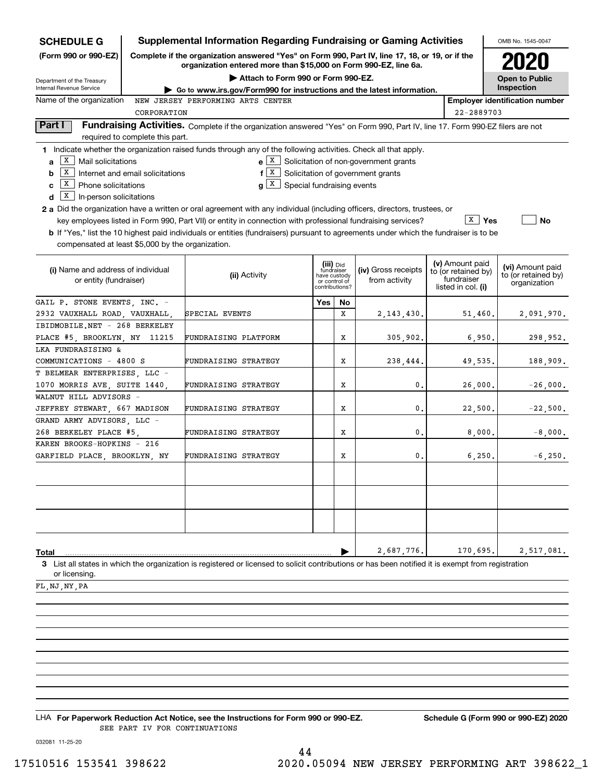| <b>SCHEDULE G</b>                                                                                                                                                        | <b>Supplemental Information Regarding Fundraising or Gaming Activities</b>                                                                                                                                                                                                                                                                                                                                                                                                                                                                                                                          |                                                                            |    |                                             |                                                                            |                    | OMB No. 1545-0047                                       |  |
|--------------------------------------------------------------------------------------------------------------------------------------------------------------------------|-----------------------------------------------------------------------------------------------------------------------------------------------------------------------------------------------------------------------------------------------------------------------------------------------------------------------------------------------------------------------------------------------------------------------------------------------------------------------------------------------------------------------------------------------------------------------------------------------------|----------------------------------------------------------------------------|----|---------------------------------------------|----------------------------------------------------------------------------|--------------------|---------------------------------------------------------|--|
| (Form 990 or 990-EZ)                                                                                                                                                     | Complete if the organization answered "Yes" on Form 990, Part IV, line 17, 18, or 19, or if the<br>organization entered more than \$15,000 on Form 990-EZ, line 6a.                                                                                                                                                                                                                                                                                                                                                                                                                                 |                                                                            |    |                                             |                                                                            |                    |                                                         |  |
| Department of the Treasury<br>Internal Revenue Service                                                                                                                   | Attach to Form 990 or Form 990-EZ.                                                                                                                                                                                                                                                                                                                                                                                                                                                                                                                                                                  |                                                                            |    |                                             |                                                                            |                    | <b>Open to Public</b><br>Inspection                     |  |
| Name of the organization                                                                                                                                                 | Go to www.irs.gov/Form990 for instructions and the latest information.<br>NEW JERSEY PERFORMING ARTS CENTER                                                                                                                                                                                                                                                                                                                                                                                                                                                                                         |                                                                            |    |                                             |                                                                            |                    | <b>Employer identification number</b>                   |  |
| CORPORATION                                                                                                                                                              |                                                                                                                                                                                                                                                                                                                                                                                                                                                                                                                                                                                                     |                                                                            |    |                                             | 22-2889703                                                                 |                    |                                                         |  |
| Part I<br>required to complete this part.                                                                                                                                | Fundraising Activities. Complete if the organization answered "Yes" on Form 990, Part IV, line 17. Form 990-EZ filers are not                                                                                                                                                                                                                                                                                                                                                                                                                                                                       |                                                                            |    |                                             |                                                                            |                    |                                                         |  |
| X<br>Mail solicitations<br>a<br>X<br>Internet and email solicitations<br>b<br>$\boxed{\text{X}}$ Phone solicitations<br>c<br>$\overline{X}$ In-person solicitations<br>d | 1 Indicate whether the organization raised funds through any of the following activities. Check all that apply.<br>$f[X]$ Solicitation of government grants<br>$g X$ Special fundraising events<br><b>2 a</b> Did the organization have a written or oral agreement with any individual (including officers, directors, trustees, or<br>key employees listed in Form 990, Part VII) or entity in connection with professional fundraising services?<br><b>b</b> If "Yes," list the 10 highest paid individuals or entities (fundraisers) pursuant to agreements under which the fundraiser is to be |                                                                            |    | $e X$ Solicitation of non-government grants |                                                                            | $\overline{X}$ Yes | No                                                      |  |
| compensated at least \$5,000 by the organization.                                                                                                                        |                                                                                                                                                                                                                                                                                                                                                                                                                                                                                                                                                                                                     |                                                                            |    |                                             |                                                                            |                    |                                                         |  |
| (i) Name and address of individual<br>or entity (fundraiser)                                                                                                             | (ii) Activity                                                                                                                                                                                                                                                                                                                                                                                                                                                                                                                                                                                       | (iii) Did<br>fundraiser<br>have custody<br>or control of<br>contributions? |    | (iv) Gross receipts<br>from activity        | (v) Amount paid<br>to (or retained by)<br>fundraiser<br>listed in col. (i) |                    | (vi) Amount paid<br>to (or retained by)<br>organization |  |
| GAIL P. STONE EVENTS, INC. -                                                                                                                                             |                                                                                                                                                                                                                                                                                                                                                                                                                                                                                                                                                                                                     | Yes                                                                        | No |                                             |                                                                            |                    |                                                         |  |
| 2932 VAUXHALL ROAD, VAUXHALL,                                                                                                                                            | SPECIAL EVENTS                                                                                                                                                                                                                                                                                                                                                                                                                                                                                                                                                                                      |                                                                            | x  | 2, 143, 430.                                | 51,460.                                                                    |                    | 2,091,970.                                              |  |
| IBIDMOBILE.NET - 268 BERKELEY                                                                                                                                            |                                                                                                                                                                                                                                                                                                                                                                                                                                                                                                                                                                                                     |                                                                            |    |                                             |                                                                            |                    |                                                         |  |
| PLACE #5, BROOKLYN, NY 11215                                                                                                                                             | FUNDRAISING PLATFORM                                                                                                                                                                                                                                                                                                                                                                                                                                                                                                                                                                                |                                                                            | X  | 305,902.                                    | 6,950.                                                                     |                    | 298,952.                                                |  |
| LKA FUNDRASISING &                                                                                                                                                       |                                                                                                                                                                                                                                                                                                                                                                                                                                                                                                                                                                                                     |                                                                            |    |                                             |                                                                            |                    |                                                         |  |
| COMMUNICATIONS - 4800 S                                                                                                                                                  | FUNDRAISING STRATEGY                                                                                                                                                                                                                                                                                                                                                                                                                                                                                                                                                                                |                                                                            | X  | 238,444.                                    | 49,535.                                                                    |                    | 188,909.                                                |  |
| T BELMEAR ENTERPRISES, LLC -                                                                                                                                             |                                                                                                                                                                                                                                                                                                                                                                                                                                                                                                                                                                                                     |                                                                            |    |                                             |                                                                            |                    |                                                         |  |
| 1070 MORRIS AVE, SUITE 1440,                                                                                                                                             | FUNDRAISING STRATEGY                                                                                                                                                                                                                                                                                                                                                                                                                                                                                                                                                                                |                                                                            | X  | 0.                                          | 26,000.                                                                    |                    | $-26,000.$                                              |  |
| WALNUT HILL ADVISORS -                                                                                                                                                   |                                                                                                                                                                                                                                                                                                                                                                                                                                                                                                                                                                                                     |                                                                            |    |                                             |                                                                            |                    |                                                         |  |
| JEFFREY STEWART, 667 MADISON                                                                                                                                             | FUNDRAISING STRATEGY                                                                                                                                                                                                                                                                                                                                                                                                                                                                                                                                                                                |                                                                            | X  | 0.                                          | 22,500.                                                                    |                    | $-22,500.$                                              |  |
| GRAND ARMY ADVISORS, LLC -                                                                                                                                               |                                                                                                                                                                                                                                                                                                                                                                                                                                                                                                                                                                                                     |                                                                            |    |                                             |                                                                            |                    |                                                         |  |
| 268 BERKELEY PLACE #5,                                                                                                                                                   | FUNDRAISING STRATEGY                                                                                                                                                                                                                                                                                                                                                                                                                                                                                                                                                                                |                                                                            | X  | 0.                                          | 8,000.                                                                     |                    | $-8$ ,000.                                              |  |
| KAREN BROOKS-HOPKINS - 216                                                                                                                                               |                                                                                                                                                                                                                                                                                                                                                                                                                                                                                                                                                                                                     |                                                                            |    |                                             |                                                                            |                    |                                                         |  |
| GARFIELD PLACE, BROOKLYN, NY                                                                                                                                             | FUNDRAISING STRATEGY                                                                                                                                                                                                                                                                                                                                                                                                                                                                                                                                                                                |                                                                            | х  | 0.                                          | 6,250.                                                                     |                    | $-6,250.$                                               |  |
|                                                                                                                                                                          |                                                                                                                                                                                                                                                                                                                                                                                                                                                                                                                                                                                                     |                                                                            |    |                                             |                                                                            |                    |                                                         |  |
|                                                                                                                                                                          |                                                                                                                                                                                                                                                                                                                                                                                                                                                                                                                                                                                                     |                                                                            |    |                                             |                                                                            |                    |                                                         |  |
| Total                                                                                                                                                                    |                                                                                                                                                                                                                                                                                                                                                                                                                                                                                                                                                                                                     |                                                                            |    | 2,687,776.                                  | 170,695.                                                                   |                    | 2,517,081.                                              |  |
| or licensing.                                                                                                                                                            | 3 List all states in which the organization is registered or licensed to solicit contributions or has been notified it is exempt from registration                                                                                                                                                                                                                                                                                                                                                                                                                                                  |                                                                            |    |                                             |                                                                            |                    |                                                         |  |
| FL, NJ, NY, PA                                                                                                                                                           |                                                                                                                                                                                                                                                                                                                                                                                                                                                                                                                                                                                                     |                                                                            |    |                                             |                                                                            |                    |                                                         |  |

LHA For Paperwork Reduction Act Notice, see the Instructions for Form 990 or 990-EZ. Schedule G (Form 990 or 990-EZ) 2020 SEE PART IV FOR CONTINUATIONS

032081 11-25-20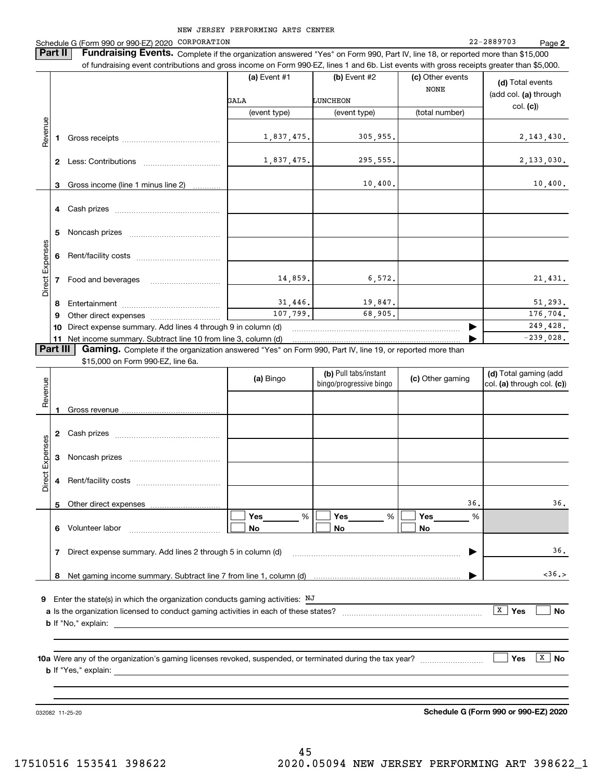NEW JERSEY PERFORMING ARTS CENTER 22-2889703 **2**Schedule G (Form 990 or 990-EZ) 2020 Page CORPORATION**Part II** | Fundraising Events. Complete if the organization answered "Yes" on Form 990, Part IV, line 18, or reported more than \$15,000 of fundraising event contributions and gross income on Form 990-EZ, lines 1 and 6b. List events with gross receipts greater than \$5,000. (c) Other events **(a)** Event #1  $\vert$  **(b)** Event #2 **(d)**  Total events NONE(add col. **(a)** through LUNCHEON GALAcol. **(c)**) (event type) (event type) (total number) Revenue Revenue 1,837,475. 305,955. 2,143,430. **1**Gross receipts ~~~~~~~~~~~~~~ 1,837,475. 295,555. 2,133,030. **2** Less: Contributions ................................ 10,400. 10,400. Gross income (line 1 minus line 2) **3**. . . . . . . . . . . . **4** Cash prizes <sub>………………………………………</sub> **5**Noncash prizes ~~~~~~~~~~~~~ Direct Expenses Direct Expenses Rent/facility costs ~~~~~~~~~~~~**6**14,859. 6,572. 21,431. **7**Food and beverages 31,446. 19,847. 51,293. **8**Entertainment ~~~~~~~~~~~~~~ 107,799. 68,905. 176,704. Other direct expenses ................... **9**

**Part III | Gaming.** Complete if the organization answered "Yes" on Form 990, Part IV, line 19, or reported more than

\$15,000 on Form 990-EZ, line 6a.

**10** Direct expense summary. Add lines 4 through 9 in column (d) **11** Net income summary. Subtract line 10 from line 3, column (d)

|                 |   | \$15,000 on Form 990-EZ, line 6a.                                                                                                            |                |                                                  |                       |                                                     |
|-----------------|---|----------------------------------------------------------------------------------------------------------------------------------------------|----------------|--------------------------------------------------|-----------------------|-----------------------------------------------------|
| Revenue         |   |                                                                                                                                              | (a) Bingo      | (b) Pull tabs/instant<br>bingo/progressive bingo | (c) Other gaming      | (d) Total gaming (add<br>col. (a) through col. (c)) |
|                 | 1 |                                                                                                                                              |                |                                                  |                       |                                                     |
|                 | 2 |                                                                                                                                              |                |                                                  |                       |                                                     |
|                 | 3 |                                                                                                                                              |                |                                                  |                       |                                                     |
| Direct Expenses | 4 |                                                                                                                                              |                |                                                  |                       |                                                     |
|                 | 5 |                                                                                                                                              |                |                                                  | 36.                   | 36.                                                 |
|                 | 6 |                                                                                                                                              | %<br><b>No</b> | % I<br>No                                        | %<br><b>No</b>        |                                                     |
|                 | 7 | Direct expense summary. Add lines 2 through 5 in column (d) [11] manuscription contract expense summary. Add lines 2 through 5 in column (d) |                |                                                  | $\blacktriangleright$ | 36.                                                 |
|                 | 8 |                                                                                                                                              |                |                                                  |                       | <36.>                                               |
| 9               |   | Enter the state(s) in which the organization conducts gaming activities: NJ                                                                  |                |                                                  |                       |                                                     |
|                 |   |                                                                                                                                              |                |                                                  |                       | $\boxed{\mathbf{x}}$<br>Yes<br><b>No</b>            |
|                 |   |                                                                                                                                              |                |                                                  |                       |                                                     |
|                 |   |                                                                                                                                              |                |                                                  |                       | $\mathbf{x}$<br>Yes<br><b>No</b>                    |
|                 |   |                                                                                                                                              |                |                                                  |                       |                                                     |

032082 11-25-20

**Schedule G (Form 990 or 990-EZ) 2020**

 $\blacktriangleright$ 

249,428.  $-239,028.$ 

…… ▶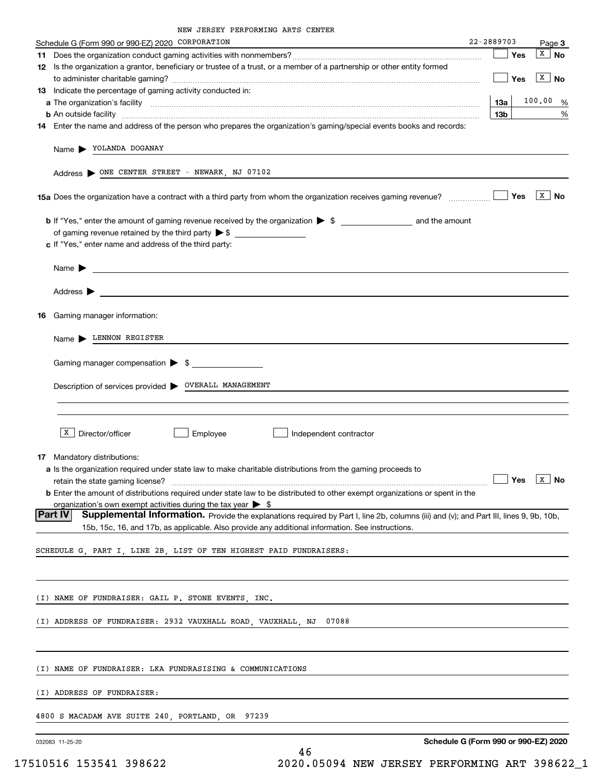| Schedule G (Form 990 or 990-EZ) 2020 CORPORATION                                                                                                                                                                                                      |                                      | 22-2889703 | Page 3                  |
|-------------------------------------------------------------------------------------------------------------------------------------------------------------------------------------------------------------------------------------------------------|--------------------------------------|------------|-------------------------|
|                                                                                                                                                                                                                                                       |                                      | Yes        | $\overline{X}$ No       |
| 12 Is the organization a grantor, beneficiary or trustee of a trust, or a member of a partnership or other entity formed                                                                                                                              |                                      |            |                         |
|                                                                                                                                                                                                                                                       |                                      | Yes        | $\sqrt{X}$ No           |
| 13 Indicate the percentage of gaming activity conducted in:                                                                                                                                                                                           |                                      |            |                         |
|                                                                                                                                                                                                                                                       |                                      | 13а        | 100.00 %                |
| <b>b</b> An outside facility <i>www.communicality www.communicality.communicality www.communicality www.communicality.com</i><br>14 Enter the name and address of the person who prepares the organization's gaming/special events books and records: |                                      | 13b        | %                       |
|                                                                                                                                                                                                                                                       |                                      |            |                         |
| Name > YOLANDA DOGANAY                                                                                                                                                                                                                                |                                      |            |                         |
| Address > ONE CENTER STREET - NEWARK, NJ 07102                                                                                                                                                                                                        |                                      |            |                         |
|                                                                                                                                                                                                                                                       |                                      | Yes        | $\sqrt{X}$ No           |
|                                                                                                                                                                                                                                                       |                                      |            |                         |
|                                                                                                                                                                                                                                                       |                                      |            |                         |
| c If "Yes," enter name and address of the third party:                                                                                                                                                                                                |                                      |            |                         |
| Name $\blacktriangleright$                                                                                                                                                                                                                            |                                      |            |                         |
|                                                                                                                                                                                                                                                       |                                      |            |                         |
| Address $\blacktriangleright$                                                                                                                                                                                                                         |                                      |            |                         |
|                                                                                                                                                                                                                                                       |                                      |            |                         |
| Gaming manager information:<br>16.                                                                                                                                                                                                                    |                                      |            |                         |
| Name LENNON REGISTER                                                                                                                                                                                                                                  |                                      |            |                         |
| Gaming manager compensation > \$                                                                                                                                                                                                                      |                                      |            |                         |
|                                                                                                                                                                                                                                                       |                                      |            |                         |
| Description of services provided > OVERALL MANAGEMENT                                                                                                                                                                                                 |                                      |            |                         |
|                                                                                                                                                                                                                                                       |                                      |            |                         |
|                                                                                                                                                                                                                                                       |                                      |            |                         |
| X<br>Director/officer<br>Employee<br>Independent contractor                                                                                                                                                                                           |                                      |            |                         |
|                                                                                                                                                                                                                                                       |                                      |            |                         |
| <b>17</b> Mandatory distributions:                                                                                                                                                                                                                    |                                      |            |                         |
| a Is the organization required under state law to make charitable distributions from the gaming proceeds to                                                                                                                                           |                                      | 」Yes       | $\boxed{\texttt{X}}$ No |
| retain the state gaming license?<br><b>b</b> Enter the amount of distributions required under state law to be distributed to other exempt organizations or spent in the                                                                               |                                      |            |                         |
| organization's own exempt activities during the tax year $\triangleright$ \$                                                                                                                                                                          |                                      |            |                         |
| Part IV<br>Supplemental Information. Provide the explanations required by Part I, line 2b, columns (iii) and (v); and Part III, lines 9, 9b, 10b,                                                                                                     |                                      |            |                         |
| 15b, 15c, 16, and 17b, as applicable. Also provide any additional information. See instructions.                                                                                                                                                      |                                      |            |                         |
| SCHEDULE G, PART I, LINE 2B, LIST OF TEN HIGHEST PAID FUNDRAISERS:                                                                                                                                                                                    |                                      |            |                         |
|                                                                                                                                                                                                                                                       |                                      |            |                         |
|                                                                                                                                                                                                                                                       |                                      |            |                         |
| (I) NAME OF FUNDRAISER: GAIL P. STONE EVENTS, INC.                                                                                                                                                                                                    |                                      |            |                         |
|                                                                                                                                                                                                                                                       |                                      |            |                         |
| (I) ADDRESS OF FUNDRAISER: 2932 VAUXHALL ROAD, VAUXHALL, NJ<br>07088                                                                                                                                                                                  |                                      |            |                         |
|                                                                                                                                                                                                                                                       |                                      |            |                         |
|                                                                                                                                                                                                                                                       |                                      |            |                         |
| (I) NAME OF FUNDRAISER: LKA FUNDRASISING & COMMUNICATIONS                                                                                                                                                                                             |                                      |            |                         |
| (I) ADDRESS OF FUNDRAISER:                                                                                                                                                                                                                            |                                      |            |                         |
| 4800 S MACADAM AVE SUITE 240, PORTLAND, OR<br>97239                                                                                                                                                                                                   |                                      |            |                         |
|                                                                                                                                                                                                                                                       |                                      |            |                         |
| 032083 11-25-20                                                                                                                                                                                                                                       | Schedule G (Form 990 or 990-EZ) 2020 |            |                         |

46 17510516 153541 398622 2020.05094 NEW JERSEY PERFORMING ART 398622\_1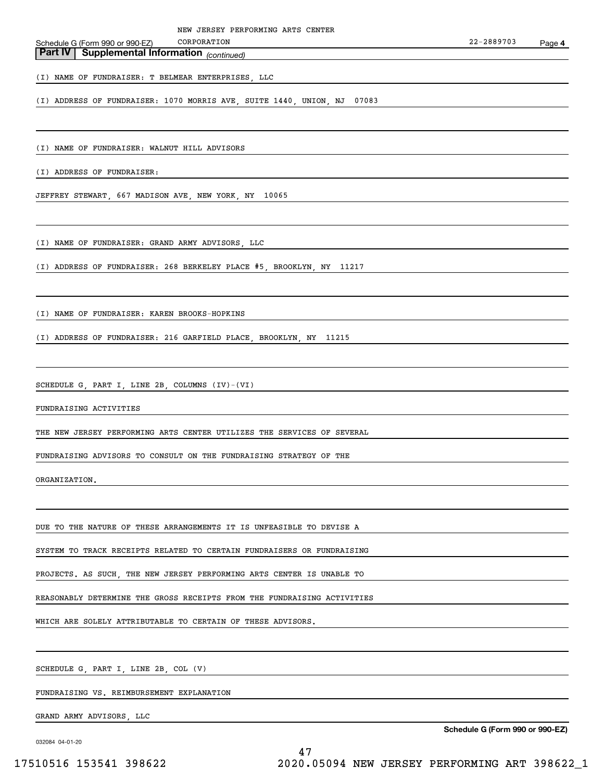# **Part IV** Supplemental Information (continued)

(I) NAME OF FUNDRAISER: T BELMEAR ENTERPRISES, LLC

(I) ADDRESS OF FUNDRAISER: 1070 MORRIS AVE, SUITE 1440, UNION, NJ 07083

(I) NAME OF FUNDRAISER: WALNUT HILL ADVISORS

(I) ADDRESS OF FUNDRAISER:

JEFFREY STEWART, 667 MADISON AVE, NEW YORK, NY 10065

(I) NAME OF FUNDRAISER: GRAND ARMY ADVISORS, LLC

(I) ADDRESS OF FUNDRAISER: 268 BERKELEY PLACE #5, BROOKLYN, NY 11217

(I) NAME OF FUNDRAISER: KAREN BROOKS-HOPKINS

(I) ADDRESS OF FUNDRAISER: 216 GARFIELD PLACE, BROOKLYN, NY 11215

SCHEDULE G, PART I, LINE 2B, COLUMNS (IV)-(VI)

FUNDRAISING ACTIVITIES

THE NEW JERSEY PERFORMING ARTS CENTER UTILIZES THE SERVICES OF SEVERAL

FUNDRAISING ADVISORS TO CONSULT ON THE FUNDRAISING STRATEGY OF THE

ORGANIZATION.

DUE TO THE NATURE OF THESE ARRANGEMENTS IT IS UNFEASIBLE TO DEVISE A

SYSTEM TO TRACK RECEIPTS RELATED TO CERTAIN FUNDRAISERS OR FUNDRAISING

PROJECTS. AS SUCH, THE NEW JERSEY PERFORMING ARTS CENTER IS UNABLE TO

REASONABLY DETERMINE THE GROSS RECEIPTS FROM THE FUNDRAISING ACTIVITIES

WHICH ARE SOLELY ATTRIBUTABLE TO CERTAIN OF THESE ADVISORS.

SCHEDULE G, PART I, LINE 2B, COL (V)

FUNDRAISING VS. REIMBURSEMENT EXPLANATION

GRAND ARMY ADVISORS, LLC

032084 04-01-20

**Schedule G (Form 990 or 990-EZ)**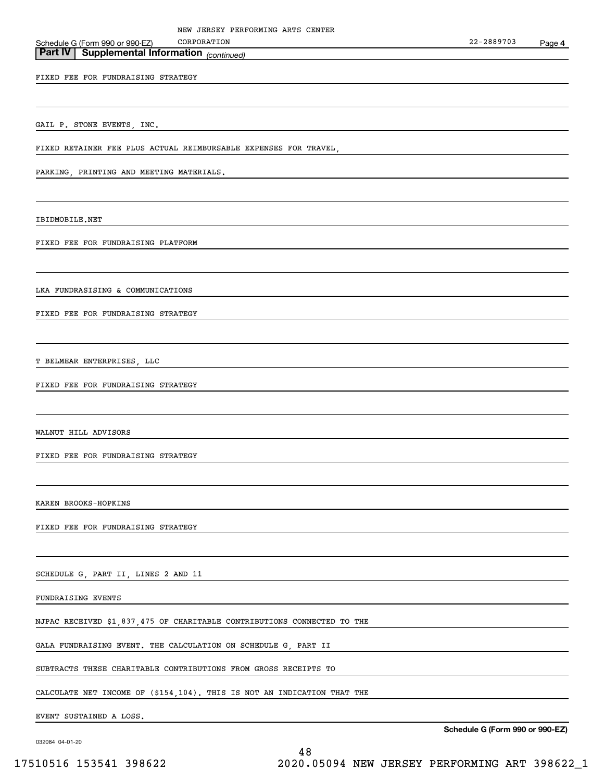### **Part IV** Supplemental Information (continued) Schedule G (Form 990 or 990-EZ)

FIXED FEE FOR FUNDRAISING STRATEGY

GAIL P. STONE EVENTS, INC.

FIXED RETAINER FEE PLUS ACTUAL REIMBURSABLE EXPENSES FOR TRAVEL,

PARKING, PRINTING AND MEETING MATERIALS.

IBIDMOBILE.NET

FIXED FEE FOR FUNDRAISING PLATFORM

LKA FUNDRASISING & COMMUNICATIONS

FIXED FEE FOR FUNDRAISING STRATEGY

T BELMEAR ENTERPRISES, LLC

FIXED FEE FOR FUNDRAISING STRATEGY

WALNUT HILL ADVISORS

FIXED FEE FOR FUNDRAISING STRATEGY

KAREN BROOKS-HOPKINS

FIXED FEE FOR FUNDRAISING STRATEGY

SCHEDULE G, PART II, LINES 2 AND 11

FUNDRAISING EVENTS

NJPAC RECEIVED \$1,837,475 OF CHARITABLE CONTRIBUTIONS CONNECTED TO THE

GALA FUNDRAISING EVENT. THE CALCULATION ON SCHEDULE G, PART II

SUBTRACTS THESE CHARITABLE CONTRIBUTIONS FROM GROSS RECEIPTS TO

CALCULATE NET INCOME OF (\$154,104). THIS IS NOT AN INDICATION THAT THE

EVENT SUSTAINED A LOSS.

032084 04-01-20

**Schedule G (Form 990 or 990-EZ)**

48 17510516 153541 398622 2020.05094 NEW JERSEY PERFORMING ART 398622\_1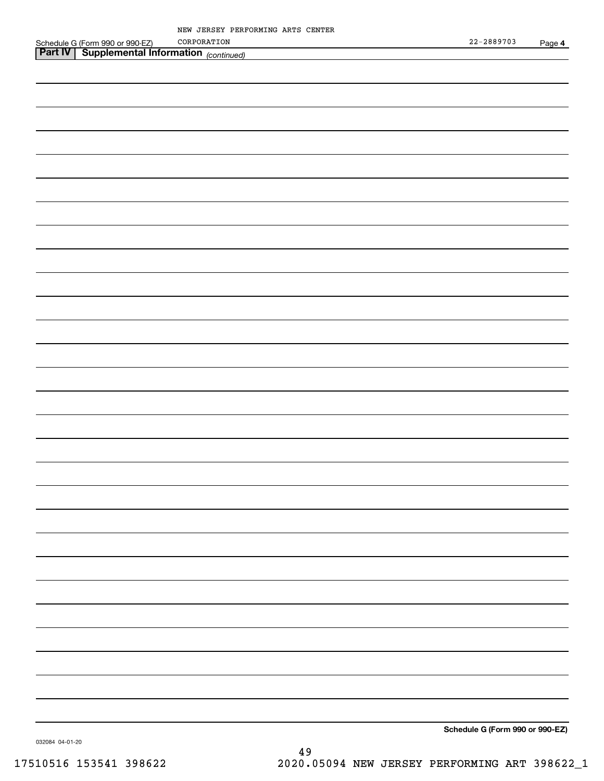| Schedule G (Form 990 or 990-EZ) CORPORATION<br><b>Part IV   Supplemental Information</b> (continued) | $22 - 2889703$                   | Page 4 |
|------------------------------------------------------------------------------------------------------|----------------------------------|--------|
|                                                                                                      |                                  |        |
|                                                                                                      |                                  |        |
|                                                                                                      |                                  |        |
|                                                                                                      |                                  |        |
|                                                                                                      |                                  |        |
|                                                                                                      |                                  |        |
|                                                                                                      |                                  |        |
|                                                                                                      |                                  |        |
|                                                                                                      |                                  |        |
|                                                                                                      |                                  |        |
|                                                                                                      |                                  |        |
|                                                                                                      |                                  |        |
|                                                                                                      |                                  |        |
|                                                                                                      |                                  |        |
|                                                                                                      |                                  |        |
|                                                                                                      |                                  |        |
|                                                                                                      |                                  |        |
|                                                                                                      |                                  |        |
|                                                                                                      |                                  |        |
|                                                                                                      |                                  |        |
|                                                                                                      |                                  |        |
|                                                                                                      |                                  |        |
|                                                                                                      |                                  |        |
|                                                                                                      |                                  |        |
|                                                                                                      |                                  |        |
|                                                                                                      |                                  |        |
|                                                                                                      |                                  |        |
|                                                                                                      |                                  |        |
|                                                                                                      |                                  |        |
|                                                                                                      |                                  |        |
|                                                                                                      |                                  |        |
|                                                                                                      |                                  |        |
|                                                                                                      |                                  |        |
|                                                                                                      | Cabadule O (Fause 000 au 000 F7) |        |

**Schedule G (Form 990 or 990-EZ)**

032084 04-01-20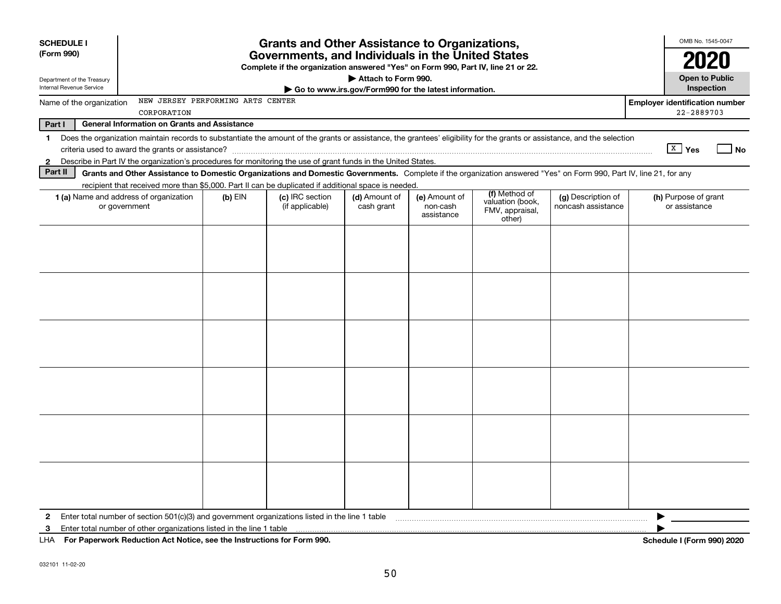| <b>SCHEDULE I</b>                                                                                                                                                                       |                                                                                                                                       | <b>Grants and Other Assistance to Organizations,</b> |                                                       |                                         |                                                                |                                          | OMB No. 1545-0047                     |  |  |
|-----------------------------------------------------------------------------------------------------------------------------------------------------------------------------------------|---------------------------------------------------------------------------------------------------------------------------------------|------------------------------------------------------|-------------------------------------------------------|-----------------------------------------|----------------------------------------------------------------|------------------------------------------|---------------------------------------|--|--|
| (Form 990)                                                                                                                                                                              | Governments, and Individuals in the United States<br>Complete if the organization answered "Yes" on Form 990, Part IV, line 21 or 22. |                                                      |                                                       |                                         |                                                                |                                          |                                       |  |  |
| Department of the Treasury                                                                                                                                                              |                                                                                                                                       |                                                      | Attach to Form 990.                                   |                                         |                                                                |                                          | <b>Open to Public</b>                 |  |  |
| Internal Revenue Service                                                                                                                                                                |                                                                                                                                       |                                                      | Go to www.irs.gov/Form990 for the latest information. |                                         |                                                                |                                          | Inspection                            |  |  |
| NEW JERSEY PERFORMING ARTS CENTER<br>Name of the organization<br>CORPORATION                                                                                                            |                                                                                                                                       | <b>Employer identification number</b><br>22-2889703  |                                                       |                                         |                                                                |                                          |                                       |  |  |
| Part I<br><b>General Information on Grants and Assistance</b>                                                                                                                           |                                                                                                                                       |                                                      |                                                       |                                         |                                                                |                                          |                                       |  |  |
| Does the organization maintain records to substantiate the amount of the grants or assistance, the grantees' eligibility for the grants or assistance, and the selection<br>$\mathbf 1$ |                                                                                                                                       |                                                      |                                                       |                                         |                                                                |                                          |                                       |  |  |
|                                                                                                                                                                                         |                                                                                                                                       |                                                      |                                                       |                                         |                                                                |                                          | $X \mid Y$ es<br>  No                 |  |  |
| Describe in Part IV the organization's procedures for monitoring the use of grant funds in the United States.<br>$\mathbf{2}$                                                           |                                                                                                                                       |                                                      |                                                       |                                         |                                                                |                                          |                                       |  |  |
| Part II<br>Grants and Other Assistance to Domestic Organizations and Domestic Governments. Complete if the organization answered "Yes" on Form 990, Part IV, line 21, for any           |                                                                                                                                       |                                                      |                                                       |                                         |                                                                |                                          |                                       |  |  |
| recipient that received more than \$5,000. Part II can be duplicated if additional space is needed.                                                                                     |                                                                                                                                       |                                                      |                                                       |                                         |                                                                |                                          |                                       |  |  |
| <b>1 (a)</b> Name and address of organization<br>or government                                                                                                                          | $(b)$ EIN                                                                                                                             | (c) IRC section<br>(if applicable)                   | (d) Amount of<br>cash grant                           | (e) Amount of<br>non-cash<br>assistance | (f) Method of<br>valuation (book,<br>FMV, appraisal,<br>other) | (g) Description of<br>noncash assistance | (h) Purpose of grant<br>or assistance |  |  |
|                                                                                                                                                                                         |                                                                                                                                       |                                                      |                                                       |                                         |                                                                |                                          |                                       |  |  |
|                                                                                                                                                                                         |                                                                                                                                       |                                                      |                                                       |                                         |                                                                |                                          |                                       |  |  |
|                                                                                                                                                                                         |                                                                                                                                       |                                                      |                                                       |                                         |                                                                |                                          |                                       |  |  |
|                                                                                                                                                                                         |                                                                                                                                       |                                                      |                                                       |                                         |                                                                |                                          |                                       |  |  |
|                                                                                                                                                                                         |                                                                                                                                       |                                                      |                                                       |                                         |                                                                |                                          |                                       |  |  |
|                                                                                                                                                                                         |                                                                                                                                       |                                                      |                                                       |                                         |                                                                |                                          |                                       |  |  |
|                                                                                                                                                                                         |                                                                                                                                       |                                                      |                                                       |                                         |                                                                |                                          |                                       |  |  |
|                                                                                                                                                                                         |                                                                                                                                       |                                                      |                                                       |                                         |                                                                |                                          |                                       |  |  |
|                                                                                                                                                                                         |                                                                                                                                       |                                                      |                                                       |                                         |                                                                |                                          |                                       |  |  |
|                                                                                                                                                                                         |                                                                                                                                       |                                                      |                                                       |                                         |                                                                |                                          |                                       |  |  |
|                                                                                                                                                                                         |                                                                                                                                       |                                                      |                                                       |                                         |                                                                |                                          |                                       |  |  |
|                                                                                                                                                                                         |                                                                                                                                       |                                                      |                                                       |                                         |                                                                |                                          |                                       |  |  |
| Enter total number of section 501(c)(3) and government organizations listed in the line 1 table<br>$\mathbf{2}$                                                                         |                                                                                                                                       |                                                      |                                                       |                                         |                                                                |                                          |                                       |  |  |
| Enter total number of other organizations listed in the line 1 table<br>- 3<br>LHA For Paperwork Reduction Act Notice, see the Instructions for Form 990.                               |                                                                                                                                       |                                                      |                                                       |                                         |                                                                |                                          | <b>Schedule I (Form 990) 2020</b>     |  |  |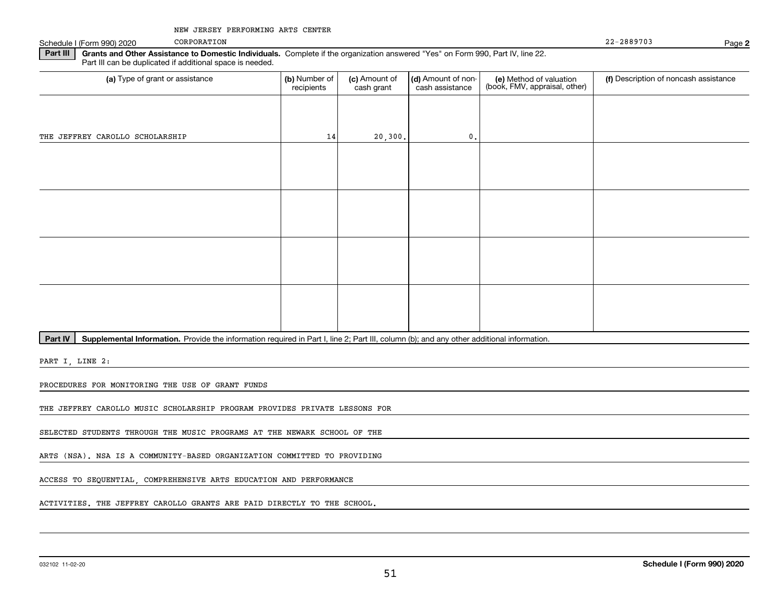Schedule I (Form 990) 2020 CORPORATION CORPORATION

CORPORATION

22-2889703

**2**

**Part III | Grants and Other Assistance to Domestic Individuals. Complete if the organization answered "Yes" on Form 990, Part IV, line 22.** Part III can be duplicated if additional space is needed.

| (a) Type of grant or assistance | (b) Number of<br>recipients | (c) Amount of<br>cash grant | (d) Amount of non-<br>cash assistance | (e) Method of valuation<br>(book, FMV, appraisal, other) | (f) Description of noncash assistance |
|---------------------------------|-----------------------------|-----------------------------|---------------------------------------|----------------------------------------------------------|---------------------------------------|
|                                 |                             |                             |                                       |                                                          |                                       |
| THE JEFFREY CAROLLO SCHOLARSHIP | 14                          | 20, 300.                    | 0.                                    |                                                          |                                       |
|                                 |                             |                             |                                       |                                                          |                                       |
|                                 |                             |                             |                                       |                                                          |                                       |
|                                 |                             |                             |                                       |                                                          |                                       |
|                                 |                             |                             |                                       |                                                          |                                       |
|                                 |                             |                             |                                       |                                                          |                                       |
|                                 |                             |                             |                                       |                                                          |                                       |
|                                 |                             |                             |                                       |                                                          |                                       |
|                                 |                             |                             |                                       |                                                          |                                       |

Part IV | Supplemental Information. Provide the information required in Part I, line 2; Part III, column (b); and any other additional information.

PART I, LINE 2:

PROCEDURES FOR MONITORING THE USE OF GRANT FUNDS

THE JEFFREY CAROLLO MUSIC SCHOLARSHIP PROGRAM PROVIDES PRIVATE LESSONS FOR

SELECTED STUDENTS THROUGH THE MUSIC PROGRAMS AT THE NEWARK SCHOOL OF THE

ARTS (NSA). NSA IS A COMMUNITY-BASED ORGANIZATION COMMITTED TO PROVIDING

ACCESS TO SEQUENTIAL, COMPREHENSIVE ARTS EDUCATION AND PERFORMANCE

ACTIVITIES. THE JEFFREY CAROLLO GRANTS ARE PAID DIRECTLY TO THE SCHOOL.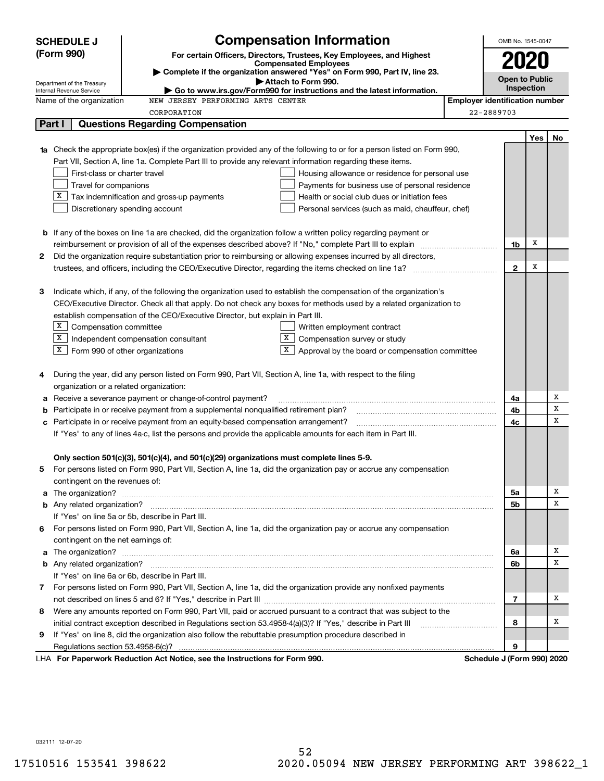|                                                                                                                                                                                                        | <b>Compensation Information</b><br><b>SCHEDULE J</b>                                                                                                    |                                       | OMB No. 1545-0047     |            |    |
|--------------------------------------------------------------------------------------------------------------------------------------------------------------------------------------------------------|---------------------------------------------------------------------------------------------------------------------------------------------------------|---------------------------------------|-----------------------|------------|----|
|                                                                                                                                                                                                        | (Form 990)<br>For certain Officers, Directors, Trustees, Key Employees, and Highest                                                                     |                                       |                       |            |    |
|                                                                                                                                                                                                        | <b>Compensated Employees</b>                                                                                                                            |                                       | 2020                  |            |    |
|                                                                                                                                                                                                        | Complete if the organization answered "Yes" on Form 990, Part IV, line 23.                                                                              |                                       | <b>Open to Public</b> |            |    |
|                                                                                                                                                                                                        | Attach to Form 990.<br>Department of the Treasury<br>Go to www.irs.gov/Form990 for instructions and the latest information.<br>Internal Revenue Service |                                       | <b>Inspection</b>     |            |    |
|                                                                                                                                                                                                        | Name of the organization<br>NEW JERSEY PERFORMING ARTS CENTER                                                                                           | <b>Employer identification number</b> |                       |            |    |
|                                                                                                                                                                                                        | CORPORATION                                                                                                                                             | 22-2889703                            |                       |            |    |
| Part I                                                                                                                                                                                                 | <b>Questions Regarding Compensation</b>                                                                                                                 |                                       |                       |            |    |
|                                                                                                                                                                                                        |                                                                                                                                                         |                                       |                       | <b>Yes</b> | No |
|                                                                                                                                                                                                        | <b>1a</b> Check the appropriate box(es) if the organization provided any of the following to or for a person listed on Form 990,                        |                                       |                       |            |    |
|                                                                                                                                                                                                        | Part VII, Section A, line 1a. Complete Part III to provide any relevant information regarding these items.                                              |                                       |                       |            |    |
|                                                                                                                                                                                                        | First-class or charter travel<br>Housing allowance or residence for personal use                                                                        |                                       |                       |            |    |
|                                                                                                                                                                                                        | Travel for companions<br>Payments for business use of personal residence                                                                                |                                       |                       |            |    |
|                                                                                                                                                                                                        | $X$ Tax indemnification and gross-up payments<br>Health or social club dues or initiation fees                                                          |                                       |                       |            |    |
|                                                                                                                                                                                                        | Discretionary spending account<br>Personal services (such as maid, chauffeur, chef)                                                                     |                                       |                       |            |    |
|                                                                                                                                                                                                        |                                                                                                                                                         |                                       |                       |            |    |
|                                                                                                                                                                                                        | <b>b</b> If any of the boxes on line 1a are checked, did the organization follow a written policy regarding payment or                                  |                                       |                       |            |    |
|                                                                                                                                                                                                        | reimbursement or provision of all of the expenses described above? If "No," complete Part III to explain                                                |                                       | 1b                    | х          |    |
| 2                                                                                                                                                                                                      | Did the organization require substantiation prior to reimbursing or allowing expenses incurred by all directors,                                        |                                       |                       |            |    |
|                                                                                                                                                                                                        | trustees, and officers, including the CEO/Executive Director, regarding the items checked on line 1a?                                                   |                                       | $\overline{2}$        | х          |    |
|                                                                                                                                                                                                        |                                                                                                                                                         |                                       |                       |            |    |
| з                                                                                                                                                                                                      | Indicate which, if any, of the following the organization used to establish the compensation of the organization's                                      |                                       |                       |            |    |
|                                                                                                                                                                                                        | CEO/Executive Director. Check all that apply. Do not check any boxes for methods used by a related organization to                                      |                                       |                       |            |    |
|                                                                                                                                                                                                        | establish compensation of the CEO/Executive Director, but explain in Part III.                                                                          |                                       |                       |            |    |
|                                                                                                                                                                                                        | $X$ Compensation committee<br>Written employment contract                                                                                               |                                       |                       |            |    |
|                                                                                                                                                                                                        | $\boxed{\text{x}}$ Independent compensation consultant<br>X<br>Compensation survey or study                                                             |                                       |                       |            |    |
|                                                                                                                                                                                                        | $X$ Form 990 of other organizations<br>X<br>Approval by the board or compensation committee                                                             |                                       |                       |            |    |
|                                                                                                                                                                                                        |                                                                                                                                                         |                                       |                       |            |    |
| 4                                                                                                                                                                                                      | During the year, did any person listed on Form 990, Part VII, Section A, line 1a, with respect to the filing                                            |                                       |                       |            |    |
|                                                                                                                                                                                                        | organization or a related organization:                                                                                                                 |                                       |                       |            |    |
|                                                                                                                                                                                                        | Receive a severance payment or change-of-control payment?                                                                                               |                                       | 4a                    |            | х  |
| b                                                                                                                                                                                                      | Participate in or receive payment from a supplemental nonqualified retirement plan?                                                                     |                                       | 4b                    |            | X  |
|                                                                                                                                                                                                        |                                                                                                                                                         |                                       | 4с                    |            | X  |
| Participate in or receive payment from an equity-based compensation arrangement?<br>с<br>If "Yes" to any of lines 4a-c, list the persons and provide the applicable amounts for each item in Part III. |                                                                                                                                                         |                                       |                       |            |    |
|                                                                                                                                                                                                        |                                                                                                                                                         |                                       |                       |            |    |
|                                                                                                                                                                                                        | Only section 501(c)(3), 501(c)(4), and 501(c)(29) organizations must complete lines 5-9.                                                                |                                       |                       |            |    |
|                                                                                                                                                                                                        | For persons listed on Form 990, Part VII, Section A, line 1a, did the organization pay or accrue any compensation                                       |                                       |                       |            |    |
|                                                                                                                                                                                                        | contingent on the revenues of:                                                                                                                          |                                       |                       |            |    |
| a                                                                                                                                                                                                      |                                                                                                                                                         |                                       | 5a                    |            | х  |
|                                                                                                                                                                                                        |                                                                                                                                                         |                                       | 5b                    |            | x  |
|                                                                                                                                                                                                        | If "Yes" on line 5a or 5b, describe in Part III.                                                                                                        |                                       |                       |            |    |
| 6                                                                                                                                                                                                      | For persons listed on Form 990, Part VII, Section A, line 1a, did the organization pay or accrue any compensation                                       |                                       |                       |            |    |
|                                                                                                                                                                                                        | contingent on the net earnings of:                                                                                                                      |                                       |                       |            |    |
| a                                                                                                                                                                                                      |                                                                                                                                                         |                                       | 6a                    |            | х  |
|                                                                                                                                                                                                        |                                                                                                                                                         |                                       | 6b                    |            | X  |
|                                                                                                                                                                                                        | If "Yes" on line 6a or 6b, describe in Part III.                                                                                                        |                                       |                       |            |    |
|                                                                                                                                                                                                        | 7 For persons listed on Form 990, Part VII, Section A, line 1a, did the organization provide any nonfixed payments                                      |                                       |                       |            |    |
|                                                                                                                                                                                                        |                                                                                                                                                         |                                       | 7                     |            | х  |
|                                                                                                                                                                                                        | Were any amounts reported on Form 990, Part VII, paid or accrued pursuant to a contract that was subject to the                                         |                                       |                       |            |    |
| 8                                                                                                                                                                                                      |                                                                                                                                                         |                                       | 8                     |            | х  |
|                                                                                                                                                                                                        | initial contract exception described in Regulations section 53.4958-4(a)(3)? If "Yes," describe in Part III                                             |                                       |                       |            |    |
| 9                                                                                                                                                                                                      | If "Yes" on line 8, did the organization also follow the rebuttable presumption procedure described in                                                  |                                       |                       |            |    |
|                                                                                                                                                                                                        | Regulations section 53.4958-6(c)?<br>LHA For Paperwork Reduction Act Notice, see the Instructions for Form 990.                                         |                                       | 9                     |            |    |
|                                                                                                                                                                                                        |                                                                                                                                                         | Schedule J (Form 990) 2020            |                       |            |    |

032111 12-07-20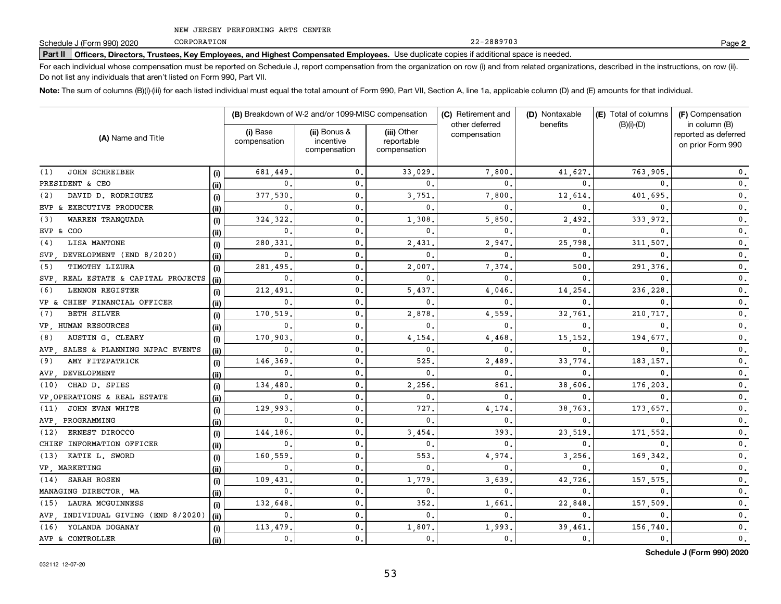CORPORATION

**Part II Officers, Directors, Trustees, Key Employees, and Highest Compensated Employees.**  Schedule J (Form 990) 2020 Page Use duplicate copies if additional space is needed.

For each individual whose compensation must be reported on Schedule J, report compensation from the organization on row (i) and from related organizations, described in the instructions, on row (ii). Do not list any individuals that aren't listed on Form 990, Part VII.

**Note:**  The sum of columns (B)(i)-(iii) for each listed individual must equal the total amount of Form 990, Part VII, Section A, line 1a, applicable column (D) and (E) amounts for that individual.

|                                        |       |                          | (B) Breakdown of W-2 and/or 1099-MISC compensation |                                           | (C) Retirement and<br>other deferred | (D) Nontaxable<br>benefits | (E) Total of columns | (F) Compensation                                           |  |
|----------------------------------------|-------|--------------------------|----------------------------------------------------|-------------------------------------------|--------------------------------------|----------------------------|----------------------|------------------------------------------------------------|--|
| (A) Name and Title                     |       | (i) Base<br>compensation | (ii) Bonus &<br>incentive<br>compensation          | (iii) Other<br>reportable<br>compensation | compensation                         |                            | $(B)(i)-(D)$         | in column (B)<br>reported as deferred<br>on prior Form 990 |  |
| <b>JOHN SCHREIBER</b><br>(1)           | (i)   | 681.449                  | $\mathbf{0}$ .                                     | 33,029                                    | 7,800                                | 41.627.                    | 763,905              | $\mathbf{0}$ .                                             |  |
| PRESIDENT & CEO                        | (ii)  | $\mathbf{0}$             | $\mathbf{0}$ .                                     | $\mathbf{0}$ .                            | 0                                    | 0                          | 0                    | $\mathbf 0$ .                                              |  |
| DAVID D. RODRIGUEZ<br>(2)              | (i)   | 377,530                  | 0.                                                 | 3,751                                     | 7,800                                | 12,614                     | 401,695              | $\mathbf 0$ .                                              |  |
| EVP & EXECUTIVE PRODUCER               | (i)   | $\mathbf 0$ .            | $\mathbf{0}$ .                                     | $\mathbf{0}$ .                            | 0                                    | 0                          | 0                    | $\mathbf 0$ .                                              |  |
| WARREN TRANOUADA<br>(3)                | (i)   | 324,322                  | $\mathbf{0}$ .                                     | 1,308                                     | 5,850                                | 2,492                      | 333.972              | $\mathbf{0}$ .                                             |  |
| EVP & COO                              | (ii)  | $\mathbf{0}$             | $\mathbf{0}$ .                                     | $\Omega$                                  | 0                                    | $\Omega$                   | 0                    | $\mathbf{0}$ .                                             |  |
| (4)<br>LISA MANTONE                    | (i)   | 280,331                  | $\mathbf{0}$ .                                     | 2,431                                     | 2,947                                | 25,798                     | 311,507              | $\mathbf 0$ .                                              |  |
| DEVELOPMENT (END 8/2020)<br>SVP.       | (ii)  | $\mathbf{0}$             | $\mathbf{0}$ .                                     | $\mathbf{0}$ .                            | 0                                    | 0                          | 0                    | $\mathbf{0}$ .                                             |  |
| TIMOTHY LIZURA<br>(5)                  | (i)   | 281,495                  | 0.                                                 | 2,007                                     | 7.374                                | 500                        | 291,376              | $\mathbf{0}$ .                                             |  |
| REAL ESTATE & CAPITAL PROJECTS<br>SVP. | (ii)  | $\mathbf{0}$             | $\mathbf{0}$ .                                     | $\mathbf{0}$ .                            | 0                                    | $\Omega$                   | 0                    | $\mathbf{0}$ .                                             |  |
| <b>LENNON REGISTER</b><br>(6)          | (i)   | 212,491                  | 0.                                                 | 5,437                                     | 4,046                                | 14,254                     | 236,228              | 0.                                                         |  |
| VP & CHIEF FINANCIAL OFFICER           | (ii)  | $\mathbf{0}$             | 0.                                                 | $\mathbf{0}$ .                            | 0                                    | 0                          | 0                    | 0.                                                         |  |
| <b>BETH SILVER</b><br>(7)              | (i)   | 170,519                  | 0.                                                 | 2,878                                     | 4,559                                | 32,761                     | 210,717              | 0.                                                         |  |
| VP HUMAN RESOURCES                     | (ii)  | $\mathbf{0}$             | $\mathbf{0}$ .                                     | $\mathbf{0}$ .                            | 0                                    | 0                          | <sup>0</sup>         | 0.                                                         |  |
| AUSTIN G. CLEARY<br>(8)                | (i)   | 170,903                  | 0.                                                 | 4,154                                     | 4,468                                | 15, 152                    | 194,677              | $\mathbf{0}$ .                                             |  |
| SALES & PLANNING NJPAC EVENTS<br>AVP.  | (ii)  | $\mathbf{0}$             | $\mathbf{0}$                                       | $\mathbf 0$ .                             | 0                                    | 0                          | 0                    | 0.                                                         |  |
| AMY FITZPATRICK<br>(9)                 | (i)   | 146,369                  | $\mathbf{0}$                                       | 525                                       | 2,489                                | 33,774                     | 183,157              | $0$ .                                                      |  |
| DEVELOPMENT<br>AVP.                    | (ii)  | $\mathbf{0}$             | $\mathbf 0$ .                                      | 0.                                        | 0                                    | 0                          | 0                    | $0$ .                                                      |  |
| CHAD D. SPIES<br>(10)                  | (i)   | 134,480                  | $\mathbf{0}$ .                                     | 2,256                                     | 861                                  | 38,606                     | 176,203              | $\mathbf{0}$ .                                             |  |
| VP OPERATIONS & REAL ESTATE            | (ii)  | $\mathbf{0}$             | $\mathbf{0}$                                       | $\mathbf 0$ .                             | 0                                    | 0                          | 0                    | $\mathbf{0}$ .                                             |  |
| JOHN EVAN WHITE<br>(11)                | (i)   | 129,993                  | $\mathbf{0}$                                       | 727                                       | 4,174                                | 38,763                     | 173,657              | $\mathbf{0}$ .                                             |  |
| AVP PROGRAMMING                        | (ii)  | $\mathbf 0$ .            | $\mathbf{0}$                                       | 0                                         | 0                                    | 0                          | <sup>0</sup>         | $\mathbf{0}$ .                                             |  |
| ERNEST DIROCCO<br>(12)                 | (i)   | 144,186                  | $\mathbf{0}$ .                                     | 3,454                                     | 393                                  | 23,519                     | 171,552              | $\mathbf{0}$ .                                             |  |
| CHIEF INFORMATION OFFICER              | (iii) | $\mathbf{0}$             | $\mathbf{0}$ .                                     | $\mathbf{0}$ .                            | 0                                    | 0                          | <sup>0</sup>         | $\mathbf 0$ .                                              |  |
| KATIE L. SWORD<br>(13)                 | (i)   | 160,559                  | $\mathbf{0}$ .                                     | 553                                       | 4,974                                | 3,256                      | 169,342              | $\mathbf 0$ .                                              |  |
| VP, MARKETING                          | (ii)  | 0.                       | $\mathsf{0}$ .                                     | $\mathbf{0}$ .                            | 0                                    | 0                          | 0                    | $\mathbf 0$ .                                              |  |
| (14) SARAH ROSEN                       | (i)   | 109,431                  | 0.                                                 | 1,779                                     | 3,639                                | 42,726                     | 157,575              | $\mathbf 0$ .                                              |  |
| MANAGING DIRECTOR, WA                  | (ii)  | 0.                       | $\mathbf{0}$ .                                     | $\mathbf{0}$ .                            | 0                                    | 0                          | 0                    | $\mathbf 0$ .                                              |  |
| LAURA MCGUINNESS<br>(15)               | (i)   | 132,648                  | $\mathbf{0}$ .                                     | 352.                                      | 1,661                                | 22,848                     | 157,509              | $\mathbf 0$ .                                              |  |
| AVP, INDIVIDUAL GIVING (END 8/2020)    | (ii)  | $\mathbf{0}$ .           | $\mathbf{0}$ .                                     | $\mathbf{0}$ .                            | 0                                    | $\mathbf{0}$               | $\mathbf{0}$         | $\mathbf 0$ .                                              |  |
| YOLANDA DOGANAY<br>(16)                | (i)   | 113,479                  | $\mathbf{0}$ .                                     | 1,807.                                    | 1,993                                | 39,461                     | 156,740              | 0.                                                         |  |
| AVP & CONTROLLER                       | (ii)  | 0.                       | 0.                                                 | $\mathbf{0}$ .                            | $\mathbf 0$ .                        | $\mathbf{0}$ .             | 0.                   | 0.                                                         |  |

**2**

22-2889703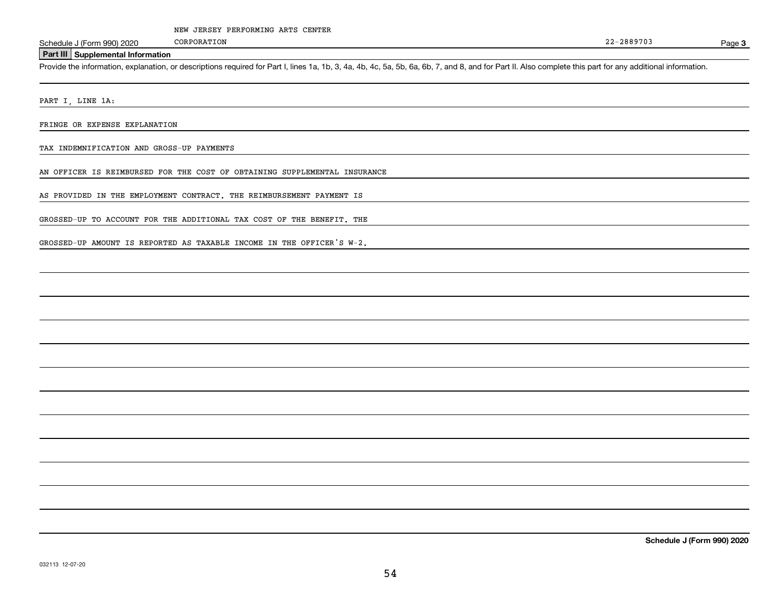Page 3

#### **Part III Supplemental Information**

Schedule J (Form 990) 2020 CORPORATION<br> **Part III** Supplemental Information<br>
Provide the information, explanation, or descriptions required for Part I, lines 1a, 1b, 3, 4a, 4b, 4c, 5a, 5b, 6a, 6b, 7, and 8, and for Part II

PART I, LINE 1A:

FRINGE OR EXPENSE EXPLANATION

TAX INDEMNIFICATION AND GROSS-UP PAYMENTS

AN OFFICER IS REIMBURSED FOR THE COST OF OBTAINING SUPPLEMENTAL INSURANCE

AS PROVIDED IN THE EMPLOYMENT CONTRACT. THE REIMBURSEMENT PAYMENT IS

GROSSED-UP TO ACCOUNT FOR THE ADDITIONAL TAX COST OF THE BENEFIT. THE

GROSSED-UP AMOUNT IS REPORTED AS TAXABLE INCOME IN THE OFFICER'S W-2.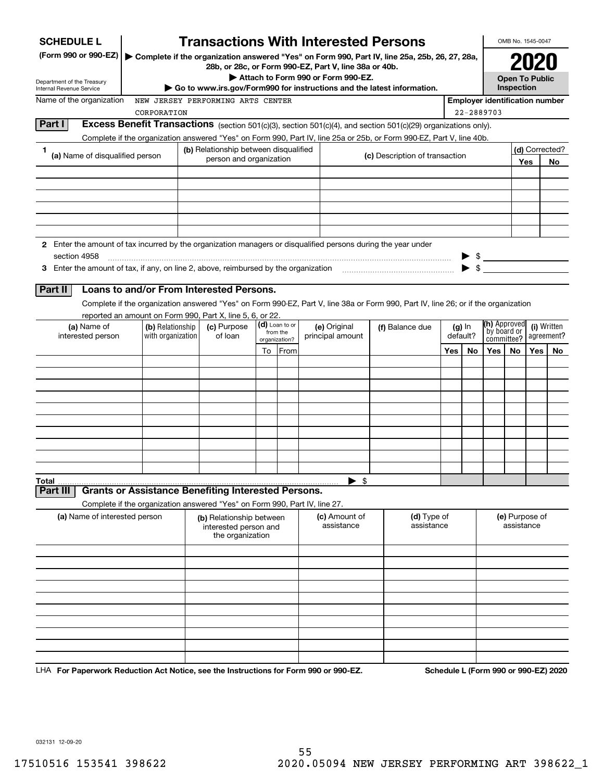| <b>SCHEDULE L</b>                                                                                             |                                                                            | <b>Transactions With Interested Persons</b>                                                                                                            |    |                           |                                    |                                |                 |                                                                                                                                    |     |                      |                                                                 | OMB No. 1545-0047                                      |     |     |
|---------------------------------------------------------------------------------------------------------------|----------------------------------------------------------------------------|--------------------------------------------------------------------------------------------------------------------------------------------------------|----|---------------------------|------------------------------------|--------------------------------|-----------------|------------------------------------------------------------------------------------------------------------------------------------|-----|----------------------|-----------------------------------------------------------------|--------------------------------------------------------|-----|-----|
| (Form 990 or 990-EZ)                                                                                          |                                                                            | Complete if the organization answered "Yes" on Form 990, Part IV, line 25a, 25b, 26, 27, 28a,<br>28b, or 28c, or Form 990-EZ, Part V, line 38a or 40b. |    |                           |                                    |                                |                 |                                                                                                                                    |     |                      |                                                                 |                                                        |     |     |
| Department of the Treasury                                                                                    |                                                                            |                                                                                                                                                        |    |                           | Attach to Form 990 or Form 990-EZ. |                                |                 |                                                                                                                                    |     |                      |                                                                 | <b>Open To Public</b>                                  |     |     |
| Internal Revenue Service<br>Name of the organization                                                          |                                                                            |                                                                                                                                                        |    |                           |                                    |                                |                 | Go to www.irs.gov/Form990 for instructions and the latest information.                                                             |     |                      | <b>Employer identification number</b>                           | Inspection                                             |     |     |
|                                                                                                               | CORPORATION                                                                | NEW JERSEY PERFORMING ARTS CENTER                                                                                                                      |    |                           |                                    |                                |                 |                                                                                                                                    |     | 22-2889703           |                                                                 |                                                        |     |     |
| Part I                                                                                                        |                                                                            |                                                                                                                                                        |    |                           |                                    |                                |                 | Excess Benefit Transactions (section 501(c)(3), section 501(c)(4), and section 501(c)(29) organizations only).                     |     |                      |                                                                 |                                                        |     |     |
|                                                                                                               |                                                                            |                                                                                                                                                        |    |                           |                                    |                                |                 | Complete if the organization answered "Yes" on Form 990, Part IV, line 25a or 25b, or Form 990-EZ, Part V, line 40b.               |     |                      |                                                                 |                                                        |     |     |
| 1<br>(a) Name of disqualified person                                                                          |                                                                            | (b) Relationship between disqualified                                                                                                                  |    |                           |                                    | (c) Description of transaction |                 |                                                                                                                                    |     |                      |                                                                 | (d) Corrected?                                         |     |     |
|                                                                                                               |                                                                            | person and organization                                                                                                                                |    |                           |                                    |                                |                 |                                                                                                                                    |     |                      |                                                                 | Yes                                                    | No  |     |
|                                                                                                               |                                                                            |                                                                                                                                                        |    |                           |                                    |                                |                 |                                                                                                                                    |     |                      |                                                                 |                                                        |     |     |
|                                                                                                               |                                                                            |                                                                                                                                                        |    |                           |                                    |                                |                 |                                                                                                                                    |     |                      |                                                                 |                                                        |     |     |
|                                                                                                               |                                                                            |                                                                                                                                                        |    |                           |                                    |                                |                 |                                                                                                                                    |     |                      |                                                                 |                                                        |     |     |
|                                                                                                               |                                                                            |                                                                                                                                                        |    |                           |                                    |                                |                 |                                                                                                                                    |     |                      |                                                                 |                                                        |     |     |
|                                                                                                               |                                                                            |                                                                                                                                                        |    |                           |                                    |                                |                 |                                                                                                                                    |     |                      |                                                                 |                                                        |     |     |
| 2 Enter the amount of tax incurred by the organization managers or disqualified persons during the year under |                                                                            |                                                                                                                                                        |    |                           |                                    |                                |                 |                                                                                                                                    |     |                      |                                                                 |                                                        |     |     |
| section 4958                                                                                                  |                                                                            |                                                                                                                                                        |    |                           |                                    |                                |                 |                                                                                                                                    |     |                      | $\begin{array}{c} \bullet \ \ast \\ \bullet \ \ast \end{array}$ |                                                        |     |     |
|                                                                                                               |                                                                            |                                                                                                                                                        |    |                           |                                    |                                |                 |                                                                                                                                    |     |                      |                                                                 |                                                        |     |     |
| Part II                                                                                                       | Loans to and/or From Interested Persons.                                   |                                                                                                                                                        |    |                           |                                    |                                |                 |                                                                                                                                    |     |                      |                                                                 |                                                        |     |     |
|                                                                                                               |                                                                            |                                                                                                                                                        |    |                           |                                    |                                |                 | Complete if the organization answered "Yes" on Form 990-EZ, Part V, line 38a or Form 990, Part IV, line 26; or if the organization |     |                      |                                                                 |                                                        |     |     |
|                                                                                                               | reported an amount on Form 990, Part X, line 5, 6, or 22.                  |                                                                                                                                                        |    | (d) Loan to or            |                                    |                                |                 |                                                                                                                                    |     |                      | (h) Approved                                                    |                                                        |     |     |
| (a) Name of<br>interested person                                                                              | (b) Relationship<br>with organization                                      | (c) Purpose<br>of loan                                                                                                                                 |    | from the<br>organization? | (e) Original<br>principal amount   |                                | (f) Balance due |                                                                                                                                    |     | $(g)$ In<br>default? |                                                                 | (i) Written<br>by board or<br>agreement?<br>committee? |     |     |
|                                                                                                               |                                                                            |                                                                                                                                                        | To | From                      |                                    |                                |                 |                                                                                                                                    | Yes | No                   | Yes                                                             | No.                                                    | Yes | No. |
|                                                                                                               |                                                                            |                                                                                                                                                        |    |                           |                                    |                                |                 |                                                                                                                                    |     |                      |                                                                 |                                                        |     |     |
|                                                                                                               |                                                                            |                                                                                                                                                        |    |                           |                                    |                                |                 |                                                                                                                                    |     |                      |                                                                 |                                                        |     |     |
|                                                                                                               |                                                                            |                                                                                                                                                        |    |                           |                                    |                                |                 |                                                                                                                                    |     |                      |                                                                 |                                                        |     |     |
|                                                                                                               |                                                                            |                                                                                                                                                        |    |                           |                                    |                                |                 |                                                                                                                                    |     |                      |                                                                 |                                                        |     |     |
|                                                                                                               |                                                                            |                                                                                                                                                        |    |                           |                                    |                                |                 |                                                                                                                                    |     |                      |                                                                 |                                                        |     |     |
|                                                                                                               |                                                                            |                                                                                                                                                        |    |                           |                                    |                                |                 |                                                                                                                                    |     |                      |                                                                 |                                                        |     |     |
|                                                                                                               |                                                                            |                                                                                                                                                        |    |                           |                                    |                                |                 |                                                                                                                                    |     |                      |                                                                 |                                                        |     |     |
|                                                                                                               |                                                                            |                                                                                                                                                        |    |                           |                                    |                                |                 |                                                                                                                                    |     |                      |                                                                 |                                                        |     |     |
|                                                                                                               |                                                                            |                                                                                                                                                        |    |                           |                                    |                                |                 |                                                                                                                                    |     |                      |                                                                 |                                                        |     |     |
| Total<br>Part III                                                                                             | <b>Grants or Assistance Benefiting Interested Persons.</b>                 |                                                                                                                                                        |    |                           |                                    | \$                             |                 |                                                                                                                                    |     |                      |                                                                 |                                                        |     |     |
|                                                                                                               | Complete if the organization answered "Yes" on Form 990, Part IV, line 27. |                                                                                                                                                        |    |                           |                                    |                                |                 |                                                                                                                                    |     |                      |                                                                 |                                                        |     |     |
| (a) Name of interested person                                                                                 |                                                                            | (b) Relationship between                                                                                                                               |    |                           |                                    | (c) Amount of                  |                 | (d) Type of                                                                                                                        |     |                      |                                                                 | (e) Purpose of                                         |     |     |
|                                                                                                               |                                                                            | interested person and                                                                                                                                  |    |                           |                                    | assistance                     |                 | assistance                                                                                                                         |     |                      |                                                                 | assistance                                             |     |     |
|                                                                                                               |                                                                            | the organization                                                                                                                                       |    |                           |                                    |                                |                 |                                                                                                                                    |     |                      |                                                                 |                                                        |     |     |
|                                                                                                               |                                                                            |                                                                                                                                                        |    |                           |                                    |                                |                 |                                                                                                                                    |     |                      |                                                                 |                                                        |     |     |
|                                                                                                               |                                                                            |                                                                                                                                                        |    |                           |                                    |                                |                 |                                                                                                                                    |     |                      |                                                                 |                                                        |     |     |
|                                                                                                               |                                                                            |                                                                                                                                                        |    |                           |                                    |                                |                 |                                                                                                                                    |     |                      |                                                                 |                                                        |     |     |
|                                                                                                               |                                                                            |                                                                                                                                                        |    |                           |                                    |                                |                 |                                                                                                                                    |     |                      |                                                                 |                                                        |     |     |
|                                                                                                               |                                                                            |                                                                                                                                                        |    |                           |                                    |                                |                 |                                                                                                                                    |     |                      |                                                                 |                                                        |     |     |
|                                                                                                               |                                                                            |                                                                                                                                                        |    |                           |                                    |                                |                 |                                                                                                                                    |     |                      |                                                                 |                                                        |     |     |
|                                                                                                               |                                                                            |                                                                                                                                                        |    |                           |                                    |                                |                 |                                                                                                                                    |     |                      |                                                                 |                                                        |     |     |
|                                                                                                               |                                                                            |                                                                                                                                                        |    |                           |                                    |                                |                 |                                                                                                                                    |     |                      |                                                                 |                                                        |     |     |
|                                                                                                               |                                                                            |                                                                                                                                                        |    |                           |                                    |                                |                 |                                                                                                                                    |     |                      |                                                                 |                                                        |     |     |

LHA For Paperwork Reduction Act Notice, see the Instructions for Form 990 or 990-EZ. Schedule L (Form 990 or 990-EZ) 2020

032131 12-09-20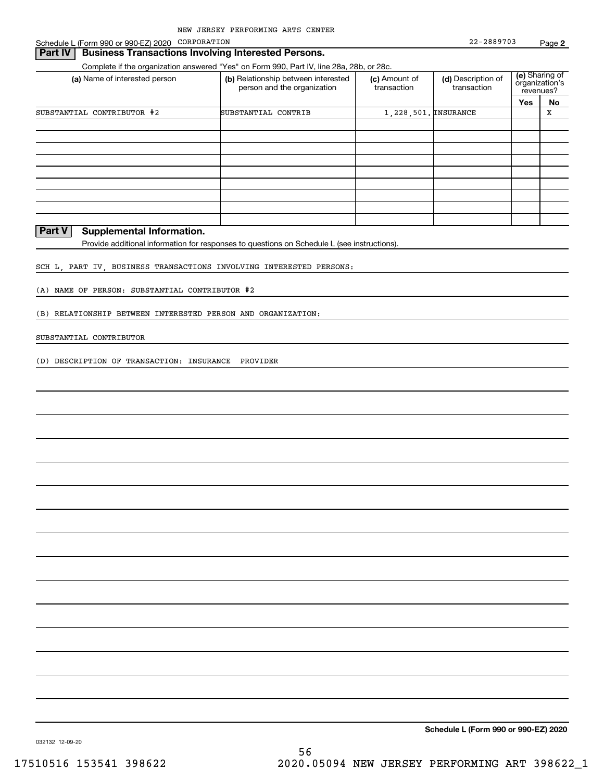Schedule L (Form 990 or 990-EZ) 2020 Page CORPORATION

### **Part IV Business Transactions Involving Interested Persons.**

Complete if the organization answered "Yes" on Form 990, Part IV, line 28a, 28b, or 28c.

| (a) Name of interested person | (b) Relationship between interested<br>person and the organization | (c) Amount of<br>transaction | (d) Description of<br>transaction |     | (e) Sharing of<br>organization's<br>revenues? |
|-------------------------------|--------------------------------------------------------------------|------------------------------|-----------------------------------|-----|-----------------------------------------------|
|                               |                                                                    |                              |                                   | Yes | No                                            |
| SUBSTANTIAL CONTRIBUTOR #2    | SUBSTANTIAL CONTRIB                                                | 1, 228, 501. INSURANCE       |                                   |     | х                                             |
|                               |                                                                    |                              |                                   |     |                                               |
|                               |                                                                    |                              |                                   |     |                                               |
|                               |                                                                    |                              |                                   |     |                                               |
|                               |                                                                    |                              |                                   |     |                                               |
|                               |                                                                    |                              |                                   |     |                                               |
|                               |                                                                    |                              |                                   |     |                                               |
|                               |                                                                    |                              |                                   |     |                                               |
|                               |                                                                    |                              |                                   |     |                                               |
|                               |                                                                    |                              |                                   |     |                                               |

### **Part V Supplemental Information.**

Provide additional information for responses to questions on Schedule L (see instructions).

#### SCH L, PART IV, BUSINESS TRANSACTIONS INVOLVING INTERESTED PERSONS:

(A) NAME OF PERSON: SUBSTANTIAL CONTRIBUTOR #2

#### (B) RELATIONSHIP BETWEEN INTERESTED PERSON AND ORGANIZATION:

#### SUBSTANTIAL CONTRIBUTOR

(D) DESCRIPTION OF TRANSACTION: INSURANCE PROVIDER

**Schedule L (Form 990 or 990-EZ) 2020**

032132 12-09-20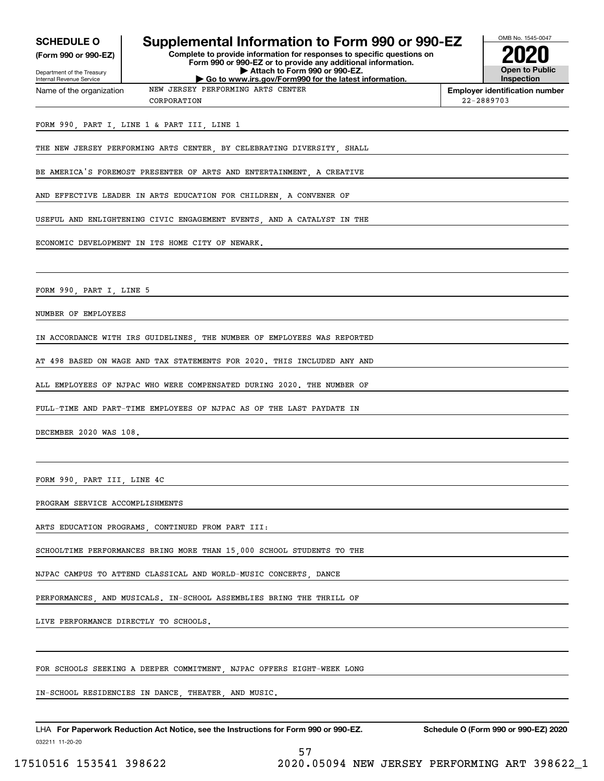**(Form 990 or 990-EZ)**

#### Department of the Treasury Internal Revenue Service Name of the organization

### **SCHEDULE O Supplemental Information to Form 990 or 990-EZ**

**Complete to provide information for responses to specific questions on Form 990 or 990-EZ or to provide any additional information. | Attach to Form 990 or 990-EZ. | Go to www.irs.gov/Form990 for the latest information.**



**Employer identification number** 22-2889703

#### FORM 990, PART I, LINE 1 & PART III, LINE 1

THE NEW JERSEY PERFORMING ARTS CENTER, BY CELEBRATING DIVERSITY, SHALL

NEW JERSEY PERFORMING ARTS CENTER

BE AMERICA'S FOREMOST PRESENTER OF ARTS AND ENTERTAINMENT, A CREATIVE

AND EFFECTIVE LEADER IN ARTS EDUCATION FOR CHILDREN, A CONVENER OF

CORPORATION

USEFUL AND ENLIGHTENING CIVIC ENGAGEMENT EVENTS, AND A CATALYST IN THE

ECONOMIC DEVELOPMENT IN ITS HOME CITY OF NEWARK.

FORM 990 PART I LINE 5

NUMBER OF EMPLOYEES

IN ACCORDANCE WITH IRS GUIDELINES, THE NUMBER OF EMPLOYEES WAS REPORTED

AT 498 BASED ON WAGE AND TAX STATEMENTS FOR 2020. THIS INCLUDED ANY AND

ALL EMPLOYEES OF NJPAC WHO WERE COMPENSATED DURING 2020. THE NUMBER OF

FULL-TIME AND PART-TIME EMPLOYEES OF NJPAC AS OF THE LAST PAYDATE IN

DECEMBER 2020 WAS 108.

FORM 990, PART III, LINE 4C

PROGRAM SERVICE ACCOMPLISHMENTS

ARTS EDUCATION PROGRAMS, CONTINUED FROM PART III:

SCHOOLTIME PERFORMANCES BRING MORE THAN 15,000 SCHOOL STUDENTS TO THE

NJPAC CAMPUS TO ATTEND CLASSICAL AND WORLD-MUSIC CONCERTS, DANCE

PERFORMANCES, AND MUSICALS. IN-SCHOOL ASSEMBLIES BRING THE THRILL OF

LIVE PERFORMANCE DIRECTLY TO SCHOOLS.

FOR SCHOOLS SEEKING A DEEPER COMMITMENT, NJPAC OFFERS EIGHT-WEEK LONG

IN-SCHOOL RESIDENCIES IN DANCE, THEATER, AND MUSIC.

032211 11-20-20 LHA For Paperwork Reduction Act Notice, see the Instructions for Form 990 or 990-EZ. Schedule O (Form 990 or 990-EZ) 2020

57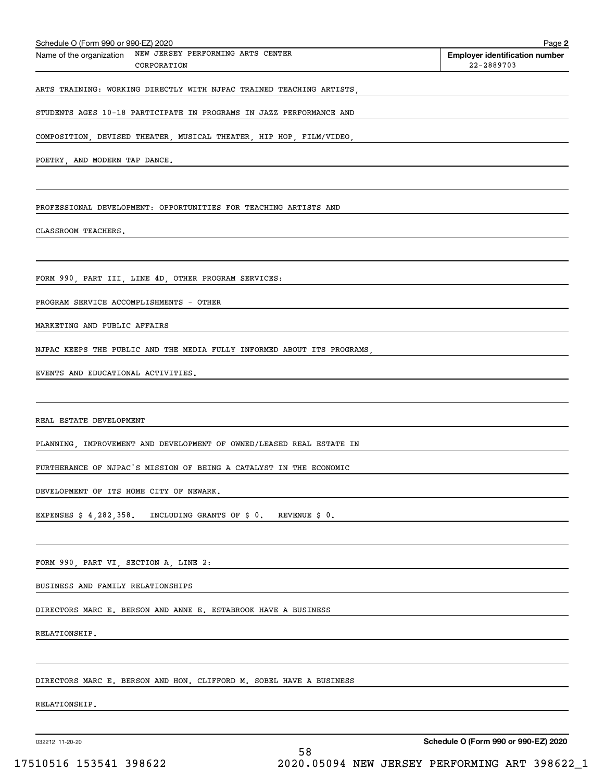| Schedule O (Form 990 or 990-EZ) 2020                                         | Page 2                                              |
|------------------------------------------------------------------------------|-----------------------------------------------------|
| NEW JERSEY PERFORMING ARTS CENTER<br>Name of the organization<br>CORPORATION | <b>Employer identification number</b><br>22-2889703 |
| ARTS TRAINING: WORKING DIRECTLY WITH NJPAC TRAINED TEACHING ARTISTS,         |                                                     |
| STUDENTS AGES 10-18 PARTICIPATE IN PROGRAMS IN JAZZ PERFORMANCE AND          |                                                     |
| COMPOSITION, DEVISED THEATER, MUSICAL THEATER, HIP HOP, FILM/VIDEO,          |                                                     |
| POETRY, AND MODERN TAP DANCE.                                                |                                                     |
|                                                                              |                                                     |
| PROFESSIONAL DEVELOPMENT: OPPORTUNITIES FOR TEACHING ARTISTS AND             |                                                     |
| CLASSROOM TEACHERS.                                                          |                                                     |
|                                                                              |                                                     |
| FORM 990, PART III, LINE 4D, OTHER PROGRAM SERVICES:                         |                                                     |
| PROGRAM SERVICE ACCOMPLISHMENTS - OTHER                                      |                                                     |
| MARKETING AND PUBLIC AFFAIRS                                                 |                                                     |
| NJPAC KEEPS THE PUBLIC AND THE MEDIA FULLY INFORMED ABOUT ITS PROGRAMS,      |                                                     |
| EVENTS AND EDUCATIONAL ACTIVITIES.                                           |                                                     |
|                                                                              |                                                     |
| REAL ESTATE DEVELOPMENT                                                      |                                                     |
| PLANNING, IMPROVEMENT AND DEVELOPMENT OF OWNED/LEASED REAL ESTATE IN         |                                                     |
| FURTHERANCE OF NJPAC'S MISSION OF BEING A CATALYST IN THE ECONOMIC           |                                                     |
| DEVELOPMENT OF ITS HOME CITY OF NEWARK.                                      |                                                     |
| EXPENSES \$ 4,282,358.<br>INCLUDING GRANTS OF \$ 0.<br>REVENUE \$ 0.         |                                                     |
|                                                                              |                                                     |
| FORM 990, PART VI, SECTION A, LINE 2:                                        |                                                     |
| BUSINESS AND FAMILY RELATIONSHIPS                                            |                                                     |
| DIRECTORS MARC E. BERSON AND ANNE E. ESTABROOK HAVE A BUSINESS               |                                                     |
| RELATIONSHIP.                                                                |                                                     |
|                                                                              |                                                     |
| DIRECTORS MARC E. BERSON AND HON. CLIFFORD M. SOBEL HAVE A BUSINESS          |                                                     |
| RELATIONSHIP.                                                                |                                                     |
|                                                                              |                                                     |
| 032212 11-20-20                                                              | Schedule O (Form 990 or 990-EZ) 2020                |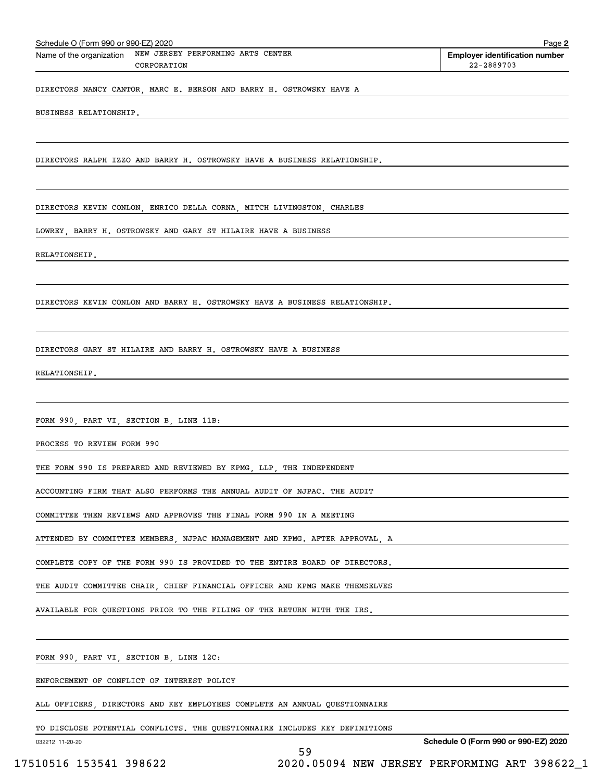| CORPORATION                                                                 | 22-2889703 |
|-----------------------------------------------------------------------------|------------|
| DIRECTORS NANCY CANTOR, MARC E. BERSON AND BARRY H. OSTROWSKY HAVE A        |            |
| BUSINESS RELATIONSHIP.                                                      |            |
|                                                                             |            |
| DIRECTORS RALPH IZZO AND BARRY H. OSTROWSKY HAVE A BUSINESS RELATIONSHIP.   |            |
|                                                                             |            |
| DIRECTORS KEVIN CONLON, ENRICO DELLA CORNA, MITCH LIVINGSTON, CHARLES       |            |
| LOWREY, BARRY H. OSTROWSKY AND GARY ST HILAIRE HAVE A BUSINESS              |            |
| RELATIONSHIP.                                                               |            |
|                                                                             |            |
| DIRECTORS KEVIN CONLON AND BARRY H. OSTROWSKY HAVE A BUSINESS RELATIONSHIP. |            |
|                                                                             |            |
| DIRECTORS GARY ST HILAIRE AND BARRY H. OSTROWSKY HAVE A BUSINESS            |            |
| RELATIONSHIP.                                                               |            |
|                                                                             |            |
| FORM 990, PART VI, SECTION B, LINE 11B:                                     |            |
| PROCESS TO REVIEW FORM 990                                                  |            |
| THE FORM 990 IS PREPARED AND REVIEWED BY KPMG, LLP, THE INDEPENDENT         |            |
| ACCOUNTING FIRM THAT ALSO PERFORMS THE ANNUAL AUDIT OF NJPAC. THE AUDIT     |            |
| COMMITTEE THEN REVIEWS AND APPROVES THE FINAL FORM 990 IN A MEETING         |            |
| ATTENDED BY COMMITTEE MEMBERS, NJPAC MANAGEMENT AND KPMG. AFTER APPROVAL, A |            |
| COMPLETE COPY OF THE FORM 990 IS PROVIDED TO THE ENTIRE BOARD OF DIRECTORS. |            |
| THE AUDIT COMMITTEE CHAIR, CHIEF FINANCIAL OFFICER AND KPMG MAKE THEMSELVES |            |
| AVAILABLE FOR QUESTIONS PRIOR TO THE FILING OF THE RETURN WITH THE IRS.     |            |
|                                                                             |            |
| FORM 990, PART VI, SECTION B, LINE 12C:                                     |            |
| ENFORCEMENT OF CONFLICT OF INTEREST POLICY                                  |            |
| ALL OFFICERS, DIRECTORS AND KEY EMPLOYEES COMPLETE AN ANNUAL QUESTIONNAIRE  |            |
|                                                                             |            |

59

Schedule O (Form 990 or 990-EZ) 2020 Page Name of the organization NEW JERSEY PERFORMING ARTS CENTER

TO DISCLOSE POTENTIAL CONFLICTS. THE QUESTIONNAIRE INCLUDES KEY DEFINITIONS

032212 11-20-20

**Schedule O (Form 990 or 990-EZ) 2020**

**2**

**Employer identification number**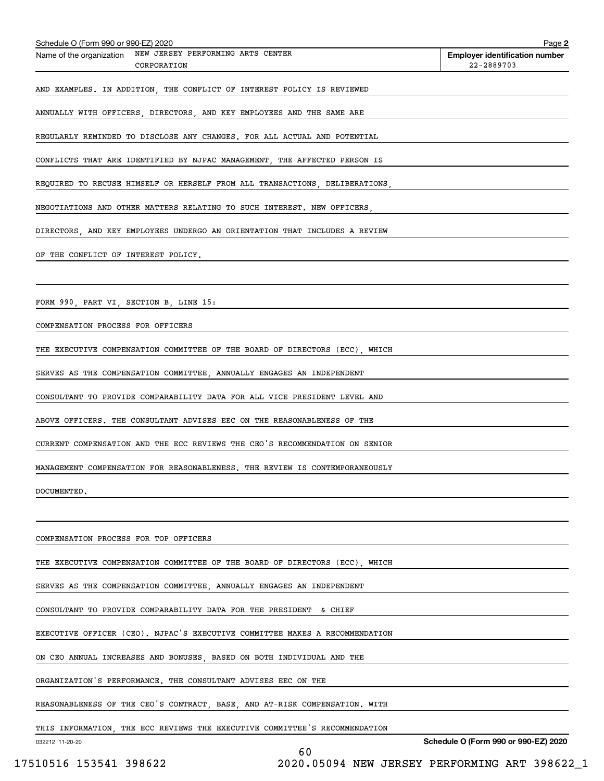| Schedule O (Form 990 or 990-EZ) 2020                                        | Page 2                                              |
|-----------------------------------------------------------------------------|-----------------------------------------------------|
| Name of the organization NEW JERSEY PERFORMING ARTS CENTER<br>CORPORATION   | <b>Employer identification number</b><br>22-2889703 |
| AND EXAMPLES. IN ADDITION, THE CONFLICT OF INTEREST POLICY IS REVIEWED      |                                                     |
|                                                                             |                                                     |
| ANNUALLY WITH OFFICERS, DIRECTORS, AND KEY EMPLOYEES AND THE SAME ARE       |                                                     |
| REGULARLY REMINDED TO DISCLOSE ANY CHANGES. FOR ALL ACTUAL AND POTENTIAL    |                                                     |
| CONFLICTS THAT ARE IDENTIFIED BY NJPAC MANAGEMENT, THE AFFECTED PERSON IS   |                                                     |
| REQUIRED TO RECUSE HIMSELF OR HERSELF FROM ALL TRANSACTIONS, DELIBERATIONS, |                                                     |
| NEGOTIATIONS AND OTHER MATTERS RELATING TO SUCH INTEREST. NEW OFFICERS,     |                                                     |
| DIRECTORS, AND KEY EMPLOYEES UNDERGO AN ORIENTATION THAT INCLUDES A REVIEW  |                                                     |
| OF THE CONFLICT OF INTEREST POLICY.                                         |                                                     |
|                                                                             |                                                     |
| FORM 990, PART VI, SECTION B, LINE 15:                                      |                                                     |
| COMPENSATION PROCESS FOR OFFICERS                                           |                                                     |
| THE EXECUTIVE COMPENSATION COMMITTEE OF THE BOARD OF DIRECTORS (ECC), WHICH |                                                     |
| SERVES AS THE COMPENSATION COMMITTEE, ANNUALLY ENGAGES AN INDEPENDENT       |                                                     |
| CONSULTANT TO PROVIDE COMPARABILITY DATA FOR ALL VICE PRESIDENT LEVEL AND   |                                                     |
| ABOVE OFFICERS. THE CONSULTANT ADVISES EEC ON THE REASONABLENESS OF THE     |                                                     |
| CURRENT COMPENSATION AND THE ECC REVIEWS THE CEO'S RECOMMENDATION ON SENIOR |                                                     |
| MANAGEMENT COMPENSATION FOR REASONABLENESS. THE REVIEW IS CONTEMPORANEOUSLY |                                                     |
| DOCUMENTED.                                                                 |                                                     |
|                                                                             |                                                     |
| COMPENSATION PROCESS FOR TOP OFFICERS                                       |                                                     |
| THE EXECUTIVE COMPENSATION COMMITTEE OF THE BOARD OF DIRECTORS (ECC), WHICH |                                                     |
| SERVES AS THE COMPENSATION COMMITTEE, ANNUALLY ENGAGES AN INDEPENDENT       |                                                     |
| CONSULTANT TO PROVIDE COMPARABILITY DATA FOR THE PRESIDENT & CHIEF          |                                                     |
| EXECUTIVE OFFICER (CEO). NJPAC'S EXECUTIVE COMMITTEE MAKES A RECOMMENDATION |                                                     |
| ON CEO ANNUAL INCREASES AND BONUSES, BASED ON BOTH INDIVIDUAL AND THE       |                                                     |
| ORGANIZATION'S PERFORMANCE. THE CONSULTANT ADVISES EEC ON THE               |                                                     |
| REASONABLENESS OF THE CEO'S CONTRACT, BASE, AND AT-RISK COMPENSATION. WITH  |                                                     |
| THIS INFORMATION, THE ECC REVIEWS THE EXECUTIVE COMMITTEE'S RECOMMENDATION  |                                                     |
| 032212 11-20-20<br>60                                                       | Schedule O (Form 990 or 990-EZ) 2020                |

 <sup>17510516 153541 398622 2020.05094</sup> NEW JERSEY PERFORMING ART 398622\_1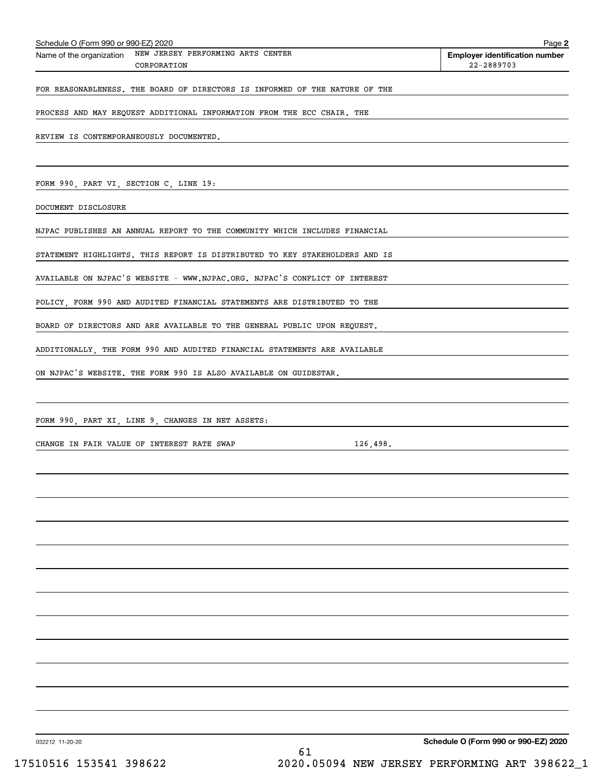| Schedule O (Form 990 or 990-EZ) 2020                                        | Page 2                                              |
|-----------------------------------------------------------------------------|-----------------------------------------------------|
| Name of the organization NEW JERSEY PERFORMING ARTS CENTER<br>CORPORATION   | <b>Employer identification number</b><br>22-2889703 |
| FOR REASONABLENESS. THE BOARD OF DIRECTORS IS INFORMED OF THE NATURE OF THE |                                                     |
| PROCESS AND MAY REQUEST ADDITIONAL INFORMATION FROM THE ECC CHAIR. THE      |                                                     |
| REVIEW IS CONTEMPORANEOUSLY DOCUMENTED.                                     |                                                     |
|                                                                             |                                                     |
| FORM 990, PART VI, SECTION C, LINE 19:                                      |                                                     |
| DOCUMENT DISCLOSURE                                                         |                                                     |
| NJPAC PUBLISHES AN ANNUAL REPORT TO THE COMMUNITY WHICH INCLUDES FINANCIAL  |                                                     |
| STATEMENT HIGHLIGHTS. THIS REPORT IS DISTRIBUTED TO KEY STAKEHOLDERS AND IS |                                                     |
| AVAILABLE ON NJPAC'S WEBSITE - WWW.NJPAC.ORG. NJPAC'S CONFLICT OF INTEREST  |                                                     |
| POLICY, FORM 990 AND AUDITED FINANCIAL STATEMENTS ARE DISTRIBUTED TO THE    |                                                     |
| BOARD OF DIRECTORS AND ARE AVAILABLE TO THE GENERAL PUBLIC UPON REQUEST.    |                                                     |
| ADDITIONALLY, THE FORM 990 AND AUDITED FINANCIAL STATEMENTS ARE AVAILABLE   |                                                     |
| ON NJPAC'S WEBSITE. THE FORM 990 IS ALSO AVAILABLE ON GUIDESTAR.            |                                                     |
|                                                                             |                                                     |
| FORM 990, PART XI, LINE 9, CHANGES IN NET ASSETS:                           |                                                     |
| CHANGE IN FAIR VALUE OF INTEREST RATE SWAP<br>126,498.                      |                                                     |
|                                                                             |                                                     |
|                                                                             |                                                     |
|                                                                             |                                                     |
|                                                                             |                                                     |
|                                                                             |                                                     |
|                                                                             |                                                     |
|                                                                             |                                                     |
|                                                                             |                                                     |
|                                                                             |                                                     |
|                                                                             |                                                     |
|                                                                             |                                                     |
|                                                                             |                                                     |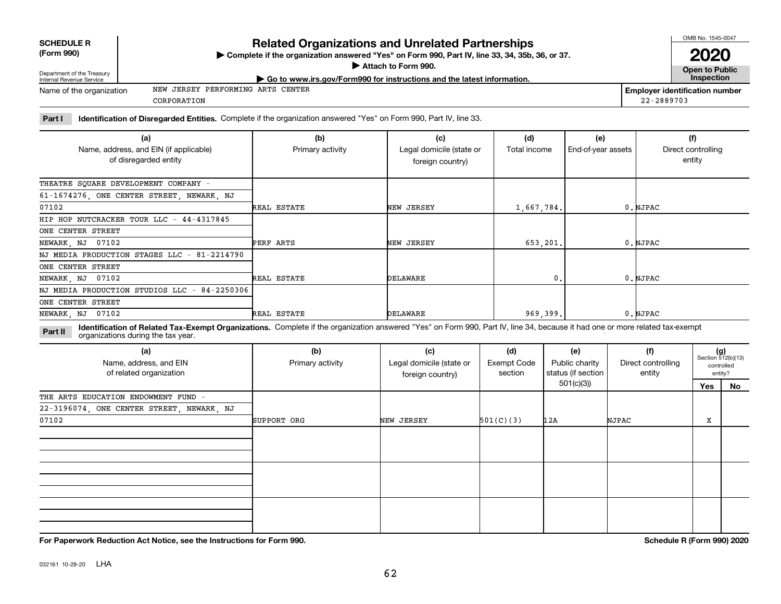**SCHEDULE R (Form 990)**

Name of the organization

## **Related Organizations and Unrelated Partnerships**

**Complete if the organization answered "Yes" on Form 990, Part IV, line 33, 34, 35b, 36, or 37.** |

# CORPORATION

**Part I Identification of Disregarded Entities.**  Complete if the organization answered "Yes" on Form 990, Part IV, line 33.

| (a)<br>Name, address, and EIN (if applicable) | (b)<br>Primary activity | (c)<br>Legal domicile (state or | (d)<br>Total income | (e)<br>End-of-year assets | (f)<br>Direct controlling |
|-----------------------------------------------|-------------------------|---------------------------------|---------------------|---------------------------|---------------------------|
| of disregarded entity                         |                         | foreign country)                |                     |                           | entity                    |
| THEATRE SQUARE DEVELOPMENT COMPANY -          |                         |                                 |                     |                           |                           |
| 61-1674276, ONE CENTER STREET, NEWARK, NJ     |                         |                                 |                     |                           |                           |
| 07102                                         | REAL ESTATE             | NEW JERSEY                      | 1,667,784.          |                           | 0.NJPAC                   |
| HIP HOP NUTCRACKER TOUR LLC - 44-4317845      |                         |                                 |                     |                           |                           |
| ONE CENTER STREET                             |                         |                                 |                     |                           |                           |
| NEWARK, NJ 07102                              | PERF ARTS               | NEW JERSEY                      | 653.201.            |                           | 0. NJPAC                  |
| NJ MEDIA PRODUCTION STAGES LLC - 81-2214790   |                         |                                 |                     |                           |                           |
| ONE CENTER STREET                             |                         |                                 |                     |                           |                           |
| NEWARK, NJ 07102                              | REAL ESTATE             | DELAWARE                        | 0.                  |                           | 0.NJPAC                   |
| NJ MEDIA PRODUCTION STUDIOS LLC - 84-2250306  |                         |                                 |                     |                           |                           |
| ONE CENTER STREET                             |                         |                                 |                     |                           |                           |
| NEWARK, NJ 07102                              | REAL ESTATE             | DELAWARE                        | 969.399.            |                           | 0.NJPAC                   |

**Identification of Related Tax-Exempt Organizations.** Complete if the organization answered "Yes" on Form 990, Part IV, line 34, because it had one or more related tax-exempt **Part II** organizations during the tax year.

| (a)<br>Name, address, and EIN<br>of related organization | (b)<br>Primary activity | (c)<br>Legal domicile (state or<br>foreign country) | (d)<br>Exempt Code<br>section | (e)<br>Public charity<br>status (if section | (f)<br>Direct controlling<br>entity | $(g)$<br>Section 512(b)(13) | controlled<br>entity? |
|----------------------------------------------------------|-------------------------|-----------------------------------------------------|-------------------------------|---------------------------------------------|-------------------------------------|-----------------------------|-----------------------|
|                                                          |                         |                                                     |                               | 501(c)(3)                                   |                                     | Yes                         | No                    |
| THE ARTS EDUCATION ENDOWMENT FUND -                      |                         |                                                     |                               |                                             |                                     |                             |                       |
| 22-3196074, ONE CENTER STREET, NEWARK, NJ                |                         |                                                     |                               |                                             |                                     |                             |                       |
| 07102                                                    | SUPPORT ORG             | NEW JERSEY                                          | 501(C)(3)                     | 12A                                         | NJPAC                               | х                           |                       |
|                                                          |                         |                                                     |                               |                                             |                                     |                             |                       |
|                                                          |                         |                                                     |                               |                                             |                                     |                             |                       |
|                                                          |                         |                                                     |                               |                                             |                                     |                             |                       |

**For Paperwork Reduction Act Notice, see the Instructions for Form 990. Schedule R (Form 990) 2020**



**Employer identification number**

22-2889703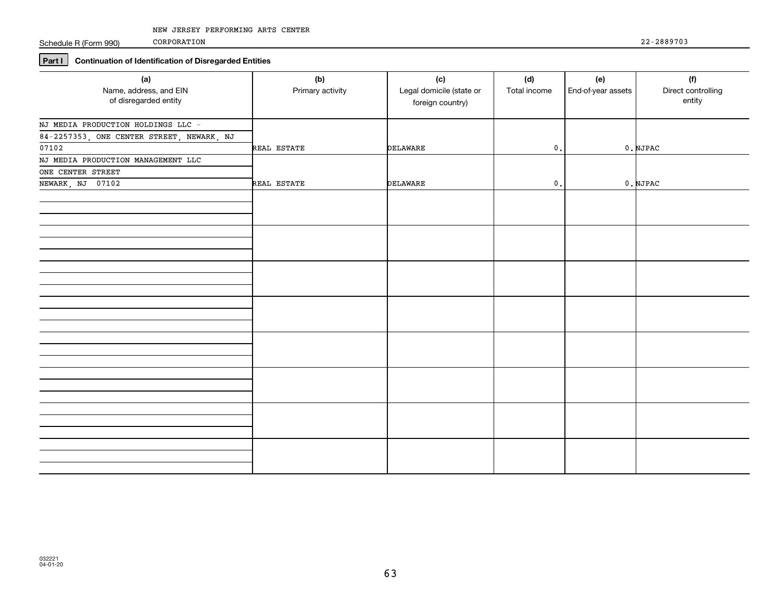Schedule R (Form 990)

CORPORATION

### **Part I Continuation of Identification of Disregarded Entities**

| (a)<br>Name, address, and EIN<br>of disregarded entity | (b)<br>Primary activity | (c)<br>Legal domicile (state or<br>foreign country) | (d)<br>Total income | (e)<br>End-of-year assets | (f)<br>Direct controlling<br>entity |
|--------------------------------------------------------|-------------------------|-----------------------------------------------------|---------------------|---------------------------|-------------------------------------|
| NJ MEDIA PRODUCTION HOLDINGS LLC -                     |                         |                                                     |                     |                           |                                     |
| 84-2257353, ONE CENTER STREET, NEWARK, NJ<br>07102     |                         |                                                     |                     |                           |                                     |
| NJ MEDIA PRODUCTION MANAGEMENT LLC                     | REAL ESTATE             | DELAWARE                                            | $\mathbf 0$ .       |                           | $0.$ NJPAC                          |
| ONE CENTER STREET                                      |                         |                                                     |                     |                           |                                     |
| NEWARK, NJ 07102                                       | REAL ESTATE             | <b>DELAWARE</b>                                     | $\mathbf 0$ .       |                           | $0.$ NJPAC                          |
|                                                        |                         |                                                     |                     |                           |                                     |
|                                                        |                         |                                                     |                     |                           |                                     |
|                                                        |                         |                                                     |                     |                           |                                     |
|                                                        |                         |                                                     |                     |                           |                                     |
|                                                        |                         |                                                     |                     |                           |                                     |
|                                                        |                         |                                                     |                     |                           |                                     |
|                                                        |                         |                                                     |                     |                           |                                     |
|                                                        |                         |                                                     |                     |                           |                                     |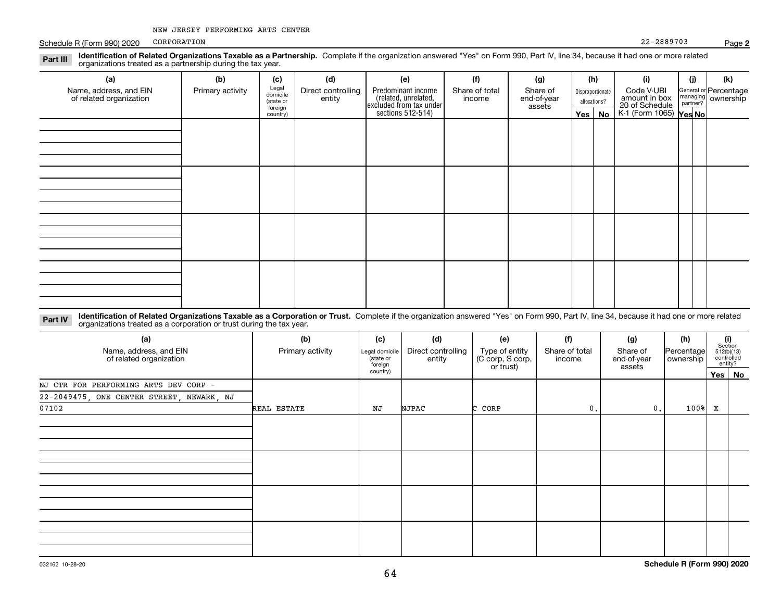Schedule R (Form 990) 2020 PORPORATION 22-2889703 CORPORATION

| 1.91111<br>organizations treated as a partnership during the tax year. |                  |                                           |                                                                                                                                                                                            |     |                                  |     |                                                                         |          |                                             |     |     |
|------------------------------------------------------------------------|------------------|-------------------------------------------|--------------------------------------------------------------------------------------------------------------------------------------------------------------------------------------------|-----|----------------------------------|-----|-------------------------------------------------------------------------|----------|---------------------------------------------|-----|-----|
| (a)                                                                    | (b)              | (c)                                       | (d)                                                                                                                                                                                        | (e) | (1)                              | (g) | (h)                                                                     |          | (i)                                         | (j) | (k) |
| Name, address, and EIN<br>of related organization                      | Primary activity | Legal<br>domicile<br>(state or<br>foreign | Predominant income<br>Direct controlling<br>Share of total<br>Share of<br>related, unrelated,<br>excluded from tax under<br>sections 512-514)<br>entity<br>end-of-year<br>income<br>assets |     | Disproportionate<br>allocations? |     | Code V-UBI<br>amount in box<br>20 of Schedule<br>K-1 (Form 1065) Yes No |          | General or Percentage<br>managing ownership |     |     |
|                                                                        |                  | country)                                  |                                                                                                                                                                                            |     |                                  |     |                                                                         | Yes   No |                                             |     |     |
|                                                                        |                  |                                           |                                                                                                                                                                                            |     |                                  |     |                                                                         |          |                                             |     |     |
|                                                                        |                  |                                           |                                                                                                                                                                                            |     |                                  |     |                                                                         |          |                                             |     |     |
|                                                                        |                  |                                           |                                                                                                                                                                                            |     |                                  |     |                                                                         |          |                                             |     |     |
|                                                                        |                  |                                           |                                                                                                                                                                                            |     |                                  |     |                                                                         |          |                                             |     |     |
|                                                                        |                  |                                           |                                                                                                                                                                                            |     |                                  |     |                                                                         |          |                                             |     |     |
|                                                                        |                  |                                           |                                                                                                                                                                                            |     |                                  |     |                                                                         |          |                                             |     |     |
|                                                                        |                  |                                           |                                                                                                                                                                                            |     |                                  |     |                                                                         |          |                                             |     |     |
|                                                                        |                  |                                           |                                                                                                                                                                                            |     |                                  |     |                                                                         |          |                                             |     |     |
|                                                                        |                  |                                           |                                                                                                                                                                                            |     |                                  |     |                                                                         |          |                                             |     |     |
|                                                                        |                  |                                           |                                                                                                                                                                                            |     |                                  |     |                                                                         |          |                                             |     |     |
|                                                                        |                  |                                           |                                                                                                                                                                                            |     |                                  |     |                                                                         |          |                                             |     |     |
|                                                                        |                  |                                           |                                                                                                                                                                                            |     |                                  |     |                                                                         |          |                                             |     |     |
|                                                                        |                  |                                           |                                                                                                                                                                                            |     |                                  |     |                                                                         |          |                                             |     |     |
|                                                                        |                  |                                           |                                                                                                                                                                                            |     |                                  |     |                                                                         |          |                                             |     |     |
|                                                                        |                  |                                           |                                                                                                                                                                                            |     |                                  |     |                                                                         |          |                                             |     |     |
|                                                                        |                  |                                           |                                                                                                                                                                                            |     |                                  |     |                                                                         |          |                                             |     |     |
|                                                                        |                  |                                           |                                                                                                                                                                                            |     |                                  |     |                                                                         |          |                                             |     |     |

**Identification of Related Organizations Taxable as a Partnership.** Complete if the organization answered "Yes" on Form 990, Part IV, line 34, because it had one or more related

#### **Identification of Related Organizations Taxable as a Corporation or Trust.** Complete if the organization answered "Yes" on Form 990, Part IV, line 34, because it had one or more related **Part IV** organizations treated as a corporation or trust during the tax year.

| (a)<br>Name, address, and EIN<br>of related organization | (b)<br>Primary activity | (c)<br>Legal domicile<br>(state or<br>foreign | (d)<br>Direct controlling<br>entity | (e)<br>Type of entity<br>(C corp, S corp,<br>or trust) | (f)<br>Share of total<br>income | (g)<br>Share of<br>end-of-year<br>assets | (h)<br>Percentage<br>ownership |   | (i)<br>Section<br>512(b)(13)<br>controlled<br>entity? |
|----------------------------------------------------------|-------------------------|-----------------------------------------------|-------------------------------------|--------------------------------------------------------|---------------------------------|------------------------------------------|--------------------------------|---|-------------------------------------------------------|
|                                                          |                         | country)                                      |                                     |                                                        |                                 |                                          |                                |   | Yes No                                                |
| NJ CTR FOR PERFORMING ARTS DEV CORP -                    |                         |                                               |                                     |                                                        |                                 |                                          |                                |   |                                                       |
| 22-2049475, ONE CENTER STREET, NEWARK, NJ                |                         |                                               |                                     |                                                        |                                 |                                          |                                |   |                                                       |
| 07102                                                    | REAL ESTATE             | NJ                                            | NJPAC                               | CORP                                                   | 0.                              | 0.                                       | 100%                           | X |                                                       |
|                                                          |                         |                                               |                                     |                                                        |                                 |                                          |                                |   |                                                       |
|                                                          |                         |                                               |                                     |                                                        |                                 |                                          |                                |   |                                                       |
|                                                          |                         |                                               |                                     |                                                        |                                 |                                          |                                |   |                                                       |

**Part III**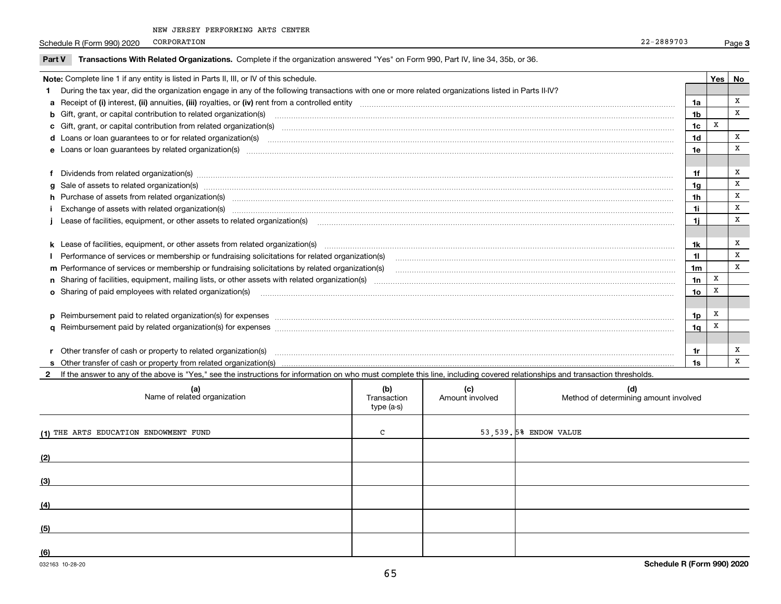Schedule R (Form 990) 2020 PORPORATION 22-2889703 CORPORATION

 $\overline{\phantom{0}}$ 

| Part V | Transactions With Related Organizations. Complete if the organization answered "Yes" on Form 990, Part IV, line 34, 35b, or 36.                                                                                                |                |     |    |
|--------|--------------------------------------------------------------------------------------------------------------------------------------------------------------------------------------------------------------------------------|----------------|-----|----|
|        | Note: Complete line 1 if any entity is listed in Parts II, III, or IV of this schedule.                                                                                                                                        |                | Yes | No |
|        | During the tax year, did the organization engage in any of the following transactions with one or more related organizations listed in Parts II-IV?                                                                            |                |     |    |
|        |                                                                                                                                                                                                                                | 1a             |     | x  |
|        | <b>b</b> Gift, grant, or capital contribution to related organization(s)                                                                                                                                                       | 1b             |     | x  |
|        |                                                                                                                                                                                                                                | 1c             | X   |    |
|        |                                                                                                                                                                                                                                | 1d             |     | X  |
|        | e Loans or loan guarantees by related organization(s) enconversements and construction of the construction of the constraint of the constraint of the constraint of the constraint of the constraint of the constraint of the  | 1e             |     | x  |
|        |                                                                                                                                                                                                                                |                |     |    |
|        |                                                                                                                                                                                                                                | 1f             |     | х  |
|        | g Sale of assets to related organization(s) www.assettion.com/www.assettion.com/www.assettion.com/www.assettion.com/www.assettion.com/www.assettion.com/www.assettion.com/www.assettion.com/www.assettion.com/www.assettion.co | 1g             |     | X  |
|        | h Purchase of assets from related organization(s) manufactured manufactured manufactured manufactured manufactured manufactured manufactured manufactured manufactured manufactured manufactured manufactured manufactured man | 1h             |     | x  |
|        |                                                                                                                                                                                                                                | 1i             |     | x  |
|        | Lease of facilities, equipment, or other assets to related organization(s) [11] manufaction(s) [11] manufaction(s) and the manufaction of the manufacture of facilities, equipment, or other assets to related organization(s) | 1i             |     | X  |
|        |                                                                                                                                                                                                                                |                |     |    |
|        |                                                                                                                                                                                                                                | 1k             |     | х  |
|        | Performance of services or membership or fundraising solicitations for related organization(s)                                                                                                                                 | 11             |     | x  |
|        |                                                                                                                                                                                                                                | 1 <sub>m</sub> |     | X  |
|        |                                                                                                                                                                                                                                | 1n             | X   |    |
|        | <b>o</b> Sharing of paid employees with related organization(s)                                                                                                                                                                | 1o             | x   |    |
|        |                                                                                                                                                                                                                                |                |     |    |
|        |                                                                                                                                                                                                                                | 1 <sub>p</sub> | х   |    |
|        |                                                                                                                                                                                                                                | 1q             | X   |    |
|        |                                                                                                                                                                                                                                |                |     |    |
|        | r Other transfer of cash or property to related organization(s)                                                                                                                                                                | 1r             |     | x  |
|        |                                                                                                                                                                                                                                | 1s             |     | X  |

**2**If the answer to any of the above is "Yes," see the instructions for information on who must complete this line, including covered relationships and transaction thresholds.

| (a)<br>Name of related organization   | (b)<br>Transaction<br>type (a-s) | (c)<br>Amount involved | (d)<br>Method of determining amount involved |
|---------------------------------------|----------------------------------|------------------------|----------------------------------------------|
| (1) THE ARTS EDUCATION ENDOWMENT FUND | $\mathsf{C}$                     |                        | 53,539.5% ENDOW VALUE                        |
| (2)                                   |                                  |                        |                                              |
| (3)                                   |                                  |                        |                                              |
| (4)                                   |                                  |                        |                                              |
| (5)                                   |                                  |                        |                                              |
| (6)                                   |                                  |                        |                                              |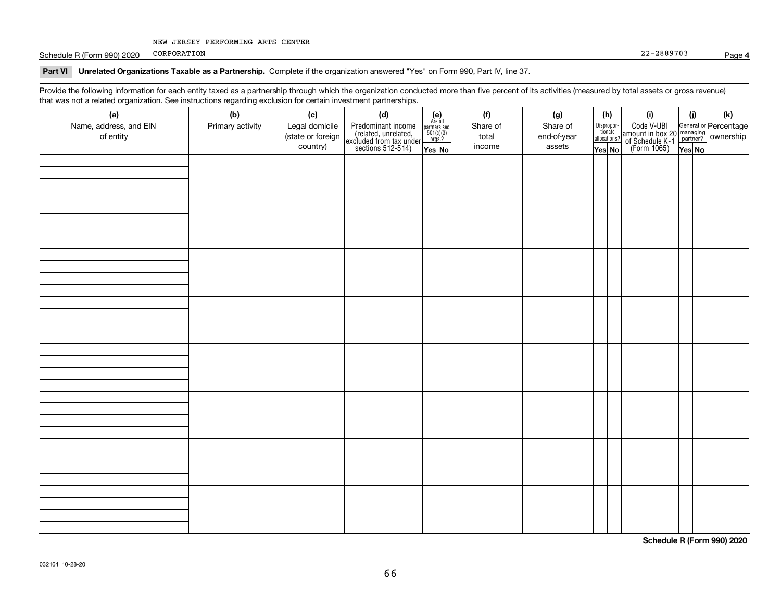Schedule R (Form 990) 2020 PORPORATION 22-2889703 CORPORATION

#### **Part VI Unrelated Organizations Taxable as a Partnership. Complete if the organization answered "Yes" on Form 990, Part IV, line 37.**

Provide the following information for each entity taxed as a partnership through which the organization conducted more than five percent of its activities (measured by total assets or gross revenue) that was not a related organization. See instructions regarding exclusion for certain investment partnerships.

| (a)                    | .<br>(b)         | (c)               | <br><br>(d)                                                                                |                                                                                                                  | (f)      | (g)         | (h)                   | (i)                                                                                          | (i)    | $(\mathsf{k})$ |  |  |  |  |  |  |  |  |  |  |  |  |  |  |  |
|------------------------|------------------|-------------------|--------------------------------------------------------------------------------------------|------------------------------------------------------------------------------------------------------------------|----------|-------------|-----------------------|----------------------------------------------------------------------------------------------|--------|----------------|--|--|--|--|--|--|--|--|--|--|--|--|--|--|--|
| Name, address, and EIN | Primary activity | Legal domicile    |                                                                                            | $\begin{array}{c} \textbf{(e)}\\ \text{Are all} \\ \text{partners sec.}\\ 501(c)(3)\\ \text{orgs.?} \end{array}$ | Share of | Share of    | Dispropor-<br>tionate |                                                                                              |        |                |  |  |  |  |  |  |  |  |  |  |  |  |  |  |  |
| of entity              |                  | (state or foreign | Predominant income<br>(related, unrelated,<br>excluded from tax under<br>sections 512-514) |                                                                                                                  | total    | end-of-year | allocations?          | Code V-UBI<br>amount in box 20 managing<br>of Schedule K-1 partner?<br>(Form 1065)<br>ves No |        |                |  |  |  |  |  |  |  |  |  |  |  |  |  |  |  |
|                        |                  | country)          |                                                                                            | Yes No                                                                                                           | income   | assets      | Yes No                |                                                                                              | Yes No |                |  |  |  |  |  |  |  |  |  |  |  |  |  |  |  |
|                        |                  |                   |                                                                                            |                                                                                                                  |          |             |                       |                                                                                              |        |                |  |  |  |  |  |  |  |  |  |  |  |  |  |  |  |
|                        |                  |                   |                                                                                            |                                                                                                                  |          |             |                       |                                                                                              |        |                |  |  |  |  |  |  |  |  |  |  |  |  |  |  |  |
|                        |                  |                   |                                                                                            |                                                                                                                  |          |             |                       |                                                                                              |        |                |  |  |  |  |  |  |  |  |  |  |  |  |  |  |  |
|                        |                  |                   |                                                                                            |                                                                                                                  |          |             |                       |                                                                                              |        |                |  |  |  |  |  |  |  |  |  |  |  |  |  |  |  |
|                        |                  |                   |                                                                                            |                                                                                                                  |          |             |                       |                                                                                              |        |                |  |  |  |  |  |  |  |  |  |  |  |  |  |  |  |
|                        |                  |                   |                                                                                            |                                                                                                                  |          |             |                       |                                                                                              |        |                |  |  |  |  |  |  |  |  |  |  |  |  |  |  |  |
|                        |                  |                   |                                                                                            |                                                                                                                  |          |             |                       |                                                                                              |        |                |  |  |  |  |  |  |  |  |  |  |  |  |  |  |  |
|                        |                  |                   |                                                                                            |                                                                                                                  |          |             |                       |                                                                                              |        |                |  |  |  |  |  |  |  |  |  |  |  |  |  |  |  |
|                        |                  |                   |                                                                                            |                                                                                                                  |          |             |                       |                                                                                              |        |                |  |  |  |  |  |  |  |  |  |  |  |  |  |  |  |
|                        |                  |                   |                                                                                            |                                                                                                                  |          |             |                       |                                                                                              |        |                |  |  |  |  |  |  |  |  |  |  |  |  |  |  |  |
|                        |                  |                   |                                                                                            |                                                                                                                  |          |             |                       |                                                                                              |        |                |  |  |  |  |  |  |  |  |  |  |  |  |  |  |  |
|                        |                  |                   |                                                                                            |                                                                                                                  |          |             |                       |                                                                                              |        |                |  |  |  |  |  |  |  |  |  |  |  |  |  |  |  |
|                        |                  |                   |                                                                                            |                                                                                                                  |          |             |                       |                                                                                              |        |                |  |  |  |  |  |  |  |  |  |  |  |  |  |  |  |
|                        |                  |                   |                                                                                            |                                                                                                                  |          |             |                       |                                                                                              |        |                |  |  |  |  |  |  |  |  |  |  |  |  |  |  |  |
|                        |                  |                   |                                                                                            |                                                                                                                  |          |             |                       |                                                                                              |        |                |  |  |  |  |  |  |  |  |  |  |  |  |  |  |  |
|                        |                  |                   |                                                                                            |                                                                                                                  |          |             |                       |                                                                                              |        |                |  |  |  |  |  |  |  |  |  |  |  |  |  |  |  |
|                        |                  |                   |                                                                                            |                                                                                                                  |          |             |                       |                                                                                              |        |                |  |  |  |  |  |  |  |  |  |  |  |  |  |  |  |
|                        |                  |                   |                                                                                            |                                                                                                                  |          |             |                       |                                                                                              |        |                |  |  |  |  |  |  |  |  |  |  |  |  |  |  |  |
|                        |                  |                   |                                                                                            |                                                                                                                  |          |             |                       |                                                                                              |        |                |  |  |  |  |  |  |  |  |  |  |  |  |  |  |  |
|                        |                  |                   |                                                                                            |                                                                                                                  |          |             |                       |                                                                                              |        |                |  |  |  |  |  |  |  |  |  |  |  |  |  |  |  |
|                        |                  |                   |                                                                                            |                                                                                                                  |          |             |                       |                                                                                              |        |                |  |  |  |  |  |  |  |  |  |  |  |  |  |  |  |
|                        |                  |                   |                                                                                            |                                                                                                                  |          |             |                       |                                                                                              |        |                |  |  |  |  |  |  |  |  |  |  |  |  |  |  |  |
|                        |                  |                   |                                                                                            |                                                                                                                  |          |             |                       |                                                                                              |        |                |  |  |  |  |  |  |  |  |  |  |  |  |  |  |  |
|                        |                  |                   |                                                                                            |                                                                                                                  |          |             |                       |                                                                                              |        |                |  |  |  |  |  |  |  |  |  |  |  |  |  |  |  |
|                        |                  |                   |                                                                                            |                                                                                                                  |          |             |                       |                                                                                              |        |                |  |  |  |  |  |  |  |  |  |  |  |  |  |  |  |
|                        |                  |                   |                                                                                            |                                                                                                                  |          |             |                       |                                                                                              |        |                |  |  |  |  |  |  |  |  |  |  |  |  |  |  |  |
|                        |                  |                   |                                                                                            |                                                                                                                  |          |             |                       |                                                                                              |        |                |  |  |  |  |  |  |  |  |  |  |  |  |  |  |  |
|                        |                  |                   |                                                                                            |                                                                                                                  |          |             |                       |                                                                                              |        |                |  |  |  |  |  |  |  |  |  |  |  |  |  |  |  |
|                        |                  |                   |                                                                                            |                                                                                                                  |          |             |                       |                                                                                              |        |                |  |  |  |  |  |  |  |  |  |  |  |  |  |  |  |
|                        |                  |                   |                                                                                            |                                                                                                                  |          |             |                       |                                                                                              |        |                |  |  |  |  |  |  |  |  |  |  |  |  |  |  |  |
|                        |                  |                   |                                                                                            |                                                                                                                  |          |             |                       |                                                                                              |        |                |  |  |  |  |  |  |  |  |  |  |  |  |  |  |  |
|                        |                  |                   |                                                                                            |                                                                                                                  |          |             |                       |                                                                                              |        |                |  |  |  |  |  |  |  |  |  |  |  |  |  |  |  |

**Schedule R (Form 990) 2020**